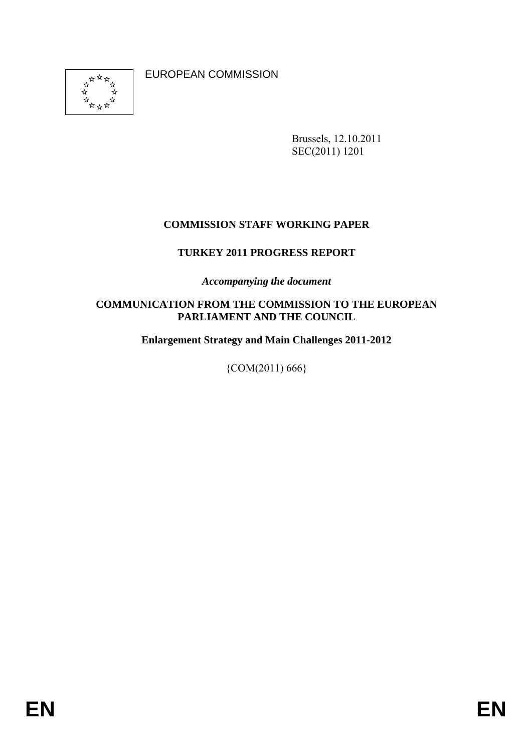

EUROPEAN COMMISSION

Brussels, 12.10.2011 SEC(2011) 1201

### **COMMISSION STAFF WORKING PAPER**

### **TURKEY 2011 PROGRESS REPORT**

*Accompanying the document* 

#### **COMMUNICATION FROM THE COMMISSION TO THE EUROPEAN PARLIAMENT AND THE COUNCIL**

**Enlargement Strategy and Main Challenges 2011-2012** 

 ${COM}(2011) 666$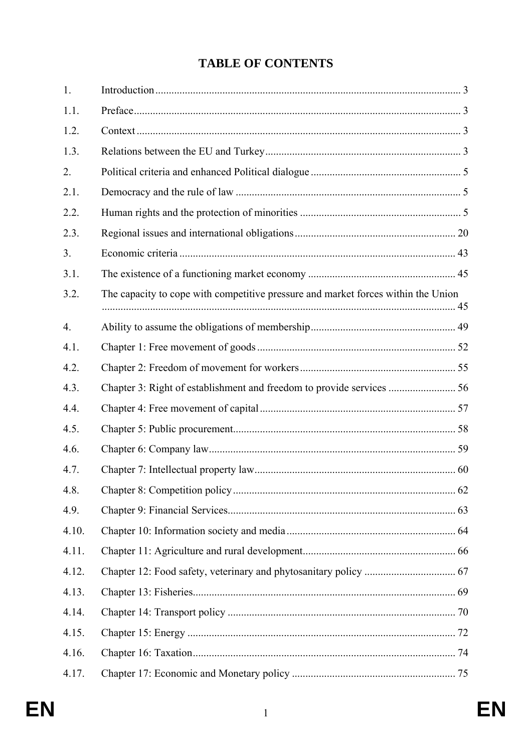# **TABLE OF CONTENTS**

| 1.    |                                                                                   |  |
|-------|-----------------------------------------------------------------------------------|--|
| 1.1.  |                                                                                   |  |
| 1.2.  |                                                                                   |  |
| 1.3.  |                                                                                   |  |
| 2.    |                                                                                   |  |
| 2.1.  |                                                                                   |  |
| 2.2.  |                                                                                   |  |
| 2.3.  |                                                                                   |  |
| 3.    |                                                                                   |  |
| 3.1.  |                                                                                   |  |
| 3.2.  | The capacity to cope with competitive pressure and market forces within the Union |  |
| 4.    |                                                                                   |  |
| 4.1.  |                                                                                   |  |
| 4.2.  |                                                                                   |  |
| 4.3.  |                                                                                   |  |
| 4.4.  |                                                                                   |  |
| 4.5.  |                                                                                   |  |
| 4.6.  |                                                                                   |  |
| 4.7.  |                                                                                   |  |
| 4.8.  |                                                                                   |  |
| 4.9.  |                                                                                   |  |
| 4.10. |                                                                                   |  |
| 4.11. |                                                                                   |  |
| 4.12. |                                                                                   |  |
| 4.13. |                                                                                   |  |
| 4.14. |                                                                                   |  |
| 4.15. |                                                                                   |  |
| 4.16. |                                                                                   |  |
| 4.17. |                                                                                   |  |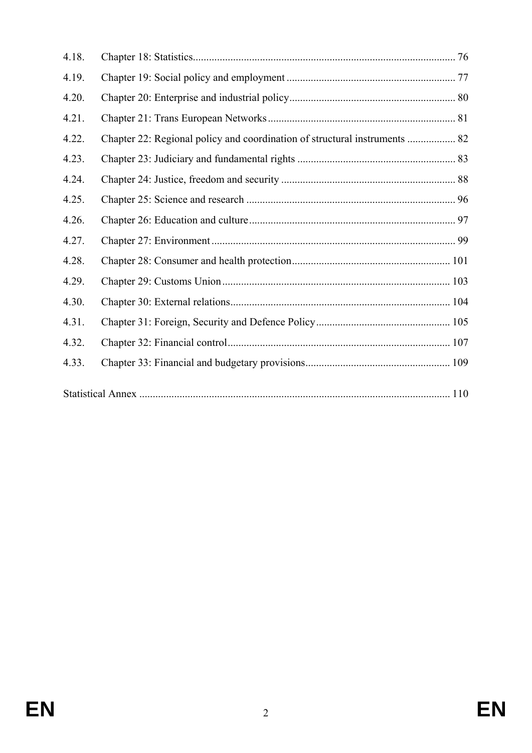| 4.18. |                                                                            |  |
|-------|----------------------------------------------------------------------------|--|
| 4.19. |                                                                            |  |
| 4.20. |                                                                            |  |
| 4.21. |                                                                            |  |
| 4.22. | Chapter 22: Regional policy and coordination of structural instruments  82 |  |
| 4.23. |                                                                            |  |
| 4.24. |                                                                            |  |
| 4.25. |                                                                            |  |
| 4.26. |                                                                            |  |
| 4.27. |                                                                            |  |
| 4.28. |                                                                            |  |
| 4.29. |                                                                            |  |
| 4.30. |                                                                            |  |
| 4.31. |                                                                            |  |
| 4.32. |                                                                            |  |
| 4.33. |                                                                            |  |
|       |                                                                            |  |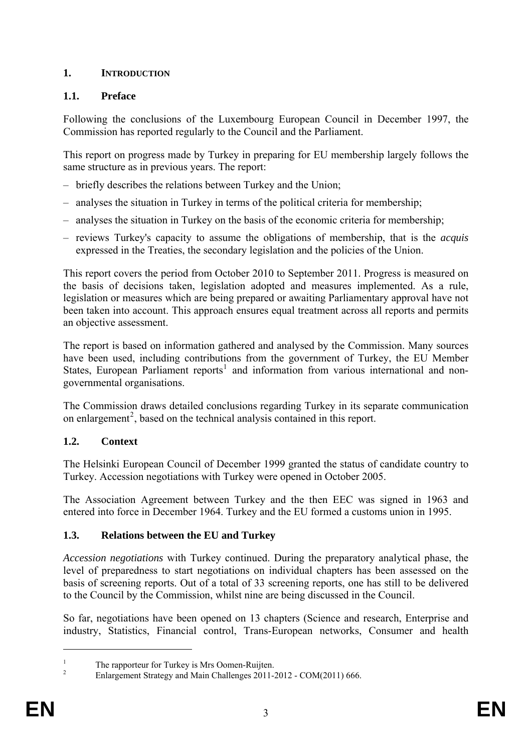# **1. INTRODUCTION**

# **1.1. Preface**

Following the conclusions of the Luxembourg European Council in December 1997, the Commission has reported regularly to the Council and the Parliament.

This report on progress made by Turkey in preparing for EU membership largely follows the same structure as in previous years. The report:

- briefly describes the relations between Turkey and the Union;
- analyses the situation in Turkey in terms of the political criteria for membership;
- analyses the situation in Turkey on the basis of the economic criteria for membership;
- reviews Turkey's capacity to assume the obligations of membership, that is the *acquis*  expressed in the Treaties, the secondary legislation and the policies of the Union.

This report covers the period from October 2010 to September 2011. Progress is measured on the basis of decisions taken, legislation adopted and measures implemented. As a rule, legislation or measures which are being prepared or awaiting Parliamentary approval have not been taken into account. This approach ensures equal treatment across all reports and permits an objective assessment.

The report is based on information gathered and analysed by the Commission. Many sources have been used, including contributions from the government of Turkey, the EU Member States, European Parliament reports<sup>[1](#page-3-0)</sup> and information from various international and nongovernmental organisations.

The Commission draws detailed conclusions regarding Turkey in its separate communication on enlargement<sup>[2](#page-3-1)</sup>, based on the technical analysis contained in this report.

# **1.2. Context**

The Helsinki European Council of December 1999 granted the status of candidate country to Turkey. Accession negotiations with Turkey were opened in October 2005.

The Association Agreement between Turkey and the then EEC was signed in 1963 and entered into force in December 1964. Turkey and the EU formed a customs union in 1995.

### **1.3. Relations between the EU and Turkey**

*Accession negotiations* with Turkey continued. During the preparatory analytical phase, the level of preparedness to start negotiations on individual chapters has been assessed on the basis of screening reports. Out of a total of 33 screening reports, one has still to be delivered to the Council by the Commission, whilst nine are being discussed in the Council.

So far, negotiations have been opened on 13 chapters (Science and research, Enterprise and industry, Statistics, Financial control, Trans-European networks, Consumer and health

<span id="page-3-2"></span><span id="page-3-0"></span><sup>1</sup> The rapporteur for Turkey is Mrs Oomen-Ruijten.

<span id="page-3-1"></span><sup>2</sup> Enlargement Strategy and Main Challenges 2011-2012 - COM(2011) 666.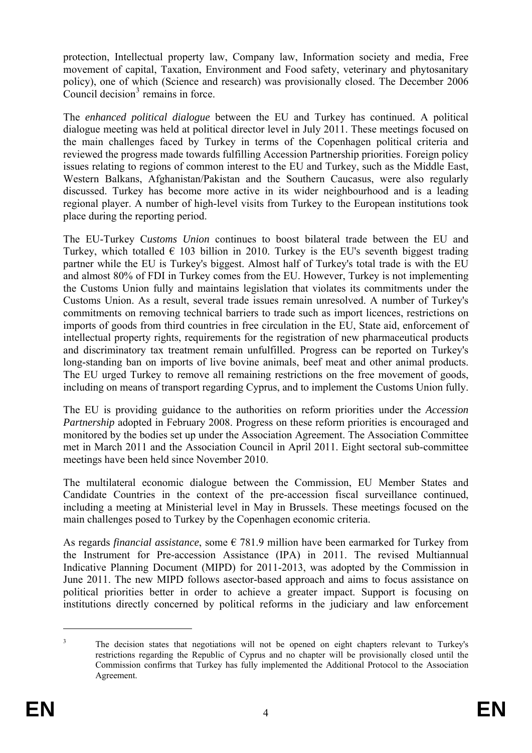protection, Intellectual property law, Company law, Information society and media, Free movement of capital, Taxation, Environment and Food safety, veterinary and phytosanitary policy), one of which (Science and research) was provisionally closed. The December 2006 Council decision $3$  remains in force.

dialogue meeting was held at political director level in July 2011. These meetings focused on The *enhanced political dialogue* between the EU and Turkey has continued. A political the main challenges faced by Turkey in terms of the Copenhagen political criteria and reviewed the progress made towards fulfilling Accession Partnership priorities. Foreign policy issues relating to regions of common interest to the EU and Turkey, such as the Middle East, Western Balkans, Afghanistan/Pakistan and the Southern Caucasus, were also regularly discussed. Turkey has become more active in its wider neighbourhood and is a leading regional player. A number of high-level visits from Turkey to the European institutions took place during the reporting period.

Turkey, which totalled  $\epsilon$  103 billion in 2010. Turkey is the EU's seventh biggest trading The EU-Turkey C*ustoms Union* continues to boost bilateral trade between the EU and partner while the EU is Turkey's biggest. Almost half of Turkey's total trade is with the EU and almost 80% of FDI in Turkey comes from the EU. However, Turkey is not implementing the Customs Union fully and maintains legislation that violates its commitments under the Customs Union. As a result, several trade issues remain unresolved. A number of Turkey's commitments on removing technical barriers to trade such as import licences, restrictions on imports of goods from third countries in free circulation in the EU, State aid, enforcement of intellectual property rights, requirements for the registration of new pharmaceutical products and discriminatory tax treatment remain unfulfilled. Progress can be reported on Turkey's long-standing ban on imports of live bovine animals, beef meat and other animal products. The EU urged Turkey to remove all remaining restrictions on the free movement of goods, including on means of transport regarding Cyprus, and to implement the Customs Union fully.

The EU is providing guidance to the authorities on reform priorities under the *Accession Partnership* adopted in February 2008. Progress on these reform priorities is encouraged and monitored by the bodies set up under the Association Agreement. The Association Committee met in March 2011 and the Association Council in April 2011. Eight sectoral sub-committee meetings have been held since November 2010.

Candidate Countries in the context of the pre-accession fiscal surveillance continued, The multilateral economic dialogue between the Commission, EU Member States and including a meeting at Ministerial level in May in Brussels. These meetings focused on the main challenges posed to Turkey by the Copenhagen economic criteria.

the Instrument for Pre-accession Assistance (IPA) in 2011. The revised Multiannual As regards *financial assistance*, some  $\epsilon$  781.9 million have been earmarked for Turkey from Indicative Planning Document (MIPD) for 2011-2013, was adopted by the Commission in June 2011. The new MIPD follows asector-based approach and aims to focus assistance on political priorities better in order to achieve a greater impact. Support is focusing on institutions directly concerned by political reforms in the judiciary and law enforcement

<sup>3</sup> The decision states that negotiations will not be opened on eight chapters relevant to Turkey's restrictions regarding the Republic of Cyprus and no chapter will be provisionally closed until the Commission confirms that Turkey has fully implemented the Additional Protocol to the Association Agreement.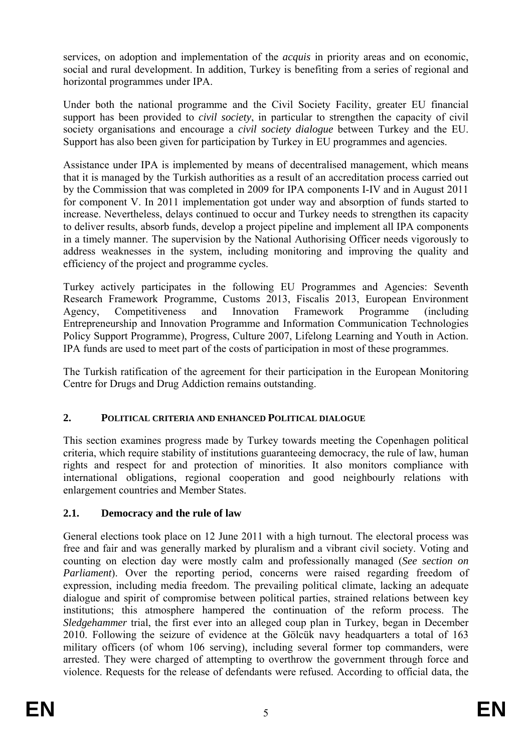services, on adoption and implementation of the *acquis* in priority areas and on economic, social and rural development. In addition, Turkey is benefiting from a series of regional and horizontal programmes under IPA.

support has been provided to *civil society*, in particular to strengthen the capacity of civil Under both the national programme and the Civil Society Facility, greater EU financial society organisations and encourage a *civil society dialogue* between Turkey and the EU. Support has also been given for participation by Turkey in EU programmes and agencies.

that it is managed by the Turkish authorities as a result of an accreditation process carried out Assistance under IPA is implemented by means of decentralised management, which means by the Commission that was completed in 2009 for IPA components I-IV and in August 2011 for component V. In 2011 implementation got under way and absorption of funds started to increase. Nevertheless, delays continued to occur and Turkey needs to strengthen its capacity to deliver results, absorb funds, develop a project pipeline and implement all IPA components in a timely manner. The supervision by the National Authorising Officer needs vigorously to address weaknesses in the system, including monitoring and improving the quality and efficiency of the project and programme cycles.

Research Framework Programme, Customs 2013, Fiscalis 2013, European Environment Turkey actively participates in the following EU Programmes and Agencies: Seventh Agency, Competitiveness and Innovation Framework Programme (including Entrepreneurship and Innovation Programme and Information Communication Technologies Policy Support Programme), Progress, Culture 2007, Lifelong Learning and Youth in Action. IPA funds are used to meet part of the costs of participation in most of these programmes.

The Turkish ratification of the agreement for their participation in the European Monitoring Centre for Drugs and Drug Addiction remains outstanding.

# 2. POLITICAL CRITERIA AND ENHANCED POLITICAL DIALOGUE

This section examines progress made by Turkey towards meeting the Copenhagen political criteria, which require stability of institutions guaranteeing democracy, the rule of law, human rights and respect for and protection of minorities. It also monitors compliance with international obligations, regional cooperation and good neighbourly relations with enlargement countries and Member States.

# **2.1. Democracy and the rule of law**

General elections took place on 12 June 2011 with a high turnout. The electoral process was free and fair and was generally marked by pluralism and a vibrant civil society. Voting and counting on election day were mostly calm and professionally managed (*See section on Parliament*). Over the reporting period, concerns were raised regarding freedom of expression, including media freedom. The prevailing political climate, lacking an adequate dialogue and spirit of compromise between political parties, strained relations between key institutions; this atmosphere hampered the continuation of the reform process. The *Sledgehammer* trial, the first ever into an alleged coup plan in Turkey, began in December 2010. Following the seizure of evidence at the Gölcük navy headquarters a total of 163 military officers (of whom 106 serving), including several former top commanders, were arrested. They were charged of attempting to overthrow the government through force and violence. Requests for the release of defendants were refused. According to official data, the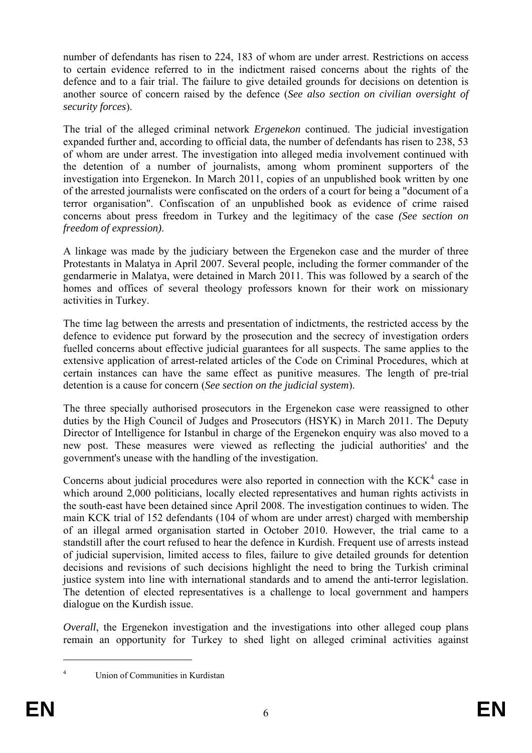number of defendants has risen to 224, 183 of whom are under arrest. Restrictions on access to certain evidence referred to in the indictment raised concerns about the rights of the defence and to a fair trial. The failure to give detailed grounds for decisions on detention is another source of concern raised by the defence (*See also section on civilian oversight of security forces*).

of whom are under arrest. The investigation into alleged media involvement continued with The trial of the alleged criminal network *Ergenekon* continued. The judicial investigation expanded further and, according to official data, the number of defendants has risen to 238, 53 the detention of a number of journalists, among whom prominent supporters of the investigation into Ergenekon. In March 2011, copies of an unpublished book written by one of the arrested journalists were confiscated on the orders of a court for being a "document of a terror organisation". Confiscation of an unpublished book as evidence of crime raised concerns about press freedom in Turkey and the legitimacy of the case *(See section on freedom of expression)*.

gendarmerie in Malatya, were detained in March 2011. This was followed by a search of the A linkage was made by the judiciary between the Ergenekon case and the murder of three Protestants in Malatya in April 2007. Several people, including the former commander of the homes and offices of several theology professors known for their work on missionary activities in Turkey.

fuelled concerns about effective judicial guarantees for all suspects. The same applies to the The time lag between the arrests and presentation of indictments, the restricted access by the defence to evidence put forward by the prosecution and the secrecy of investigation orders extensive application of arrest-related articles of the Code on Criminal Procedures, which at certain instances can have the same effect as punitive measures. The length of pre-trial detention is a cause for concern (*See section on the judicial system*).

Director of Intelligence for Istanbul in charge of the Ergenekon enquiry was also moved to a The three specially authorised prosecutors in the Ergenekon case were reassigned to other duties by the High Council of Judges and Prosecutors (HSYK) in March 2011. The Deputy new post. These measures were viewed as reflecting the judicial authorities' and the government's unease with the handling of the investigation.

the south-east have been detained since April 2008. The investigation continues to widen. The Concerns about judicial procedures were also reported in connection with the  $KCK<sup>4</sup>$  case in which around 2,000 politicians, locally elected representatives and human rights activists in main KCK trial of 152 defendants (104 of whom are under arrest) charged with membership of an illegal armed organisation started in October 2010. However, the trial came to a standstill after the court refused to hear the defence in Kurdish. Frequent use of arrests instead of judicial supervision, limited access to files, failure to give detailed grounds for detention decisions and revisions of such decisions highlight the need to bring the Turkish criminal justice system into line with international standards and to amend the anti-terror legislation. The detention of elected representatives is a challenge to local government and hampers dialogue on the Kurdish issue.

remain an opportunity for Turkey to shed light on alleged criminal activities against *Overall*, the Ergenekon investigation and the investigations into other alleged coup plans

1

Union of Communities in Kurdistan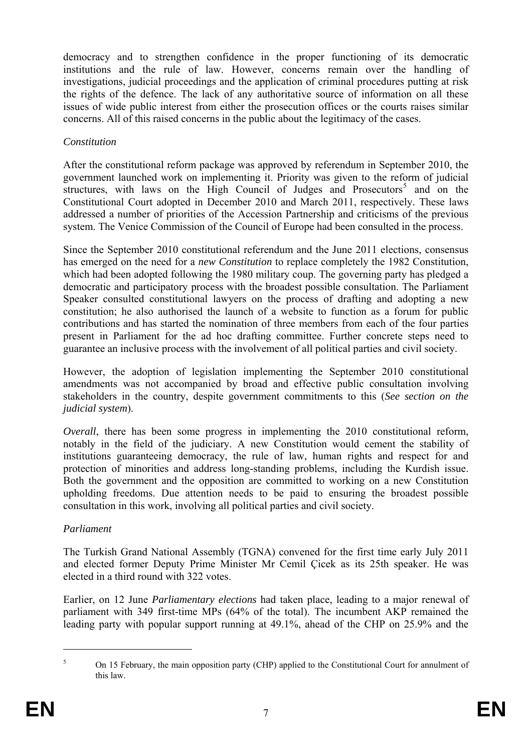investigations, judicial proceedings and the application of criminal procedures putting at risk democracy and to strengthen confidence in the proper functioning of its democratic institutions and the rule of law. However, concerns remain over the handling of the rights of the defence. The lack of any authoritative source of information on all these issues of wide public interest from either the prosecution offices or the courts raises similar concerns. All of this raised concerns in the public about the legitimacy of the cases.

### *Constitution*

structures, with laws on the High Council of Judges and Prosecutors<sup>5</sup> and on the Constitutional Court adopted in December 2010 and March 2011, respectively. These laws addressed a number of priorities of the Accession Partnership and criticisms of the previous After the constitutional reform package was approved by referendum in September 2010, the government launched work on implementing it. Priority was given to the reform of judicial system. The Venice Commission of the Council of Europe had been consulted in the process.

Since the September 2010 constitutional referendum and the June 2011 elections, consensus has emerged on the need for a *new Constitution* to replace completely the 1982 Constitution, which had been adopted following the 1980 military coup. The governing party has pledged a democratic and participatory process with the broadest possible consultation. The Parliament Speaker consulted constitutional lawyers on the process of drafting and adopting a new constitution; he also authorised the launch of a website to function as a forum for public contributions and has started the nomination of three members from each of the four parties present in Parliament for the ad hoc drafting committee. Further concrete steps need to guarantee an inclusive process with the involvement of all political parties and civil society.

However, the adoption of legislation implementing the September 2010 constitutional amendments was not accompanied by broad and effective public consultation involving stakeholders in the country, despite government commitments to this (*See section on the judicial system*).

Both the government and the opposition are committed to working on a new Constitution *Overall*, there has been some progress in implementing the 2010 constitutional reform, notably in the field of the judiciary. A new Constitution would cement the stability of institutions guaranteeing democracy, the rule of law, human rights and respect for and protection of minorities and address long-standing problems, including the Kurdish issue. upholding freedoms. Due attention needs to be paid to ensuring the broadest possible consultation in this work, involving all political parties and civil society.

# *Parliament*

The Turkish Grand National Assembly (TGNA) convened for the first time early July 2011 and elected former Deputy Prime Minister Mr Cemil Çicek as its 25th speaker. He was elected in a third round with 322 votes.

Earlier, on 12 June *Parliamentary elections* had taken place, leading to a major renewal of parliament with 349 first-time MPs (64% of the total). The incumbent AKP remained the leading party with popular support running at 49.1%, ahead of the CHP on 25.9% and the

<sup>5</sup> On 15 February, the main opposition party (CHP) applied to the Constitutional Court for annulment of this law.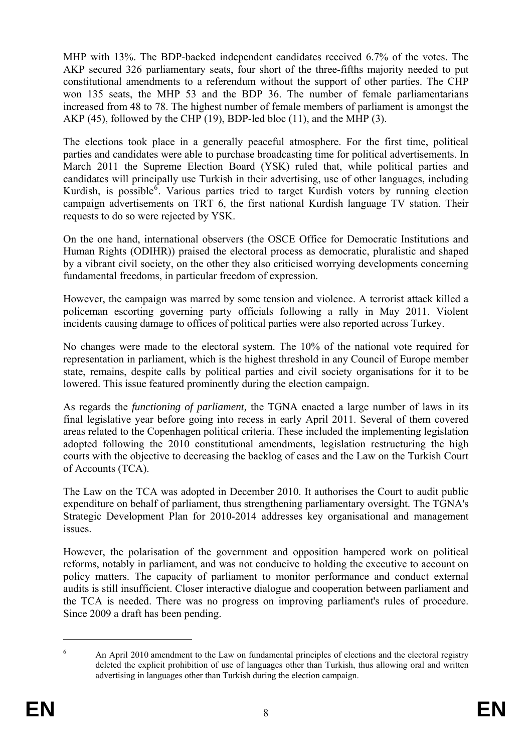won 135 seats, the MHP 53 and the BDP 36. The number of female parliamentarians MHP with 13%. The BDP-backed independent candidates received 6.7% of the votes. The AKP secured 326 parliamentary seats, four short of the three-fifths majority needed to put constitutional amendments to a referendum without the support of other parties. The CHP increased from 48 to 78. The highest number of female members of parliament is amongst the AKP (45), followed by the CHP (19), BDP-led bloc (11), and the MHP (3).

The elections took place in a generally peaceful atmosphere. For the first time, political parties and candidates were able to purchase broadcasting time for political advertisements. In March 2011 the Supreme Election Board (YSK) ruled that, while political parties and candidates will principally use Turkish in their advertising, use of other languages, including Kurdish, is possible<sup>6</sup>. Various parties tried to target Kurdish voters by running election campaign advertisements on TRT 6, the first national Kurdish language TV station. Their requests to do so were rejected by YSK.

On the one hand, international observers (the OSCE Office for Democratic Institutions and Human Rights (ODIHR)) praised the electoral process as democratic, pluralistic and shaped by a vibrant civil society, on the other they also criticised worrying developments concerning fundamental freedoms, in particular freedom of expression.

policeman escorting governing party officials following a rally in May 2011. Violent However, the campaign was marred by some tension and violence. A terrorist attack killed a incidents causing damage to offices of political parties were also reported across Turkey.

state, remains, despite calls by political parties and civil society organisations for it to be No changes were made to the electoral system. The 10% of the national vote required for representation in parliament, which is the highest threshold in any Council of Europe member lowered. This issue featured prominently during the election campaign.

final legislative year before going into recess in early April 2011. Several of them covered As regards the *functioning of parliament,* the TGNA enacted a large number of laws in its areas related to the Copenhagen political criteria. These included the implementing legislation adopted following the 2010 constitutional amendments, legislation restructuring the high courts with the objective to decreasing the backlog of cases and the Law on the Turkish Court of Accounts (TCA).

The Law on the TCA was adopted in December 2010. It authorises the Court to audit public expenditure on behalf of parliament, thus strengthening parliamentary oversight. The TGNA's Strategic Development Plan for 2010-2014 addresses key organisational and management issues.

reforms, notably in parliament, and was not conducive to holding the executive to account on However, the polarisation of the government and opposition hampered work on political policy matters. The capacity of parliament to monitor performance and conduct external audits is still insufficient. Closer interactive dialogue and cooperation between parliament and the TCA is needed. There was no progress on improving parliament's rules of procedure. Since 2009 a draft has been pending.

<sup>6</sup> An April 2010 amendment to the Law on fundamental principles of elections and the electoral registry deleted the explicit prohibition of use of languages other than Turkish, thus allowing oral and written advertising in languages other than Turkish during the election campaign.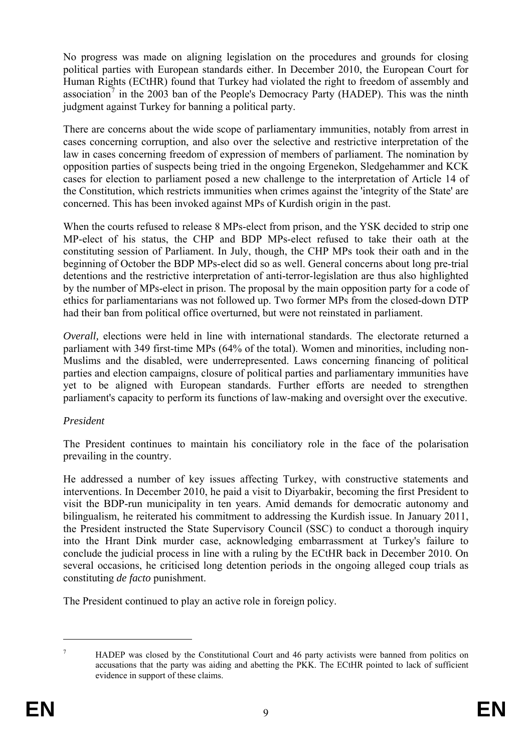No progress was made on aligning legislation on the procedures and grounds for closing political parties with European standards either. In December 2010, the European Court for Human Rights (ECtHR) found that Turkey had violated the right to freedom of assembly and association<sup>7</sup> in the 2003 ban of the People's Democracy Party (HADEP). This was the ninth judgment against Turkey for banning a political party.

There are concerns about the wide scope of parliamentary immunities, notably from arrest in cases concerning corruption, and also over the selective and restrictive interpretation of the law in cases concerning freedom of expression of members of parliament. The nomination by opposition parties of suspects being tried in the ongoing Ergenekon, Sledgehammer and KCK cases for election to parliament posed a new challenge to the interpretation of Article 14 of the Constitution, which restricts immunities when crimes against the 'integrity of the State' are concerned. This has been invoked against MPs of Kurdish origin in the past.

When the courts refused to release 8 MPs-elect from prison, and the YSK decided to strip one MP-elect of his status, the CHP and BDP MPs-elect refused to take their oath at the constituting session of Parliament. In July, though, the CHP MPs took their oath and in the beginning of October the BDP MPs-elect did so as well. General concerns about long pre-trial detentions and the restrictive interpretation of anti-terror-legislation are thus also highlighted by the number of MPs-elect in prison. The proposal by the main opposition party for a code of ethics for parliamentarians was not followed up. Two former MPs from the closed-down DTP had their ban from political office overturned, but were not reinstated in parliament.

*Overall*, elections were held in line with international standards. The electorate returned a parliament with 349 first-time MPs (64% of the total). Women and minorities, including non-Muslims and the disabled, were underrepresented. Laws concerning financing of political parties and election campaigns, closure of political parties and parliamentary immunities have yet to be aligned with European standards. Further efforts are needed to strengthen parliament's capacity to perform its functions of law-making and oversight over the executive.

### *President*

The President continues to maintain his conciliatory role in the face of the polarisation prevailing in the country.

visit the BDP-run municipality in ten years. Amid demands for democratic autonomy and bilingualism, he reiterated his commitment to addressing the Kurdish issue. In January 2011, conclude the judicial process in line with a ruling by the ECtHR back in December 2010. On He addressed a number of key issues affecting Turkey, with constructive statements and interventions. In December 2010, he paid a visit to Diyarbakir, becoming the first President to the President instructed the State Supervisory Council (SSC) to conduct a thorough inquiry into the Hrant Dink murder case, acknowledging embarrassment at Turkey's failure to several occasions, he criticised long detention periods in the ongoing alleged coup trials as constituting *de facto* punishment.

The President continued to play an active role in foreign policy.

<sup>7</sup> HADEP was closed by the Constitutional Court and 46 party activists were banned from politics on accusations that the party was aiding and abetting the PKK. The ECtHR pointed to lack of sufficient evidence in support of these claims.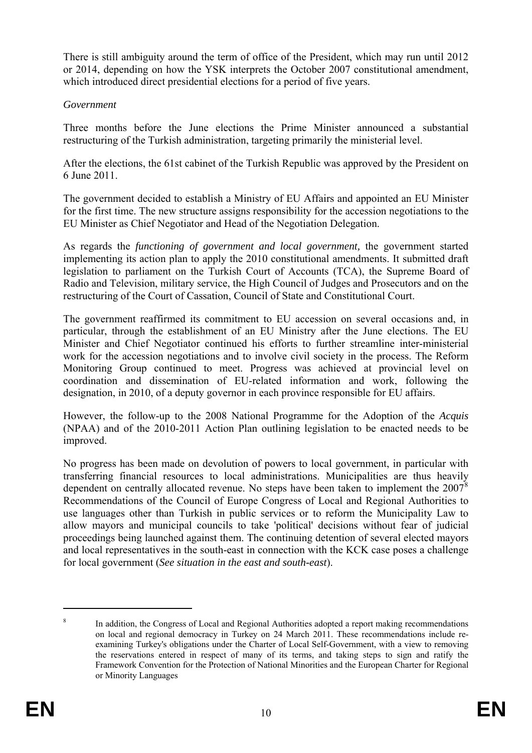There is still ambiguity around the term of office of the President, which may run until 2012 or 2014, depending on how the YSK interprets the October 2007 constitutional amendment, which introduced direct presidential elections for a period of five years.

#### *Government*

Three months before the June elections the Prime Minister announced a substantial restructuring of the Turkish administration, targeting primarily the ministerial level.

After the elections, the 61st cabinet of the Turkish Republic was approved by the President on 6 June 2011.

The government decided to establish a Ministry of EU Affairs and appointed an EU Minister for the first time. The new structure assigns responsibility for the accession negotiations to the EU Minister as Chief Negotiator and Head of the Negotiation Delegation.

legislation to parliament on the Turkish Court of Accounts (TCA), the Supreme Board of As regards the *functioning of government and local government,* the government started implementing its action plan to apply the 2010 constitutional amendments. It submitted draft Radio and Television, military service, the High Council of Judges and Prosecutors and on the restructuring of the Court of Cassation, Council of State and Constitutional Court.

The government reaffirmed its commitment to EU accession on several occasions and, in coordination and dissemination of EU-related information and work, following the designation, in 2010, of a deputy governor in each province responsible for EU affairs. particular, through the establishment of an EU Ministry after the June elections. The EU Minister and Chief Negotiator continued his efforts to further streamline inter-ministerial work for the accession negotiations and to involve civil society in the process. The Reform Monitoring Group continued to meet. Progress was achieved at provincial level on

However, the follow-up to the 2008 National Programme for the Adoption of the *Acquis*  (NPAA) and of the 2010-2011 Action Plan outlining legislation to be enacted needs to be improved.

dependent on centrally allocated revenue. No steps have been taken to implement the  $2007<sup>8</sup>$ allow mayors and municipal councils to take 'political' decisions without fear of judicial proceedings being launched against them. The continuing detention of several elected mayors No progress has been made on devolution of powers to local government, in particular with transferring financial resources to local administrations. Municipalities are thus heavily Recommendations of the Council of Europe Congress of Local and Regional Authorities to use languages other than Turkish in public services or to reform the Municipality Law to and local representatives in the south-east in connection with the KCK case poses a challenge for local government (*See situation in the east and south-east*).

<span id="page-10-0"></span><sup>8</sup> In addition, the Congress of Local and Regional Authorities adopted a report making recommendations on local and regional democracy in Turkey on 24 March 2011. These recommendations include reexamining Turkey's obligations under the Charter of Local Self-Government, with a view to removing the reservations entered in respect of many of its terms, and taking steps to sign and ratify the Framework Convention for the Protection of National Minorities and the European Charter for Regional or Minority Languages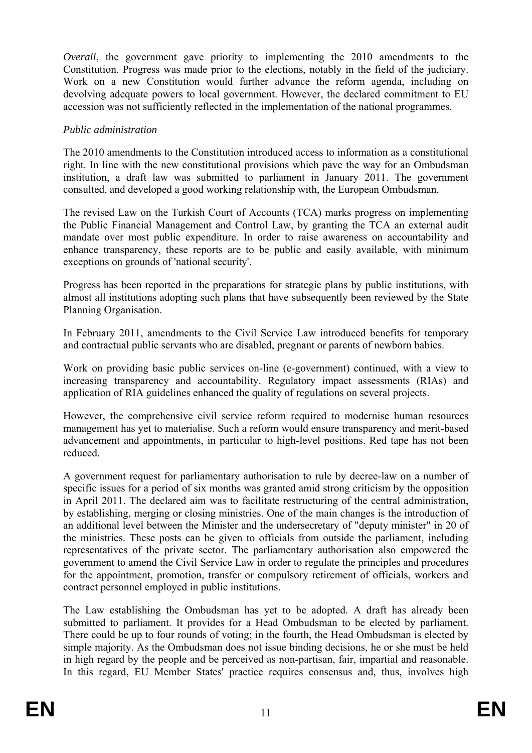*Overall*, the government gave priority to implementing the 2010 amendments to the Constitution. Progress was made prior to the elections, notably in the field of the judiciary. Work on a new Constitution would further advance the reform agenda, including on devolving adequate powers to local government. However, the declared commitment to EU accession was not sufficiently reflected in the implementation of the national programmes.

#### *Public administration*

The 2010 amendments to the Constitution introduced access to information as a constitutional right. In line with the new constitutional provisions which pave the way for an Ombudsman institution, a draft law was submitted to parliament in January 2011. The government consulted, and developed a good working relationship with, the European Ombudsman.

The revised Law on the Turkish Court of Accounts (TCA) marks progress on implementing the Public Financial Management and Control Law, by granting the TCA an external audit mandate over most public expenditure. In order to raise awareness on accountability and enhance transparency, these reports are to be public and easily available, with minimum exceptions on grounds of 'national security'.

Progress has been reported in the preparations for strategic plans by public institutions, with almost all institutions adopting such plans that have subsequently been reviewed by the State Planning Organisation.

and contractual public servants who are disabled, pregnant or parents of newborn babies. In February 2011, amendments to the Civil Service Law introduced benefits for temporary

application of RIA guidelines enhanced the quality of regulations on several projects. Work on providing basic public services on-line (e-government) continued, with a view to increasing transparency and accountability. Regulatory impact assessments (RIAs) and

management has yet to materialise. Such a reform would ensure transparency and merit-based However, the comprehensive civil service reform required to modernise human resources advancement and appointments, in particular to high-level positions. Red tape has not been reduced.

A government request for parliamentary authorisation to rule by decree-law on a number of the ministries. These posts can be given to officials from outside the parliament, including specific issues for a period of six months was granted amid strong criticism by the opposition in April 2011. The declared aim was to facilitate restructuring of the central administration, by establishing, merging or closing ministries. One of the main changes is the introduction of an additional level between the Minister and the undersecretary of "deputy minister" in 20 of representatives of the private sector. The parliamentary authorisation also empowered the government to amend the Civil Service Law in order to regulate the principles and procedures for the appointment, promotion, transfer or compulsory retirement of officials, workers and contract personnel employed in public institutions.

In this regard, EU Member States' practice requires consensus and, thus, involves high The Law establishing the Ombudsman has yet to be adopted. A draft has already been submitted to parliament. It provides for a Head Ombudsman to be elected by parliament. There could be up to four rounds of voting; in the fourth, the Head Ombudsman is elected by simple majority. As the Ombudsman does not issue binding decisions, he or she must be held in high regard by the people and be perceived as non-partisan, fair, impartial and reasonable.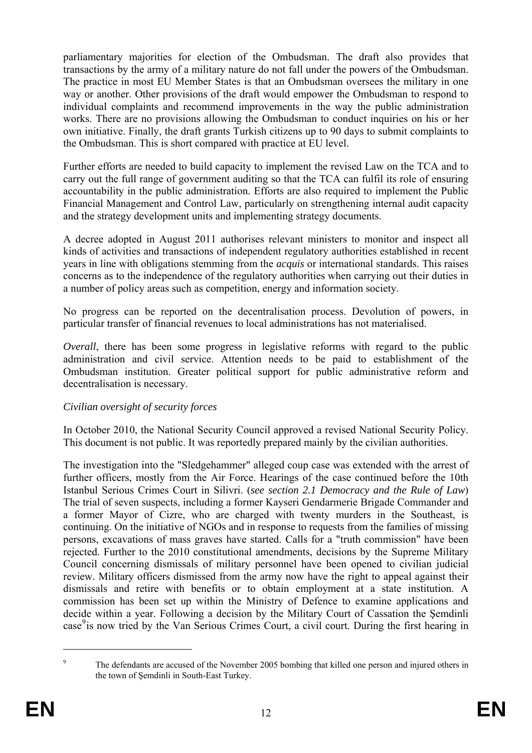parliamentary majorities for election of the Ombudsman. The draft also provides that transactions by the army of a military nature do not fall under the powers of the Ombudsman. The practice in most EU Member States is that an Ombudsman oversees the military in one way or another. Other provisions of the draft would empower the Ombudsman to respond to individual complaints and recommend improvements in the way the public administration works. There are no provisions allowing the Ombudsman to conduct inquiries on his or her own initiative. Finally, the draft grants Turkish citizens up to 90 days to submit complaints to the Ombudsman. This is short compared with practice at EU level.

Further efforts are needed to build capacity to implement the revised Law on the TCA and to carry out the full range of government auditing so that the TCA can fulfil its role of ensuring accountability in the public administration. Efforts are also required to implement the Public Financial Management and Control Law, particularly on strengthening internal audit capacity and the strategy development units and implementing strategy documents.

A decree adopted in August 2011 authorises relevant ministers to monitor and inspect all kinds of activities and transactions of independent regulatory authorities established in recent years in line with obligations stemming from the *acquis* or international standards. This raises concerns as to the independence of the regulatory authorities when carrying out their duties in a number of policy areas such as competition, energy and information society.

No progress can be reported on the decentralisation process. Devolution of powers, in particular transfer of financial revenues to local administrations has not materialised.

Ombudsman institution. Greater political support for public administrative reform and *Overall*, there has been some progress in legislative reforms with regard to the public administration and civil service. Attention needs to be paid to establishment of the decentralisation is necessary.

### *Civilian oversight of security forces*

In October 2010, the National Security Council approved a revised National Security Policy. This document is not public. It was reportedly prepared mainly by the civilian authorities.

The investigation into the "Sledgehammer" alleged coup case was extended with the arrest of further officers, mostly from the Air Force. Hearings of the case continued before the 10th Istanbul Serious Crimes Court in Silivri. (see section 2.1 Democracy and the Rule of Law) continuing. On the initiative of NGOs and in response to requests from the families of missing The trial of seven suspects, including a former Kayseri Gendarmerie Brigade Commander and a former Mayor of Cizre, who are charged with twenty murders in the Southeast, is persons, excavations of mass graves have started. Calls for a "truth commission" have been rejected. Further to the 2010 constitutional amendments, decisions by the Supreme Military Council concerning dismissals of military personnel have been opened to civilian judicial review. Military officers dismissed from the army now have the right to appeal against their dismissals and retire with benefits or to obtain employment at a state institution. A commission has been set up within the Ministry of Defence to examine applications and decide within a year. Following a decision by the Military Court of Cassation the Şemdinli case<sup>[9](#page-10-0)</sup> is now tried by the Van Serious Crimes Court, a civil court. During the first hearing in

 $\overline{9}$  The defendants are accused of the November 2005 bombing that killed one person and injured others in the town of Şemdinli in South-East Turkey.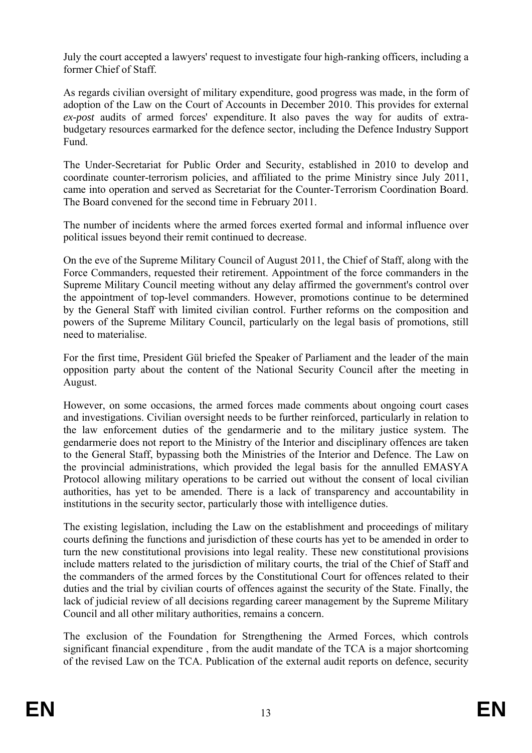July the court accepted a lawyers' request to investigate four high-ranking officers, including a former Chief of Staff.

ex-post audits of armed forces' expenditure. It also paves the way for audits of extra-As regards civilian oversight of military expenditure, good progress was made, in the form of adoption of the Law on the Court of Accounts in December 2010. This provides for external budgetary resources earmarked for the defence sector, including the Defence Industry Support Fund.

came into operation and served as Secretariat for the Counter-Terrorism Coordination Board. The Under-Secretariat for Public Order and Security, established in 2010 to develop and coordinate counter-terrorism policies, and affiliated to the prime Ministry since July 2011, The Board convened for the second time in February 2011.

The number of incidents where the armed forces exerted formal and informal influence over political issues beyond their remit continued to decrease.

Supreme Military Council meeting without any delay affirmed the government's control over On the eve of the Supreme Military Council of August 2011, the Chief of Staff, along with the Force Commanders, requested their retirement. Appointment of the force commanders in the the appointment of top-level commanders. However, promotions continue to be determined by the General Staff with limited civilian control. Further reforms on the composition and powers of the Supreme Military Council, particularly on the legal basis of promotions, still need to materialise.

For the first time, President Gül briefed the Speaker of Parliament and the leader of the main opposition party about the content of the National Security Council after the meeting in August.

the law enforcement duties of the gendarmerie and to the military justice system. The However, on some occasions, the armed forces made comments about ongoing court cases and investigations. Civilian oversight needs to be further reinforced, particularly in relation to gendarmerie does not report to the Ministry of the Interior and disciplinary offences are taken to the General Staff, bypassing both the Ministries of the Interior and Defence. The Law on the provincial administrations, which provided the legal basis for the annulled EMASYA Protocol allowing military operations to be carried out without the consent of local civilian authorities, has yet to be amended. There is a lack of transparency and accountability in institutions in the security sector, particularly those with intelligence duties.

turn the new constitutional provisions into legal reality. These new constitutional provisions The existing legislation, including the Law on the establishment and proceedings of military courts defining the functions and jurisdiction of these courts has yet to be amended in order to include matters related to the jurisdiction of military courts, the trial of the Chief of Staff and the commanders of the armed forces by the Constitutional Court for offences related to their duties and the trial by civilian courts of offences against the security of the State. Finally, the lack of judicial review of all decisions regarding career management by the Supreme Military Council and all other military authorities, remains a concern.

significant financial expenditure , from the audit mandate of the TCA is a major shortcoming The exclusion of the Foundation for Strengthening the Armed Forces, which controls of the revised Law on the TCA. Publication of the external audit reports on defence, security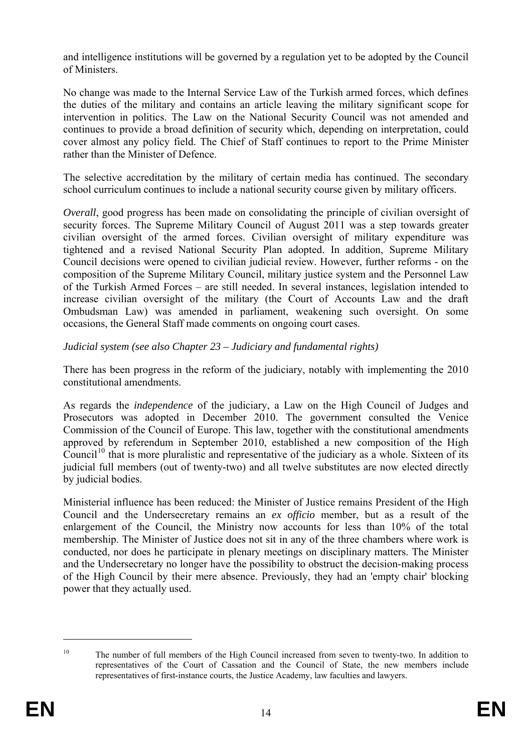and intelligence institutions will be governed by a regulation yet to be adopted by the Council of Ministers.

rather than the Minister of Defence. No change was made to the Internal Service Law of the Turkish armed forces, which defines the duties of the military and contains an article leaving the military significant scope for intervention in politics. The Law on the National Security Council was not amended and continues to provide a broad definition of security which, depending on interpretation, could cover almost any policy field. The Chief of Staff continues to report to the Prime Minister

The selective accreditation by the military of certain media has continued. The secondary school curriculum continues to include a national security course given by military officers.

civilian oversight of the armed forces. Civilian oversight of military expenditure was *Overall*, good progress has been made on consolidating the principle of civilian oversight of security forces. The Supreme Military Council of August 2011 was a step towards greater tightened and a revised National Security Plan adopted. In addition, Supreme Military Council decisions were opened to civilian judicial review. However, further reforms - on the composition of the Supreme Military Council, military justice system and the Personnel Law of the Turkish Armed Forces – are still needed. In several instances, legislation intended to increase civilian oversight of the military (the Court of Accounts Law and the draft Ombudsman Law) was amended in parliament, weakening such oversight. On some occasions, the General Staff made comments on ongoing court cases.

### *Judicial system (see also Chapter 23 – Judiciary and fundamental rights)*

There has been progress in the reform of the judiciary, notably with implementing the 2010 constitutional amendments.

As regards the *independence* of the judiciary, a Law on the High Council of Judges and Prosecutors was adopted in December 2010. The government consulted the Venice Commission of the Council of Europe. This law, together with the constitutional amendments judicial full members (out of twenty-two) and all twelve substitutes are now elected directly approved by referendum in September 2010, established a new composition of the High Council<sup>10</sup> that is more pluralistic and representative of the judiciary as a whole. Sixteen of its by judicial bodies.

and the Undersecretary no longer have the possibility to obstruct the decision-making process Ministerial influence has been reduced: the Minister of Justice remains President of the High Council and the Undersecretary remains an *ex officio* member, but as a result of the enlargement of the Council, the Ministry now accounts for less than 10% of the total membership. The Minister of Justice does not sit in any of the three chambers where work is conducted, nor does he participate in plenary meetings on disciplinary matters. The Minister of the High Council by their mere absence. Previously, they had an 'empty chair' blocking power that they actually used.

<span id="page-14-0"></span><sup>&</sup>lt;sup>10</sup> The number of full members of the High Council increased from seven to twenty-two. In addition to representatives of the Court of Cassation and the Council of State, the new members include representatives of first-instance courts, the Justice Academy, law faculties and lawyers.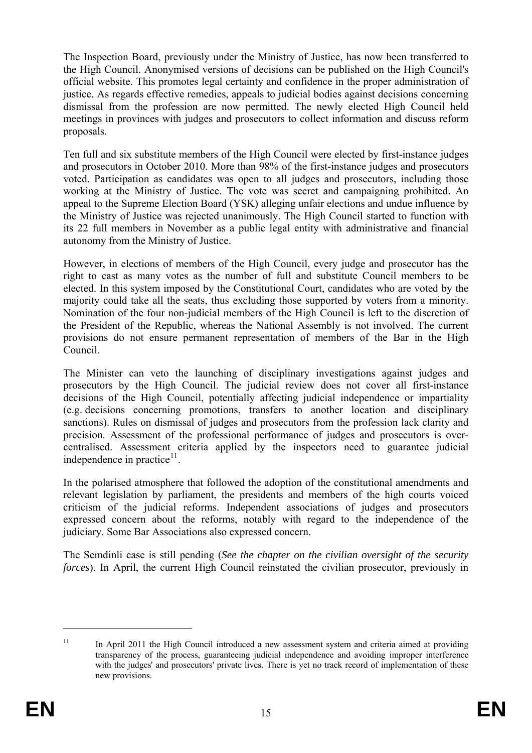dismissal from the profession are now permitted. The newly elected High Council held The Inspection Board, previously under the Ministry of Justice, has now been transferred to the High Council. Anonymised versions of decisions can be published on the High Council's official website. This promotes legal certainty and confidence in the proper administration of justice. As regards effective remedies, appeals to judicial bodies against decisions concerning meetings in provinces with judges and prosecutors to collect information and discuss reform proposals.

appeal to the Supreme Election Board (YSK) alleging unfair elections and undue influence by Ten full and six substitute members of the High Council were elected by first-instance judges and prosecutors in October 2010. More than 98% of the first-instance judges and prosecutors voted. Participation as candidates was open to all judges and prosecutors, including those working at the Ministry of Justice. The vote was secret and campaigning prohibited. An the Ministry of Justice was rejected unanimously. The High Council started to function with its 22 full members in November as a public legal entity with administrative and financial autonomy from the Ministry of Justice.

Nomination of the four non-judicial members of the High Council is left to the discretion of However, in elections of members of the High Council, every judge and prosecutor has the right to cast as many votes as the number of full and substitute Council members to be elected. In this system imposed by the Constitutional Court, candidates who are voted by the majority could take all the seats, thus excluding those supported by voters from a minority. the President of the Republic, whereas the National Assembly is not involved. The current provisions do not ensure permanent representation of members of the Bar in the High Council.

sanctions). Rules on dismissal of judges and prosecutors from the profession lack clarity and The Minister can veto the launching of disciplinary investigations against judges and prosecutors by the High Council. The judicial review does not cover all first-instance decisions of the High Council, potentially affecting judicial independence or impartiality (e.g. decisions concerning promotions, transfers to another location and disciplinary precision. Assessment of the professional performance of judges and prosecutors is overcentralised. Assessment criteria applied by the inspectors need to guarantee judicial independence in practice $11$ .

judiciary. Some Bar Associations also expressed concern. In the polarised atmosphere that followed the adoption of the constitutional amendments and relevant legislation by parliament, the presidents and members of the high courts voiced criticism of the judicial reforms. Independent associations of judges and prosecutors expressed concern about the reforms, notably with regard to the independence of the

The Semdinli case is still pending (*See the chapter on the civilian oversight of the security forces*). In April, the current High Council reinstated the civilian prosecutor, previously in

<span id="page-15-0"></span><sup>&</sup>lt;sup>11</sup> In April 2011 the High Council introduced a new assessment system and criteria aimed at providing transparency of the process, guaranteeing judicial independence and avoiding improper interference with the judges' and prosecutors' private lives. There is yet no track record of implementation of these new provisions.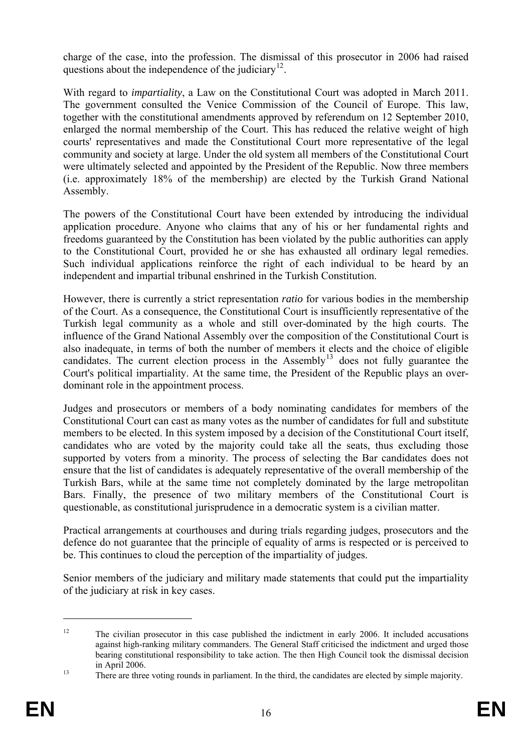charge of the case, into the profession. The dismissal of this prosecutor in 2006 had raised questions about the independence of the judiciary<sup>[12](#page-15-0)</sup>.

The government consulted the Venice Commission of the Council of Europe. This law, With regard to *impartiality*, a Law on the Constitutional Court was adopted in March 2011. together with the constitutional amendments approved by referendum on 12 September 2010, enlarged the normal membership of the Court. This has reduced the relative weight of high courts' representatives and made the Constitutional Court more representative of the legal community and society at large. Under the old system all members of the Constitutional Court were ultimately selected and appointed by the President of the Republic. Now three members (i.e. approximately 18% of the membership) are elected by the Turkish Grand National Assembly.

application procedure. Anyone who claims that any of his or her fundamental rights and The powers of the Constitutional Court have been extended by introducing the individual freedoms guaranteed by the Constitution has been violated by the public authorities can apply to the Constitutional Court, provided he or she has exhausted all ordinary legal remedies. Such individual applications reinforce the right of each individual to be heard by an independent and impartial tribunal enshrined in the Turkish Constitution.

of the Court. As a consequence, the Constitutional Court is insufficiently representative of the However, there is currently a strict representation *ratio* for various bodies in the membership Turkish legal community as a whole and still over-dominated by the high courts. The influence of the Grand National Assembly over the composition of the Constitutional Court is also inadequate, in terms of both the number of members it elects and the choice of eligible candidates. The current election process in the Assembly<sup>[13](#page-16-0)</sup> does not fully guarantee the Court's political impartiality. At the same time, the President of the Republic plays an overdominant role in the appointment process.

Constitutional Court can cast as many votes as the number of candidates for full and substitute Judges and prosecutors or members of a body nominating candidates for members of the members to be elected. In this system imposed by a decision of the Constitutional Court itself, candidates who are voted by the majority could take all the seats, thus excluding those supported by voters from a minority. The process of selecting the Bar candidates does not ensure that the list of candidates is adequately representative of the overall membership of the Turkish Bars, while at the same time not completely dominated by the large metropolitan Bars. Finally, the presence of two military members of the Constitutional Court is questionable, as constitutional jurisprudence in a democratic system is a civilian matter.

defence do not guarantee that the principle of equality of arms is respected or is perceived to Practical arrangements at courthouses and during trials regarding judges, prosecutors and the be. This continues to cloud the perception of the impartiality of judges.

Senior members of the judiciary and military made statements that could put the impartiality of the judiciary at risk in key cases.

<sup>&</sup>lt;sup>12</sup> The civilian prosecutor in this case published the indictment in early 2006. It included accusations against high-ranking military commanders. The General Staff criticised the indictment and urged those bearing constitutional responsibility to take action. The then High Council took the dismissal decision  $\frac{13}{13}$  in April 2006.<br>There are three voting rounds in parliament. In the third, the candidates are elected by simple majority.

<span id="page-16-0"></span>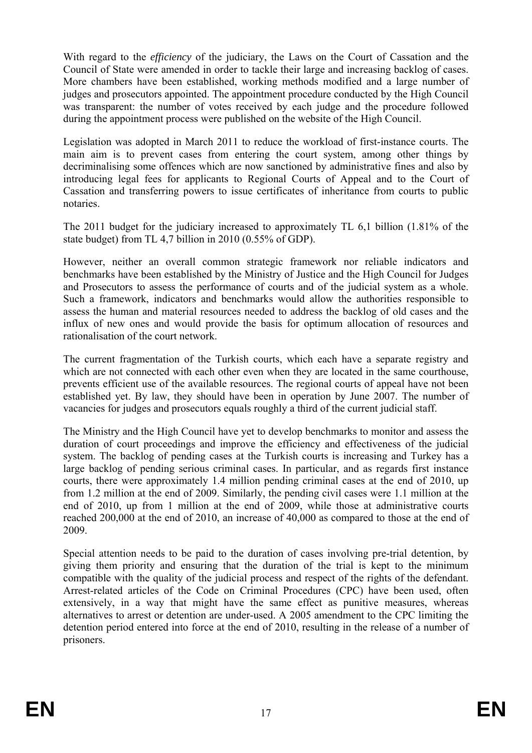More chambers have been established, working methods modified and a large number of With regard to the *efficiency* of the judiciary, the Laws on the Court of Cassation and the Council of State were amended in order to tackle their large and increasing backlog of cases. judges and prosecutors appointed. The appointment procedure conducted by the High Council was transparent: the number of votes received by each judge and the procedure followed during the appointment process were published on the website of the High Council.

Legislation was adopted in March 2011 to reduce the workload of first-instance courts. The main aim is to prevent cases from entering the court system, among other things by decriminalising some offences which are now sanctioned by administrative fines and also by introducing legal fees for applicants to Regional Courts of Appeal and to the Court of Cassation and transferring powers to issue certificates of inheritance from courts to public notaries.

The 2011 budget for the judiciary increased to approximately TL 6,1 billion (1.81% of the state budget) from TL 4,7 billion in 2010 (0.55% of GDP).

and Prosecutors to assess the performance of courts and of the judicial system as a whole. However, neither an overall common strategic framework nor reliable indicators and benchmarks have been established by the Ministry of Justice and the High Council for Judges Such a framework, indicators and benchmarks would allow the authorities responsible to assess the human and material resources needed to address the backlog of old cases and the influx of new ones and would provide the basis for optimum allocation of resources and rationalisation of the court network.

prevents efficient use of the available resources. The regional courts of appeal have not been The current fragmentation of the Turkish courts, which each have a separate registry and which are not connected with each other even when they are located in the same courthouse, established yet. By law, they should have been in operation by June 2007. The number of vacancies for judges and prosecutors equals roughly a third of the current judicial staff.

The Ministry and the High Council have yet to develop benchmarks to monitor and assess the duration of court proceedings and improve the efficiency and effectiveness of the judicial system. The backlog of pending cases at the Turkish courts is increasing and Turkey has a large backlog of pending serious criminal cases. In particular, and as regards first instance courts, there were approximately 1.4 million pending criminal cases at the end of 2010, up from 1.2 million at the end of 2009. Similarly, the pending civil cases were 1.1 million at the end of 2010, up from 1 million at the end of 2009, while those at administrative courts reached 200,000 at the end of 2010, an increase of 40,000 as compared to those at the end of 2009.

compatible with the quality of the judicial process and respect of the rights of the defendant. Special attention needs to be paid to the duration of cases involving pre-trial detention, by giving them priority and ensuring that the duration of the trial is kept to the minimum Arrest-related articles of the Code on Criminal Procedures (CPC) have been used, often extensively, in a way that might have the same effect as punitive measures, whereas alternatives to arrest or detention are under-used. A 2005 amendment to the CPC limiting the detention period entered into force at the end of 2010, resulting in the release of a number of prisoners.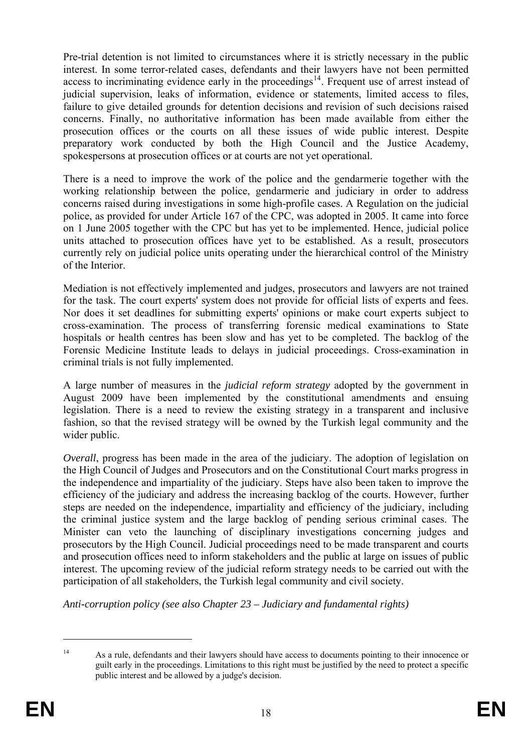access to incriminating evidence early in the proceedings $14$ . Frequent use of arrest instead of Pre-trial detention is not limited to circumstances where it is strictly necessary in the public interest. In some terror-related cases, defendants and their lawyers have not been permitted judicial supervision, leaks of information, evidence or statements, limited access to files, failure to give detailed grounds for detention decisions and revision of such decisions raised concerns. Finally, no authoritative information has been made available from either the prosecution offices or the courts on all these issues of wide public interest. Despite preparatory work conducted by both the High Council and the Justice Academy, spokespersons at prosecution offices or at courts are not yet operational.

There is a need to improve the work of the police and the gendarmerie together with the working relationship between the police, gendarmerie and judiciary in order to address concerns raised during investigations in some high-profile cases. A Regulation on the judicial police, as provided for under Article 167 of the CPC, was adopted in 2005. It came into force on 1 June 2005 together with the CPC but has yet to be implemented. Hence, judicial police units attached to prosecution offices have yet to be established. As a result, prosecutors currently rely on judicial police units operating under the hierarchical control of the Ministry of the Interior.

Nor does it set deadlines for submitting experts' opinions or make court experts subject to Mediation is not effectively implemented and judges, prosecutors and lawyers are not trained for the task. The court experts' system does not provide for official lists of experts and fees. cross-examination. The process of transferring forensic medical examinations to State hospitals or health centres has been slow and has yet to be completed. The backlog of the Forensic Medicine Institute leads to delays in judicial proceedings. Cross-examination in criminal trials is not fully implemented.

legislation. There is a need to review the existing strategy in a transparent and inclusive A large number of measures in the *judicial reform strategy* adopted by the government in August 2009 have been implemented by the constitutional amendments and ensuing fashion, so that the revised strategy will be owned by the Turkish legal community and the wider public.

the independence and impartiality of the judiciary. Steps have also been taken to improve the *Overall*, progress has been made in the area of the judiciary. The adoption of legislation on the High Council of Judges and Prosecutors and on the Constitutional Court marks progress in efficiency of the judiciary and address the increasing backlog of the courts. However, further steps are needed on the independence, impartiality and efficiency of the judiciary, including the criminal justice system and the large backlog of pending serious criminal cases. The Minister can veto the launching of disciplinary investigations concerning judges and prosecutors by the High Council. Judicial proceedings need to be made transparent and courts and prosecution offices need to inform stakeholders and the public at large on issues of public interest. The upcoming review of the judicial reform strategy needs to be carried out with the participation of all stakeholders, the Turkish legal community and civil society.

*Anti-corruption policy (see also Chapter 23 – Judiciary and fundamental rights)* 

<sup>&</sup>lt;sup>14</sup> As a rule, defendants and their lawyers should have access to documents pointing to their innocence or guilt early in the proceedings. Limitations to this right must be justified by the need to protect a specific public interest and be allowed by a judge's decision.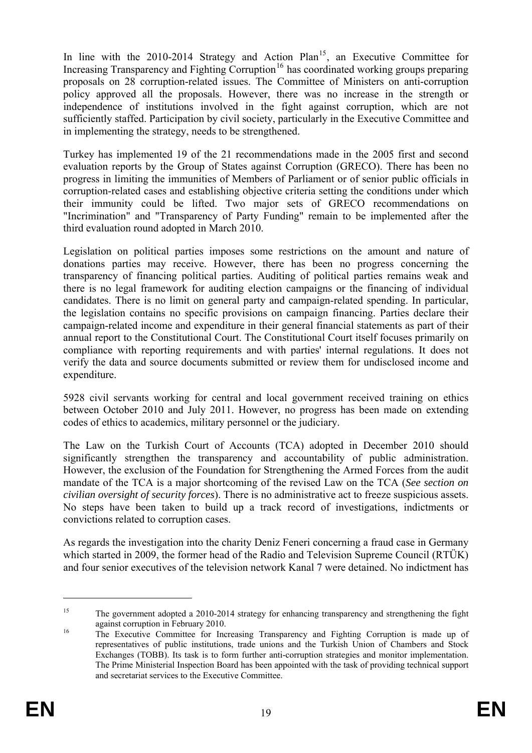policy approved all the proposals. However, there was no increase in the strength or independence of institutions involved in the fight against corruption, which are not In line with the 2010-2014 Strategy and Action  $Plan<sup>15</sup>$ , an Executive Committee for Increasing Transparency and Fighting Corruption<sup>16</sup> has coordinated working groups preparing proposals on 28 corruption-related issues. The Committee of Ministers on anti-corruption sufficiently staffed. Participation by civil society, particularly in the Executive Committee and in implementing the strategy, needs to be strengthened.

corruption-related cases and establishing objective criteria setting the conditions under which their immunity could be lifted. Two major sets of GRECO recommendations on Turkey has implemented 19 of the 21 recommendations made in the 2005 first and second evaluation reports by the Group of States against Corruption (GRECO). There has been no progress in limiting the immunities of Members of Parliament or of senior public officials in "Incrimination" and "Transparency of Party Funding" remain to be implemented after the third evaluation round adopted in March 2010.

there is no legal framework for auditing election campaigns or the financing of individual candidates. There is no limit on general party and campaign-related spending. In particular, Legislation on political parties imposes some restrictions on the amount and nature of donations parties may receive. However, there has been no progress concerning the transparency of financing political parties. Auditing of political parties remains weak and the legislation contains no specific provisions on campaign financing. Parties declare their campaign-related income and expenditure in their general financial statements as part of their annual report to the Constitutional Court. The Constitutional Court itself focuses primarily on compliance with reporting requirements and with parties' internal regulations. It does not verify the data and source documents submitted or review them for undisclosed income and expenditure.

5928 civil servants working for central and local government received training on ethics between October 2010 and July 2011. However, no progress has been made on extending codes of ethics to academics, military personnel or the judiciary.

The Law on the Turkish Court of Accounts (TCA) adopted in December 2010 should mandate of the TCA is a major shortcoming of the revised Law on the TCA (See section on *civilian oversight of security forces*). There is no administrative act to freeze suspicious assets. significantly strengthen the transparency and accountability of public administration. However, the exclusion of the Foundation for Strengthening the Armed Forces from the audit No steps have been taken to build up a track record of investigations, indictments or convictions related to corruption cases.

and four senior executives of the television network Kanal 7 were detained. No indictment has As regards the investigation into the charity Deniz Feneri concerning a fraud case in Germany which started in 2009, the former head of the Radio and Television Supreme Council (RTÜK)

<sup>&</sup>lt;sup>15</sup> The government adopted a 2010-2014 strategy for enhancing transparency and strengthening the fight

against corruption in February 2010.<br>
<sup>16</sup> The Executive Committee for Increasing Transparency and Fighting Corruption is made up of representatives of public institutions, trade unions and the Turkish Union of Chambers and Stock Exchanges (TOBB). Its task is to form further anti-corruption strategies and monitor implementation. The Prime Ministerial Inspection Board has been appointed with the task of providing technical support and secretariat services to the Executive Committee.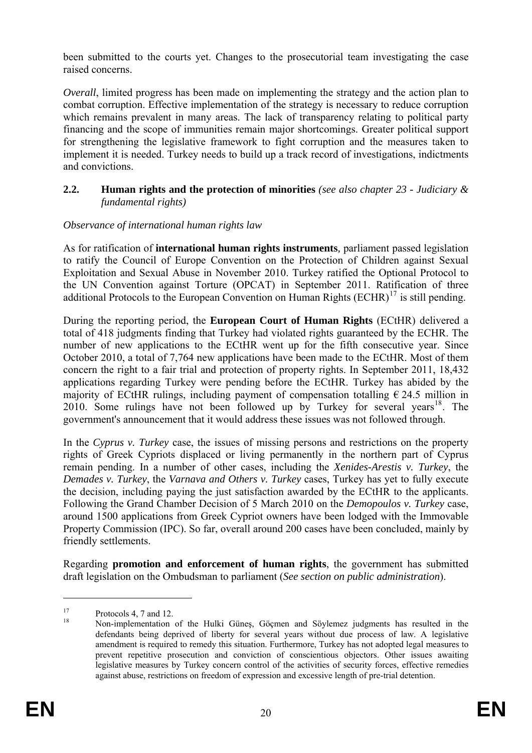been submitted to the courts yet. Changes to the prosecutorial team investigating the case raised concerns.

implement it is needed. Turkey needs to build up a track record of investigations, indictments *Overall*, limited progress has been made on implementing the strategy and the action plan to combat corruption. Effective implementation of the strategy is necessary to reduce corruption which remains prevalent in many areas. The lack of transparency relating to political party financing and the scope of immunities remain major shortcomings. Greater political support for strengthening the legislative framework to fight corruption and the measures taken to and convictions.

#### **2.2. Human rights and the protection of minorities** *(see also chapter 23 - Judiciary & fundamental rights)*

#### *Observance of international human rights law*

As for ratification of international human rights instruments, parliament passed legislation the UN Convention against Torture (OPCAT) in September 2011. Ratification of three additional Protocols to the European Convention on Human Rights  $(ECHR)^{17}$  is still pending. to ratify the Council of Europe Convention on the Protection of Children against Sexual Exploitation and Sexual Abuse in November 2010. Turkey ratified the Optional Protocol to

During the reporting period, the **European Court of Human Rights** (ECtHR) delivered a total of 418 judgments finding that Turkey had violated rights guaranteed by the ECHR. The number of new applications to the ECtHR went up for the fifth consecutive year. Since October 2010, a total of 7,764 new applications have been made to the ECtHR. Most of them concern the right to a fair trial and protection of property rights. In September 2011, 18,432 applications regarding Turkey were pending before the ECtHR. Turkey has abided by the majority of ECtHR rulings, including payment of compensation totalling  $\epsilon$  24.5 million in 2010. Some rulings have not been followed up by Turkey for several years<sup>[18](#page-20-0)</sup>. The government's announcement that it would address these issues was not followed through.

In the *Cyprus v. Turkey* case, the issues of missing persons and restrictions on the property rights of Greek Cypriots displaced or living permanently in the northern part of Cyprus remain pending. In a number of other cases, including the *Xenides-Arestis v. Turkey*, the *Demades v. Turkey*, the *Varnava and Others v. Turkey* cases, Turkey has yet to fully execute the decision, including paying the just satisfaction awarded by the ECtHR to the applicants. Following the Grand Chamber Decision of 5 March 2010 on the *Demopoulos v. Turkey* case, around 1500 applications from Greek Cypriot owners have been lodged with the Immovable Property Commission (IPC). So far, overall around 200 cases have been concluded, mainly by friendly settlements.

Regarding **promotion and enforcement of human rights**, the government has submitted draft legislation on the Ombudsman to parliament (*See section on public administration*).

<span id="page-20-0"></span> $\frac{17}{18}$  Protocols 4, 7 and 12.

<sup>18</sup> Non-implementation of the Hulki Güneş, Göçmen and Söylemez judgments has resulted in the defendants being deprived of liberty for several years without due process of law. A legislative amendment is required to remedy this situation. Furthermore, Turkey has not adopted legal measures to prevent repetitive prosecution and conviction of conscientious objectors. Other issues awaiting legislative measures by Turkey concern control of the activities of security forces, effective remedies against abuse, restrictions on freedom of expression and excessive length of pre-trial detention.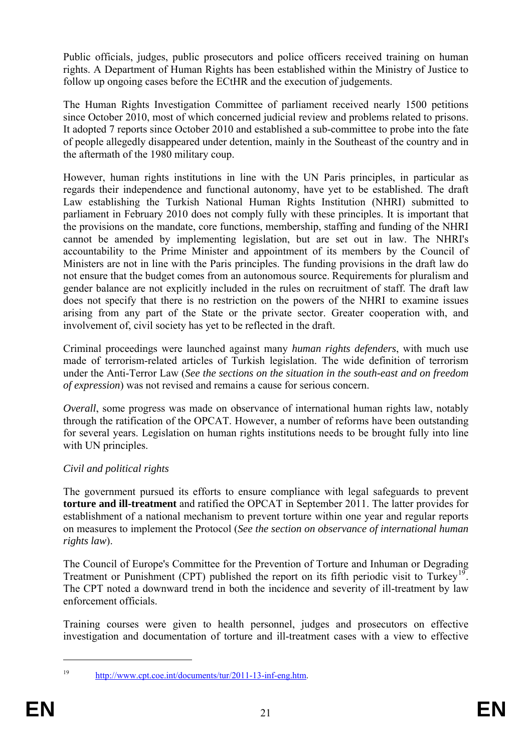Public officials, judges, public prosecutors and police officers received training on human rights. A Department of Human Rights has been established within the Ministry of Justice to follow up ongoing cases before the ECtHR and the execution of judgements.

The Human Rights Investigation Committee of parliament received nearly 1500 petitions since October 2010, most of which concerned judicial review and problems related to prisons. It adopted 7 reports since October 2010 and established a sub-committee to probe into the fate of people allegedly disappeared under detention, mainly in the Southeast of the country and in the aftermath of the 1980 military coup.

accountability to the Prime Minister and appointment of its members by the Council of Ministers are not in line with the Paris principles. The funding provisions in the draft law do However, human rights institutions in line with the UN Paris principles, in particular as regards their independence and functional autonomy, have yet to be established. The draft Law establishing the Turkish National Human Rights Institution (NHRI) submitted to parliament in February 2010 does not comply fully with these principles. It is important that the provisions on the mandate, core functions, membership, staffing and funding of the NHRI cannot be amended by implementing legislation, but are set out in law. The NHRI's not ensure that the budget comes from an autonomous source. Requirements for pluralism and gender balance are not explicitly included in the rules on recruitment of staff. The draft law does not specify that there is no restriction on the powers of the NHRI to examine issues arising from any part of the State or the private sector. Greater cooperation with, and involvement of, civil society has yet to be reflected in the draft.

Criminal proceedings were launched against many *human rights defenders*, with much use made of terrorism-related articles of Turkish legislation. The wide definition of terrorism under the Anti-Terror Law (*See the sections on the situation in the south-east and on freedom of expression*) was not revised and remains a cause for serious concern.

for several years. Legislation on human rights institutions needs to be brought fully into line *Overall*, some progress was made on observance of international human rights law, notably through the ratification of the OPCAT. However, a number of reforms have been outstanding with UN principles.

# *Civil and political rights*

The government pursued its efforts to ensure compliance with legal safeguards to prevent **torture and ill-treatment** and ratified the OPCAT in September 2011. The latter provides for establishment of a national mechanism to prevent torture within one year and regular reports on measures to implement the Protocol (*See the section on observance of international human rights law*).

The Council of Europe's Committee for the Prevention of Torture and Inhuman or Degrading Treatment or Punishment (CPT) published the report on its fifth periodic visit to Turkey<sup>19</sup>. The CPT noted a downward trend in both the incidence and severity of ill-treatment by law enforcement officials.

<span id="page-21-0"></span>Training courses were given to health personnel, judges and prosecutors on effective investigation and documentation of torture and ill-treatment cases with a view to effective

<sup>1</sup> 

<sup>19</sup> http://www.cpt.coe.int/documents/tur/2011-13-inf-eng.htm.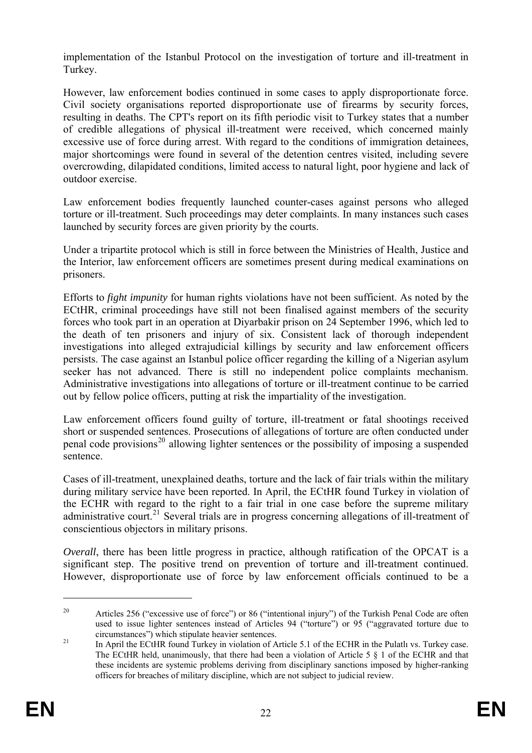implementation of the Istanbul Protocol on the investigation of torture and ill-treatment in Turkey.

Civil society organisations reported disproportionate use of firearms by security forces, overcrowding, dilapidated conditions, limited access to natural light, poor hygiene and lack of However, law enforcement bodies continued in some cases to apply disproportionate force. resulting in deaths. The CPT's report on its fifth periodic visit to Turkey states that a number of credible allegations of physical ill-treatment were received, which concerned mainly excessive use of force during arrest. With regard to the conditions of immigration detainees, major shortcomings were found in several of the detention centres visited, including severe outdoor exercise.

Law enforcement bodies frequently launched counter-cases against persons who alleged torture or ill-treatment. Such proceedings may deter complaints. In many instances such cases launched by security forces are given priority by the courts.

Under a tripartite protocol which is still in force between the Ministries of Health, Justice and the Interior, law enforcement officers are sometimes present during medical examinations on prisoners.

forces who took part in an operation at Diyarbakir prison on 24 September 1996, which led to seeker has not advanced. There is still no independent police complaints mechanism. Efforts to *fight impunity* for human rights violations have not been sufficient. As noted by the ECtHR, criminal proceedings have still not been finalised against members of the security the death of ten prisoners and injury of six. Consistent lack of thorough independent investigations into alleged extrajudicial killings by security and law enforcement officers persists. The case against an Istanbul police officer regarding the killing of a Nigerian asylum Administrative investigations into allegations of torture or ill-treatment continue to be carried out by fellow police officers, putting at risk the impartiality of the investigation.

Law enforcement officers found guilty of torture, ill-treatment or fatal shootings received short or suspended sentences. Prosecutions of allegations of torture are often conducted under penal code provisions<sup>20</sup> allowing lighter sentences or the possibility of imposing a suspended sentence.

during military service have been reported. In April, the ECtHR found Turkey in violation of Cases of ill-treatment, unexplained deaths, torture and the lack of fair trials within the military the ECHR with regard to the right to a fair trial in one case before the supreme military administrative court.<sup>[21](#page-21-0)</sup> Several trials are in progress concerning allegations of ill-treatment of conscientious objectors in military prisons.

*Overall*, there has been little progress in practice, although ratification of the OPCAT is a significant step. The positive trend on prevention of torture and ill-treatment continued. However, disproportionate use of force by law enforcement officials continued to be a

<sup>&</sup>lt;sup>20</sup> Articles 256 ("excessive use of force") or 86 ("intentional injury") of the Turkish Penal Code are often used to issue lighter sentences instead of Articles 94 ("torture") or 95 ("aggravated torture due to circumstances") which stipulate heavier sentences.

<sup>&</sup>lt;sup>21</sup> In April the ECtHR found Turkey in violation of Article 5.1 of the ECHR in the Pulatlı vs. Turkey case. officers for breaches of military discipline, which are not subject to judicial review. The ECtHR held, unanimously, that there had been a violation of Article 5 § 1 of the ECHR and that these incidents are systemic problems deriving from disciplinary sanctions imposed by higher-ranking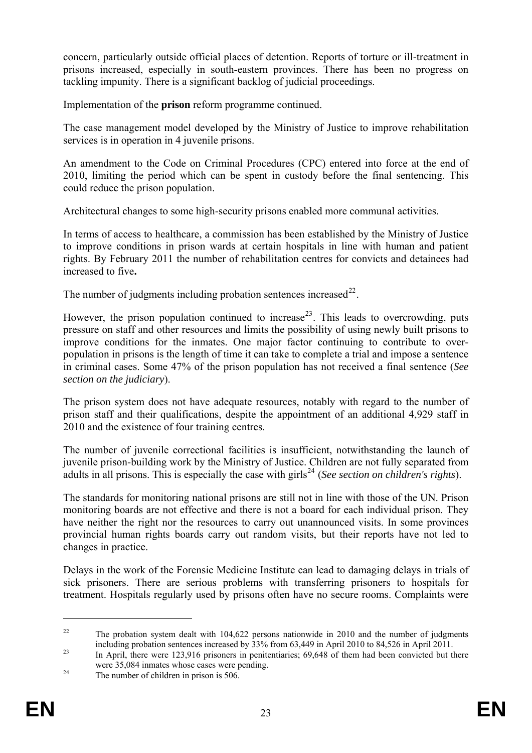concern, particularly outside official places of detention. Reports of torture or ill-treatment in prisons increased, especially in south-eastern provinces. There has been no progress on tackling impunity. There is a significant backlog of judicial proceedings.

Implementation of the **prison** reform programme continued.

The case management model developed by the Ministry of Justice to improve rehabilitation services is in operation in 4 juvenile prisons.

An amendment to the Code on Criminal Procedures (CPC) entered into force at the end of 2010, limiting the period which can be spent in custody before the final sentencing. This could reduce the prison population.

Architectural changes to some high-security prisons enabled more communal activities.

In terms of access to healthcare, a commission has been established by the Ministry of Justice to improve conditions in prison wards at certain hospitals in line with human and patient rights. By February 2011 the number of rehabilitation centres for convicts and detainees had increased to five**.**

The number of judgments including probation sentences increased  $2^2$ .

population in prisons is the length of time it can take to complete a trial and impose a sentence in criminal cases. Some 47% of the prison population has not received a final sentence (See However, the prison population continued to increase<sup>23</sup>. This leads to overcrowding, puts pressure on staff and other resources and limits the possibility of using newly built prisons to improve conditions for the inmates. One major factor continuing to contribute to over*section on the judiciary*).

The prison system does not have adequate resources, notably with regard to the number of prison staff and their qualifications, despite the appointment of an additional 4,929 staff in 2010 and the existence of four training centres.

juvenile prison-building work by the Ministry of Justice. Children are not fully separated from The number of juvenile correctional facilities is insufficient, notwithstanding the launch of adults in all prisons. This is especially the case with girls<sup>24</sup> (*See section on children's rights*).

monitoring boards are not effective and there is not a board for each individual prison. They The standards for monitoring national prisons are still not in line with those of the UN. Prison have neither the right nor the resources to carry out unannounced visits. In some provinces provincial human rights boards carry out random visits, but their reports have not led to changes in practice.

Delays in the work of the Forensic Medicine Institute can lead to damaging delays in trials of sick prisoners. There are serious problems with transferring prisoners to hospitals for treatment. Hospitals regularly used by prisons often have no secure rooms. Complaints were

<u>.</u>

 $\overline{a}$ 

<sup>&</sup>lt;sup>22</sup> The probation system dealt with 104,622 persons nationwide in 2010 and the number of judgments including probation sentences increased by 33% from 63,449 in April 2010 to 84,526 in April 2011.<br>In April, there were 123,916 prisoners in penitentiaries; 69,648 of them had been convicted but there

were 35,084 inmates whose cases were pending.<br><sup>24</sup> The number of children in prison is 506.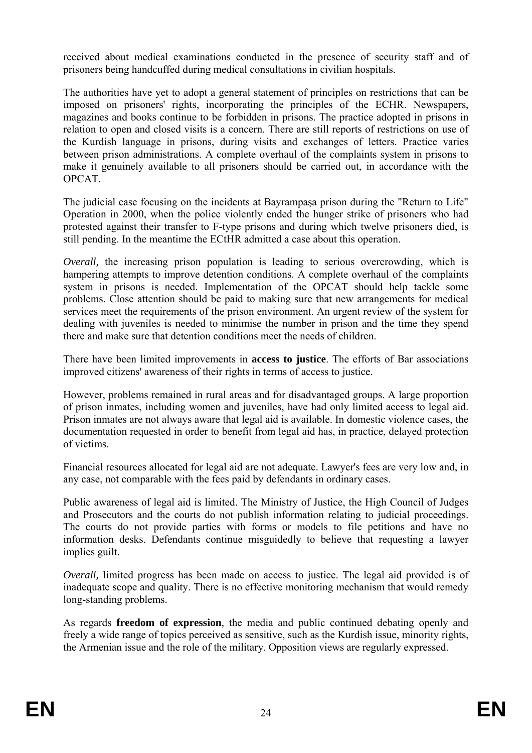received about medical examinations conducted in the presence of security staff and of prisoners being handcuffed during medical consultations in civilian hospitals.

magazines and books continue to be forbidden in prisons. The practice adopted in prisons in The authorities have yet to adopt a general statement of principles on restrictions that can be imposed on prisoners' rights, incorporating the principles of the ECHR. Newspapers, relation to open and closed visits is a concern. There are still reports of restrictions on use of the Kurdish language in prisons, during visits and exchanges of letters. Practice varies between prison administrations. A complete overhaul of the complaints system in prisons to make it genuinely available to all prisoners should be carried out, in accordance with the OPCAT.

The judicial case focusing on the incidents at Bayrampasa prison during the "Return to Life" Operation in 2000, when the police violently ended the hunger strike of prisoners who had protested against their transfer to F-type prisons and during which twelve prisoners died, is still pending. In the meantime the ECtHR admitted a case about this operation.

problems. Close attention should be paid to making sure that new arrangements for medical *Overall*, the increasing prison population is leading to serious overcrowding, which is hampering attempts to improve detention conditions. A complete overhaul of the complaints system in prisons is needed. Implementation of the OPCAT should help tackle some services meet the requirements of the prison environment. An urgent review of the system for dealing with juveniles is needed to minimise the number in prison and the time they spend there and make sure that detention conditions meet the needs of children.

There have been limited improvements in **access to justice**. The efforts of Bar associations improved citizens' awareness of their rights in terms of access to justice.

However, problems remained in rural areas and for disadvantaged groups. A large proportion of prison inmates, including women and juveniles, have had only limited access to legal aid. Prison inmates are not always aware that legal aid is available. In domestic violence cases, the documentation requested in order to benefit from legal aid has, in practice, delayed protection of victims.

Financial resources allocated for legal aid are not adequate. Lawyer's fees are very low and, in any case, not comparable with the fees paid by defendants in ordinary cases.

Public awareness of legal aid is limited. The Ministry of Justice, the High Council of Judges and Prosecutors and the courts do not publish information relating to judicial proceedings. The courts do not provide parties with forms or models to file petitions and have no information desks. Defendants continue misguidedly to believe that requesting a lawyer implies guilt.

*Overall*, limited progress has been made on access to justice. The legal aid provided is of inadequate scope and quality. There is no effective monitoring mechanism that would remedy long-standing problems.

As regards **freedom of expression***,* the media and public continued debating openly and freely a wide range of topics perceived as sensitive, such as the Kurdish issue, minority rights, the Armenian issue and the role of the military. Opposition views are regularly expressed.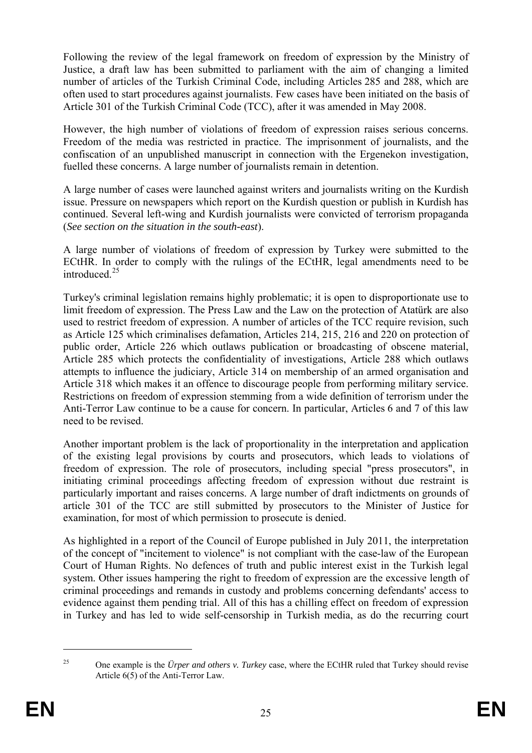Following the review of the legal framework on freedom of expression by the Ministry of Justice, a draft law has been submitted to parliament with the aim of changing a limited number of articles of the Turkish Criminal Code, including Articles 285 and 288, which are often used to start procedures against journalists. Few cases have been initiated on the basis of Article 301 of the Turkish Criminal Code (TCC), after it was amended in May 2008.

However, the high number of violations of freedom of expression raises serious concerns. Freedom of the media was restricted in practice. The imprisonment of journalists, and the confiscation of an unpublished manuscript in connection with the Ergenekon investigation, fuelled these concerns. A large number of journalists remain in detention.

A large number of cases were launched against writers and journalists writing on the Kurdish issue. Pressure on newspapers which report on the Kurdish question or publish in Kurdish has continued. Several left-wing and Kurdish journalists were convicted of terrorism propaganda (*See section on the situation in the south-east*).

A large number of violations of freedom of expression by Turkey were submitted to the ECtHR. In order to comply with the rulings of the ECtHR, legal amendments need to be introduced<sup>25</sup>

Turkey's criminal legislation remains highly problematic; it is open to disproportionate use to limit freedom of expression. The Press Law and the Law on the protection of Atatürk are also used to restrict freedom of expression. A number of articles of the TCC require revision, such as Article 125 which criminalises defamation, Articles 214, 215, 216 and 220 on protection of public order, Article 226 which outlaws publication or broadcasting of obscene material, Article 285 which protects the confidentiality of investigations, Article 288 which outlaws attempts to influence the judiciary, Article 314 on membership of an armed organisation and Article 318 which makes it an offence to discourage people from performing military service. Restrictions on freedom of expression stemming from a wide definition of terrorism under the Anti-Terror Law continue to be a cause for concern. In particular, Articles 6 and 7 of this law need to be revised.

Another important problem is the lack of proportionality in the interpretation and application of the existing legal provisions by courts and prosecutors, which leads to violations of freedom of expression. The role of prosecutors, including special "press prosecutors", in initiating criminal proceedings affecting freedom of expression without due restraint is particularly important and raises concerns. A large number of draft indictments on grounds of article 301 of the TCC are still submitted by prosecutors to the Minister of Justice for examination, for most of which permission to prosecute is denied.

in Turkey and has led to wide self-censorship in Turkish media, as do the recurring court As highlighted in a report of the Council of Europe published in July 2011, the interpretation of the concept of "incitement to violence" is not compliant with the case-law of the European Court of Human Rights. No defences of truth and public interest exist in the Turkish legal system. Other issues hampering the right to freedom of expression are the excessive length of criminal proceedings and remands in custody and problems concerning defendants' access to evidence against them pending trial. All of this has a chilling effect on freedom of expression

<sup>25</sup> One example is the *Ürper and others v. Turkey* case, where the ECtHR ruled that Turkey should revise Article 6(5) of the Anti-Terror Law.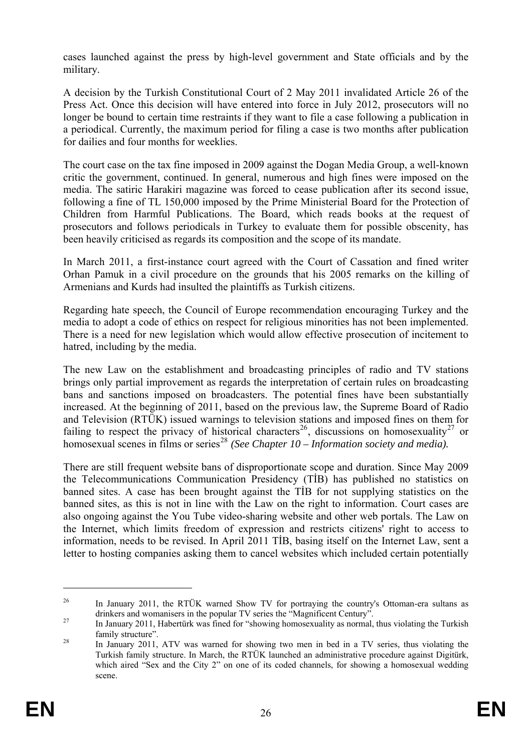cases launched against the press by high-level government and State officials and by the military.

A decision by the Turkish Constitutional Court of 2 May 2011 invalidated Article 26 of the Press Act. Once this decision will have entered into force in July 2012, prosecutors will no longer be bound to certain time restraints if they want to file a case following a publication in a periodical. Currently, the maximum period for filing a case is two months after publication for dailies and four months for weeklies.

The court case on the tax fine imposed in 2009 against the Dogan Media Group, a well-known been heavily criticised as regards its composition and the scope of its mandate. critic the government, continued. In general, numerous and high fines were imposed on the media. The satiric Harakiri magazine was forced to cease publication after its second issue, following a fine of TL 150,000 imposed by the Prime Ministerial Board for the Protection of Children from Harmful Publications. The Board, which reads books at the request of prosecutors and follows periodicals in Turkey to evaluate them for possible obscenity, has

In March 2011, a first-instance court agreed with the Court of Cassation and fined writer Orhan Pamuk in a civil procedure on the grounds that his 2005 remarks on the killing of Armenians and Kurds had insulted the plaintiffs as Turkish citizens.

There is a need for new legislation which would allow effective prosecution of incitement to Regarding hate speech, the Council of Europe recommendation encouraging Turkey and the media to adopt a code of ethics on respect for religious minorities has not been implemented. hatred, including by the media.

brings only partial improvement as regards the interpretation of certain rules on broadcasting homosexual scenes in films or series<sup>28</sup> (See Chapter 10 – Information society and media). The new Law on the establishment and broadcasting principles of radio and TV stations bans and sanctions imposed on broadcasters. The potential fines have been substantially increased. At the beginning of 2011, based on the previous law, the Supreme Board of Radio and Television (RTÜK) issued warnings to television stations and imposed fines on them for failing to respect the privacy of historical characters<sup>26</sup>, discussions on homosexuality<sup>27</sup> or

information, needs to be revised. In April 2011 TIB, basing itself on the Internet Law, sent a letter to hosting companies asking them to cancel websites which included certain potentially There are still frequent website bans of disproportionate scope and duration. Since May 2009 the Telecommunications Communication Presidency (TİB) has published no statistics on banned sites. A case has been brought against the TİB for not supplying statistics on the banned sites, as this is not in line with the Law on the right to information. Court cases are also ongoing against the You Tube video-sharing website and other web portals. The Law on the Internet, which limits freedom of expression and restricts citizens' right to access to

<sup>&</sup>lt;sup>26</sup> In January 2011, the RTÜK warned Show TV for portraying the country's Ottoman-era sultans as

drinkers and womanisers in the popular TV series the "Magnificent Century".<br><sup>27</sup> In January 2011, Habertürk was fined for "showing homosexuality as normal, thus violating the Turkish family structure".<br><sup>28</sup> In January 2011, ATV was warned for showing two men in bed in a TV series, thus violating the

Turkish family structure. In March, the RTÜK launched an administrative procedure against Digitürk, which aired "Sex and the City 2" on one of its coded channels, for showing a homosexual wedding scene.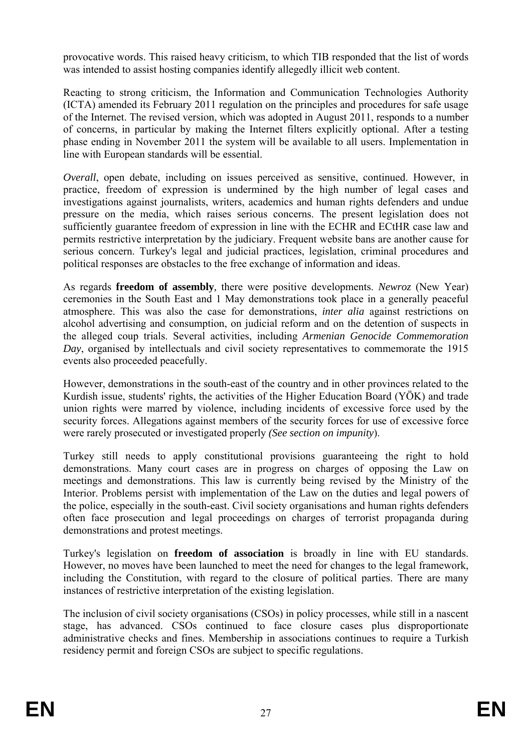provocative words. This raised heavy criticism, to which TIB responded that the list of words was intended to assist hosting companies identify allegedly illicit web content.

Reacting to strong criticism, the Information and Communication Technologies Authority (ICTA) amended its February 2011 regulation on the principles and procedures for safe usage of the Internet. The revised version, which was adopted in August 2011, responds to a number of concerns, in particular by making the Internet filters explicitly optional. After a testing phase ending in November 2011 the system will be available to all users. Implementation in line with European standards will be essential.

Overall, open debate, including on issues perceived as sensitive, continued. However, in political responses are obstacles to the free exchange of information and ideas. practice, freedom of expression is undermined by the high number of legal cases and investigations against journalists, writers, academics and human rights defenders and undue pressure on the media, which raises serious concerns. The present legislation does not sufficiently guarantee freedom of expression in line with the ECHR and ECtHR case law and permits restrictive interpretation by the judiciary. Frequent website bans are another cause for serious concern. Turkey's legal and judicial practices, legislation, criminal procedures and

As regards **freedom of assembly***,* there were positive developments. *Newroz* (New Year) ceremonies in the South East and 1 May demonstrations took place in a generally peaceful atmosphere. This was also the case for demonstrations, *inter alia* against restrictions on alcohol advertising and consumption, on judicial reform and on the detention of suspects in the alleged coup trials. Several activities, including *Armenian Genocide Commemoration Day*, organised by intellectuals and civil society representatives to commemorate the 1915 events also proceeded peacefully.

However, demonstrations in the south-east of the country and in other provinces related to the Kurdish issue, students' rights, the activities of the Higher Education Board (YÖK) and trade union rights were marred by violence, including incidents of excessive force used by the security forces. Allegations against members of the security forces for use of excessive force were rarely prosecuted or investigated properly *(See section on impunity*).

demonstrations. Many court cases are in progress on charges of opposing the Law on Turkey still needs to apply constitutional provisions guaranteeing the right to hold meetings and demonstrations. This law is currently being revised by the Ministry of the Interior. Problems persist with implementation of the Law on the duties and legal powers of the police, especially in the south-east. Civil society organisations and human rights defenders often face prosecution and legal proceedings on charges of terrorist propaganda during demonstrations and protest meetings.

Turkey's legislation on **freedom of association** is broadly in line with EU standards. However, no moves have been launched to meet the need for changes to the legal framework, including the Constitution, with regard to the closure of political parties. There are many instances of restrictive interpretation of the existing legislation.

administrative checks and fines. Membership in associations continues to require a Turkish The inclusion of civil society organisations (CSOs) in policy processes, while still in a nascent stage, has advanced. CSOs continued to face closure cases plus disproportionate residency permit and foreign CSOs are subject to specific regulations.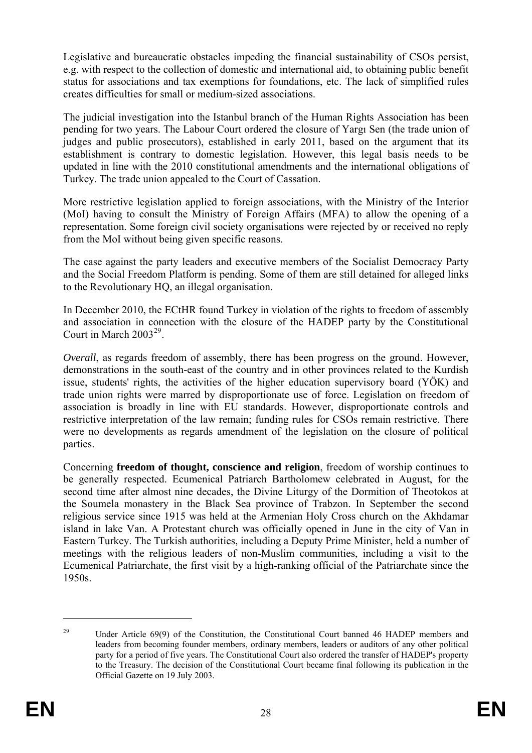status for associations and tax exemptions for foundations, etc. The lack of simplified rules Legislative and bureaucratic obstacles impeding the financial sustainability of CSOs persist, e.g. with respect to the collection of domestic and international aid, to obtaining public benefit creates difficulties for small or medium-sized associations.

judges and public prosecutors), established in early 2011, based on the argument that its The judicial investigation into the Istanbul branch of the Human Rights Association has been pending for two years. The Labour Court ordered the closure of Yargı Sen (the trade union of establishment is contrary to domestic legislation. However, this legal basis needs to be updated in line with the 2010 constitutional amendments and the international obligations of Turkey. The trade union appealed to the Court of Cassation.

More restrictive legislation applied to foreign associations, with the Ministry of the Interior (MoI) having to consult the Ministry of Foreign Affairs (MFA) to allow the opening of a representation. Some foreign civil society organisations were rejected by or received no reply from the MoI without being given specific reasons.

The case against the party leaders and executive members of the Socialist Democracy Party and the Social Freedom Platform is pending. Some of them are still detained for alleged links to the Revolutionary HQ, an illegal organisation.

In December 2010, the ECtHR found Turkey in violation of the rights to freedom of assembly and association in connection with the closure of the HADEP party by the Constitutional Court in March  $2003^{29}$ .

trade union rights were marred by disproportionate use of force. Legislation on freedom of were no developments as regards amendment of the legislation on the closure of political parties. *Overall*, as regards freedom of assembly, there has been progress on the ground. However, demonstrations in the south-east of the country and in other provinces related to the Kurdish issue, students' rights, the activities of the higher education supervisory board (YÖK) and association is broadly in line with EU standards. However, disproportionate controls and restrictive interpretation of the law remain; funding rules for CSOs remain restrictive. There

Eastern Turkey. The Turkish authorities, including a Deputy Prime Minister, held a number of meetings with the religious leaders of non-Muslim communities, including a visit to the Concerning **freedom of thought, conscience and religion**, freedom of worship continues to be generally respected. Ecumenical Patriarch Bartholomew celebrated in August, for the second time after almost nine decades, the Divine Liturgy of the Dormition of Theotokos at the Soumela monastery in the Black Sea province of Trabzon. In September the second religious service since 1915 was held at the Armenian Holy Cross church on the Akhdamar island in lake Van. A Protestant church was officially opened in June in the city of Van in Ecumenical Patriarchate, the first visit by a high-ranking official of the Patriarchate since the 1950s.

<sup>&</sup>lt;sup>29</sup> Under Article 69(9) of the Constitution, the Constitutional Court banned 46 HADEP members and leaders from becoming founder members, ordinary members, leaders or auditors of any other political party for a period of five years. The Constitutional Court also ordered the transfer of HADEP's property to the Treasury. The decision of the Constitutional Court became final following its publication in the Official Gazette on 19 July 2003.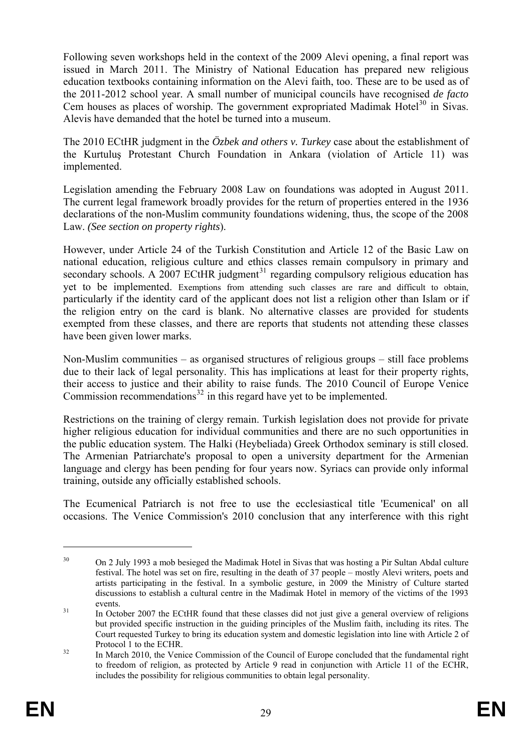Following seven workshops held in the context of the 2009 Alevi opening, a final report was issued in March 2011. The Ministry of National Education has prepared new religious education textbooks containing information on the Alevi faith, too. These are to be used as of the 2011-2012 school year. A small number of municipal councils have recognised *de facto* Cem houses as places of worship. The government expropriated Madimak Hotel<sup>30</sup> in Sivas. Alevis have demanded that the hotel be turned into a museum.

The 2010 ECtHR judgment in the  $\ddot{O}$ *zbek and others v. Turkey* case about the establishment of the Kurtuluş Protestant Church Foundation in Ankara (violation of Article 11) was implemented.

Legislation amending the February 2008 Law on foundations was adopted in August 2011. The current legal framework broadly provides for the return of properties entered in the 1936 declarations of the non-Muslim community foundations widening, thus, the scope of the 2008 Law. *(See section on property rights*).

secondary schools. A 2007 ECtHR judgment<sup>31</sup> regarding compulsory religious education has However, under Article 24 of the Turkish Constitution and Article 12 of the Basic Law on national education, religious culture and ethics classes remain compulsory in primary and yet to be implemented. Exemptions from attending such classes are rare and difficult to obtain, particularly if the identity card of the applicant does not list a religion other than Islam or if the religion entry on the card is blank. No alternative classes are provided for students exempted from these classes, and there are reports that students not attending these classes have been given lower marks.

Non-Muslim communities – as organised structures of religious groups – still face problems due to their lack of legal personality. This has implications at least for their property rights, their access to justice and their ability to raise funds. The 2010 Council of Europe Venice Commission recommendations<sup>[32](#page-29-0)</sup> in this regard have yet to be implemented.

the public education system. The Halki (Heybeliada) Greek Orthodox seminary is still closed. Restrictions on the training of clergy remain. Turkish legislation does not provide for private higher religious education for individual communities and there are no such opportunities in The Armenian Patriarchate's proposal to open a university department for the Armenian language and clergy has been pending for four years now. Syriacs can provide only informal training, outside any officially established schools.

The Ecumenical Patriarch is not free to use the ecclesiastical title 'Ecumenical' on all occasions. The Venice Commission's 2010 conclusion that any interference with this right

<sup>&</sup>lt;sup>30</sup> On 2 July 1993 a mob besieged the Madimak Hotel in Sivas that was hosting a Pir Sultan Abdal culture festival. The hotel was set on fire, resulting in the death of 37 people – mostly Alevi writers, poets and artists participating in the festival. In a symbolic gesture, in 2009 the Ministry of Culture started discussions to establish a cultural centre in the Madimak Hotel in memory of the victims of the 1993 events.<br>In October 2007 the ECtHR found that these classes did not just give a general overview of religions

<span id="page-29-0"></span>but provided specific instruction in the guiding principles of the Muslim faith, including its rites. The Court requested Turkey to bring its education system and domestic legislation into line with Article 2 of

<span id="page-29-1"></span>Protocol 1 to the ECHR.<br>32 In March 2010, the Venice Commission of the Council of Europe concluded that the fundamental right to freedom of religion, as protected by Article 9 read in conjunction with Article 11 of the ECHR, includes the possibility for religious communities to obtain legal personality.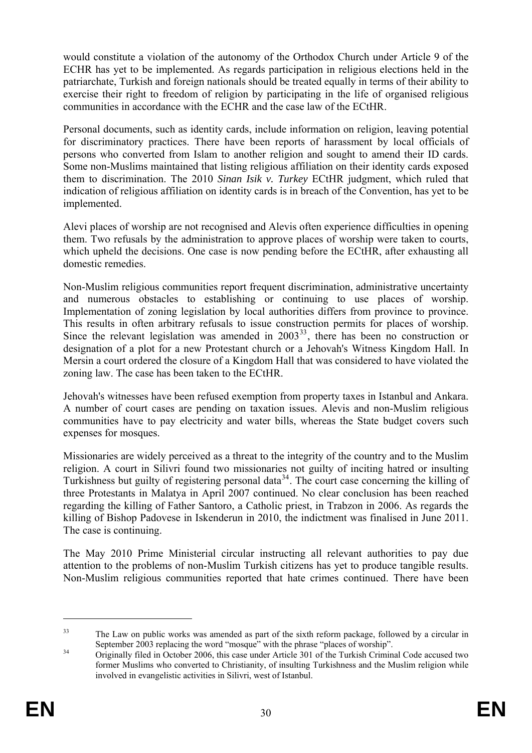would constitute a violation of the autonomy of the Orthodox Church under Article 9 of the ECHR has yet to be implemented. As regards participation in religious elections held in the patriarchate, Turkish and foreign nationals should be treated equally in terms of their ability to exercise their right to freedom of religion by participating in the life of organised religious communities in accordance with the ECHR and the case law of the ECtHR.

Personal documents, such as identity cards, include information on religion, leaving potential for discriminatory practices. There have been reports of harassment by local officials of persons who converted from Islam to another religion and sought to amend their ID cards. Some non-Muslims maintained that listing religious affiliation on their identity cards exposed them to discrimination. The 2010 *Sinan Isik v. Turkey* ECtHR judgment, which ruled that indication of religious affiliation on identity cards is in breach of the Convention, has yet to be implemented.

Alevi places of worship are not recognised and Alevis often experience difficulties in opening them. Two refusals by the administration to approve places of worship were taken to courts, which upheld the decisions. One case is now pending before the ECtHR, after exhausting all domestic remedies.

This results in often arbitrary refusals to issue construction permits for places of worship. Non-Muslim religious communities report frequent discrimination, administrative uncertainty and numerous obstacles to establishing or continuing to use places of worship. Implementation of zoning legislation by local authorities differs from province to province. Since the relevant legislation was amended in  $2003^{33}$ , there has been no construction or designation of a plot for a new Protestant church or a Jehovah's Witness Kingdom Hall. In Mersin a court ordered the closure of a Kingdom Hall that was considered to have violated the zoning law. The case has been taken to the ECtHR.

Jehovah's witnesses have been refused exemption from property taxes in Istanbul and Ankara. A number of court cases are pending on taxation issues. Alevis and non-Muslim religious communities have to pay electricity and water bills, whereas the State budget covers such expenses for mosques.

three Protestants in Malatya in April 2007 continued. No clear conclusion has been reached Missionaries are widely perceived as a threat to the integrity of the country and to the Muslim religion. A court in Silivri found two missionaries not guilty of inciting hatred or insulting Turkishness but guilty of registering personal data<sup>[34](#page-29-1)</sup>. The court case concerning the killing of regarding the killing of Father Santoro, a Catholic priest, in Trabzon in 2006. As regards the killing of Bishop Padovese in Iskenderun in 2010, the indictment was finalised in June 2011. The case is continuing.

The May 2010 Prime Ministerial circular instructing all relevant authorities to pay due attention to the problems of non-Muslim Turkish citizens has yet to produce tangible results. Non-Muslim religious communities reported that hate crimes continued. There have been

<sup>&</sup>lt;sup>33</sup> The Law on public works was amended as part of the sixth reform package, followed by a circular in September 2003 replacing the word "mosque" with the phrase "places of worship".<br>Originally filed in October 2006, this case under Article 301 of the Turkish Criminal Code accused two

former Muslims who converted to Christianity, of insulting Turkishness and the Muslim religion while involved in evangelistic activities in Silivri, west of Istanbul.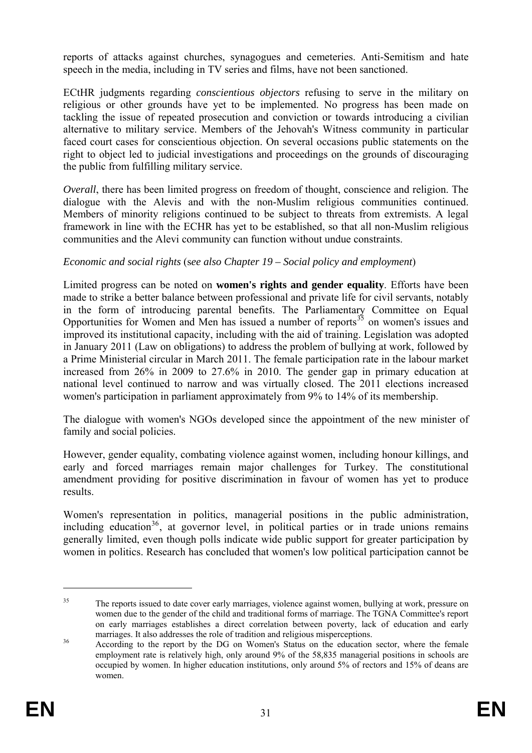reports of attacks against churches, synagogues and cemeteries. Anti-Semitism and hate speech in the media, including in TV series and films, have not been sanctioned.

religious or other grounds have yet to be implemented. No progress has been made on ECtHR judgments regarding *conscientious objectors* refusing to serve in the military on tackling the issue of repeated prosecution and conviction or towards introducing a civilian alternative to military service. Members of the Jehovah's Witness community in particular faced court cases for conscientious objection. On several occasions public statements on the right to object led to judicial investigations and proceedings on the grounds of discouraging the public from fulfilling military service.

*Overall*, there has been limited progress on freedom of thought, conscience and religion. The dialogue with the Alevis and with the non-Muslim religious communities continued. Members of minority religions continued to be subject to threats from extremists. A legal framework in line with the ECHR has yet to be established, so that all non-Muslim religious communities and the Alevi community can function without undue constraints.

### *Economic and social rights* (s*ee also Chapter 19 – Social policy and employment*)

Limited progress can be noted on **women's rights and gender equality**. Efforts have been made to strike a better balance between professional and private life for civil servants, notably in the form of introducing parental benefits. The Parliamentary Committee on Equal Opportunities for Women and Men has issued a number of reports $35$  on women's issues and improved its institutional capacity, including with the aid of training. Legislation was adopted in January 2011 (Law on obligations) to address the problem of bullying at work, followed by a Prime Ministerial circular in March 2011. The female participation rate in the labour market increased from 26% in 2009 to 27.6% in 2010. The gender gap in primary education at national level continued to narrow and was virtually closed. The 2011 elections increased women's participation in parliament approximately from 9% to 14% of its membership.

The dialogue with women's NGOs developed since the appointment of the new minister of family and social policies.

However, gender equality, combating violence against women, including honour killings, and early and forced marriages remain major challenges for Turkey. The constitutional amendment providing for positive discrimination in favour of women has yet to produce results.

Women's representation in politics, managerial positions in the public administration, including education<sup>36</sup>, at governor level, in political parties or in trade unions remains generally limited, even though polls indicate wide public support for greater participation by women in politics. Research has concluded that women's low political participation cannot be

<sup>&</sup>lt;sup>35</sup> The reports issued to date cover early marriages, violence against women, bullying at work, pressure on women due to the gender of the child and traditional forms of marriage. The TGNA Committee's report on early marriages establishes a direct correlation between poverty, lack of education and early

<span id="page-31-0"></span>marriages. It also addresses the role of tradition and religious misperceptions.<br>36 According to the report by the DG on Women's Status on the education sector, where the female employment rate is relatively high, only around 9% of the 58,835 managerial positions in schools are occupied by women. In higher education institutions, only around 5% of rectors and 15% of deans are women.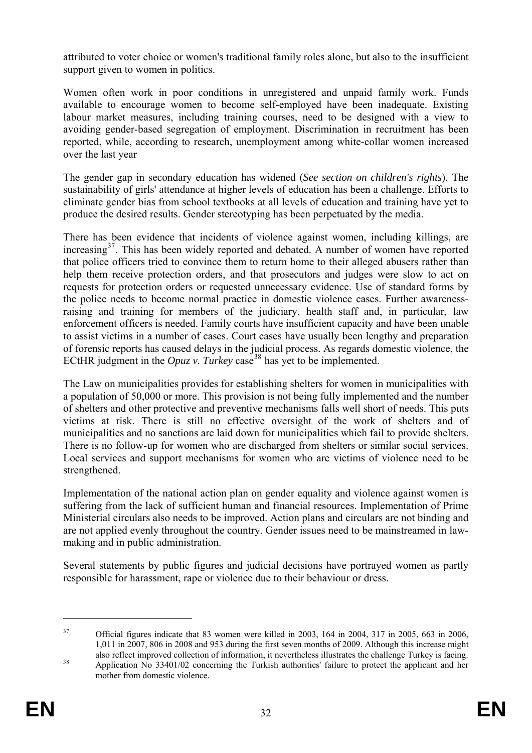attributed to voter choice or women's traditional family roles alone, but also to the insufficient support given to women in politics.

Women often work in poor conditions in unregistered and unpaid family work. Funds available to encourage women to become self-employed have been inadequate. Existing labour market measures, including training courses, need to be designed with a view to avoiding gender-based segregation of employment. Discrimination in recruitment has been reported, while, according to research, unemployment among white-collar women increased over the last year

produce the desired results. Gender stereotyping has been perpetuated by the media. The gender gap in secondary education has widened (*See section on children's rights*). The sustainability of girls' attendance at higher levels of education has been a challenge. Efforts to eliminate gender bias from school textbooks at all levels of education and training have yet to

help them receive protection orders, and that prosecutors and judges were slow to act on There has been evidence that incidents of violence against women, including killings, are increasing<sup>37</sup>. This has been widely reported and debated. A number of women have reported that police officers tried to convince them to return home to their alleged abusers rather than requests for protection orders or requested unnecessary evidence. Use of standard forms by the police needs to become normal practice in domestic violence cases. Further awarenessraising and training for members of the judiciary, health staff and, in particular, law enforcement officers is needed. Family courts have insufficient capacity and have been unable to assist victims in a number of cases. Court cases have usually been lengthy and preparation of forensic reports has caused delays in the judicial process. As regards domestic violence, the ECtHR judgment in the  $Opuz$  v. Turkey case<sup>[38](#page-31-0)</sup> has yet to be implemented.

victims at risk. There is still no effective oversight of the work of shelters and of The Law on municipalities provides for establishing shelters for women in municipalities with a population of 50,000 or more. This provision is not being fully implemented and the number of shelters and other protective and preventive mechanisms falls well short of needs. This puts municipalities and no sanctions are laid down for municipalities which fail to provide shelters. There is no follow-up for women who are discharged from shelters or similar social services. Local services and support mechanisms for women who are victims of violence need to be strengthened.

Implementation of the national action plan on gender equality and violence against women is suffering from the lack of sufficient human and financial resources. Implementation of Prime Ministerial circulars also needs to be improved. Action plans and circulars are not binding and are not applied evenly throughout the country. Gender issues need to be mainstreamed in lawmaking and in public administration.

Several statements by public figures and judicial decisions have portrayed women as partly responsible for harassment, rape or violence due to their behaviour or dress.

<sup>37</sup> Official figures indicate that 83 women were killed in 2003, 164 in 2004, 317 in 2005, 663 in 2006, 1,011 in 2007, 806 in 2008 and 953 during the first seven months of 2009. Although this increase might also reflect improved collection of information, it nevertheless illustrates the challenge Turkey is facing.<br>Application No 33401/02 concerning the Turkish authorities' failure to protect the applicant and her

mother from domestic violence.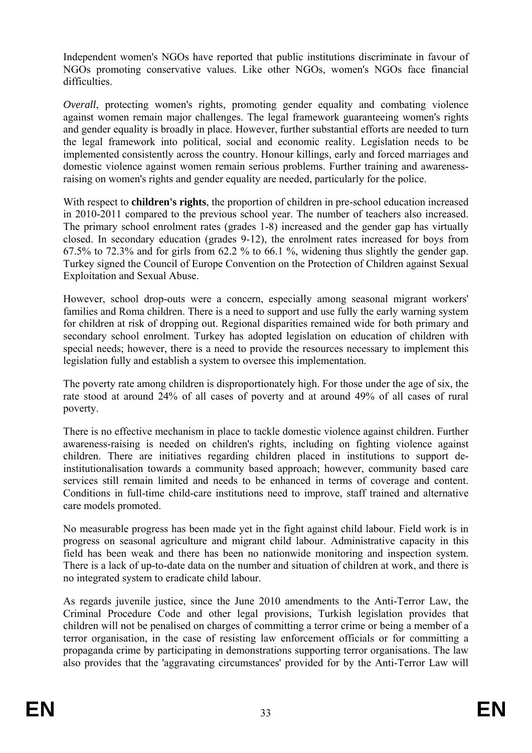Independent women's NGOs have reported that public institutions discriminate in favour of NGOs promoting conservative values. Like other NGOs, women's NGOs face financial difficulties.

*Overall*, protecting women's rights, promoting gender equality and combating violence against women remain major challenges. The legal framework guaranteeing women's rights and gender equality is broadly in place. However, further substantial efforts are needed to turn the legal framework into political, social and economic reality. Legislation needs to be implemented consistently across the country. Honour killings, early and forced marriages and domestic violence against women remain serious problems. Further training and awarenessraising on women's rights and gender equality are needed, particularly for the police.

With respect to **children's rights**, the proportion of children in pre-school education increased in 2010-2011 compared to the previous school year. The number of teachers also increased. The primary school enrolment rates (grades 1-8) increased and the gender gap has virtually closed. In secondary education (grades 9-12), the enrolment rates increased for boys from  $67.5\%$  to  $72.3\%$  and for girls from  $62.2\%$  to  $66.1\%$ , widening thus slightly the gender gap. Turkey signed the Council of Europe Convention on the Protection of Children against Sexual Exploitation and Sexual Abuse.

However, school drop-outs were a concern, especially among seasonal migrant workers' families and Roma children. There is a need to support and use fully the early warning system for children at risk of dropping out. Regional disparities remained wide for both primary and secondary school enrolment. Turkey has adopted legislation on education of children with special needs; however, there is a need to provide the resources necessary to implement this legislation fully and establish a system to oversee this implementation.

The poverty rate among children is disproportionately high. For those under the age of six, the rate stood at around 24% of all cases of poverty and at around 49% of all cases of rural poverty.

There is no effective mechanism in place to tackle domestic violence against children. Further awareness-raising is needed on children's rights, including on fighting violence against children. There are initiatives regarding children placed in institutions to support deinstitutionalisation towards a community based approach; however, community based care services still remain limited and needs to be enhanced in terms of coverage and content. Conditions in full-time child-care institutions need to improve, staff trained and alternative care models promoted.

No measurable progress has been made yet in the fight against child labour. Field work is in progress on seasonal agriculture and migrant child labour. Administrative capacity in this field has been weak and there has been no nationwide monitoring and inspection system. There is a lack of up-to-date data on the number and situation of children at work, and there is no integrated system to eradicate child labour.

children will not be penalised on charges of committing a terror crime or being a member of a As regards juvenile justice, since the June 2010 amendments to the Anti-Terror Law, the Criminal Procedure Code and other legal provisions, Turkish legislation provides that terror organisation, in the case of resisting law enforcement officials or for committing a propaganda crime by participating in demonstrations supporting terror organisations. The law also provides that the 'aggravating circumstances' provided for by the Anti-Terror Law will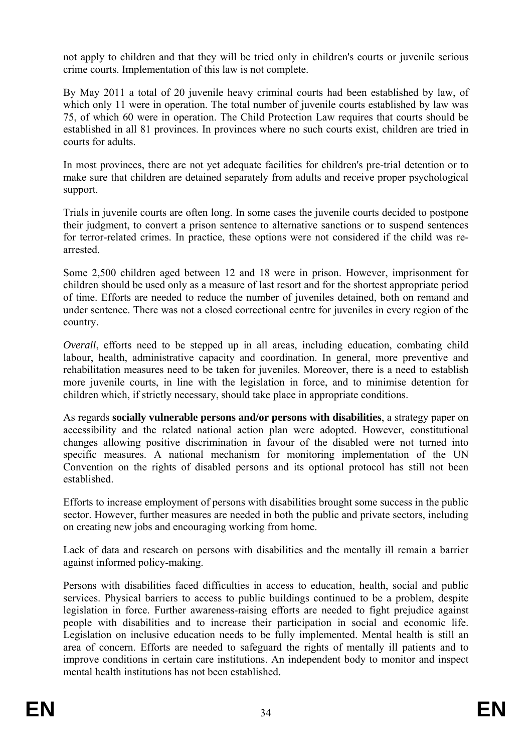not apply to children and that they will be tried only in children's courts or juvenile serious crime courts. Implementation of this law is not complete.

By May 2011 a total of 20 juvenile heavy criminal courts had been established by law, of which only 11 were in operation. The total number of juvenile courts established by law was 75, of which 60 were in operation. The Child Protection Law requires that courts should be established in all 81 provinces. In provinces where no such courts exist, children are tried in courts for adults.

In most provinces, there are not yet adequate facilities for children's pre-trial detention or to make sure that children are detained separately from adults and receive proper psychological support.

Trials in juvenile courts are often long. In some cases the juvenile courts decided to postpone their judgment, to convert a prison sentence to alternative sanctions or to suspend sentences for terror-related crimes. In practice, these options were not considered if the child was rearrested.

under sentence. There was not a closed correctional centre for juveniles in every region of the Some 2,500 children aged between 12 and 18 were in prison. However, imprisonment for children should be used only as a measure of last resort and for the shortest appropriate period of time. Efforts are needed to reduce the number of juveniles detained, both on remand and country.

rehabilitation measures need to be taken for juveniles. Moreover, there is a need to establish *Overall*, efforts need to be stepped up in all areas, including education, combating child labour, health, administrative capacity and coordination. In general, more preventive and more juvenile courts, in line with the legislation in force, and to minimise detention for children which, if strictly necessary, should take place in appropriate conditions.

changes allowing positive discrimination in favour of the disabled were not turned into As regards **socially vulnerable persons and/or persons with disabilities**, a strategy paper on accessibility and the related national action plan were adopted. However, constitutional specific measures. A national mechanism for monitoring implementation of the UN Convention on the rights of disabled persons and its optional protocol has still not been established.

sector. However, further measures are needed in both the public and private sectors, including Efforts to increase employment of persons with disabilities brought some success in the public on creating new jobs and encouraging working from home.

Lack of data and research on persons with disabilities and the mentally ill remain a barrier against informed policy-making.

services. Physical barriers to access to public buildings continued to be a problem, despite area of concern. Efforts are needed to safeguard the rights of mentally ill patients and to improve conditions in certain care institutions. An independent body to monitor and inspect mental health institutions has not been established. Persons with disabilities faced difficulties in access to education, health, social and public legislation in force. Further awareness-raising efforts are needed to fight prejudice against people with disabilities and to increase their participation in social and economic life. Legislation on inclusive education needs to be fully implemented. Mental health is still an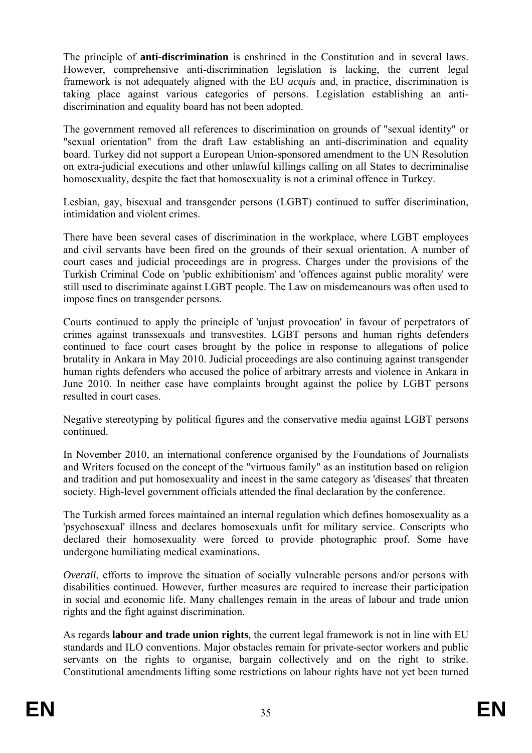framework is not adequately aligned with the EU *acquis* and, in practice, discrimination is The principle of **anti-discrimination** is enshrined in the Constitution and in several laws. However, comprehensive anti-discrimination legislation is lacking, the current legal taking place against various categories of persons. Legislation establishing an antidiscrimination and equality board has not been adopted.

The government removed all references to discrimination on grounds of "sexual identity" or "sexual orientation" from the draft Law establishing an anti-discrimination and equality board. Turkey did not support a European Union-sponsored amendment to the UN Resolution on extra-judicial executions and other unlawful killings calling on all States to decriminalise homosexuality, despite the fact that homosexuality is not a criminal offence in Turkey.

Lesbian, gay, bisexual and transgender persons (LGBT) continued to suffer discrimination, intimidation and violent crimes.

court cases and judicial proceedings are in progress. Charges under the provisions of the There have been several cases of discrimination in the workplace, where LGBT employees and civil servants have been fired on the grounds of their sexual orientation. A number of Turkish Criminal Code on 'public exhibitionism' and 'offences against public morality' were still used to discriminate against LGBT people. The Law on misdemeanours was often used to impose fines on transgender persons.

crimes against transsexuals and transvestites. LGBT persons and human rights defenders human rights defenders who accused the police of arbitrary arrests and violence in Ankara in Courts continued to apply the principle of 'unjust provocation' in favour of perpetrators of continued to face court cases brought by the police in response to allegations of police brutality in Ankara in May 2010. Judicial proceedings are also continuing against transgender June 2010. In neither case have complaints brought against the police by LGBT persons resulted in court cases.

Negative stereotyping by political figures and the conservative media against LGBT persons continued.

In November 2010, an international conference organised by the Foundations of Journalists and Writers focused on the concept of the "virtuous family" as an institution based on religion and tradition and put homosexuality and incest in the same category as 'diseases' that threaten society. High-level government officials attended the final declaration by the conference.

undergone humiliating medical examinations. The Turkish armed forces maintained an internal regulation which defines homosexuality as a 'psychosexual' illness and declares homosexuals unfit for military service. Conscripts who declared their homosexuality were forced to provide photographic proof. Some have

disabilities continued. However, further measures are required to increase their participation *Overall*, efforts to improve the situation of socially vulnerable persons and/or persons with in social and economic life. Many challenges remain in the areas of labour and trade union rights and the fight against discrimination.

standards and ILO conventions. Major obstacles remain for private-sector workers and public servants on the rights to organise, bargain collectively and on the right to strike. Constitutional amendments lifting some restrictions on labour rights have not yet been turned As regards **labour and trade union rights***,* the current legal framework is not in line with EU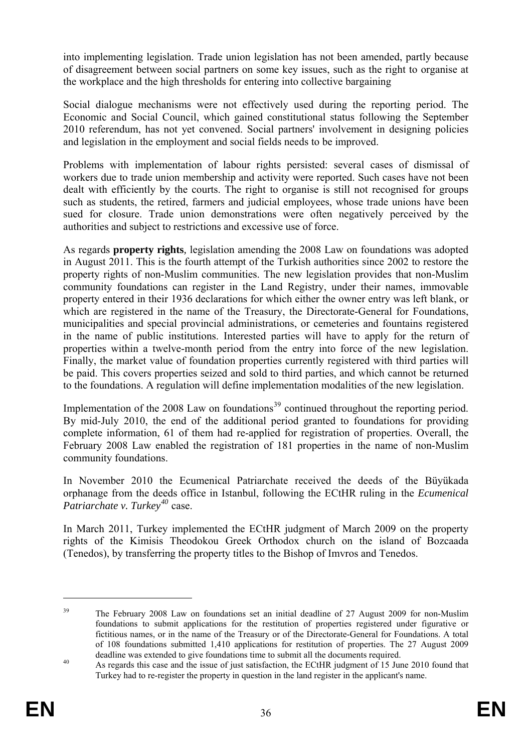into implementing legislation. Trade union legislation has not been amended, partly because of disagreement between social partners on some key issues, such as the right to organise at the workplace and the high thresholds for entering into collective bargaining

Social dialogue mechanisms were not effectively used during the reporting period. The Economic and Social Council, which gained constitutional status following the September 2010 referendum, has not yet convened. Social partners' involvement in designing policies and legislation in the employment and social fields needs to be improved.

Problems with implementation of labour rights persisted: several cases of dismissal of workers due to trade union membership and activity were reported. Such cases have not been dealt with efficiently by the courts. The right to organise is still not recognised for groups such as students, the retired, farmers and judicial employees, whose trade unions have been sued for closure. Trade union demonstrations were often negatively perceived by the authorities and subject to restrictions and excessive use of force.

in August 2011. This is the fourth attempt of the Turkish authorities since 2002 to restore the As regards **property rights***,* legislation amending the 2008 Law on foundations was adopted property rights of non-Muslim communities. The new legislation provides that non-Muslim community foundations can register in the Land Registry, under their names, immovable property entered in their 1936 declarations for which either the owner entry was left blank, or which are registered in the name of the Treasury, the Directorate-General for Foundations, municipalities and special provincial administrations, or cemeteries and fountains registered in the name of public institutions. Interested parties will have to apply for the return of properties within a twelve-month period from the entry into force of the new legislation. Finally, the market value of foundation properties currently registered with third parties will be paid. This covers properties seized and sold to third parties, and which cannot be returned to the foundations. A regulation will define implementation modalities of the new legislation.

Implementation of the 2008 Law on foundations<sup>39</sup> continued throughout the reporting period. By mid-July 2010, the end of the additional period granted to foundations for providing complete information, 61 of them had re-applied for registration of properties. Overall, the February 2008 Law enabled the registration of 181 properties in the name of non-Muslim community foundations.

In November 2010 the Ecumenical Patriarchate received the deeds of the Büyükada orphanage from the deeds office in Istanbul, following the ECtHR ruling in the *Ecumenical Patriarchate v. Turkey<sup>40</sup>* case.

In March 2011, Turkey implemented the ECtHR judgment of March 2009 on the property rights of the Kimisis Theodokou Greek Orthodox church on the island of Bozcaada (Tenedos), by transferring the property titles to the Bishop of Imvros and Tenedos.

1

<sup>&</sup>lt;sup>39</sup> The February 2008 Law on foundations set an initial deadline of 27 August 2009 for non-Muslim foundations to submit applications for the restitution of properties registered under figurative or fictitious names, or in the name of the Treasury or of the Directorate-General for Foundations. A total of 108 foundations submitted 1,410 applications for restitution of properties. The 27 August 2009 deadline was extended to give foundations time to submit all the documents required.

<span id="page-36-0"></span><sup>40</sup> Turkey had to re-register the property in question in the land register in the applicant's name. As regards this case and the issue of just satisfaction, the ECtHR judgment of 15 June 2010 found that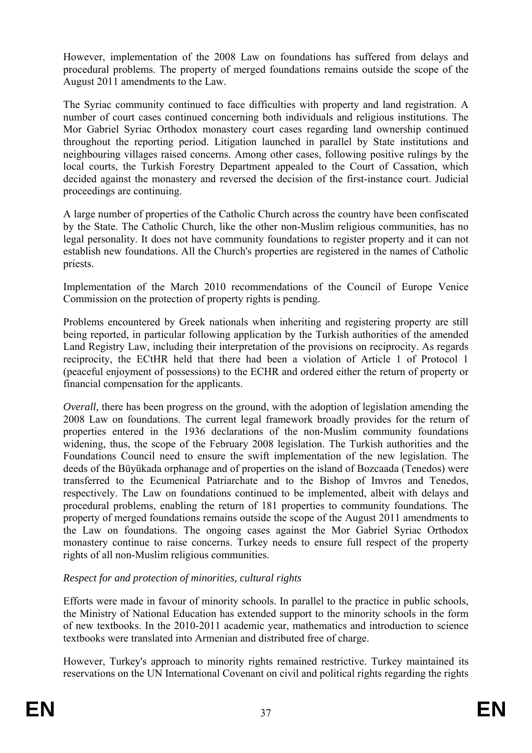However, implementation of the 2008 Law on foundations has suffered from delays and procedural problems. The property of merged foundations remains outside the scope of the August 2011 amendments to the Law.

throughout the reporting period. Litigation launched in parallel by State institutions and decided against the monastery and reversed the decision of the first-instance court. Judicial proceedings are continuing. The Syriac community continued to face difficulties with property and land registration. A number of court cases continued concerning both individuals and religious institutions. The Mor Gabriel Syriac Orthodox monastery court cases regarding land ownership continued neighbouring villages raised concerns. Among other cases, following positive rulings by the local courts, the Turkish Forestry Department appealed to the Court of Cassation, which

by the State. The Catholic Church, like the other non-Muslim religious communities, has no legal personality. It does not have community foundations to register property and it can not A large number of properties of the Catholic Church across the country have been confiscated establish new foundations. All the Church's properties are registered in the names of Catholic priests.

Implementation of the March 2010 recommendations of the Council of Europe Venice Commission on the protection of property rights is pending.

Land Registry Law, including their interpretation of the provisions on reciprocity. As regards Problems encountered by Greek nationals when inheriting and registering property are still being reported, in particular following application by the Turkish authorities of the amended reciprocity, the ECtHR held that there had been a violation of Article 1 of Protocol 1 (peaceful enjoyment of possessions) to the ECHR and ordered either the return of property or financial compensation for the applicants.

2008 Law on foundations. The current legal framework broadly provides for the return of widening, thus, the scope of the February 2008 legislation. The Turkish authorities and the Foundations Council need to ensure the swift implementation of the new legislation. The the Law on foundations. The ongoing cases against the Mor Gabriel Syriac Orthodox monastery continue to raise concerns. Turkey needs to ensure full respect of the property *Overall*, there has been progress on the ground, with the adoption of legislation amending the properties entered in the 1936 declarations of the non-Muslim community foundations deeds of the Büyükada orphanage and of properties on the island of Bozcaada (Tenedos) were transferred to the Ecumenical Patriarchate and to the Bishop of Imvros and Tenedos, respectively. The Law on foundations continued to be implemented, albeit with delays and procedural problems, enabling the return of 181 properties to community foundations. The property of merged foundations remains outside the scope of the August 2011 amendments to rights of all non-Muslim religious communities.

# *Respect for and protection of minorities, cultural rights*

textbooks were translated into Armenian and distributed free of charge. Efforts were made in favour of minority schools. In parallel to the practice in public schools, the Ministry of National Education has extended support to the minority schools in the form of new textbooks. In the 2010-2011 academic year, mathematics and introduction to science

reserva tions on the UN International Covenant on civil and political rights regarding the rights However, Turkey's approach to minority rights remained restrictive. Turkey maintained its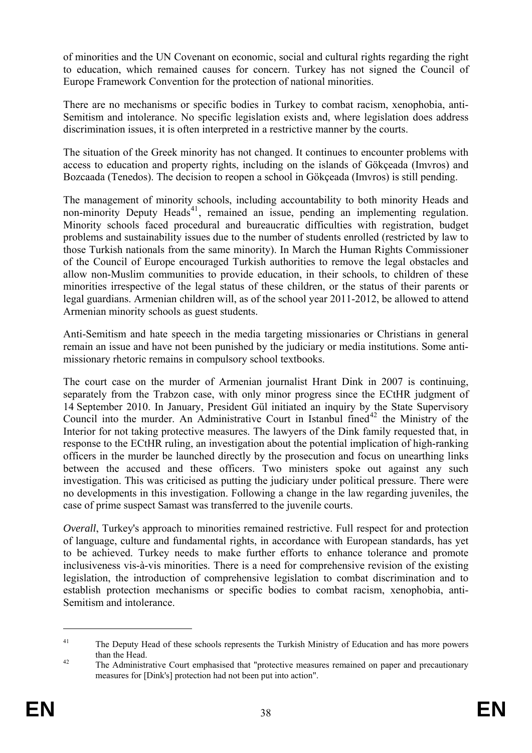of minorities and the UN Covenant on economic, social and cultural rights regarding the right to education, which remained causes for concern. Turkey has not signed the Council of Europe Framework Convention for the protection of national minorities.

discrimination issues, it is often interpreted in a restrictive manner by the courts. There are no mechanisms or specific bodies in Turkey to combat racism, xenophobia, anti-Semitism and intolerance. No specific legislation exists and, where legislation does address

The situation of the Greek minority has not changed. It continues to encounter problems with access to education and property rights, including on the islands of Gökçeada (Imvros) and Bozcaada (Tenedos). The decision to reopen a school in Gökçeada (Imvros) is still pending.

non-minority Deputy Heads<sup>41</sup>, remained an issue, pending an implementing regulation. minorities irrespective of the legal status of these children, or the status of their parents or The management of minority schools, including accountability to both minority Heads and Minority schools faced procedural and bureaucratic difficulties with registration, budget problems and sustainability issues due to the number of students enrolled (restricted by law to those Turkish nationals from the same minority). In March the Human Rights Commissioner of the Council of Europe encouraged Turkish authorities to remove the legal obstacles and allow non-Muslim communities to provide education, in their schools, to children of these legal guardians. Armenian children will, as of the school year 2011-2012, be allowed to attend Armenian minority schools as guest students.

Anti-Semitism and hate speech in the media targeting missionaries or Christians in general remain an issue and have not been punished by the judiciary or media institutions. Some antimissionary rhetoric remains in compulsory school textbooks.

case of prime suspect Samast was transferred to the juvenile courts. The court case on the murder of Armenian journalist Hrant Dink in 2007 is continuing, separately from the Trabzon case, with only minor progress since the ECtHR judgment of 14 September 2010. In January, President Gül initiated an inquiry by the State Supervisory Council into the murder. An Administrative Court in Istanbul fined<sup>[42](#page-36-0)</sup> the Ministry of the Interior for not taking protective measures. The lawyers of the Dink family requested that, in response to the ECtHR ruling, an investigation about the potential implication of high-ranking officers in the murder be launched directly by the prosecution and focus on unearthing links between the accused and these officers. Two ministers spoke out against any such investigation. This was criticised as putting the judiciary under political pressure. There were no developments in this investigation. Following a change in the law regarding juveniles, the

to be achieved. Turkey needs to make further efforts to enhance tolerance and promote inclusiveness vis-à-vis minorities. There is a need for comprehensive revision of the existing *Overall*, Turkey's approach to minorities remained restrictive. Full respect for and protection of language, culture and fundamental rights, in accordance with European standards, has yet legislation, the introduction of comprehensive legislation to combat discrimination and to establish protection mechanisms or specific bodies to combat racism, xenophobia, anti-Semitism and intolerance.

1

<sup>&</sup>lt;sup>41</sup> The Deputy Head of these schools represents the Turkish Ministry of Education and has more powers than the Head.

measures for [Dink's] protection had not been put into action". <sup>42</sup> The Administrative Court emphasised that "protective measures remained on paper and precautionary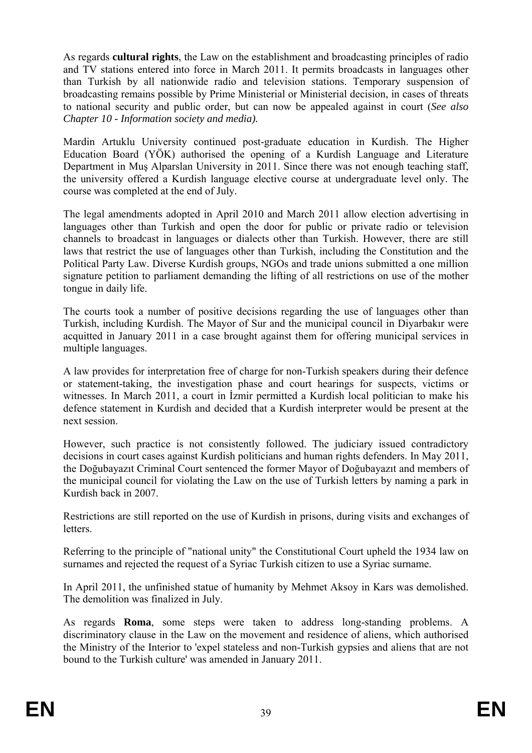As regards **cultural rights**, the Law on the establishment and broadcasting principles of radio and TV stations entered into force in March 2011. It permits broadcasts in languages other than Turkish by all nationwide radio and television stations. Temporary suspension of broadcasting remains possible by Prime Ministerial or Ministerial decision, in cases of threats to national security and public order, but can now be appealed against in court (*See also Chapter 10 - Information society and media).* 

Education Board (YÖK) authorised the opening of a Kurdish Language and Literature Mardin Artuklu University continued post-graduate education in Kurdish. The Higher Department in Muş Alparslan University in 2011. Since there was not enough teaching staff, the university offered a Kurdish language elective course at undergraduate level only. The course was completed at the end of July.

laws that restrict the use of languages other than Turkish, including the Constitution and the The legal amendments adopted in April 2010 and March 2011 allow election advertising in languages other than Turkish and open the door for public or private radio or television channels to broadcast in languages or dialects other than Turkish. However, there are still Political Party Law. Diverse Kurdish groups, NGOs and trade unions submitted a one million signature petition to parliament demanding the lifting of all restrictions on use of the mother tongue in daily life.

acquitted in January 2011 in a case brought against them for offering municipal services in The courts took a number of positive decisions regarding the use of languages other than Turkish, including Kurdish. The Mayor of Sur and the municipal council in Diyarbakır were multiple languages.

defence statement in Kurdish and decided that a Kurdish interpreter would be present at the A law provides for interpretation free of charge for non-Turkish speakers during their defence or statement-taking, the investigation phase and court hearings for suspects, victims or witnesses. In March 2011, a court in İzmir permitted a Kurdish local politician to make his next session.

However, such practice is not consistently followed. The judiciary issued contradictory decisions in court cases against Kurdish politicians and human rights defenders. In May 2011, the Doğubayazıt Criminal Court sentenced the former Mayor of Doğubayazıt and members of the municipal council for violating the Law on the use of Turkish letters by naming a park in Kurdish back in 2007.

Restrictions are still reported on the use of Kurdish in prisons, during visits and exchanges of letters.

surnames and rejected the request of a Syriac Turkish citizen to use a Syriac surname. Referring to the principle of "national unity" the Constitutional Court upheld the 1934 law on

In April 2011, the unfinished statue of humanity by Mehmet Aksoy in Kars was demolished. The demolition was finalized in July.

As regards **Roma**, some steps were taken to address long-standing problems. A discriminatory clause in the Law on the movement and residence of aliens, which authorised the Ministry of the Interior to 'expel stateless and non-Turkish gypsies and aliens that are not bound to the Turkish culture' was amended in January 2011.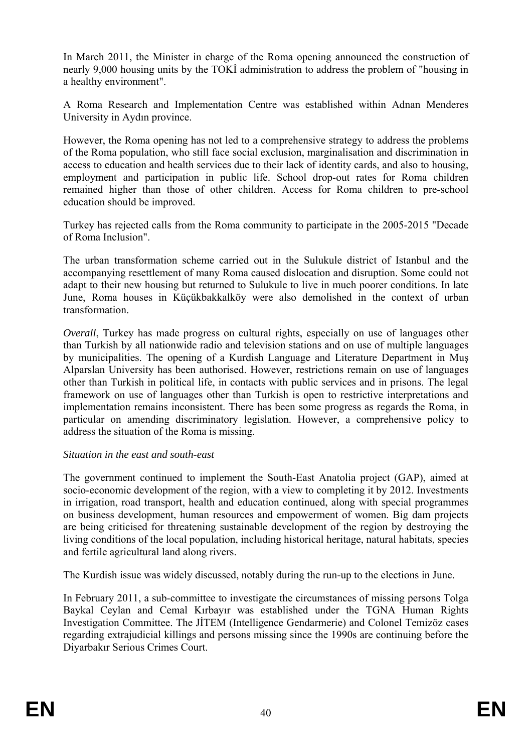a healthy environment". In March 2011, the Minister in charge of the Roma opening announced the construction of nearly 9,000 housing units by the TOKİ administration to address the problem of "housing in

A Roma Research and Implementation Centre was established within Adnan Menderes University in Aydın province.

of the Roma population, who still face social exclusion, marginalisation and discrimination in remained higher than those of other children. Access for Roma children to pre-school However, the Roma opening has not led to a comprehensive strategy to address the problems access to education and health services due to their lack of identity cards, and also to housing, employment and participation in public life. School drop-out rates for Roma children education should be improved.

Turkey has rejected calls from the Roma community to participate in the 2005-2015 "Decade of Roma Inclusion".

The urban transformation scheme carried out in the Sulukule district of Istanbul and the accompanying resettlement of many Roma caused dislocation and disruption. Some could not adapt to their new housing but returned to Sulukule to live in much poorer conditions. In late June, Roma houses in Küçükbakkalköy were also demolished in the context of urban transformation.

by municipalities. The opening of a Kurdish Language and Literature Department in Muş Alparslan University has been authorised. However, restrictions remain on use of languages framework on use of languages other than Turkish is open to restrictive interpretations and implementation remains inconsistent. There has been some progress as regards the Roma, in *Overall*, Turkey has made progress on cultural rights, especially on use of languages other than Turkish by all nationwide radio and television stations and on use of multiple languages other than Turkish in political life, in contacts with public services and in prisons. The legal particular on amending discriminatory legislation. However, a comprehensive policy to address the situation of the Roma is missing.

#### *Situation in the east and south-east*

The government continued to implement the South-East Anatolia project (GAP), aimed at socio-economic development of the region, with a view to completing it by 2012. Investments on business development, human resources and empowerment of women. Big dam projects are being criticised for threatening sustainable development of the region by destroying the in irrigation, road transport, health and education continued, along with special programmes living conditions of the local population, including historical heritage, natural habitats, species and fertile agricultural land along rivers.

The Kurdish issue was widely discussed, notably during the run-up to the elections in June.

In February 2011, a sub-committee to investigate the circumstances of missing persons Tolga Baykal Ceylan and Cemal Kırbayır was established under the TGNA Human Rights Investigation Committee. The JİTEM (Intelligence Gendarmerie) and Colonel Temizöz cases regarding extrajudicial killings and persons missing since the 1990s are continuing before the Diyarbakır Serious Crimes Court.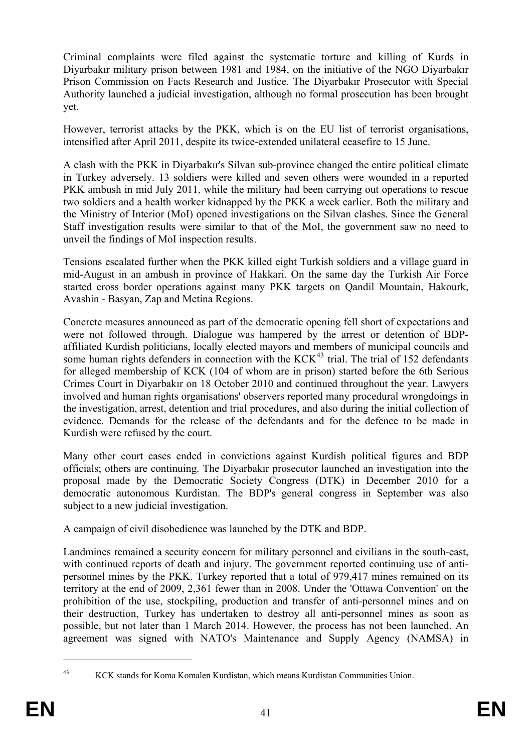Authority launched a judicial investigation, although no formal prosecution has been brought Criminal complaints were filed against the systematic torture and killing of Kurds in Diyarbakır military prison between 1981 and 1984, on the initiative of the NGO Diyarbakır Prison Commission on Facts Research and Justice. The Diyarbakır Prosecutor with Special yet.

However, terrorist attacks by the PKK, which is on the EU list of terrorist organisations, intensified after April 2011, despite its twice-extended unilateral ceasefire to 15 June.

the Ministry of Interior (MoI) opened investigations on the Silvan clashes. Since the General Staff investigation results were similar to that of the MoI, the government saw no need to unveil the findings of MoI inspection results. A clash with the PKK in Diyarbakır's Silvan sub-province changed the entire political climate in Turkey adversely. 13 soldiers were killed and seven others were wounded in a reported PKK ambush in mid July 2011, while the military had been carrying out operations to rescue two soldiers and a health worker kidnapped by the PKK a week earlier. Both the military and

Avashin - Basyan, Zap and Metina Regions. Tensions escalated further when the PKK killed eight Turkish soldiers and a village guard in mid-August in an ambush in province of Hakkari. On the same day the Turkish Air Force started cross border operations against many PKK targets on Qandil Mountain, Hakourk,

for alleged membership of KCK (104 of whom are in prison) started before the 6th Serious Crimes Court in Diyarbakır on 18 October 2010 and continued throughout the year. Lawyers the investigation, arrest, detention and trial procedures, and also during the initial collection of evidence. Demands for the release of the defendants and for the defence to be made in Concrete measures announced as part of the democratic opening fell short of expectations and were not followed through. Dialogue was hampered by the arrest or detention of BDPaffiliated Kurdish politicians, locally elected mayors and members of municipal councils and some human rights defenders in connection with the  $KCK<sup>43</sup>$  trial. The trial of 152 defendants involved and human rights organisations' observers reported many procedural wrongdoings in Kurdish were refused by the court.

Many other court cases ended in convictions against Kurdish political figures and BDP officials; others are continuing. The Diyarbakır prosecutor launched an investigation into the proposal made by the Democratic Society Congress (DTK) in December 2010 for a democratic autonomous Kurdistan. The BDP's general congress in September was also subject to a new judicial investigation.

A campaign of civil disobedience was launched by the DTK and BDP.

with continued reports of death and injury. The government reported continuing use of antipersonnel mines by the PKK. Turkey reported that a total of 979,417 mines remained on its Landmines remained a security concern for military personnel and civilians in the south-east, territory at the end of 2009, 2,361 fewer than in 2008. Under the 'Ottawa Convention' on the prohibition of the use, stockpiling, production and transfer of anti-personnel mines and on their destruction, Turkey has undertaken to destroy all anti-personnel mines as soon as possible, but not later than 1 March 2014. However, the process has not been launched. An agreement was signed with NATO's Maintenance and Supply Agency (NAMSA) in

<sup>1</sup> 

<sup>43</sup> KCK stands for Koma Komalen Kurdistan, which means Kurdistan Communities Union.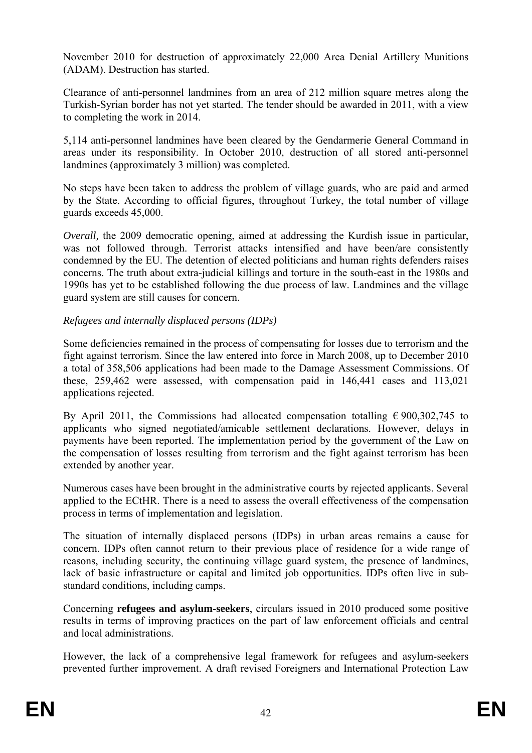November 2010 for destruction of approximately 22,000 Area Denial Artillery Munitions (ADAM). Destruction has started.

Clearance of anti-personnel landmines from an area of 212 million square metres along the Turkish-Syrian border has not yet started. The tender should be awarded in 2011, with a view to completing the work in 2014.

5,114 anti-personnel landmines have been cleared by the Gendarmerie General Command in areas under its responsibility. In October 2010, destruction of all stored anti-personnel landmines (approximately 3 million) was completed.

No steps have been taken to address the problem of village guards, who are paid and armed by the State. According to official figures, throughout Turkey, the total number of village guards exceeds 45,000.

*Overall*, the 2009 democratic opening, aimed at addressing the Kurdish issue in particular, was not followed through. Terrorist attacks intensified and have been/are consistently condemned by the EU. The detention of elected politicians and human rights defenders raises concerns. The truth about extra-judicial killings and torture in the south-east in the 1980s and 1990s has yet to be established following the due process of law. Landmines and the village guard system are still causes for concern.

#### *Refugees and internally displaced persons (IDPs)*

Some deficiencies remained in the process of compensating for losses due to terrorism and the fight against terrorism. Since the law entered into force in March 2008, up to December 2010 a total of 358,506 applications had been made to the Damage Assessment Commissions. Of these, 259,462 were assessed, with compensation paid in 146,441 cases and 113,021 applications rejected.

payments have been reported. The implementation period by the government of the Law on By April 2011, the Commissions had allocated compensation totalling  $\epsilon$  900,302,745 to applicants who signed negotiated/amicable settlement declarations. However, delays in the compensation of losses resulting from terrorism and the fight against terrorism has been extended by another year.

Numerous cases have been brought in the administrative courts by rejected applicants. Several applied to the ECtHR. There is a need to assess the overall effectiveness of the compensation process in terms of implementation and legislation.

lack of basic infrastructure or capital and limited job opportunities. IDPs often live in sub-The situation of internally displaced persons (IDPs) in urban areas remains a cause for concern. IDPs often cannot return to their previous place of residence for a wide range of reasons, including security, the continuing village guard system, the presence of landmines, standard conditions, including camps.

Concerning **refugees and asylum-seekers**, circulars issued in 2010 produced some positive results in terms of improving practices on the part of law enforcement officials and central and local administrations.

prevented further improvement. A draft revised Foreigners and International Protection Law However, the lack of a comprehensive legal framework for refugees and asylum-seekers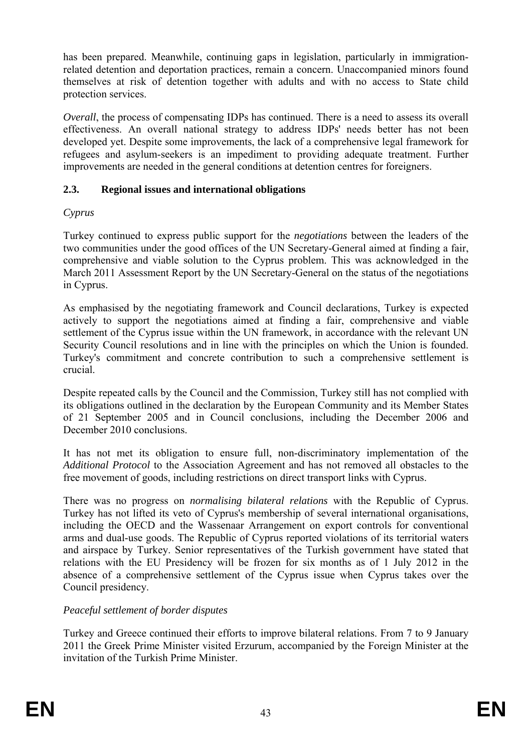has been prepared. Meanwhile, continuing gaps in legislation, particularly in immigrationrelated detention and deportation practices, remain a concern. Unaccompanied minors found themselves at risk of detention together with adults and with no access to State child protection services.

*Overall*, the process of compensating IDPs has continued. There is a need to assess its overall effectiveness. An overall national strategy to address IDPs' needs better has not been developed yet. Despite some improvements, the lack of a comprehensive legal framework for refugees and asylum-seekers is an impediment to providing adequate treatment. Further improvements are needed in the general conditions at detention centres for foreigners.

#### **2.3. Regional issues and international obligations**

### *Cyprus*

Turkey continued to express public support for the *negotiations* between the leaders of the two communities under the good offices of the UN Secretary-General aimed at finding a fair, comprehensive and viable solution to the Cyprus problem. This was acknowledged in the March 2011 Assessment Report by the UN Secretary-General on the status of the negotiations in Cyprus.

As emphasised by the negotiating framework and Council declarations, Turkey is expected actively to support the negotiations aimed at finding a fair, comprehensive and viable settlement of the Cyprus issue within the UN framework, in accordance with the relevant UN Security Council resolutions and in line with the principles on which the Union is founded. Turkey's commitment and concrete contribution to such a comprehensive settlement is crucial.

Despite repeated calls by the Council and the Commission, Turkey still has not complied with its obligations outlined in the declaration by the European Community and its Member States of 21 September 2005 and in Council conclusions, including the December 2006 and December 2010 conclusions.

It has not met its obligation to ensure full, non-discriminatory implementation of the Additional Protocol to the Association Agreement and has not removed all obstacles to the free movement of goods, including restrictions on direct transport links with Cyprus.

relations with the EU Presidency will be frozen for six months as of 1 July 2012 in the There was no progress on *normalising bilateral relations* with the Republic of Cyprus. Turkey has not lifted its veto of Cyprus's membership of several international organisations, including the OECD and the Wassenaar Arrangement on export controls for conventional arms and dual-use goods. The Republic of Cyprus reported violations of its territorial waters and airspace by Turkey. Senior representatives of the Turkish government have stated that absence of a comprehensive settlement of the Cyprus issue when Cyprus takes over the Council presidency.

# *Peaceful settlement of border disputes*

2011 the Greek Prime Minister visited Erzurum, accompanied by the Foreign Minister at the Turkey and Greece continued their efforts to improve bilateral relations. From 7 to 9 January invitation of the Turkish Prime Minister.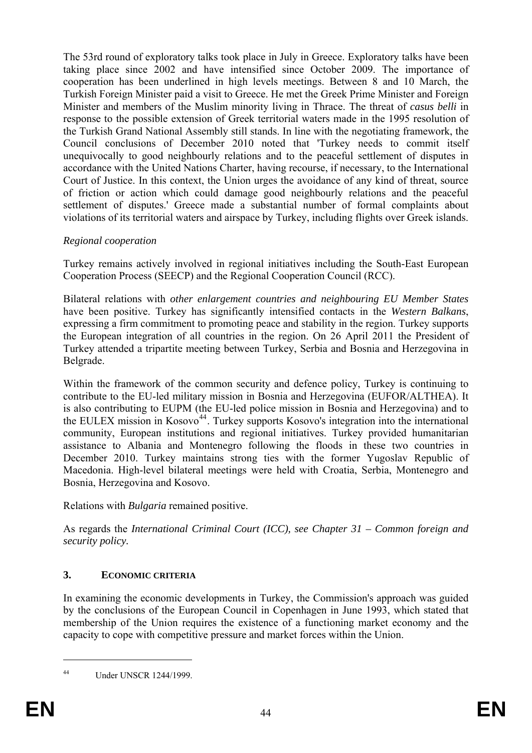cooperation has been underlined in high levels meetings. Between 8 and 10 March, the response to the possible extension of Greek territorial waters made in the 1995 resolution of the Turkish Grand National Assembly still stands. In line with the negotiating framework, the The 53rd round of exploratory talks took place in July in Greece. Exploratory talks have been taking place since 2002 and have intensified since October 2009. The importance of Turkish Foreign Minister paid a visit to Greece. He met the Greek Prime Minister and Foreign Minister and members of the Muslim minority living in Thrace. The threat of *casus belli* in Council conclusions of December 2010 noted that 'Turkey needs to commit itself unequivocally to good neighbourly relations and to the peaceful settlement of disputes in accordance with the United Nations Charter, having recourse, if necessary, to the International Court of Justice. In this context, the Union urges the avoidance of any kind of threat, source of friction or action which could damage good neighbourly relations and the peaceful settlement of disputes.' Greece made a substantial number of formal complaints about violations of its territorial waters and airspace by Turkey, including flights over Greek islands.

# *Regional cooperation*

Turkey remains actively involved in regional initiatives including the South-East European Cooperation Process (SEECP) and the Regional Cooperation Council (RCC).

Bilateral relations with *other enlargement countries and neighbouring EU Member States* have been positive. Turkey has significantly intensified contacts in the *Western Balkans*, expressing a firm commitment to promoting peace and stability in the region. Turkey supports the European integration of all countries in the region. On 26 April 2011 the President of Turkey attended a tripartite meeting between Turkey, Serbia and Bosnia and Herzegovina in Belgrade.

Within the framework of the common security and defence policy, Turkey is continuing to contribute to the EU-led military mission in Bosnia and Herzegovina (EUFOR/ALTHEA). It is also contributing to EUPM (the EU-led police mission in Bosnia and Herzegovina) and to the EULEX mission in Kosovo<sup>44</sup>. Turkey supports Kosovo's integration into the international community, European institutions and regional initiatives. Turkey provided humanitarian assistance to Albania and Montenegro following the floods in these two countries in December 2010. Turkey maintains strong ties with the former Yugoslav Republic of Macedonia. High-level bilateral meetings were held with Croatia, Serbia, Montenegro and Bosnia, Herzegovina and Kosovo.

Relations with *Bulgaria* remained positive.

As regards the *International Criminal Court (ICC), see Chapter 31 – Common foreign and security policy.* 

# **3. ECONOMIC CRITERIA**

capacity to cope with competitive pressure and market forces within the Union. In examining the economic developments in Turkey, the Commission's approach was guided by the conclusions of the European Council in Copenhagen in June 1993, which stated that membership of the Union requires the existence of a functioning market economy and the

1

<sup>44</sup> Under UNSCR 1244/1999.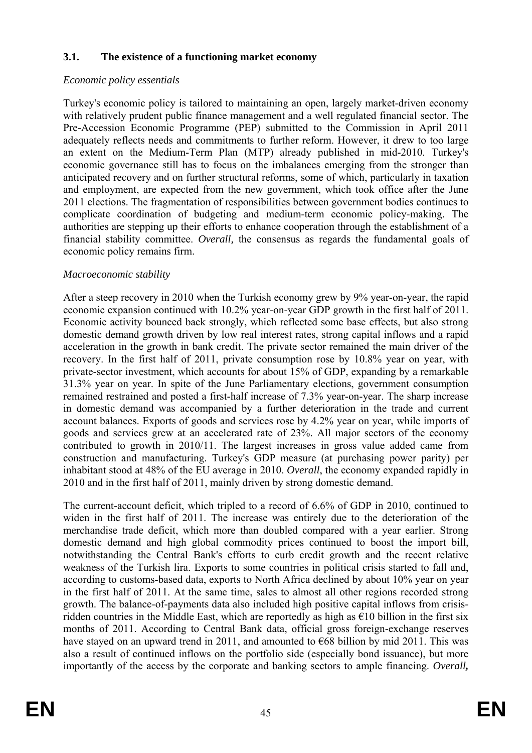#### **3.1. The existence of a functioning market economy**

#### *Economic policy essentials*

adequately reflects needs and commitments to further reform. However, it drew to too large an extent on the Medium-Term Plan (MTP) already published in mid-2010. Turkey's economic governance still has to focus on the imbalances emerging from the stronger than 2011 elections. The fragmentation of responsibilities between government bodies continues to complicate coordination of budgeting and medium-term economic policy-making. The authorities are stepping up their efforts to enhance cooperation through the establishment of a financial stability committee. *Overall,* the consensus as regards the fundamental goals of Turkey's economic policy is tailored to maintaining an open, largely market-driven economy with relatively prudent public finance management and a well regulated financial sector. The Pre-Accession Economic Programme (PEP) submitted to the Commission in April 2011 anticipated recovery and on further structural reforms, some of which, particularly in taxation and employment, are expected from the new government, which took office after the June economic policy remains firm.

#### *Macroeconomic stability*

After a steep recovery in 2010 when the Turkish economy grew by 9% year-on-year, the rapid economic expansion continued with 10.2% year-on-year GDP growth in the first half of 2011. Economic activity bounced back strongly, which reflected some base effects, but also strong domestic demand growth driven by low real interest rates, strong capital inflows and a rapid acceleration in the growth in bank credit. The private sector remained the main driver of the recovery. In the first half of 2011, private consumption rose by 10.8% year on year, with private-sector investment, which accounts for about 15% of GDP, expanding by a remarkable 31.3% year on year. In spite of the June Parliamentary elections, government consumption remained restrained and posted a first-half increase of 7.3% year-on-year. The sharp increase in domestic demand was accompanied by a further deterioration in the trade and current account balances. Exports of goods and services rose by 4.2% year on year, while imports of goods and services grew at an accelerated rate of 23%. All major sectors of the economy contributed to growth in 2010/11. The largest increases in gross value added came from construction and manufacturing. Turkey's GDP measure (at purchasing power parity) per inhabitant stood at 48% of the EU average in 2010. *Overall*, the economy expanded rapidly in 2010 and in the first half of 2011, mainly driven by strong domestic demand.

The current-account deficit, which tripled to a record of 6.6% of GDP in 2010, continued to widen in the first half of 2011. The increase was entirely due to the deterioration of the merchandise trade deficit, which more than doubled compared with a year earlier. Strong also a result of continued inflows on the portfolio side (especially bond issuance), but more importantly of the access by the corporate and banking sectors to ample financing. *Overall,* domestic demand and high global commodity prices continued to boost the import bill, notwithstanding the Central Bank's efforts to curb credit growth and the recent relative weakness of the Turkish lira. Exports to some countries in political crisis started to fall and, according to customs-based data, exports to North Africa declined by about 10% year on year in the first half of 2011. At the same time, sales to almost all other regions recorded strong growth. The balance-of-payments data also included high positive capital inflows from crisisridden countries in the Middle East, which are reportedly as high as  $\epsilon$ 10 billion in the first six months of 2011. According to Central Bank data, official gross foreign-exchange reserves have stayed on an upward trend in 2011, and amounted to  $\epsilon$ 68 billion by mid 2011. This was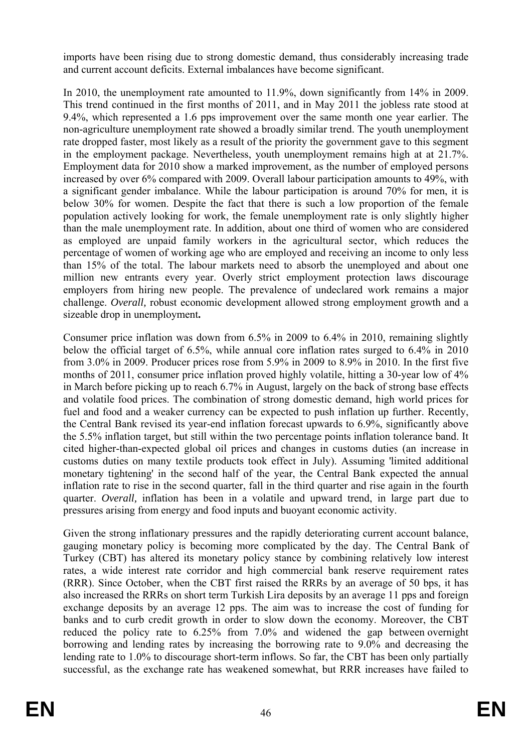imports have been rising due to strong domestic demand, thus considerably increasing trade and current account deficits. External imbalances have become significant.

in the employment package. Nevertheless, youth unemployment remains high at at 21.7%. In 2010, the unemployment rate amounted to 11.9%, down significantly from 14% in 2009. This trend continued in the first months of 2011, and in May 2011 the jobless rate stood at 9.4%, which represented a 1.6 pps improvement over the same month one year earlier. The non-agriculture unemployment rate showed a broadly similar trend. The youth unemployment rate dropped faster, most likely as a result of the priority the government gave to this segment Employment data for 2010 show a marked improvement, as the number of employed persons increased by over 6% compared with 2009. Overall labour participation amounts to 49%, with a significant gender imbalance. While the labour participation is around 70% for men, it is below 30% for women. Despite the fact that there is such a low proportion of the female population actively looking for work, the female unemployment rate is only slightly higher than the male unemployment rate. In addition, about one third of women who are considered as employed are unpaid family workers in the agricultural sector, which reduces the percentage of women of working age who are employed and receiving an income to only less than 15% of the total. The labour markets need to absorb the unemployed and about one million new entrants every year. Overly strict employment protection laws discourage employers from hiring new people. The prevalence of undeclared work remains a major challenge. *Overall,* robust economic development allowed strong employment growth and a sizeable drop in unemployment**.**

from 3.0% in 2009. Producer prices rose from 5.9% in 2009 to 8.9% in 2010. In the first five Consumer price inflation was down from 6.5% in 2009 to 6.4% in 2010, remaining slightly below the official target of 6.5%, while annual core inflation rates surged to 6.4% in 2010 months of 2011, consumer price inflation proved highly volatile, hitting a 30-year low of 4% in March before picking up to reach 6.7% in August, largely on the back of strong base effects and volatile food prices. The combination of strong domestic demand, high world prices for fuel and food and a weaker currency can be expected to push inflation up further. Recently, the Central Bank revised its year-end inflation forecast upwards to 6.9%, significantly above the 5.5% inflation target, but still within the two percentage points inflation tolerance band. It cited higher-than-expected global oil prices and changes in customs duties (an increase in customs duties on many textile products took effect in July). Assuming 'limited additional monetary tightening' in the second half of the year, the Central Bank expected the annual inflation rate to rise in the second quarter, fall in the third quarter and rise again in the fourth quarter. *Overall,* inflation has been in a volatile and upward trend, in large part due to pressures arising from energy and food inputs and buoyant economic activity.

exchange deposits by an average 12 pps. The aim was to increase the cost of funding for Given the strong inflationary pressures and the rapidly deteriorating current account balance, gauging monetary policy is becoming more complicated by the day. The Central Bank of Turkey (CBT) has altered its monetary policy stance by combining relatively low interest rates, a wide interest rate corridor and high commercial bank reserve requirement rates (RRR). Since October, when the CBT first raised the RRRs by an average of 50 bps, it has also increased the RRRs on short term Turkish Lira deposits by an average 11 pps and foreign banks and to curb credit growth in order to slow down the economy. Moreover, the CBT reduced the policy rate to 6.25% from 7.0% and widened the gap between overnight borrowing and lending rates by increasing the borrowing rate to 9.0% and decreasing the lending rate to 1.0% to discourage short-term inflows. So far, the CBT has been only partially successful, as the exchange rate has weakened somewhat, but RRR increases have failed to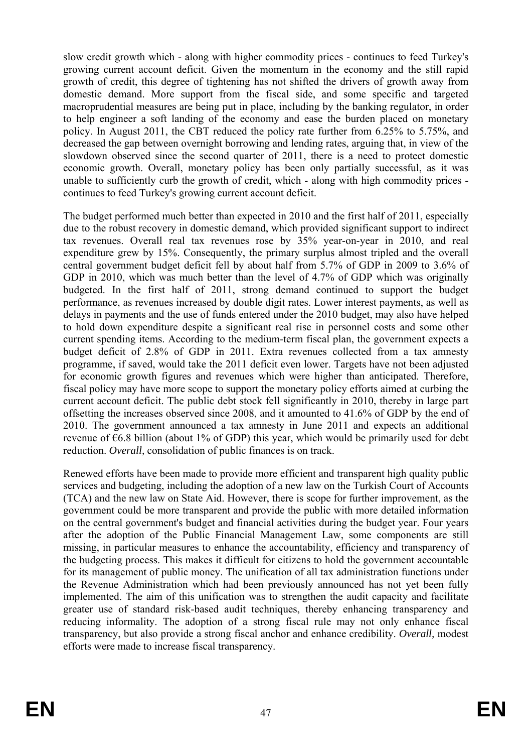slow credit growth which - along with higher commodity prices - continues to feed Turkey's growing current account deficit. Given the momentum in the economy and the still rapid growth of credit, this degree of tightening has not shifted the drivers of growth away from domestic demand. More support from the fiscal side, and some specific and targeted macroprudential measures are being put in place, including by the banking regulator, in order to help engineer a soft landing of the economy and ease the burden placed on monetary policy. In August 2011, the CBT reduced the policy rate further from 6.25% to 5.75%, and decreased the gap between overnight borrowing and lending rates, arguing that, in view of the slowdown observed since the second quarter of 2011, there is a need to protect domestic economic growth. Overall, monetary policy has been only partially successful, as it was unable to sufficiently curb the growth of credit, which - along with high commodity prices continues to feed Turkey's growing current account deficit.

The budget performed much better than expected in 2010 and the first half of 2011, especially due to the robust recovery in domestic demand, which provided significant support to indirect tax revenues. Overall real tax revenues rose by 35% year-on-year in 2010, and real expenditure grew by 15%. Consequently, the primary surplus almost tripled and the overall central government budget deficit fell by about half from 5.7% of GDP in 2009 to 3.6% of GDP in 2010, which was much better than the level of 4.7% of GDP which was originally budgeted. In the first half of 2011, strong demand continued to support the budget performance, as revenues increased by double digit rates. Lower interest payments, as well as delays in payments and the use of funds entered under the 2010 budget, may also have helped to hold down expenditure despite a significant real rise in personnel costs and some other current spending items. According to the medium-term fiscal plan, the government expects a budget deficit of 2.8% of GDP in 2011. Extra revenues collected from a tax amnesty programme, if saved, would take the 2011 deficit even lower. Targets have not been adjusted for economic growth figures and revenues which were higher than anticipated. Therefore, fiscal policy may have more scope to support the monetary policy efforts aimed at curbing the current account deficit. The public debt stock fell significantly in 2010, thereby in large part offsetting the increases observed since 2008, and it amounted to 41.6% of GDP by the end of 2010. The government announced a tax amnesty in June 2011 and expects an additional revenue of  $66.8$  billion (about 1% of GDP) this year, which would be primarily used for debt reduction. *Overall,* consolidation of public finances is on track.

services and budgeting, including the adoption of a new law on the Turkish Court of Accounts Renewed efforts have been made to provide more efficient and transparent high quality public (TCA) and the new law on State Aid. However, there is scope for further improvement, as the government could be more transparent and provide the public with more detailed information on the central government's budget and financial activities during the budget year. Four years after the adoption of the Public Financial Management Law, some components are still missing, in particular measures to enhance the accountability, efficiency and transparency of the budgeting process. This makes it difficult for citizens to hold the government accountable for its management of public money. The unification of all tax administration functions under the Revenue Administration which had been previously announced has not yet been fully implemented. The aim of this unification was to strengthen the audit capacity and facilitate greater use of standard risk-based audit techniques, thereby enhancing transparency and reducing informality. The adoption of a strong fiscal rule may not only enhance fiscal transparency, but also provide a strong fiscal anchor and enhance credibility. *Overall,* modest efforts were made to increase fiscal transparency.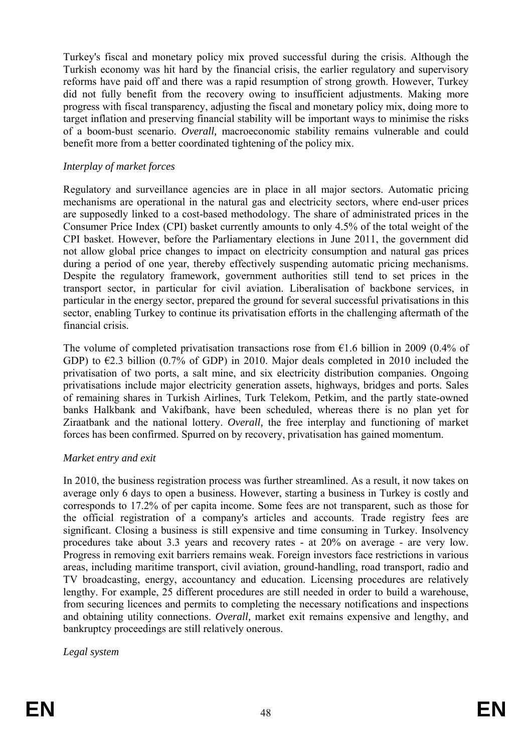of a boom-bust scenario. Overall, macroeconomic stability remains vulnerable and could Turkey's fiscal and monetary policy mix proved successful during the crisis. Although the Turkish economy was hit hard by the financial crisis, the earlier regulatory and supervisory reforms have paid off and there was a rapid resumption of strong growth. However, Turkey did not fully benefit from the recovery owing to insufficient adjustments. Making more progress with fiscal transparency, adjusting the fiscal and monetary policy mix, doing more to target inflation and preserving financial stability will be important ways to minimise the risks benefit more from a better coordinated tightening of the policy mix.

#### *Interplay of market forces*

Regulatory and surveillance agencies are in place in all major sectors. Automatic pricing mechanisms are operational in the natural gas and electricity sectors, where end-user prices are supposedly linked to a cost-based methodology. The share of administrated prices in the Consumer Price Index (CPI) basket currently amounts to only 4.5% of the total weight of the CPI basket. However, before the Parliamentary elections in June 2011, the government did not allow global price changes to impact on electricity consumption and natural gas prices during a period of one year, thereby effectively suspending automatic pricing mechanisms. Despite the regulatory framework, government authorities still tend to set prices in the transport sector, in particular for civil aviation. Liberalisation of backbone services, in particular in the energy sector, prepared the ground for several successful privatisations in this sector, enabling Turkey to continue its privatisation efforts in the challenging aftermath of the financial crisis.

forces has been confirmed. Spurred on by recovery, privatisation has gained momentum. The volume of completed privatisation transactions rose from  $\epsilon$ 1.6 billion in 2009 (0.4% of GDP) to  $\epsilon$ 2.3 billion (0.7% of GDP) in 2010. Major deals completed in 2010 included the privatisation of two ports, a salt mine, and six electricity distribution companies. Ongoing privatisations include major electricity generation assets, highways, bridges and ports. Sales of remaining shares in Turkish Airlines, Turk Telekom, Petkim, and the partly state-owned banks Halkbank and Vakifbank, have been scheduled, whereas there is no plan yet for Ziraatbank and the national lottery. *Overall,* the free interplay and functioning of market

#### *Market entry and exit*

and obtaining utility connections. *Overall*, market exit remains expensive and lengthy, and In 2010, the business registration process was further streamlined. As a result, it now takes on average only 6 days to open a business. However, starting a business in Turkey is costly and corresponds to 17.2% of per capita income. Some fees are not transparent, such as those for the official registration of a company's articles and accounts. Trade registry fees are significant. Closing a business is still expensive and time consuming in Turkey. Insolvency procedures take about 3.3 years and recovery rates - at 20% on average - are very low. Progress in removing exit barriers remains weak. Foreign investors face restrictions in various areas, including maritime transport, civil aviation, ground-handling, road transport, radio and TV broadcasting, energy, accountancy and education. Licensing procedures are relatively lengthy. For example, 25 different procedures are still needed in order to build a warehouse, from securing licences and permits to completing the necessary notifications and inspections bankruptcy proceedings are still relatively onerous.

*Legal system*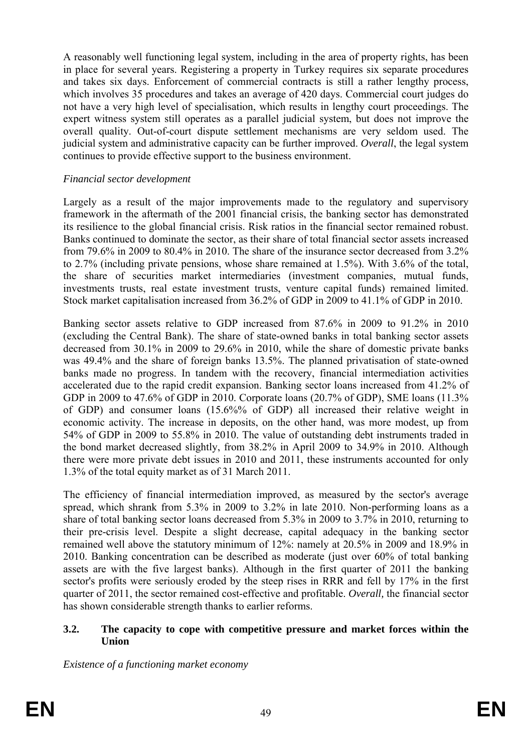expert witness system still operates as a parallel judicial system, but does not improve the overall quality. Out-of-court dispute settlement mechanisms are very seldom used. The A reasonably well functioning legal system, including in the area of property rights, has been in place for several years. Registering a property in Turkey requires six separate procedures and takes six days. Enforcement of commercial contracts is still a rather lengthy process, which involves 35 procedures and takes an average of 420 days. Commercial court judges do not have a very high level of specialisation, which results in lengthy court proceedings. The judicial system and administrative capacity can be further improved. *Overall*, the legal system continues to provide effective support to the business environment.

#### *Financial sector development*

Stock market capitalisation increased from 36.2% of GDP in 2009 to 41.1% of GDP in 2010. Largely as a result of the major improvements made to the regulatory and supervisory framework in the aftermath of the 2001 financial crisis, the banking sector has demonstrated its resilience to the global financial crisis. Risk ratios in the financial sector remained robust. Banks continued to dominate the sector, as their share of total financial sector assets increased from 79.6% in 2009 to 80.4% in 2010. The share of the insurance sector decreased from 3.2% to 2.7% (including private pensions, whose share remained at 1.5%). With 3.6% of the total, the share of securities market intermediaries (investment companies, mutual funds, investments trusts, real estate investment trusts, venture capital funds) remained limited.

Banking sector assets relative to GDP increased from 87.6% in 2009 to 91.2% in 2010 54% of GDP in 2009 to 55.8% in 2010. The value of outstanding debt instruments traded in the bond market decreased slightly, from 38.2% in April 2009 to 34.9% in 2010. Although there were more private debt issues in 2010 and 2011, these instruments accounted for only 1.3% of the total equity market as of 31 March 2011. (excluding the Central Bank). The share of state-owned banks in total banking sector assets decreased from 30.1% in 2009 to 29.6% in 2010, while the share of domestic private banks was 49.4% and the share of foreign banks 13.5%. The planned privatisation of state-owned banks made no progress. In tandem with the recovery, financial intermediation activities accelerated due to the rapid credit expansion. Banking sector loans increased from 41.2% of GDP in 2009 to 47.6% of GDP in 2010. Corporate loans (20.7% of GDP), SME loans (11.3% of GDP) and consumer loans (15.6%% of GDP) all increased their relative weight in economic activity. The increase in deposits, on the other hand, was more modest, up from

quarter of 2011, the sector remained cost-effective and profitable. *Overall,* the financial sector The efficiency of financial intermediation improved, as measured by the sector's average spread, which shrank from 5.3% in 2009 to 3.2% in late 2010. Non-performing loans as a share of total banking sector loans decreased from 5.3% in 2009 to 3.7% in 2010, returning to their pre-crisis level. Despite a slight decrease, capital adequacy in the banking sector remained well above the statutory minimum of 12%: namely at 20.5% in 2009 and 18.9% in 2010. Banking concentration can be described as moderate (just over 60% of total banking assets are with the five largest banks). Although in the first quarter of 2011 the banking sector's profits were seriously eroded by the steep rises in RRR and fell by 17% in the first has shown considerable strength thanks to earlier reforms.

#### **3.2. The capacity to cope with competitive pressure and market forces within the Union**

*Existence of a functioning market economy*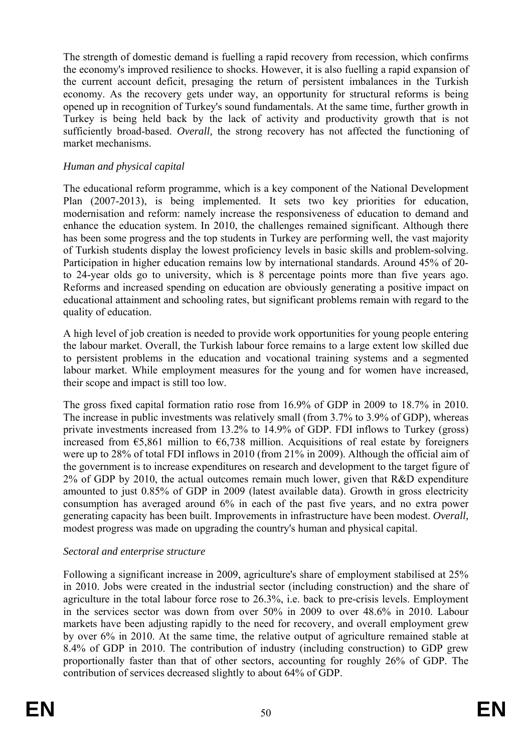The strength of domestic demand is fuelling a rapid recovery from recession, which confirms the economy's improved resilience to shocks. However, it is also fuelling a rapid expansion of the current account deficit, presaging the return of persistent imbalances in the Turkish economy. As the recovery gets under way, an opportunity for structural reforms is being opened up in recognition of Turkey's sound fundamentals. At the same time, further growth in Turkey is being held back by the lack of activity and productivity growth that is not sufficiently broad-based. *Overall,* the strong recovery has not affected the functioning of market mechanisms.

### *Human and physical capital*

to 24-year olds go to university, which is 8 percentage points more than five years ago. The educational reform programme, which is a key component of the National Development Plan (2007-2013), is being implemented. It sets two key priorities for education, modernisation and reform: namely increase the responsiveness of education to demand and enhance the education system. In 2010, the challenges remained significant. Although there has been some progress and the top students in Turkey are performing well, the vast majority of Turkish students display the lowest proficiency levels in basic skills and problem-solving. Participation in higher education remains low by international standards. Around 45% of 20- Reforms and increased spending on education are obviously generating a positive impact on educational attainment and schooling rates, but significant problems remain with regard to the quality of education.

A high level of job creation is needed to provide work opportunities for young people entering the labour market. Overall, the Turkish labour force remains to a large extent low skilled due to persistent problems in the education and vocational training systems and a segmented labour market. While employment measures for the young and for women have increased, their scope and impact is still too low.

increased from  $\epsilon$ 5,861 million to  $\epsilon$ 6,738 million. Acquisitions of real estate by foreigners were up to  $28\%$  of total FDI inflows in 2010 (from  $21\%$  in 2009). Although the official aim of the government is to increase expenditures on research and development to the target figure of The gross fixed capital formation ratio rose from 16.9% of GDP in 2009 to 18.7% in 2010. The increase in public investments was relatively small (from 3.7% to 3.9% of GDP), whereas private investments increased from 13.2% to 14.9% of GDP. FDI inflows to Turkey (gross) 2% of GDP by 2010, the actual outcomes remain much lower, given that R&D expenditure amounted to just 0.85% of GDP in 2009 (latest available data). Growth in gross electricity consumption has averaged around 6% in each of the past five years, and no extra power generating capacity has been built. Improvements in infrastructure have been modest. *Overall,*  modest progress was made on upgrading the country's human and physical capital.

#### *Sectoral and enterprise structure*

in the services sector was down from over  $50\%$  in 2009 to over  $48.6\%$  in 2010. Labour contribution of services decreased slightly to about 64% of GDP. Following a significant increase in 2009, agriculture's share of employment stabilised at 25% in 2010. Jobs were created in the industrial sector (including construction) and the share of agriculture in the total labour force rose to 26.3%, i.e. back to pre-crisis levels. Employment markets have been adjusting rapidly to the need for recovery, and overall employment grew by over 6% in 2010. At the same time, the relative output of agriculture remained stable at 8.4% of GDP in 2010. The contribution of industry (including construction) to GDP grew proportionally faster than that of other sectors, accounting for roughly 26% of GDP. The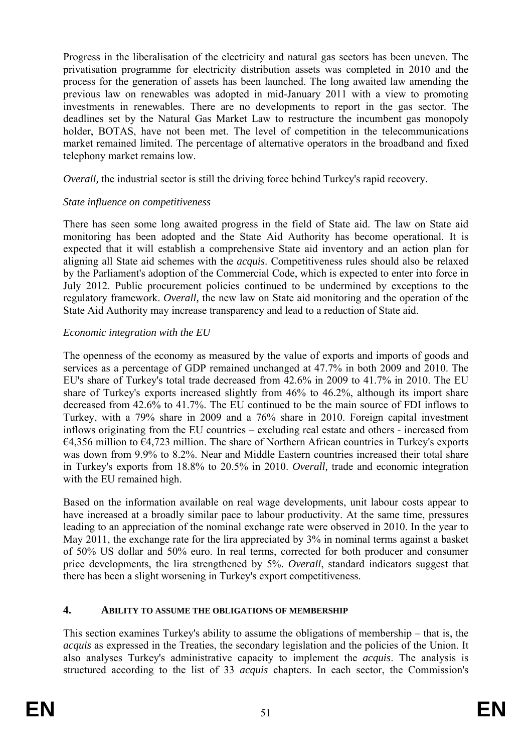process for the generation of assets has been launched. The long awaited law amending the Progress in the liberalisation of the electricity and natural gas sectors has been uneven. The privatisation programme for electricity distribution assets was completed in 2010 and the previous law on renewables was adopted in mid-January 2011 with a view to promoting investments in renewables. There are no developments to report in the gas sector. The deadlines set by the Natural Gas Market Law to restructure the incumbent gas monopoly holder, BOTAS, have not been met. The level of competition in the telecommunications market remained limited. The percentage of alternative operators in the broadband and fixed telephony market remains low.

*Overall,* the industrial sector is still the driving force behind Turkey's rapid recovery.

### *State influence on competitiveness*

There has seen some long awaited progress in the field of State aid. The law on State aid monitoring has been adopted and the State Aid Authority has become operational. It is expected that it will establish a comprehensive State aid inventory and an action plan for aligning all State aid schemes with the *acquis*. Competitiveness rules should also be relaxed by the Parliament's adoption of the Commercial Code, which is expected to enter into force in July 2012. Public procurement policies continued to be undermined by exceptions to the regulatory framework. *Overall,* the new law on State aid monitoring and the operation of the State Aid Authority may increase transparency and lead to a reduction of State aid.

# *Economic integration with the EU*

services as a percentage of GDP remained unchanged at 47.7% in both 2009 and 2010. The The openness of the economy as measured by the value of exports and imports of goods and EU's share of Turkey's total trade decreased from 42.6% in 2009 to 41.7% in 2010. The EU share of Turkey's exports increased slightly from 46% to 46.2%, although its import share decreased from 42.6% to 41.7%. The EU continued to be the main source of FDI inflows to Turkey, with a 79% share in 2009 and a 76% share in 2010. Foreign capital investment inflows originating from the EU countries – excluding real estate and others - increased from  $\epsilon$ 4,356 million to  $\epsilon$ 4,723 million. The share of Northern African countries in Turkey's exports was down from 9.9% to 8.2%. Near and Middle Eastern countries increased their total share in Turkey's exports from 18.8% to 20.5% in 2010. *Overall,* trade and economic integration with the EU remained high.

Based on the information available on real wage developments, unit labour costs appear to have increased at a broadly similar pace to labour productivity. At the same time, pressures leading to an appreciation of the nominal exchange rate were observed in 2010. In the year to May 2011, the exchange rate for the lira appreciated by  $3\%$  in nominal terms against a basket of 50% US dollar and 50% euro. In real terms, corrected for both producer and consumer price developments, the lira strengthened by 5%. *Overall*, standard indicators suggest that there has been a slight worsening in Turkey's export competitiveness.

# **4. ABILITY TO ASSUME THE OBLIGATIONS OF MEMBERSHIP**

*acquis* as expressed in the Treaties, the secondary legislation and the policies of the Union. It also analyses Turkey's administrative capacity to implement the *acquis*. The analysis is structured according to the list of 33 *acquis* chapters. In each sector, the Commission's This section examines Turkey's ability to assume the obligations of membership – that is, the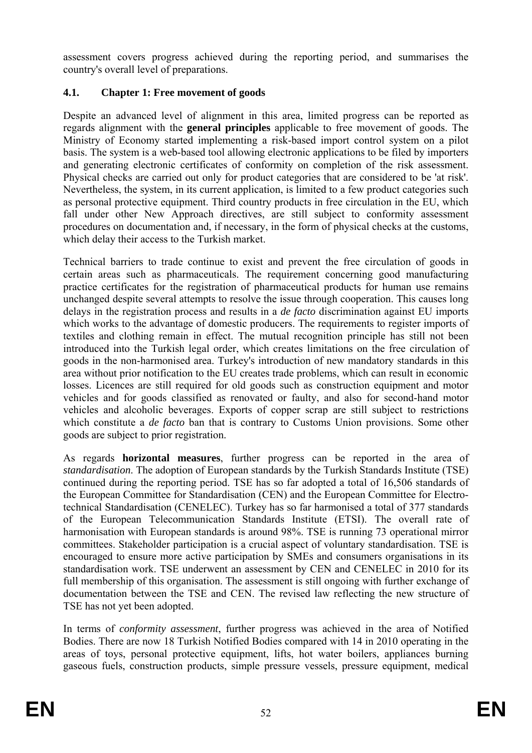assessment covers progress achieved during the reporting period, and summarises the country's overall level of preparations.

# **4.1. Chapter 1: Free movement of goods**

Nevertheless, the system, in its current application, is limited to a few product categories such Despite an advanced level of alignment in this area, limited progress can be reported as regards alignment with the **general principles** applicable to free movement of goods. The Ministry of Economy started implementing a risk-based import control system on a pilot basis. The system is a web-based tool allowing electronic applications to be filed by importers and generating electronic certificates of conformity on completion of the risk assessment. Physical checks are carried out only for product categories that are considered to be 'at risk'. as personal protective equipment. Third country products in free circulation in the EU, which fall under other New Approach directives, are still subject to conformity assessment procedures on documentation and, if necessary, in the form of physical checks at the customs, which delay their access to the Turkish market.

practice certificates for the registration of pharmaceutical products for human use remains unchanged despite several attempts to resolve the issue through cooperation. This causes long delays in the registration process and results in a *de facto* discrimination against EU imports which works to the advantage of domestic producers. The requirements to register imports of vehicles and for goods classified as renovated or faulty, and also for second-hand motor vehicles and alcoholic beverages. Exports of copper scrap are still subject to restrictions which constitute a *de facto* ban that is contrary to Customs Union provisions. Some other goods are subject to prior registration. Technical barriers to trade continue to exist and prevent the free circulation of goods in certain areas such as pharmaceuticals. The requirement concerning good manufacturing textiles and clothing remain in effect. The mutual recognition principle has still not been introduced into the Turkish legal order, which creates limitations on the free circulation of goods in the non-harmonised area. Turkey's introduction of new mandatory standards in this area without prior notification to the EU creates trade problems, which can result in economic losses. Licences are still required for old goods such as construction equipment and motor

standardisation work. TSE underwent an assessment by CEN and CENELEC in 2010 for its full membership of this organisation. The assessment is still ongoing with further exchange of As regards **horizontal measures**, further progress can be reported in the area of *standardisation*. The adoption of European standards by the Turkish Standards Institute (TSE) continued during the reporting period. TSE has so far adopted a total of 16,506 standards of the European Committee for Standardisation (CEN) and the European Committee for Electrotechnical Standardisation (CENELEC). Turkey has so far harmonised a total of 377 standards of the European Telecommunication Standards Institute (ETSI). The overall rate of harmonisation with European standards is around 98%. TSE is running 73 operational mirror committees. Stakeholder participation is a crucial aspect of voluntary standardisation. TSE is encouraged to ensure more active participation by SMEs and consumers organisations in its documentation between the TSE and CEN. The revised law reflecting the new structure of TSE has not yet been adopted.

In terms of *conformity assessment*, further progress was achieved in the area of Notified Bodies. There are now 18 Turkish Notified Bodies compared with 14 in 2010 operating in the areas of toys, personal protective equipment, lifts, hot water boilers, appliances burning gaseous fuels, construction products, simple pressure vessels, pressure equipment, medical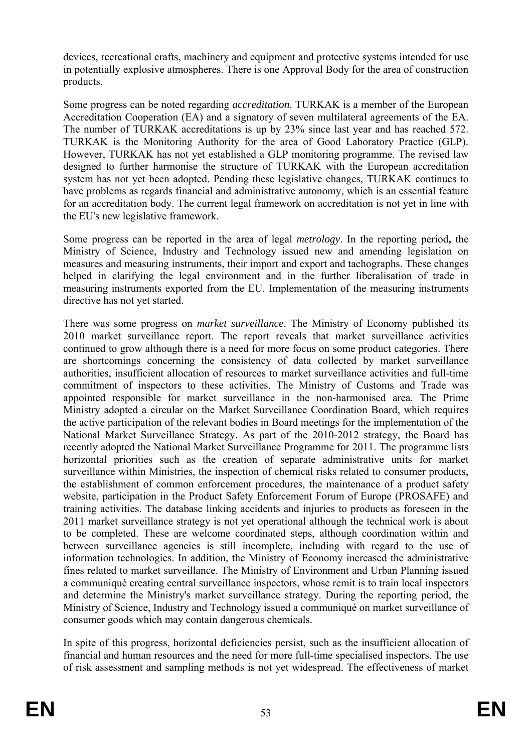devices, recreational crafts, machinery and equipment and protective systems intended for use in potentially explosive atmospheres. There is one Approval Body for the area of construction products.

However, TURKAK has not yet established a GLP monitoring programme. The revised law Some progress can be noted regarding *accreditation*. TURKAK is a member of the European Accreditation Cooperation (EA) and a signatory of seven multilateral agreements of the EA. The number of TURKAK accreditations is up by 23% since last year and has reached 572. TURKAK is the Monitoring Authority for the area of Good Laboratory Practice (GLP). designed to further harmonise the structure of TURKAK with the European accreditation system has not yet been adopted. Pending these legislative changes, TURKAK continues to have problems as regards financial and administrative autonomy, which is an essential feature for an accreditation body. The current legal framework on accreditation is not yet in line with the EU's new legislative framework.

Some progress can be reported in the area of legal *metrology*. In the reporting period**,** the Ministry of Science, Industry and Technology issued new and amending legislation on measures and measuring instruments, their import and export and tachographs. These changes helped in clarifying the legal environment and in the further liberalisation of trade in measuring instruments exported from the EU. Implementation of the measuring instruments directive has not yet started.

There was some progress on *market surveillance*. The Ministry of Economy published its the active participation of the relevant bodies in Board meetings for the implementation of the information technologies. In addition, the Ministry of Economy increased the administrative 2010 market surveillance report. The report reveals that market surveillance activities continued to grow although there is a need for more focus on some product categories. There are shortcomings concerning the consistency of data collected by market surveillance authorities, insufficient allocation of resources to market surveillance activities and full-time commitment of inspectors to these activities. The Ministry of Customs and Trade was appointed responsible for market surveillance in the non-harmonised area. The Prime Ministry adopted a circular on the Market Surveillance Coordination Board, which requires National Market Surveillance Strategy. As part of the 2010-2012 strategy, the Board has recently adopted the National Market Surveillance Programme for 2011. The programme lists horizontal priorities such as the creation of separate administrative units for market surveillance within Ministries, the inspection of chemical risks related to consumer products, the establishment of common enforcement procedures, the maintenance of a product safety website, participation in the Product Safety Enforcement Forum of Europe (PROSAFE) and training activities. The database linking accidents and injuries to products as foreseen in the 2011 market surveillance strategy is not yet operational although the technical work is about to be completed. These are welcome coordinated steps, although coordination within and between surveillance agencies is still incomplete, including with regard to the use of fines related to market surveillance. The Ministry of Environment and Urban Planning issued a communiqué creating central surveillance inspectors, whose remit is to train local inspectors and determine the Ministry's market surveillance strategy. During the reporting period, the Ministry of Science, Industry and Technology issued a communiqué on market surveillance of consumer goods which may contain dangerous chemicals.

In spite of this progress, horizontal deficiencies persist, such as the insufficient allocation of financial and human resources and the need for more full-time specialised inspectors. The use of risk assessment and sampling methods is not yet widespread. The effectiveness of market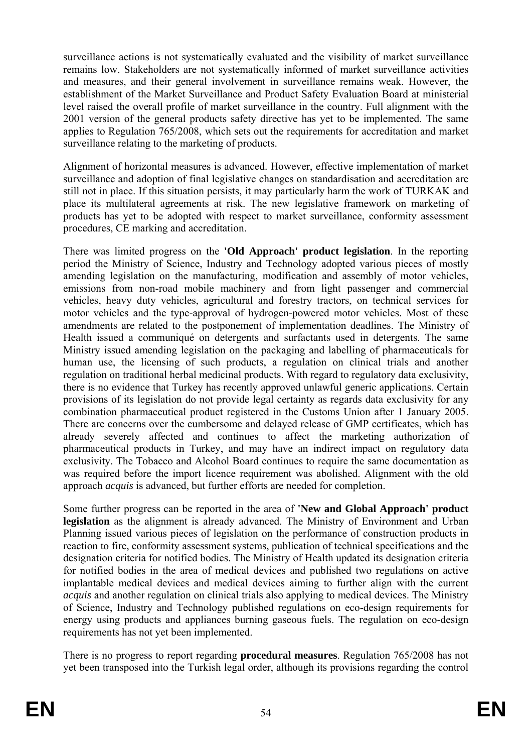surveillance actions is not systematically evaluated and the visibility of market surveillance remains low. Stakeholders are not systematically informed of market surveillance activities and measures, and their general involvement in surveillance remains weak. However, the establishment of the Market Surveillance and Product Safety Evaluation Board at ministerial level raised the overall profile of market surveillance in the country. Full alignment with the 2001 version of the general products safety directive has yet to be implemented. The same applies to Regulation 765/2008, which sets out the requirements for accreditation and market surveillance relating to the marketing of products.

Alignment of horizontal measures is advanced. However, effective implementation of market surveillance and adoption of final legislative changes on standardisation and accreditation are still not in place. If this situation persists, it may particularly harm the work of TURKAK and place its multilateral agreements at risk. The new legislative framework on marketing of products has yet to be adopted with respect to market surveillance, conformity assessment procedures, CE marking and accreditation.

Health issued a communiqué on detergents and surfactants used in detergents. The same approach *acquis* is advanced, but further efforts are needed for completion. There was limited progress on the **'Old Approach' product legislation**. In the reporting period the Ministry of Science, Industry and Technology adopted various pieces of mostly amending legislation on the manufacturing, modification and assembly of motor vehicles, emissions from non-road mobile machinery and from light passenger and commercial vehicles, heavy duty vehicles, agricultural and forestry tractors, on technical services for motor vehicles and the type-approval of hydrogen-powered motor vehicles. Most of these amendments are related to the postponement of implementation deadlines. The Ministry of Ministry issued amending legislation on the packaging and labelling of pharmaceuticals for human use, the licensing of such products, a regulation on clinical trials and another regulation on traditional herbal medicinal products. With regard to regulatory data exclusivity, there is no evidence that Turkey has recently approved unlawful generic applications. Certain provisions of its legislation do not provide legal certainty as regards data exclusivity for any combination pharmaceutical product registered in the Customs Union after 1 January 2005. There are concerns over the cumbersome and delayed release of GMP certificates, which has already severely affected and continues to affect the marketing authorization of pharmaceutical products in Turkey, and may have an indirect impact on regulatory data exclusivity. The Tobacco and Alcohol Board continues to require the same documentation as was required before the import licence requirement was abolished. Alignment with the old

for notified bodies in the area of medical devices and published two regulations on active Some further progress can be reported in the area of **'New and Global Approach' product legislation** as the alignment is already advanced. The Ministry of Environment and Urban Planning issued various pieces of legislation on the performance of construction products in reaction to fire, conformity assessment systems, publication of technical specifications and the designation criteria for notified bodies. The Ministry of Health updated its designation criteria implantable medical devices and medical devices aiming to further align with the current *acquis* and another regulation on clinical trials also applying to medical devices. The Ministry of Science, Industry and Technology published regulations on eco-design requirements for energy using products and appliances burning gaseous fuels. The regulation on eco-design requirements has not yet been implemented.

There is no progress to report regarding **procedural measures**. Regulation 765/2008 has not yet been transposed into the Turkish legal order, although its provisions regarding the control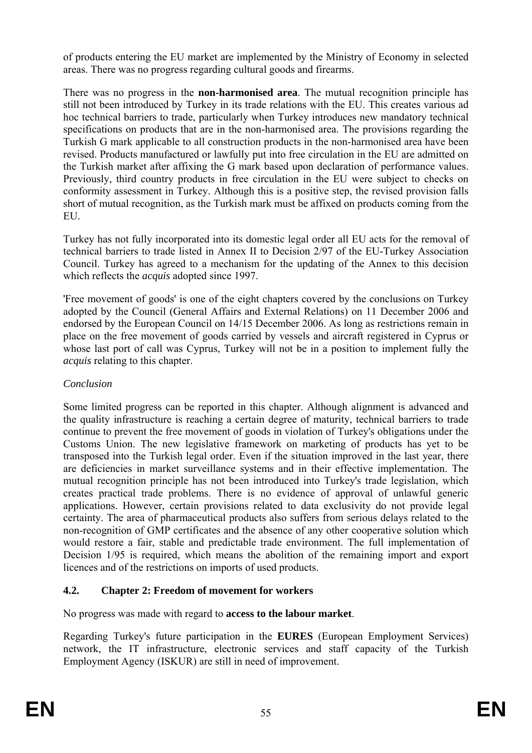of products entering the EU market are implemented by the Ministry of Economy in selected areas. There was no progress regarding cultural goods and firearms.

short of mutual recognition, as the Turkish mark must be affixed on products coming from the There was no progress in the **non-harmonised area**. The mutual recognition principle has still not been introduced by Turkey in its trade relations with the EU. This creates various ad hoc technical barriers to trade, particularly when Turkey introduces new mandatory technical specifications on products that are in the non-harmonised area. The provisions regarding the Turkish G mark applicable to all construction products in the non-harmonised area have been revised. Products manufactured or lawfully put into free circulation in the EU are admitted on the Turkish market after affixing the G mark based upon declaration of performance values. Previously, third country products in free circulation in the EU were subject to checks on conformity assessment in Turkey. Although this is a positive step, the revised provision falls EU.

Turkey has not fully incorporated into its domestic legal order all EU acts for the removal of technical barriers to trade listed in Annex II to Decision 2/97 of the EU-Turkey Association Council. Turkey has agreed to a mechanism for the updating of the Annex to this decision which reflects the *acquis* adopted since 1997.

whose last port of call was Cyprus, Turkey will not be in a position to implement fully the 'Free movement of goods' is one of the eight chapters covered by the conclusions on Turkey adopted by the Council (General Affairs and External Relations) on 11 December 2006 and endorsed by the European Council on 14/15 December 2006. As long as restrictions remain in place on the free movement of goods carried by vessels and aircraft registered in Cyprus or *acquis* relating to this chapter.

# *Conclusion*

Some limited progress can be reported in this chapter. Although alignment is advanced and Decision 1/95 is required, which means the abolition of the remaining import and export the quality infrastructure is reaching a certain degree of maturity, technical barriers to trade continue to prevent the free movement of goods in violation of Turkey's obligations under the Customs Union. The new legislative framework on marketing of products has yet to be transposed into the Turkish legal order. Even if the situation improved in the last year, there are deficiencies in market surveillance systems and in their effective implementation. The mutual recognition principle has not been introduced into Turkey's trade legislation, which creates practical trade problems. There is no evidence of approval of unlawful generic applications. However, certain provisions related to data exclusivity do not provide legal certainty. The area of pharmaceutical products also suffers from serious delays related to the non-recognition of GMP certificates and the absence of any other cooperative solution which would restore a fair, stable and predictable trade environment. The full implementation of licences and of the restrictions on imports of used products.

# **4.2. Chapter 2: Freedom of movement for workers**

No progress was made with regard to **access to the labour market**.

Regarding Turkey's future participation in the **EURES** (European Employment Services) network, the IT infrastructure, electronic services and staff capacity of the Turkish Employment Agency (ISKUR) are still in need of improvement.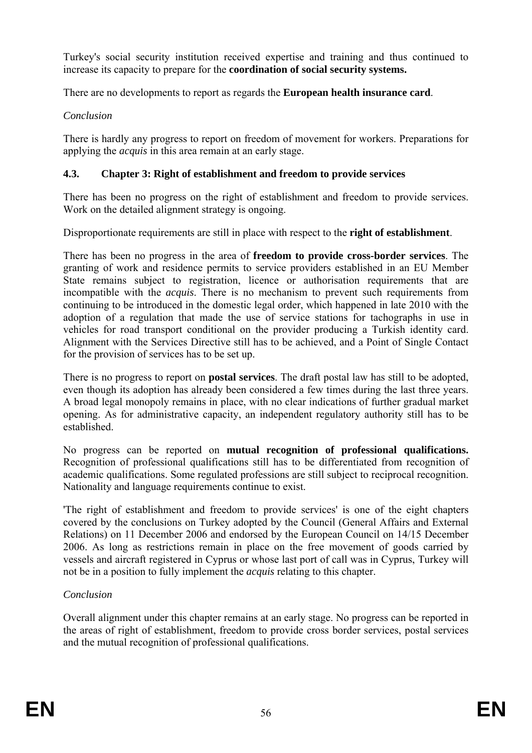Turkey's social security institution received expertise and training and thus continued to increase its capacity to prepare for the **coordination of social security systems.**

There are no developments to report as regards the **European health insurance card**.

# *Conclusion*

There is hardly any progress to report on freedom of movement for workers. Preparations for applying the *acquis* in this area remain at an early stage.

### **4.3. Chapter 3: Right of establishment and freedom to provide services**

There has been no progress on the right of establishment and freedom to provide services. Work on the detailed alignment strategy is ongoing.

Disproportionate requirements are still in place with respect to the **right of establishment**.

State remains subject to registration, licence or authorisation requirements that are incompatible with the *acquis*. There is no mechanism to prevent such requirements from continuing to be introduced in the domestic legal order, which happened in late 2010 with the vehicles for road transport conditional on the provider producing a Turkish identity card. There has been no progress in the area of **freedom to provide cross-border services**. The granting of work and residence permits to service providers established in an EU Member adoption of a regulation that made the use of service stations for tachographs in use in Alignment with the Services Directive still has to be achieved, and a Point of Single Contact for the provision of services has to be set up.

There is no progress to report on **postal services**. The draft postal law has still to be adopted, opening. As for administrative capacity, an independent regulatory authority still has to be even though its adoption has already been considered a few times during the last three years. A broad legal monopoly remains in place, with no clear indications of further gradual market established.

No progress can be reported on **mutual recognition of professional qualifications.** Recognition of professional qualifications still has to be differentiated from recognition of academic qualifications. Some regulated professions are still subject to reciprocal recognition. Nationality and language requirements continue to exist.

The right of establishment and freedom to provide services' is one of the eight chapters 2006. As long as restrictions remain in place on the free movement of goods carried by vessels and aircraft registered in Cyprus or whose last port of call was in Cyprus, Turkey will covered by the conclusions on Turkey adopted by the Council (General Affairs and External Relations) on 11 December 2006 and endorsed by the European Council on 14/15 December not be in a position to fully implement the *acquis* relating to this chapter.

# *Conclusion*

Overall alignment under this chapter remains at an early stage. No progress can be reported in the areas of right of establishment, freedom to provide cross border services, postal services and the mutual recognition of professional qualifications.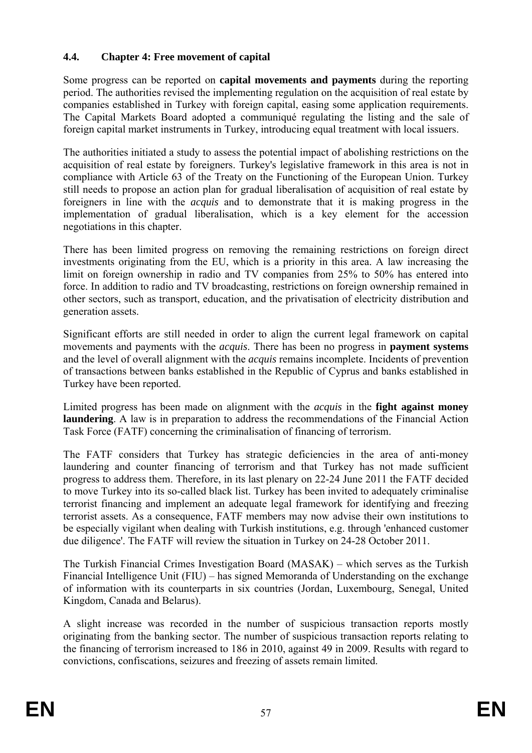### **4.4. Chapter 4: Free movement of capital**

Some progress can be reported on **capital movements and payments** during the reporting period. The authorities revised the implementing regulation on the acquisition of real estate by companies established in Turkey with foreign capital, easing some application requirements. The Capital Markets Board adopted a communiqué regulating the listing and the sale of foreign capital market instruments in Turkey, introducing equal treatment with local issuers.

The authorities initiated a study to assess the potential impact of abolishing restrictions on the implementation of gradual liberalisation, which is a key element for the accession acquisition of real estate by foreigners. Turkey's legislative framework in this area is not in compliance with Article 63 of the Treaty on the Functioning of the European Union. Turkey still needs to propose an action plan for gradual liberalisation of acquisition of real estate by foreigners in line with the *acquis* and to demonstrate that it is making progress in the negotiations in this chapter.

generation assets. There has been limited progress on removing the remaining restrictions on foreign direct investments originating from the EU, which is a priority in this area. A law increasing the limit on foreign ownership in radio and TV companies from 25% to 50% has entered into force. In addition to radio and TV broadcasting, restrictions on foreign ownership remained in other sectors, such as transport, education, and the privatisation of electricity distribution and

and the level of overall alignment with the *acquis* remains incomplete. Incidents of prevention of transactions between banks established in the Republic of Cyprus and banks established in Significant efforts are still needed in order to align the current legal framework on capital movements and payments with the *acquis*. There has been no progress in **payment systems** Turkey have been reported.

Limited progress has been made on alignment with the *acquis* in the **fight against money laundering**. A law is in preparation to address the recommendations of the Financial Action Task Force (FATF) concerning the criminalisation of financing of terrorism.

The FATF considers that Turkey has strategic deficiencies in the area of anti-money laundering and counter financing of terrorism and that Turkey has not made sufficient progress to address them. Therefore, in its last plenary on 22-24 June 2011 the FATF decided to move Turkey into its so-called black list. Turkey has been invited to adequately criminalise terrorist financing and implement an adequate legal framework for identifying and freezing terrorist assets. As a consequence, FATF members may now advise their own institutions to be especially vigilant when dealing with Turkish institutions, e.g. through 'enhanced customer due diligence'. The FATF will review the situation in Turkey on 24-28 October 2011.

The Turkish Financial Crimes Investigation Board (MASAK) – which serves as the Turkish Financial Intelligence Unit (FIU) – has signed Memoranda of Understanding on the exchange of information with its counterparts in six countries (Jordan, Luxembourg, Senegal, United Kingdom, Canada and Belarus).

originating from the banking sector. The number of suspicious transaction reports relating to the financing of terrorism increased to 186 in 2010, against 49 in 2009. Results with regard to A slight increase was recorded in the number of suspicious transaction reports mostly convictions, confiscations, seizures and freezing of assets remain limited.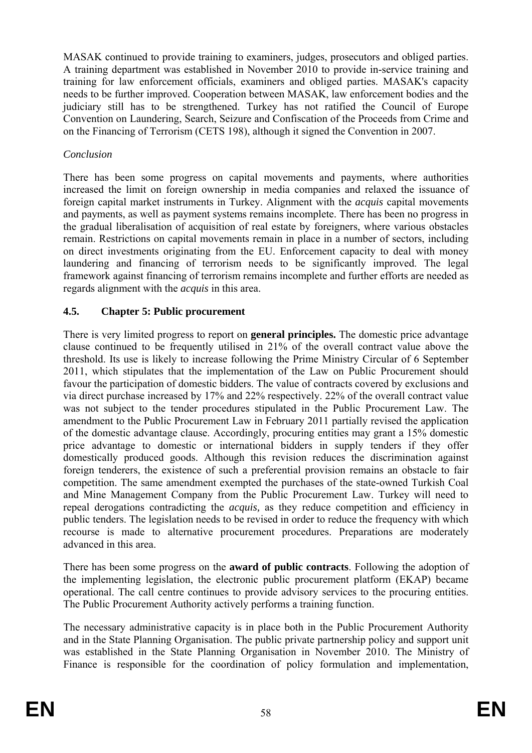needs to be further improved. Cooperation between MASAK, law enforcement bodies and the on the Financing of Terrorism (CETS 198), although it signed the Convention in 2007. MASAK continued to provide training to examiners, judges, prosecutors and obliged parties. A training department was established in November 2010 to provide in-service training and training for law enforcement officials, examiners and obliged parties. MASAK's capacity judiciary still has to be strengthened. Turkey has not ratified the Council of Europe Convention on Laundering, Search, Seizure and Confiscation of the Proceeds from Crime and

#### *Conclusion*

on direct investments originating from the EU. Enforcement capacity to deal with money There has been some progress on capital movements and payments, where authorities increased the limit on foreign ownership in media companies and relaxed the issuance of foreign capital market instruments in Turkey. Alignment with the *acquis* capital movements and payments, as well as payment systems remains incomplete. There has been no progress in the gradual liberalisation of acquisition of real estate by foreigners, where various obstacles remain. Restrictions on capital movements remain in place in a number of sectors, including laundering and financing of terrorism needs to be significantly improved. The legal framework against financing of terrorism remains incomplete and further efforts are needed as regards alignment with the *acquis* in this area.

### **4.5. Chapter 5: Public procurement**

2011, which stipulates that the implementation of the Law on Public Procurement should domestically produced goods. Although this revision reduces the discrimination against foreign tenderers, the existence of such a preferential provision remains an obstacle to fair competition. The same amendment exempted the purchases of the state-owned Turkish Coal and Mine Management Company from the Public Procurement Law. Turkey will need to There is very limited progress to report on **general principles.** The domestic price advantage clause continued to be frequently utilised in 21% of the overall contract value above the threshold. Its use is likely to increase following the Prime Ministry Circular of 6 September favour the participation of domestic bidders. The value of contracts covered by exclusions and via direct purchase increased by 17% and 22% respectively. 22% of the overall contract value was not subject to the tender procedures stipulated in the Public Procurement Law. The amendment to the Public Procurement Law in February 2011 partially revised the application of the domestic advantage clause. Accordingly, procuring entities may grant a 15% domestic price advantage to domestic or international bidders in supply tenders if they offer repeal derogations contradicting the *acquis,* as they reduce competition and efficiency in public tenders. The legislation needs to be revised in order to reduce the frequency with which recourse is made to alternative procurement procedures. Preparations are moderately advanced in this area.

There has been some progress on the **award of public contracts**. Following the adoption of the implementing legislation, the electronic public procurement platform (EKAP) became operational. The call centre continues to provide advisory services to the procuring entities. The Public Procurement Authority actively performs a training function.

The necessary administrative capacity is in place both in the Public Procurement Authority and in the State Planning Organisation. The public private partnership policy and support unit was established in the State Planning Organisation in November 2010. The Ministry of Finance is responsible for the coordination of policy formulation and implementation,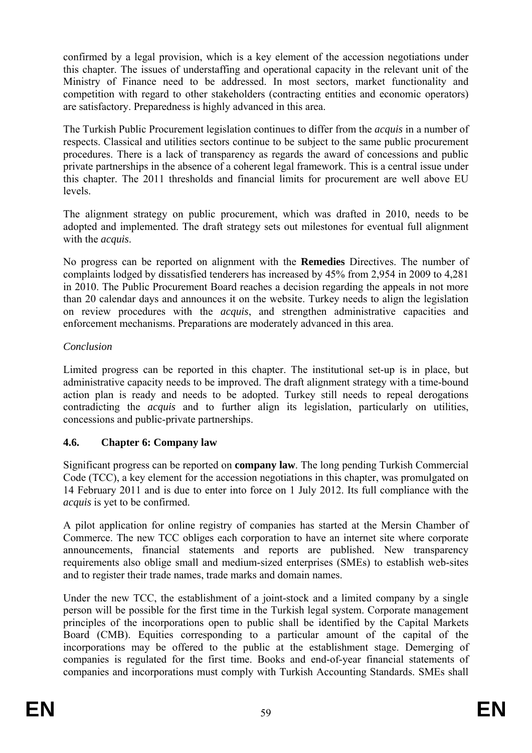confirmed by a legal provision, which is a key element of the accession negotiations under this chapter. The issues of understaffing and operational capacity in the relevant unit of the Ministry of Finance need to be addressed. In most sectors, market functionality and competition with regard to other stakeholders (contracting entities and economic operators) are satisfactory. Preparedness is highly advanced in this area.

The Turkish Public Procurement legislation continues to differ from the *acquis* in a number of respects. Classical and utilities sectors continue to be subject to the same public procurement procedures. There is a lack of transparency as regards the award of concessions and public private partnerships in the absence of a coherent legal framework. This is a central issue under this chapter. The 2011 thresholds and financial limits for procurement are well above EU levels.

The alignment strategy on public procurement, which was drafted in 2010, needs to be adopted and implemented. The draft strategy sets out milestones for eventual full alignment with the *acquis*.

than 20 calendar days and announces it on the website. Turkey needs to align the legislation No progress can be reported on alignment with the **Remedies** Directives. The number of complaints lodged by dissatisfied tenderers has increased by 45% from 2,954 in 2009 to 4,281 in 2010. The Public Procurement Board reaches a decision regarding the appeals in not more on review procedures with the *acquis*, and strengthen administrative capacities and enforcement mechanisms. Preparations are moderately advanced in this area.

### *Conclusion*

Limited progress can be reported in this chapter. The institutional set-up is in place, but administrative capacity needs to be improved. The draft alignment strategy with a time-bound action plan is ready and needs to be adopted. Turkey still needs to repeal derogations contradicting the *acquis* and to further align its legislation, particularly on utilities, concessions and public-private partnerships.

# **4.6. Chapter 6: Company law**

Code (TCC), a key element for the accession negotiations in this chapter, was promulgated on Significant progress can be reported on **company law**. The long pending Turkish Commercial 14 February 2011 and is due to enter into force on 1 July 2012. Its full compliance with the *acquis* is yet to be confirmed.

requirements also oblige small and medium-sized enterprises (SMEs) to establish web-sites A pilot application for online registry of companies has started at the Mersin Chamber of Commerce. The new TCC obliges each corporation to have an internet site where corporate announcements, financial statements and reports are published. New transparency and to register their trade names, trade marks and domain names.

person will be possible for the first time in the Turkish legal system. Corporate management Under the new TCC, the establishment of a joint-stock and a limited company by a single principles of the incorporations open to public shall be identified by the Capital Markets Board (CMB). Equities corresponding to a particular amount of the capital of the incorporations may be offered to the public at the establishment stage. Demerging of companies is regulated for the first time. Books and end-of-year financial statements of companies and incorporations must comply with Turkish Accounting Standards. SMEs shall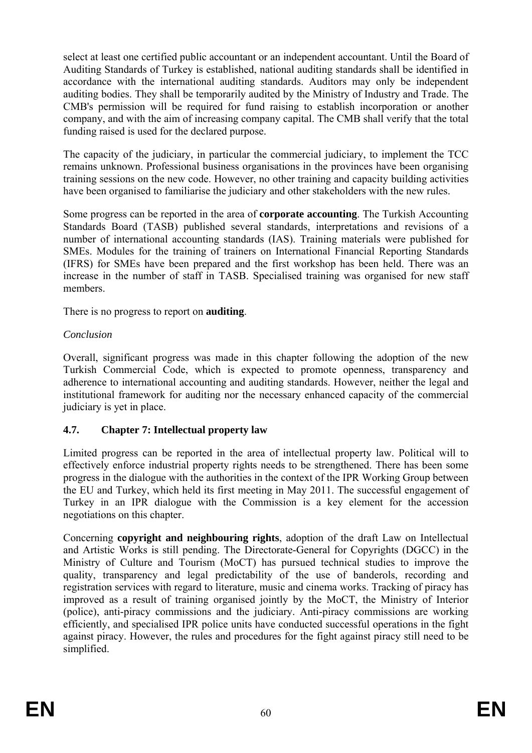accordance with the international auditing standards. Auditors may only be independent auditing bodies. They shall be temporarily audited by the Ministry of Industry and Trade. The CMB's permission will be required for fund raising to establish incorporation or another select at least one certified public accountant or an independent accountant. Until the Board of Auditing Standards of Turkey is established, national auditing standards shall be identified in company, and with the aim of increasing company capital. The CMB shall verify that the total funding raised is used for the declared purpose.

remains unknown. Professional business organisations in the provinces have been organising training sessions on the new code. However, no other training and capacity building activities have been organised to familiarise the judiciary and other stakeholders with the new rules. The capacity of the judiciary, in particular the commercial judiciary, to implement the TCC

SMEs. Modules for the training of trainers on International Financial Reporting Standards (IFRS) for SMEs have been prepared and the first workshop has been held. There was an Some progress can be reported in the area of **corporate accounting**. The Turkish Accounting Standards Board (TASB) published several standards, interpretations and revisions of a number of international accounting standards (IAS). Training materials were published for increase in the number of staff in TASB. Specialised training was organised for new staff members.

There is no progress to report on **auditing**.

#### *Conclusion*

Overall, significant progress was made in this chapter following the adoption of the new Turkish Commercial Code, which is expected to promote openness, transparency and adherence to international accounting and auditing standards. However, neither the legal and institutional framework for auditing nor the necessary enhanced capacity of the commercial judiciary is yet in place.

# **4.7. Chapter 7: Intellectual property law**

Limited progress can be reported in the area of intellectual property law. Political will to effectively enforce industrial property rights needs to be strengthened. There has been some progress in the dialogue with the authorities in the context of the IPR Working Group between the EU and Turkey, which held its first meeting in May 2011. The successful engagement of Turkey in an IPR dialogue with the Commission is a key element for the accession negotiations on this chapter.

quality, transparency and legal predictability of the use of banderols, recording and Concerning **copyright and neighbouring rights**, adoption of the draft Law on Intellectual and Artistic Works is still pending. The Directorate-General for Copyrights (DGCC) in the Ministry of Culture and Tourism (MoCT) has pursued technical studies to improve the registration services with regard to literature, music and cinema works. Tracking of piracy has improved as a result of training organised jointly by the MoCT, the Ministry of Interior (police), anti-piracy commissions and the judiciary. Anti-piracy commissions are working efficiently, and specialised IPR police units have conducted successful operations in the fight against piracy. However, the rules and procedures for the fight against piracy still need to be simplified.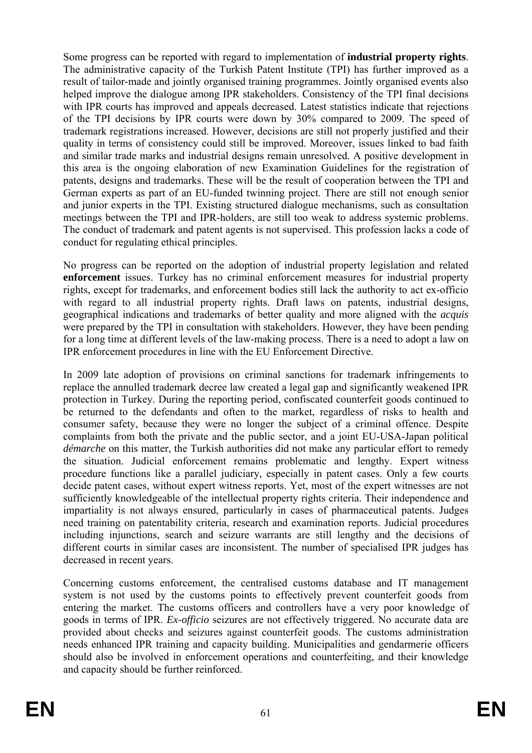Some progress can be reported with regard to implementation of **industrial property rights**. The administrative capacity of the Turkish Patent Institute (TPI) has further improved as a result of tailor-made and jointly organised training programmes. Jointly organised events also helped improve the dialogue among IPR stakeholders. Consistency of the TPI final decisions and similar trade marks and industrial designs remain unresolved. A positive development in this area is the ongoing elaboration of new Examination Guidelines for the registration of patents, designs and trademarks. These will be the result of cooperation between the TPI and German experts as part of an EU-funded twinning project. There are still not enough senior with IPR courts has improved and appeals decreased. Latest statistics indicate that rejections of the TPI decisions by IPR courts were down by 30% compared to 2009. The speed of trademark registrations increased. However, decisions are still not properly justified and their quality in terms of consistency could still be improved. Moreover, issues linked to bad faith and junior experts in the TPI. Existing structured dialogue mechanisms, such as consultation meetings between the TPI and IPR-holders, are still too weak to address systemic problems. The conduct of trademark and patent agents is not supervised. This profession lacks a code of conduct for regulating ethical principles.

No progress can be reported on the adoption of industrial property legislation and related **enforcement** issues. Turkey has no criminal enforcement measures for industrial property rights, except for trademarks, and enforcement bodies still lack the authority to act ex-officio with regard to all industrial property rights. Draft laws on patents, industrial designs, geographical indications and trademarks of better quality and more aligned with the *acquis* were prepared by the TPI in consultation with stakeholders. However, they have been pending for a long time at different levels of the law-making process. There is a need to adopt a law on IPR enforcement procedures in line with the EU Enforcement Directive.

protection in Turkey. During the reporting period, confiscated counterfeit goods continued to be returned to the defendants and often to the market, regardless of risks to health and In 2009 late adoption of provisions on criminal sanctions for trademark infringements to replace the annulled trademark decree law created a legal gap and significantly weakened IPR consumer safety, because they were no longer the subject of a criminal offence. Despite complaints from both the private and the public sector, and a joint EU-USA-Japan political *démarche* on this matter, the Turkish authorities did not make any particular effort to remedy the situation. Judicial enforcement remains problematic and lengthy. Expert witness procedure functions like a parallel judiciary, especially in patent cases. Only a few courts decide patent cases, without expert witness reports. Yet, most of the expert witnesses are not sufficiently knowledgeable of the intellectual property rights criteria. Their independence and impartiality is not always ensured, particularly in cases of pharmaceutical patents. Judges need training on patentability criteria, research and examination reports. Judicial procedures including injunctions, search and seizure warrants are still lengthy and the decisions of different courts in similar cases are inconsistent. The number of specialised IPR judges has decreased in recent years.

entering the market. The customs officers and controllers have a very poor knowledge of goods in terms of IPR. *Ex-officio* seizures are not effectively triggered. No accurate data are Concerning customs enforcement, the centralised customs database and IT management system is not used by the customs points to effectively prevent counterfeit goods from provided about checks and seizures against counterfeit goods. The customs administration needs enhanced IPR training and capacity building. Municipalities and gendarmerie officers should also be involved in enforcement operations and counterfeiting, and their knowledge and capacity should be further reinforced.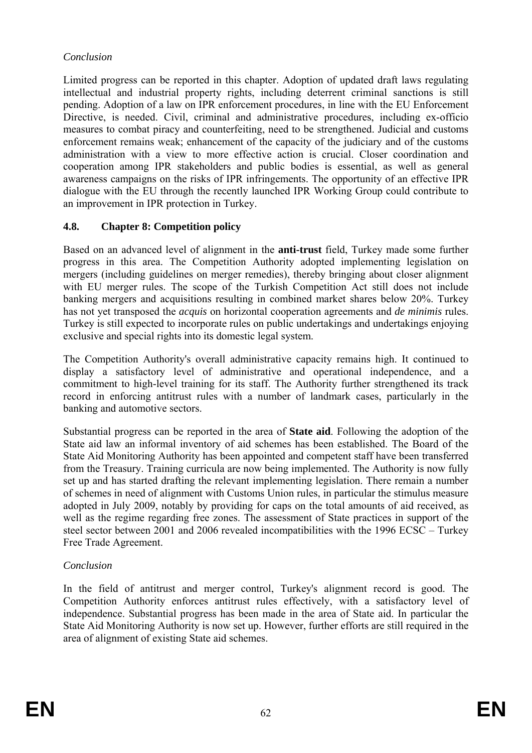#### *Conclusion*

pending. Adoption of a law on IPR enforcement procedures, in line with the EU Enforcement Limited progress can be reported in this chapter. Adoption of updated draft laws regulating intellectual and industrial property rights, including deterrent criminal sanctions is still Directive, is needed. Civil, criminal and administrative procedures, including ex-officio measures to combat piracy and counterfeiting, need to be strengthened. Judicial and customs enforcement remains weak; enhancement of the capacity of the judiciary and of the customs administration with a view to more effective action is crucial. Closer coordination and cooperation among IPR stakeholders and public bodies is essential, as well as general awareness campaigns on the risks of IPR infringements. The opportunity of an effective IPR dialogue with the EU through the recently launched IPR Working Group could contribute to an improvement in IPR protection in Turkey.

### **4.8. Chapter 8: Competition policy**

has not yet transposed the *acquis* on horizontal cooperation agreements and *de minimis* rules. Based on an advanced level of alignment in the **anti-trust** field, Turkey made some further progress in this area. The Competition Authority adopted implementing legislation on mergers (including guidelines on merger remedies), thereby bringing about closer alignment with EU merger rules. The scope of the Turkish Competition Act still does not include banking mergers and acquisitions resulting in combined market shares below 20%. Turkey Turkey is still expected to incorporate rules on public undertakings and undertakings enjoying exclusive and special rights into its domestic legal system.

The Competition Authority's overall administrative capacity remains high. It continued to display a satisfactory level of administrative and operational independence, and a commitment to high-level training for its staff. The Authority further strengthened its track record in enforcing antitrust rules with a number of landmark cases, particularly in the banking and automotive sectors.

Substantial progress can be reported in the area of **State aid**. Following the adoption of the State aid law an informal inventory of aid schemes has been established. The Board of the State Aid Monitoring Authority has been appointed and competent staff have been transferred from the Treasury. Training curricula are now being implemented. The Authority is now fully set up and has started drafting the relevant implementing legislation. There remain a number of schemes in need of alignment with Customs Union rules, in particular the stimulus measure adopted in July 2009, notably by providing for caps on the total amounts of aid received, as well as the regime regarding free zones. The assessment of State practices in support of the steel sector between 2001 and 2006 revealed incompatibilities with the 1996 ECSC – Turkey Free Trade Agreement.

# *Conclusion*

In the field of antitrust and merger control, Turkey's alignment record is good. The Competition Authority enforces antitrust rules effectively, with a satisfactory level of independence. Substantial progress has been made in the area of State aid. In particular the State Aid Monitoring Authority is now set up. However, further efforts are still required in the area of alignment of existing State aid schemes.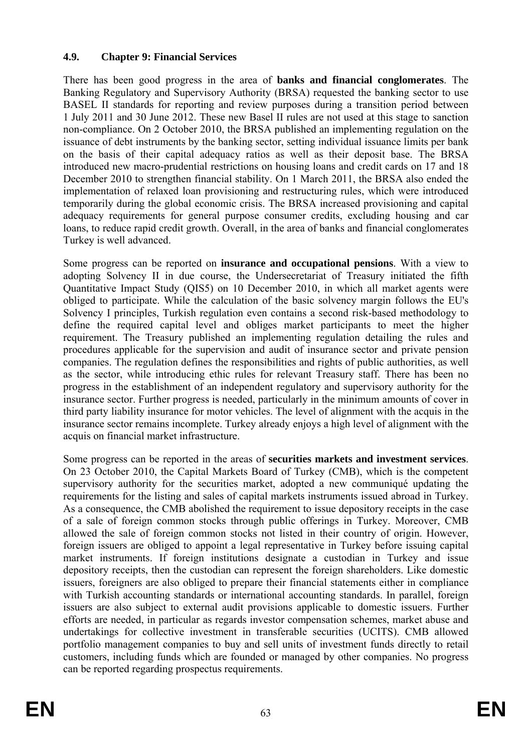#### **4.9. Chapter 9: Financial Services**

BASEL II standards for reporting and review purposes during a transition period between December 2010 to strengthen financial stability. On 1 March 2011, the BRSA also ended the There has been good progress in the area of **banks and financial conglomerates**. The Banking Regulatory and Supervisory Authority (BRSA) requested the banking sector to use 1 July 2011 and 30 June 2012. These new Basel II rules are not used at this stage to sanction non-compliance. On 2 October 2010, the BRSA published an implementing regulation on the issuance of debt instruments by the banking sector, setting individual issuance limits per bank on the basis of their capital adequacy ratios as well as their deposit base. The BRSA introduced new macro-prudential restrictions on housing loans and credit cards on 17 and 18 implementation of relaxed loan provisioning and restructuring rules, which were introduced temporarily during the global economic crisis. The BRSA increased provisioning and capital adequacy requirements for general purpose consumer credits, excluding housing and car loans, to reduce rapid credit growth. Overall, in the area of banks and financial conglomerates Turkey is well advanced.

Solvency I principles, Turkish regulation even contains a second risk-based methodology to define the required capital level and obliges market participants to meet the higher requirement. The Treasury published an implementing regulation detailing the rules and insurance sector. Further progress is needed, particularly in the minimum amounts of cover in third party liability insurance for motor vehicles. The level of alignment with the acquis in the insurance sector remains incomplete. Turkey already enjoys a high level of alignment with the acquis on financial market infrastructure. Some progress can be reported on **insurance and occupational pensions**. With a view to adopting Solvency II in due course, the Undersecretariat of Treasury initiated the fifth Quantitative Impact Study (QIS5) on 10 December 2010, in which all market agents were obliged to participate. While the calculation of the basic solvency margin follows the EU's procedures applicable for the supervision and audit of insurance sector and private pension companies. The regulation defines the responsibilities and rights of public authorities, as well as the sector, while introducing ethic rules for relevant Treasury staff. There has been no progress in the establishment of an independent regulatory and supervisory authority for the

issuers are also subject to external audit provisions applicable to domestic issuers. Further efforts are needed, in particular as regards investor compensation schemes, market abuse and Some progress can be reported in the areas of **securities markets and investment services**. On 23 October 2010, the Capital Markets Board of Turkey (CMB), which is the competent supervisory authority for the securities market, adopted a new communiqué updating the requirements for the listing and sales of capital markets instruments issued abroad in Turkey. As a consequence, the CMB abolished the requirement to issue depository receipts in the case of a sale of foreign common stocks through public offerings in Turkey. Moreover, CMB allowed the sale of foreign common stocks not listed in their country of origin. However, foreign issuers are obliged to appoint a legal representative in Turkey before issuing capital market instruments. If foreign institutions designate a custodian in Turkey and issue depository receipts, then the custodian can represent the foreign shareholders. Like domestic issuers, foreigners are also obliged to prepare their financial statements either in compliance with Turkish accounting standards or international accounting standards. In parallel, foreign undertakings for collective investment in transferable securities (UCITS). CMB allowed portfolio management companies to buy and sell units of investment funds directly to retail customers, including funds which are founded or managed by other companies. No progress can be reported regarding prospectus requirements.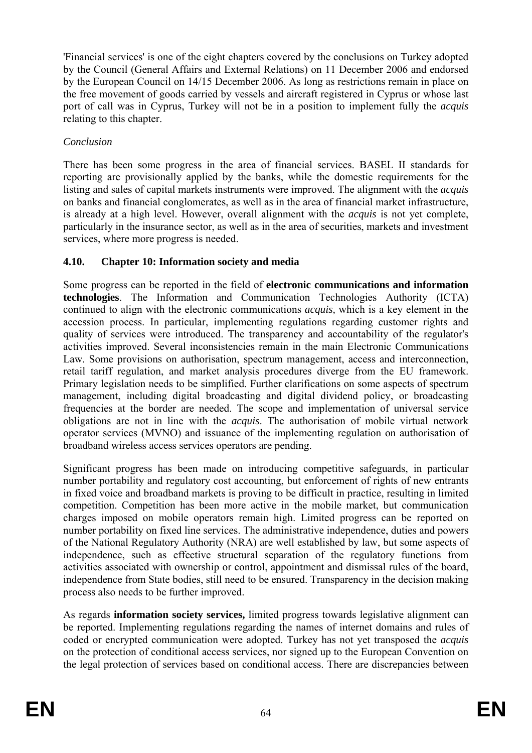'Financial services' is one of the eight chapters covered by the conclusions on Turkey adopted by the Council (General Affairs and External Relations) on 11 December 2006 and endorsed by the European Council on 14/15 December 2006. As long as restrictions remain in place on the free movement of goods carried by vessels and aircraft registered in Cyprus or whose last port of call was in Cyprus, Turkey will not be in a position to implement fully the *acquis* relating to this chapter.

### *Conclusion*

listing and sales of capital markets instruments were improved. The alignment with the *acquis* There has been some progress in the area of financial services. BASEL II standards for reporting are provisionally applied by the banks, while the domestic requirements for the on banks and financial conglomerates, as well as in the area of financial market infrastructure, is already at a high level. However, overall alignment with the *acquis* is not yet complete, particularly in the insurance sector, as well as in the area of securities, markets and investment services, where more progress is needed.

# **4.10. Chapter 10: Information society and media**

obligations are not in line with the *acquis*. The authorisation of mobile virtual network Some progress can be reported in the field of **electronic communications and information technologies**. The Information and Communication Technologies Authority (ICTA) continued to align with the electronic communications *acquis,* which is a key element in the accession process. In particular, implementing regulations regarding customer rights and quality of services were introduced. The transparency and accountability of the regulator's activities improved. Several inconsistencies remain in the main Electronic Communications Law. Some provisions on authorisation, spectrum management, access and interconnection, retail tariff regulation, and market analysis procedures diverge from the EU framework. Primary legislation needs to be simplified. Further clarifications on some aspects of spectrum management, including digital broadcasting and digital dividend policy, or broadcasting frequencies at the border are needed. The scope and implementation of universal service operator services (MVNO) and issuance of the implementing regulation on authorisation of broadband wireless access services operators are pending.

competition. Competition has been more active in the mobile market, but communication charges imposed on mobile operators remain high. Limited progress can be reported on number portability on fixed line services. The administrative independence, duties and powers Significant progress has been made on introducing competitive safeguards, in particular number portability and regulatory cost accounting, but enforcement of rights of new entrants in fixed voice and broadband markets is proving to be difficult in practice, resulting in limited of the National Regulatory Authority (NRA) are well established by law, but some aspects of independence, such as effective structural separation of the regulatory functions from activities associated with ownership or control, appointment and dismissal rules of the board, independence from State bodies, still need to be ensured. Transparency in the decision making process also needs to be further improved.

be reported. Implementing regulations regarding the names of internet domains and rules of coded or encrypted communication were adopted. Turkey has not yet transposed the *acquis* on the protection of conditional access services, nor signed up to the European Convention on the legal protection of services based on conditional access. There are discrepancies between As regards **information society services,** limited progress towards legislative alignment can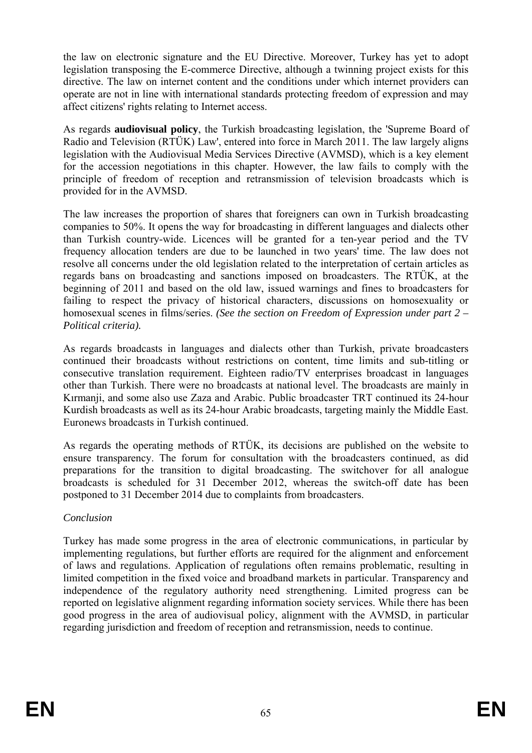the law on electronic signature and the EU Directive. Moreover, Turkey has yet to adopt legislation transposing the E-commerce Directive, although a twinning project exists for this directive. The law on internet content and the conditions under which internet providers can operate are not in line with international standards protecting freedom of expression and may affect citizens' rights relating to Internet access.

As regards **audiovisual policy**, the Turkish broadcasting legislation, the 'Supreme Board of Radio and Television (RTÜK) Law', entered into force in March 2011. The law largely aligns legislation with the Audiovisual Media Services Directive (AVMSD), which is a key element for the accession negotiations in this chapter. However, the law fails to comply with the principle of freedom of reception and retransmission of television broadcasts which is provided for in the AVMSD.

frequency allocation tenders are due to be launched in two years' time. The law does not The law increases the proportion of shares that foreigners can own in Turkish broadcasting companies to 50%. It opens the way for broadcasting in different languages and dialects other than Turkish country-wide. Licences will be granted for a ten-year period and the TV resolve all concerns under the old legislation related to the interpretation of certain articles as regards bans on broadcasting and sanctions imposed on broadcasters. The RTÜK, at the beginning of 2011 and based on the old law, issued warnings and fines to broadcasters for failing to respect the privacy of historical characters, discussions on homosexuality or homosexual scenes in films/series. *(See the section on Freedom of Expression under part 2 – Political criteria).*

Kırmanji, and some also use Zaza and Arabic. Public broadcaster TRT continued its 24-hour As regards broadcasts in languages and dialects other than Turkish, private broadcasters continued their broadcasts without restrictions on content, time limits and sub-titling or consecutive translation requirement. Eighteen radio/TV enterprises broadcast in languages other than Turkish. There were no broadcasts at national level. The broadcasts are mainly in Kurdish broadcasts as well as its 24-hour Arabic broadcasts, targeting mainly the Middle East. Euronews broadcasts in Turkish continued.

As regards the operating methods of RTÜK, its decisions are published on the website to ensure transparency. The forum for consultation with the broadcasters continued, as did preparations for the transition to digital broadcasting. The switchover for all analogue broadcasts is scheduled for 31 December 2012, whereas the switch-off date has been postponed to 31 December 2014 due to complaints from broadcasters.

#### *Conclusion*

good progress in the area of audiovisual policy, alignment with the AVMSD, in particular Turkey has made some progress in the area of electronic communications, in particular by implementing regulations, but further efforts are required for the alignment and enforcement of laws and regulations. Application of regulations often remains problematic, resulting in limited competition in the fixed voice and broadband markets in particular. Transparency and independence of the regulatory authority need strengthening. Limited progress can be reported on legislative alignment regarding information society services. While there has been regarding jurisdiction and freedom of reception and retransmission, needs to continue.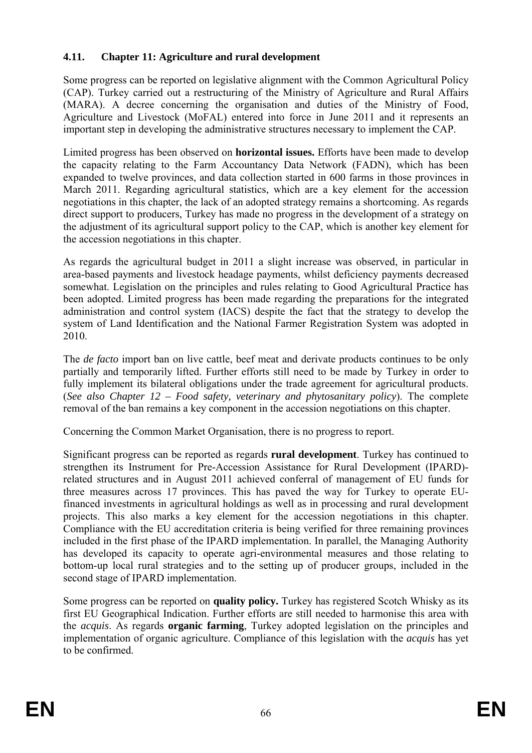### **4.11. Chapter 11: Agriculture and rural development**

important step in developing the administrative structures necessary to implement the CAP. Some progress can be reported on legislative alignment with the Common Agricultural Policy (CAP). Turkey carried out a restructuring of the Ministry of Agriculture and Rural Affairs (MARA). A decree concerning the organisation and duties of the Ministry of Food, Agriculture and Livestock (MoFAL) entered into force in June 2011 and it represents an

the adjustment of its agricultural support policy to the CAP, which is another key element for Limited progress has been observed on **horizontal issues.** Efforts have been made to develop the capacity relating to the Farm Accountancy Data Network (FADN), which has been expanded to twelve provinces, and data collection started in 600 farms in those provinces in March 2011. Regarding agricultural statistics, which are a key element for the accession negotiations in this chapter, the lack of an adopted strategy remains a shortcoming. As regards direct support to producers, Turkey has made no progress in the development of a strategy on the accession negotiations in this chapter.

been adopted. Limited progress has been made regarding the preparations for the integrated administration and control system (IACS) despite the fact that the strategy to develop the system of Land Identification and the National Farmer Registration System was adopted in As regards the agricultural budget in 2011 a slight increase was observed, in particular in area-based payments and livestock headage payments, whilst deficiency payments decreased somewhat. Legislation on the principles and rules relating to Good Agricultural Practice has 2010.

The *de facto* import ban on live cattle, beef meat and derivate products continues to be only partially and temporarily lifted. Further efforts still need to be made by Turkey in order to fully implement its bilateral obligations under the trade agreement for agricultural products. (*See also Chapter 12 – Food safety, veterinary and phytosanitary policy*). The complete removal of the ban remains a key component in the accession negotiations on this chapter.

Concerning the Common Market Organisation, there is no progress to report.

Significant progress can be reported as regards **rural development**. Turkey has continued to strengthen its Instrument for Pre-Accession Assistance for Rural Development (IPARD) related structures and in August 2011 achieved conferral of management of EU funds for three measures across 17 provinces. This has paved the way for Turkey to operate EUfinanced investments in agricultural holdings as well as in processing and rural development projects. This also marks a key element for the accession negotiations in this chapter. Compliance with the EU accreditation criteria is being verified for three remaining provinces included in the first phase of the IPARD implementation. In parallel, the Managing Authority has developed its capacity to operate agri-environmental measures and those relating to bottom-up local rural strategies and to the setting up of producer groups, included in the second stage of IPARD implementation.

implementation of organic agriculture. Compliance of this legislation with the *acquis* has yet Some progress can be reported on **quality policy.** Turkey has registered Scotch Whisky as its first EU Geographical Indication. Further efforts are still needed to harmonise this area with the *acquis*. As regards **organic farming**, Turkey adopted legislation on the principles and to be confirmed.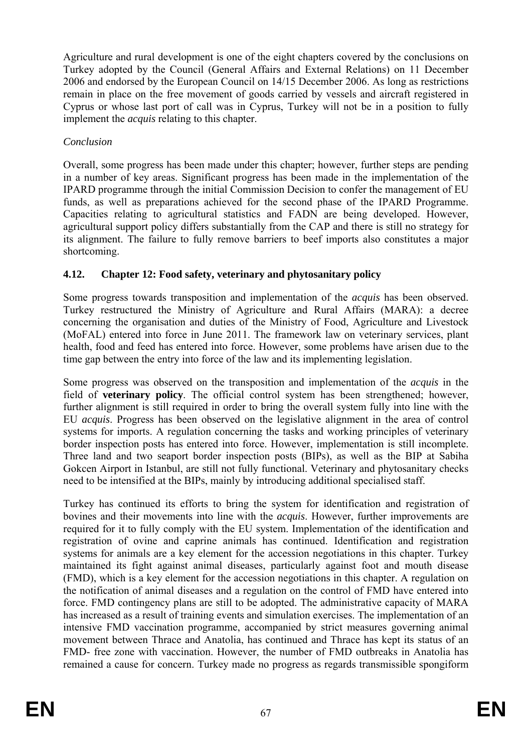implement the *acquis* relating to this chapter. Agriculture and rural development is one of the eight chapters covered by the conclusions on Turkey adopted by the Council (General Affairs and External Relations) on 11 December 2006 and endorsed by the European Council on 14/15 December 2006. As long as restrictions remain in place on the free movement of goods carried by vessels and aircraft registered in Cyprus or whose last port of call was in Cyprus, Turkey will not be in a position to fully

# *Conclusion*

IPARD programme through the initial Commission Decision to confer the management of EU funds, as well as preparations achieved for the second phase of the IPARD Programme. Overall, some progress has been made under this chapter; however, further steps are pending in a number of key areas. Significant progress has been made in the implementation of the Capacities relating to agricultural statistics and FADN are being developed. However, agricultural support policy differs substantially from the CAP and there is still no strategy for its alignment. The failure to fully remove barriers to beef imports also constitutes a major shortcoming.

# **4.12. Chapter 12: Food safety, veterinary and phytosanitary policy**

time gap between the entry into force of the law and its implementing legislation. Some progress towards transposition and implementation of the *acquis* has been observed. Turkey restructured the Ministry of Agriculture and Rural Affairs (MARA): a decree concerning the organisation and duties of the Ministry of Food, Agriculture and Livestock (MoFAL) entered into force in June 2011. The framework law on veterinary services, plant health, food and feed has entered into force. However, some problems have arisen due to the

systems for imports. A regulation concerning the tasks and working principles of veterinary Some progress was observed on the transposition and implementation of the *acquis* in the field of **veterinary policy**. The official control system has been strengthened; however, further alignment is still required in order to bring the overall system fully into line with the EU *acquis*. Progress has been observed on the legislative alignment in the area of control border inspection posts has entered into force. However, implementation is still incomplete. Three land and two seaport border inspection posts (BIPs), as well as the BIP at Sabiha Gokcen Airport in Istanbul, are still not fully functional. Veterinary and phytosanitary checks need to be intensified at the BIPs, mainly by introducing additional specialised staff.

bovines and their movements into line with the *acquis*. However, further improvements are required for it to fully comply with the EU system. Implementation of the identification and registration of ovine and caprine animals has continued. Identification and registration movement between Thrace and Anatolia, has continued and Thrace has kept its status of an FMD- free zone with vaccination. However, the number of FMD outbreaks in Anatolia has remained a cause for concern. Turkey made no progress as regards transmissible spongiform Turkey has continued its efforts to bring the system for identification and registration of systems for animals are a key element for the accession negotiations in this chapter. Turkey maintained its fight against animal diseases, particularly against foot and mouth disease (FMD), which is a key element for the accession negotiations in this chapter. A regulation on the notification of animal diseases and a regulation on the control of FMD have entered into force. FMD contingency plans are still to be adopted. The administrative capacity of MARA has increased as a result of training events and simulation exercises. The implementation of an intensive FMD vaccination programme, accompanied by strict measures governing animal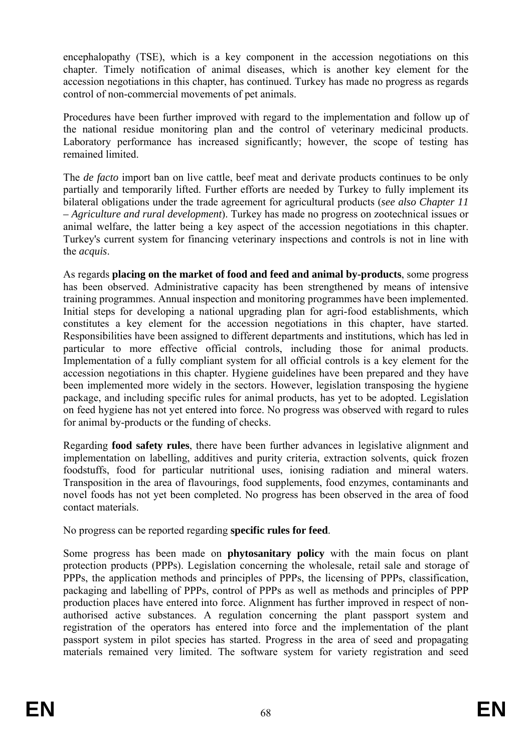encephalopathy (TSE), which is a key component in the accession negotiations on this chapter. Timely notification of animal diseases, which is another key element for the accession negotiations in this chapter, has continued. Turkey has made no progress as regards control of non-commercial movements of pet animals.

Procedures have been further improved with regard to the implementation and follow up of the national residue monitoring plan and the control of veterinary medicinal products. Laboratory performance has increased significantly; however, the scope of testing has remained limited.

The *de facto* import ban on live cattle, beef meat and derivate products continues to be only partially and temporarily lifted. Further efforts are needed by Turkey to fully implement its bilateral obligations under the trade agreement for agricultural products (*see also Chapter 11 – Agriculture and rural development*). Turkey has made no progress on zootechnical issues or animal welfare, the latter being a key aspect of the accession negotiations in this chapter. Turkey's current system for financing veterinary inspections and controls is not in line with the *acquis*.

As regards **placing on the market of food and feed and animal by-products**, some progress has been observed. Administrative capacity has been strengthened by means of intensive training programmes. Annual inspection and monitoring programmes have been implemented. Initial steps for developing a national upgrading plan for agri-food establishments, which constitutes a key element for the accession negotiations in this chapter, have started. Responsibilities have been assigned to different departments and institutions, which has led in particular to more effective official controls, including those for animal products. Implementation of a fully compliant system for all official controls is a key element for the accession negotiations in this chapter. Hygiene guidelines have been prepared and they have been implemented more widely in the sectors. However, legislation transposing the hygiene package, and including specific rules for animal products, has yet to be adopted. Legislation on feed hygiene has not yet entered into force. No progress was observed with regard to rules for animal by-products or the funding of checks.

Regarding **food safety rules**, there have been further advances in legislative alignment and implementation on labelling, additives and purity criteria, extraction solvents, quick frozen foodstuffs, food for particular nutritional uses, ionising radiation and mineral waters. Transposition in the area of flavourings, food supplements, food enzymes, contaminants and novel foods has not yet been completed. No progress has been observed in the area of food contact materials.

No progress can be reported regarding **specific rules for feed**.

protection products (PPPs). Legislation concerning the wholesale, retail sale and storage of Some progress has been made on **phytosanitary policy** with the main focus on plant PPPs, the application methods and principles of PPPs, the licensing of PPPs, classification, packaging and labelling of PPPs, control of PPPs as well as methods and principles of PPP production places have entered into force. Alignment has further improved in respect of nonauthorised active substances. A regulation concerning the plant passport system and registration of the operators has entered into force and the implementation of the plant passport system in pilot species has started. Progress in the area of seed and propagating materials remained very limited. The software system for variety registration and seed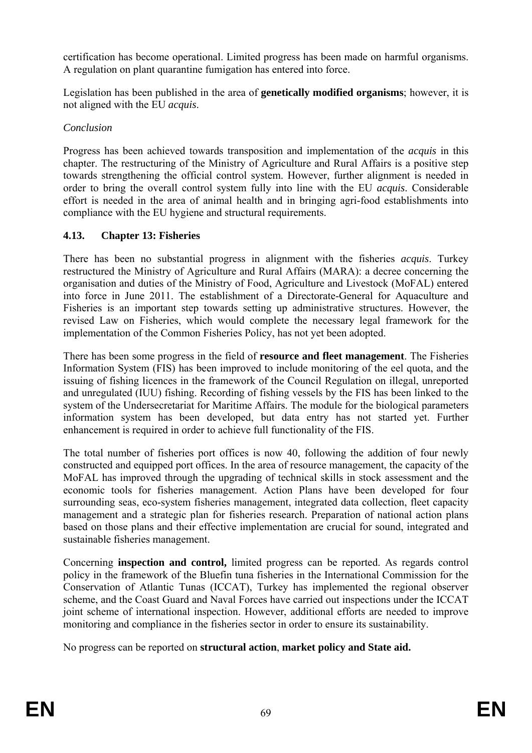certification has become operational. Limited progress has been made on harmful organisms. A regulation on plant quarantine fumigation has entered into force.

Legislation has been published in the area of **genetically modified organisms**; however, it is not aligned with the EU *acquis*.

#### *Conclusion*

compliance with the EU hygiene and structural requirements. Progress has been achieved towards transposition and implementation of the *acquis* in this chapter. The restructuring of the Ministry of Agriculture and Rural Affairs is a positive step towards strengthening the official control system. However, further alignment is needed in order to bring the overall control system fully into line with the EU *acquis*. Considerable effort is needed in the area of animal health and in bringing agri-food establishments into

# **4.13. Chapter 13: Fisheries**

into force in June 2011. The establishment of a Directorate-General for Aquaculture and Fisheries is an important step towards setting up administrative structures. However, the revised Law on Fisheries, which would complete the necessary legal framework for the There has been no substantial progress in alignment with the fisheries *acquis*. Turkey restructured the Ministry of Agriculture and Rural Affairs (MARA): a decree concerning the organisation and duties of the Ministry of Food, Agriculture and Livestock (MoFAL) entered implementation of the Common Fisheries Policy, has not yet been adopted.

There has been some progress in the field of **resource and fleet management**. The Fisheries Information System (FIS) has been improved to include monitoring of the eel quota, and the issuing of fishing licences in the framework of the Council Regulation on illegal, unreported and unregulated (IUU) fishing. Recording of fishing vessels by the FIS has been linked to the system of the Undersecretariat for Maritime Affairs. The module for the biological parameters information system has been developed, but data entry has not started yet. Further enhancement is required in order to achieve full functionality of the FIS.

constructed and equipped port offices. In the area of resource management, the capacity of the surrounding seas, eco-system fisheries management, integrated data collection, fleet capacity management and a strategic plan for fisheries research. Preparation of national action plans based on those plans and their effective implementation are crucial for sound, integrated and The total number of fisheries port offices is now 40, following the addition of four newly MoFAL has improved through the upgrading of technical skills in stock assessment and the economic tools for fisheries management. Action Plans have been developed for four sustainable fisheries management.

joint scheme of international inspection. However, additional efforts are needed to improve monitoring and compliance in the fisheries sector in order to ensure its sustainability. Concerning **inspection and control,** limited progress can be reported. As regards control policy in the framework of the Bluefin tuna fisheries in the International Commission for the Conservation of Atlantic Tunas (ICCAT), Turkey has implemented the regional observer scheme, and the Coast Guard and Naval Forces have carried out inspections under the ICCAT

No progress can be reported on **structural action**, **market policy and State aid.**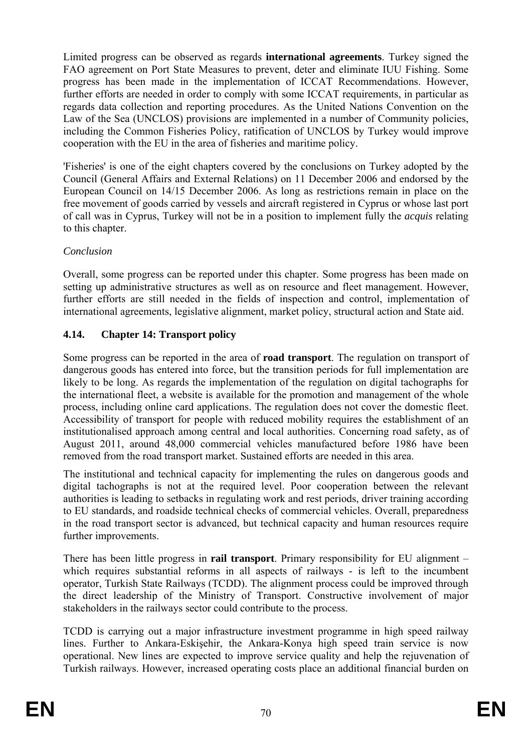Law of the Sea (UNCLOS) provisions are implemented in a number of Community policies, Limited progress can be observed as regards **international agreements**. Turkey signed the FAO agreement on Port State Measures to prevent, deter and eliminate IUU Fishing. Some progress has been made in the implementation of ICCAT Recommendations. However, further efforts are needed in order to comply with some ICCAT requirements, in particular as regards data collection and reporting procedures. As the United Nations Convention on the including the Common Fisheries Policy, ratification of UNCLOS by Turkey would improve cooperation with the EU in the area of fisheries and maritime policy.

of call was in Cyprus, Turkey will not be in a position to implement fully the *acquis* relating 'Fisheries' is one of the eight chapters covered by the conclusions on Turkey adopted by the Council (General Affairs and External Relations) on 11 December 2006 and endorsed by the European Council on 14/15 December 2006. As long as restrictions remain in place on the free movement of goods carried by vessels and aircraft registered in Cyprus or whose last port to this chapter.

#### *Conclusion*

Overall, some progress can be reported under this chapter. Some progress has been made on setting up administrative structures as well as on resource and fleet management. However, further efforts are still needed in the fields of inspection and control, implementation of international agreements, legislative alignment, market policy, structural action and State aid.

# **4.14. Chapter 14: Transport policy**

process, including online card applications. The regulation does not cover the domestic fleet. Accessibility of transport for people with reduced mobility requires the establishment of an institutionalised approach among central and local authorities. Concerning road safety, as of Some progress can be reported in the area of **road transport**. The regulation on transport of dangerous goods has entered into force, but the transition periods for full implementation are likely to be long. As regards the implementation of the regulation on digital tachographs for the international fleet, a website is available for the promotion and management of the whole August 2011, around 48,000 commercial vehicles manufactured before 1986 have been removed from the road transport market. Sustained efforts are needed in this area.

The institutional and technical capacity for implementing the rules on dangerous goods and digital tachographs is not at the required level. Poor cooperation between the relevant authorities is leading to setbacks in regulating work and rest periods, driver training according to EU standards, and roadside technical checks of commercial vehicles. Overall, preparedness in the road transport sector is advanced, but technical capacity and human resources require further improvements.

There has been little progress in **rail transport**. Primary responsibility for EU alignment – which requires substantial reforms in all aspects of railways - is left to the incumbent operator, Turkish State Railways (TCDD). The alignment process could be improved through the direct leadership of the Ministry of Transport. Constructive involvement of major stakeholders in the railways sector could contribute to the process.

TCDD is carrying out a major infrastructure investment programme in high speed railway lines. Further to Ankara-Eskişehir, the Ankara-Konya high speed train service is now operational. New lines are expected to improve service quality and help the rejuvenation of Turkish railways. However, increased operating costs place an additional financial burden on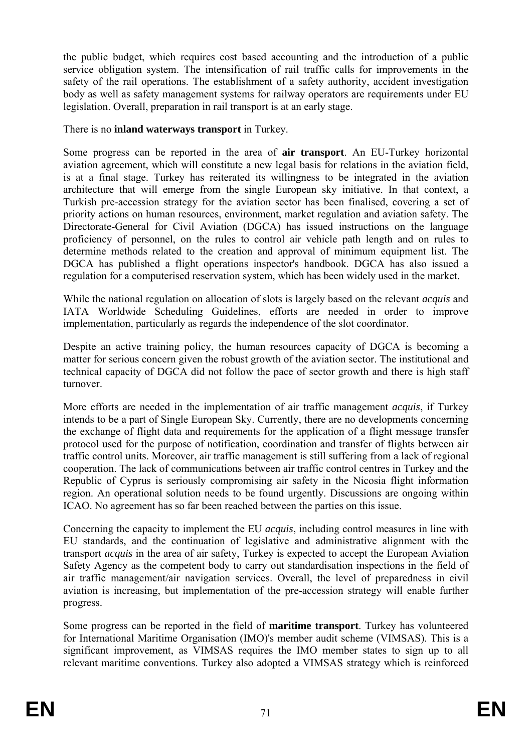the public budget, which requires cost based accounting and the introduction of a public service obligation system. The intensification of rail traffic calls for improvements in the safety of the rail operations. The establishment of a safety authority, accident investigation body as well as safety management systems for railway operators are requirements under EU legislation. Overall, preparation in rail transport is at an early stage.

There is no **inland waterways transport** in Turkey.

determine methods related to the creation and approval of minimum equipment list. The Some progress can be reported in the area of **air transport**. An EU-Turkey horizontal aviation agreement, which will constitute a new legal basis for relations in the aviation field, is at a final stage. Turkey has reiterated its willingness to be integrated in the aviation architecture that will emerge from the single European sky initiative. In that context, a Turkish pre-accession strategy for the aviation sector has been finalised, covering a set of priority actions on human resources, environment, market regulation and aviation safety. The Directorate-General for Civil Aviation (DGCA) has issued instructions on the language proficiency of personnel, on the rules to control air vehicle path length and on rules to DGCA has published a flight operations inspector's handbook. DGCA has also issued a regulation for a computerised reservation system, which has been widely used in the market.

implementation, particularly as regards the independence of the slot coordinator. While the national regulation on allocation of slots is largely based on the relevant *acquis* and IATA Worldwide Scheduling Guidelines, efforts are needed in order to improve

Despite an active training policy, the human resources capacity of DGCA is becoming a matter for serious concern given the robust growth of the aviation sector. The institutional and technical capacity of DGCA did not follow the pace of sector growth and there is high staff turnover.

More efforts are needed in the implementation of air traffic management *acquis*, if Turkey intends to be a part of Single European Sky. Currently, there are no developments concerning the exchange of flight data and requirements for the application of a flight message transfer protocol used for the purpose of notification, coordination and transfer of flights between air traffic control units. Moreover, air traffic management is still suffering from a lack of regional cooperation. The lack of communications between air traffic control centres in Turkey and the Republic of Cyprus is seriously compromising air safety in the Nicosia flight information region. An operational solution needs to be found urgently. Discussions are ongoing within ICAO. No agreement has so far been reached between the parties on this issue.

Concerning the capacity to implement the EU *acquis*, including control measures in line with EU standards, and the continuation of legislative and administrative alignment with the transport *acquis* in the area of air safety, Turkey is expected to accept the European Aviation Safety Agency as the competent body to carry out standardisation inspections in the field of air traffic management/air navigation services. Overall, the level of preparedness in civil aviation is increasing, but implementation of the pre-accession strategy will enable further progress.

Some progress can be reported in the field of **maritime transport**. Turkey has volunteered for International Maritime Organisation (IMO)'s member audit scheme (VIMSAS). This is a significant improvement, as VIMSAS requires the IMO member states to sign up to all relevant maritime conventions. Turkey also adopted a VIMSAS strategy which is reinforced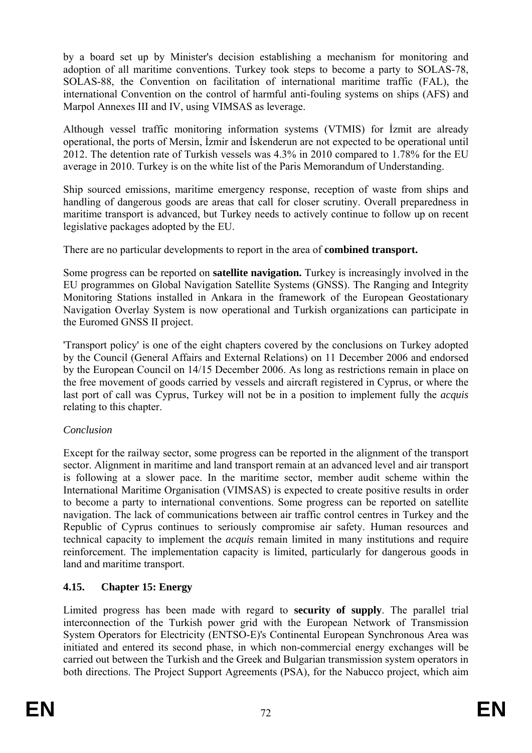by a board set up by Minister's decision establishing a mechanism for monitoring and adoption of all maritime conventions. Turkey took steps to become a party to SOLAS-78, SOLAS-88, the Convention on facilitation of international maritime traffic (FAL), the international Convention on the control of harmful anti-fouling systems on ships (AFS) and Marpol Annexes III and IV, using VIMSAS as leverage.

Although vessel traffic monitoring information systems (VTMIS) for İzmit are already operational, the ports of Mersin, İzmir and İskenderun are not expected to be operational until 2012. The detention rate of Turkish vessels was 4.3% in 2010 compared to 1.78% for the EU average in 2010. Turkey is on the white list of the Paris Memorandum of Understanding.

Ship sourced emissions, maritime emergency response, reception of waste from ships and handling of dangerous goods are areas that call for closer scrutiny. Overall preparedness in maritime transport is advanced, but Turkey needs to actively continue to follow up on recent legislative packages adopted by the EU.

There are no particular developments to report in the area of **combined transport.**

Navigation Overlay System is now operational and Turkish organizations can participate in Some progress can be reported on **satellite navigation.** Turkey is increasingly involved in the EU programmes on Global Navigation Satellite Systems (GNSS). The Ranging and Integrity Monitoring Stations installed in Ankara in the framework of the European Geostationary the Euromed GNSS II project.

relating to this chapter. 'Transport policy' is one of the eight chapters covered by the conclusions on Turkey adopted by the Council (General Affairs and External Relations) on 11 December 2006 and endorsed by the European Council on 14/15 December 2006. As long as restrictions remain in place on the free movement of goods carried by vessels and aircraft registered in Cyprus, or where the last port of call was Cyprus, Turkey will not be in a position to implement fully the *acquis* 

#### *Conclusion*

Republic of Cyprus continues to seriously compromise air safety. Human resources and Except for the railway sector, some progress can be reported in the alignment of the transport sector. Alignment in maritime and land transport remain at an advanced level and air transport is following at a slower pace. In the maritime sector, member audit scheme within the International Maritime Organisation (VIMSAS) is expected to create positive results in order to become a party to international conventions. Some progress can be reported on satellite navigation. The lack of communications between air traffic control centres in Turkey and the technical capacity to implement the *acquis* remain limited in many institutions and require reinforcement. The implementation capacity is limited, particularly for dangerous goods in land and maritime transport.

# **4.15. Chapter 15: Energy**

initiated and entered its second phase, in which non-commercial energy exchanges will be carried out between the Turkish and the Greek and Bulgarian transmission system operators in both directions. The Project Support Agreements (PSA), for the Nabucco project, which aim Limited progress has been made with regard to **security of supply**. The parallel trial interconnection of the Turkish power grid with the European Network of Transmission System Operators for Electricity (ENTSO-E)'s Continental European Synchronous Area was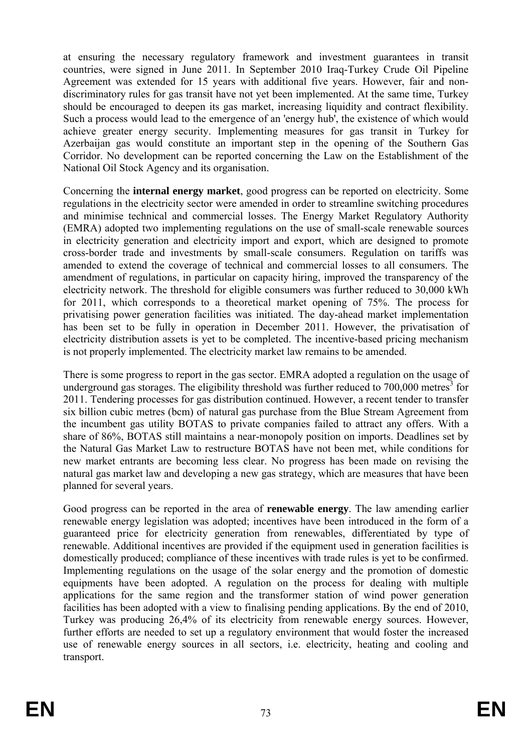Such a process would lead to the emergence of an 'energy hub', the existence of which would at ensuring the necessary regulatory framework and investment guarantees in transit countries, were signed in June 2011. In September 2010 Iraq-Turkey Crude Oil Pipeline Agreement was extended for 15 years with additional five years. However, fair and nondiscriminatory rules for gas transit have not yet been implemented. At the same time, Turkey should be encouraged to deepen its gas market, increasing liquidity and contract flexibility. achieve greater energy security. Implementing measures for gas transit in Turkey for Azerbaijan gas would constitute an important step in the opening of the Southern Gas Corridor. No development can be reported concerning the Law on the Establishment of the National Oil Stock Agency and its organisation.

regulations in the electricity sector were amended in order to streamline switching procedures and minimise technical and commercial losses. The Energy Market Regulatory Authority (EMRA) adopted two implementing regulations on the use of small-scale renewable sources is not properly implemented. The electricity market law remains to be amended. Concerning the **internal energy market**, good progress can be reported on electricity. Some in electricity generation and electricity import and export, which are designed to promote cross-border trade and investments by small-scale consumers. Regulation on tariffs was amended to extend the coverage of technical and commercial losses to all consumers. The amendment of regulations, in particular on capacity hiring, improved the transparency of the electricity network. The threshold for eligible consumers was further reduced to 30,000 kWh for 2011, which corresponds to a theoretical market opening of 75%. The process for privatising power generation facilities was initiated. The day-ahead market implementation has been set to be fully in operation in December 2011. However, the privatisation of electricity distribution assets is yet to be completed. The incentive-based pricing mechanism

There is some progress to report in the gas sector. EMRA adopted a regulation on the usage of underground gas storages. The eligibility threshold was further reduced to  $700,000$  metres<sup>3</sup> for 2011. Tendering processes for gas distribution continued. However, a recent tender to transfer six billion cubic metres (bcm) of natural gas purchase from the Blue Stream Agreement from the incumbent gas utility BOTAS to private companies failed to attract any offers. With a share of 86%, BOTAS still maintains a near-monopoly position on imports. Deadlines set by the Natural Gas Market Law to restructure BOTAS have not been met, while conditions for new market entrants are becoming less clear. No progress has been made on revising the natural gas market law and developing a new gas strategy, which are measures that have been planned for several years.

equipments have been adopted. A regulation on the process for dealing with multiple applications for the same region and the transformer station of wind power generation Good progress can be reported in the area of **renewable energy**. The law amending earlier renewable energy legislation was adopted; incentives have been introduced in the form of a guaranteed price for electricity generation from renewables, differentiated by type of renewable. Additional incentives are provided if the equipment used in generation facilities is domestically produced; compliance of these incentives with trade rules is yet to be confirmed. Implementing regulations on the usage of the solar energy and the promotion of domestic facilities has been adopted with a view to finalising pending applications. By the end of 2010, Turkey was producing 26,4% of its electricity from renewable energy sources. However, further efforts are needed to set up a regulatory environment that would foster the increased use of renewable energy sources in all sectors, i.e. electricity, heating and cooling and transport.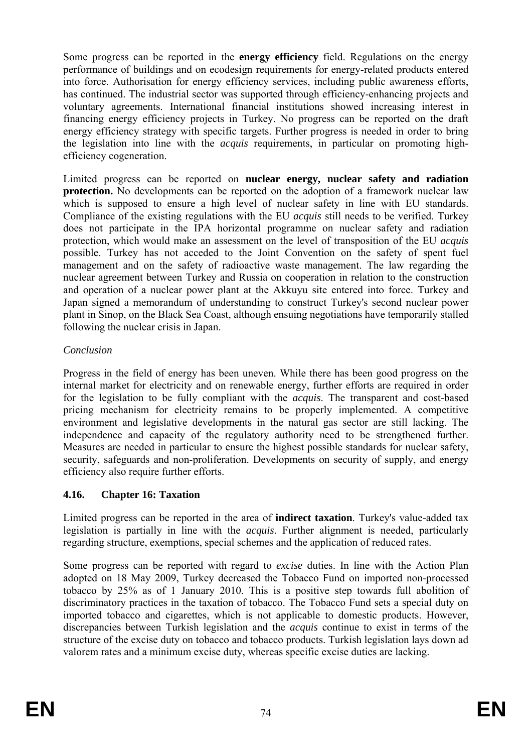Some progress can be reported in the **energy efficiency** field. Regulations on the energy performance of buildings and on ecodesign requirements for energy-related products entered into force. Authorisation for energy efficiency services, including public awareness efforts, has continued. The industrial sector was supported through efficiency-enhancing projects and voluntary agreements. International financial institutions showed increasing interest in financing energy efficiency projects in Turkey. No progress can be reported on the draft energy efficiency strategy with specific targets. Further progress is needed in order to bring the legislation into line with the *acquis* requirements, in particular on promoting highefficiency cogeneration.

and operation of a nuclear power plant at the Akkuyu site entered into force. Turkey and Limited progress can be reported on **nuclear energy, nuclear safety and radiation protection.** No developments can be reported on the adoption of a framework nuclear law which is supposed to ensure a high level of nuclear safety in line with EU standards. Compliance of the existing regulations with the EU *acquis* still needs to be verified. Turkey does not participate in the IPA horizontal programme on nuclear safety and radiation protection, which would make an assessment on the level of transposition of the EU *acquis*  possible. Turkey has not acceded to the Joint Convention on the safety of spent fuel management and on the safety of radioactive waste management. The law regarding the nuclear agreement between Turkey and Russia on cooperation in relation to the construction Japan signed a memorandum of understanding to construct Turkey's second nuclear power plant in Sinop, on the Black Sea Coast, although ensuing negotiations have temporarily stalled following the nuclear crisis in Japan.

#### *Conclusion*

security, safeguards and non-proliferation. Developments on security of supply, and energy Progress in the field of energy has been uneven. While there has been good progress on the internal market for electricity and on renewable energy, further efforts are required in order for the legislation to be fully compliant with the *acquis*. The transparent and cost-based pricing mechanism for electricity remains to be properly implemented. A competitive environment and legislative developments in the natural gas sector are still lacking. The independence and capacity of the regulatory authority need to be strengthened further. Measures are needed in particular to ensure the highest possible standards for nuclear safety, efficiency also require further efforts.

# **4.16. Chapter 16: Taxation**

Limited progress can be reported in the area of **indirect taxation**. Turkey's value-added tax legislation is partially in line with the *acquis*. Further alignment is needed, particularly regarding structure, exemptions, special schemes and the application of reduced rates.

adopted on 18 May 2009, Turkey decreased the Tobacco Fund on imported non-processed Some progress can be reported with regard to *excise* duties. In line with the Action Plan tobacco by 25% as of 1 January 2010. This is a positive step towards full abolition of discriminatory practices in the taxation of tobacco. The Tobacco Fund sets a special duty on imported tobacco and cigarettes, which is not applicable to domestic products. However, discrepancies between Turkish legislation and the *acquis* continue to exist in terms of the structure of the excise duty on tobacco and tobacco products. Turkish legislation lays down ad valorem rates and a minimum excise duty, whereas specific excise duties are lacking.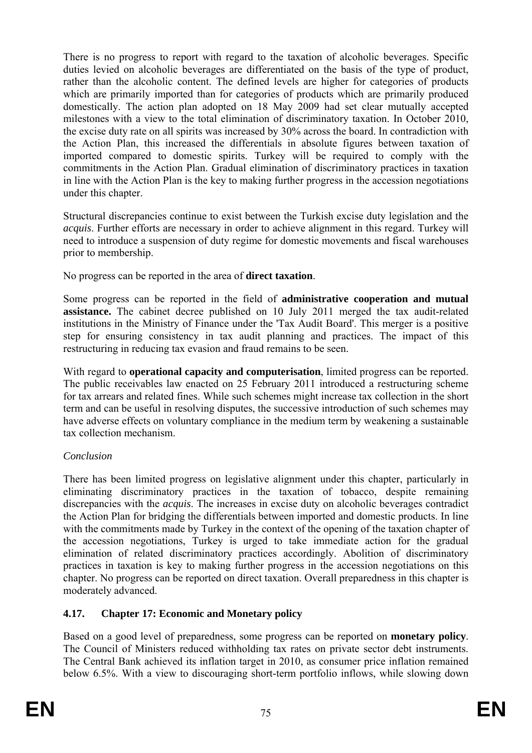the excise duty rate on all spirits was increased by 30% across the board. In contradiction with the Action Plan, this increased the differentials in absolute figures between taxation of imported compared to domestic spirits. Turkey will be required to comply with the There is no progress to report with regard to the taxation of alcoholic beverages. Specific duties levied on alcoholic beverages are differentiated on the basis of the type of product, rather than the alcoholic content. The defined levels are higher for categories of products which are primarily imported than for categories of products which are primarily produced domestically. The action plan adopted on 18 May 2009 had set clear mutually accepted milestones with a view to the total elimination of discriminatory taxation. In October 2010, commitments in the Action Plan. Gradual elimination of discriminatory practices in taxation in line with the Action Plan is the key to making further progress in the accession negotiations under this chapter.

Structural discrepancies continue to exist between the Turkish excise duty legislation and the *acquis*. Further efforts are necessary in order to achieve alignment in this regard. Turkey will need to introduce a suspension of duty regime for domestic movements and fiscal warehouses prior to membership.

No progress can be reported in the area of **direct taxation**.

Some progress can be reported in the field of administrative cooperation and mutual step for ensuring consistency in tax audit planning and practices. The impact of this restructuring in reducing tax evasion and fraud remains to be seen. **assistance.** The cabinet decree published on 10 July 2011 merged the tax audit-related institutions in the Ministry of Finance under the 'Tax Audit Board'. This merger is a positive

With regard to **operational capacity and computerisation**, limited progress can be reported. The public receivables law enacted on 25 February 2011 introduced a restructuring scheme for tax arrears and related fines. While such schemes might increase tax collection in the short term and can be useful in resolving disputes, the successive introduction of such schemes may have adverse effects on voluntary compliance in the medium term by weakening a sustainable tax collection mechanism.

# *Conclusion*

There has been limited progress on legislative alignment under this chapter, particularly in eliminating discriminatory practices in the taxation of tobacco, despite remaining discrepancies with the *acquis*. The increases in excise duty on alcoholic beverages contradict the Action Plan for bridging the differentials between imported and domestic products. In line with the commitments made by Turkey in the context of the opening of the taxation chapter of the accession negotiations, Turkey is urged to take immediate action for the gradual elimination of related discriminatory practices accordingly. Abolition of discriminatory practices in taxation is key to making further progress in the accession negotiations on this chapter. No progress can be reported on direct taxation. Overall preparedness in this chapter is moderately advanced.

# **7: Economic and Monetary policy 4.17. Chapter 1**

below 6.5%. With a view to discouraging short-term portfolio inflows, while slowing down Based on a good level of preparedness, some progress can be reported on **monetary policy**. The Council of Ministers reduced withholding tax rates on private sector debt instruments. The Central Bank achieved its inflation target in 2010, as consumer price inflation remained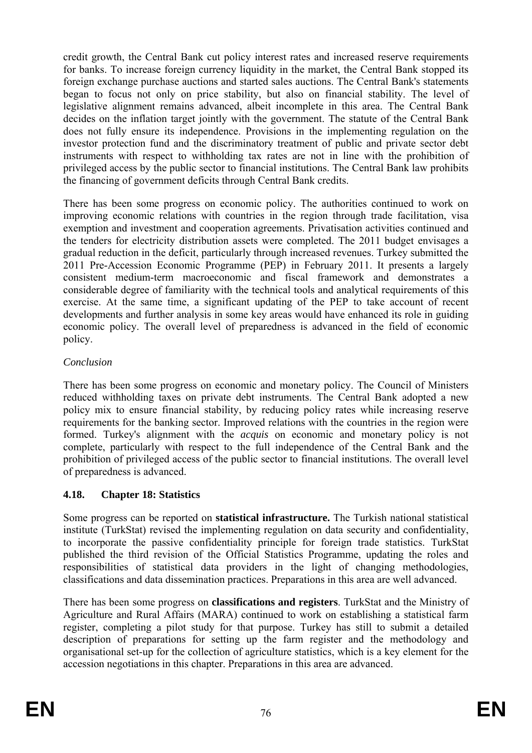credit growth, the Central Bank cut policy interest rates and increased reserve requirements for banks. To increase foreign currency liquidity in the market, the Central Bank stopped its does not fully ensure its independence. Provisions in the implementing regulation on the investor protection fund and the discriminatory treatment of public and private sector debt foreign exchange purchase auctions and started sales auctions. The Central Bank's statements began to focus not only on price stability, but also on financial stability. The level of legislative alignment remains advanced, albeit incomplete in this area. The Central Bank decides on the inflation target jointly with the government. The statute of the Central Bank instruments with respect to withholding tax rates are not in line with the prohibition of privileged access by the public sector to financial institutions. The Central Bank law prohibits the financing of government deficits through Central Bank credits.

improving economic relations with countries in the region through trade facilitation, visa exemption and investment and cooperation agreements. Privatisation activities continued and the tenders for electricity distribution assets were completed. The 2011 budget envisages a gradual reduction in the deficit, particularly through increased revenues. Turkey submitted the There has been some progress on economic policy. The authorities continued to work on 2011 Pre-Accession Economic Programme (PEP) in February 2011. It presents a largely consistent medium-term macroeconomic and fiscal framework and demonstrates a considerable degree of familiarity with the technical tools and analytical requirements of this exercise. At the same time, a significant updating of the PEP to take account of recent developments and further analysis in some key areas would have enhanced its role in guiding economic policy. The overall level of preparedness is advanced in the field of economic policy.

#### *Conclusion*

There has been some progress on economic and monetary policy. The Council of Ministers reduced withholding taxes on private debt instruments. The Central Bank adopted a new policy mix to ensure financial stability, by reducing policy rates while increasing reserve requirements for the banking sector. Improved relations with the countries in the region were formed. Turkey's alignment with the *acquis* on economic and monetary policy is not complete, particularly with respect to the full independence of the Central Bank and the prohibition of privileged access of the public sector to financial institutions. The overall level of preparedness is advanced.

# **4.18. Chapter 18: Statistics**

Some progress can be reported on **statistical infrastructure.** The Turkish national statistical institute (TurkStat) revised the implementing regulation on data security and confidentiality, to incorporate the passive confidentiality principle for foreign trade statistics. TurkStat published the third revision of the Official Statistics Programme, updating the roles and responsibilities of statistical data providers in the light of changing methodologies, classifications and data dissemination practices. Preparations in this area are well advanced.

There has been some progress on **classifications and registers**. TurkStat and the Ministry of Agriculture and Rural Affairs (MARA) continued to work on establishing a statistical farm register, completing a pilot study for that purpose. Turkey has still to submit a detailed description of preparations for setting up the farm register and the methodology and organisational set-up for the collection of agriculture statistics, which is a key element for the accession negotiations in this chapter. Preparations in this area are advanced.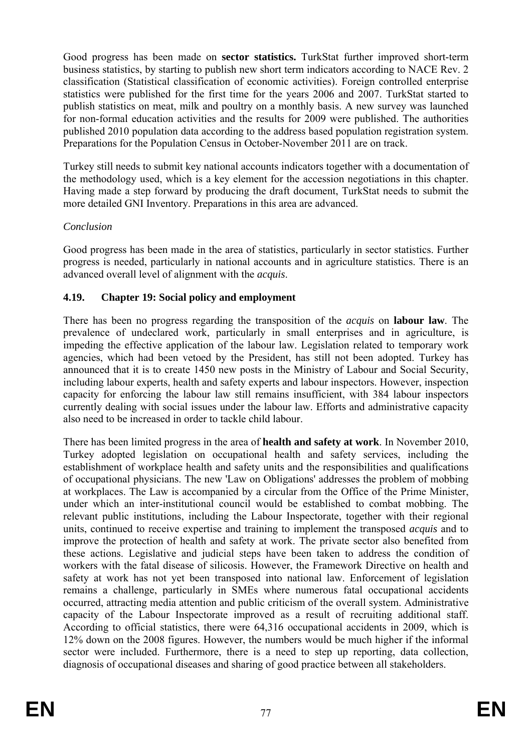Preparations for the Population Census in October-November 2011 are on track. Good progress has been made on **sector statistics.** TurkStat further improved short-term business statistics, by starting to publish new short term indicators according to NACE Rev. 2 classification (Statistical classification of economic activities). Foreign controlled enterprise statistics were published for the first time for the years 2006 and 2007. TurkStat started to publish statistics on meat, milk and poultry on a monthly basis. A new survey was launched for non-formal education activities and the results for 2009 were published. The authorities published 2010 population data according to the address based population registration system.

Turkey still needs to submit key national accounts indicators together with a documentation of the methodology used, which is a key element for the accession negotiations in this chapter. Having made a step forward by producing the draft document, TurkStat needs to submit the more detailed GNI Inventory. Preparations in this area are advanced.

#### *Conclusion*

advanced overall level of alignment with the *acquis*. Good progress has been made in the area of statistics, particularly in sector statistics. Further progress is needed, particularly in national accounts and in agriculture statistics. There is an

#### **4.19.** Chapter 19: Social policy and employment

including labour experts, health and safety experts and labour inspectors. However, inspection There has been no progress regarding the transposition of the *acquis* on **labour law**. The prevalence of undeclared work, particularly in small enterprises and in agriculture, is impeding the effective application of the labour law. Legislation related to temporary work agencies, which had been vetoed by the President, has still not been adopted. Turkey has announced that it is to create 1450 new posts in the Ministry of Labour and Social Security, capacity for enforcing the labour law still remains insufficient, with 384 labour inspectors currently dealing with social issues under the labour law. Efforts and administrative capacity also need to be increased in order to tackle child labour.

establishment of workplace health and safety units and the responsibilities and qualifications safety at work has not yet been transposed into national law. Enforcement of legislation According to official statistics, there were 64,316 occupational accidents in 2009, which is 12% down on the 2008 figures. However, the numbers would be much higher if the informal sector were included. Furthermore, there is a need to step up reporting, data collection, diagnosis of occupational diseases and sharing of good practice between all stakeholders. There has been limited progress in the area of **health and safety at work**. In November 2010, Turkey adopted legislation on occupational health and safety services, including the of occupational physicians. The new 'Law on Obligations' addresses the problem of mobbing at workplaces. The Law is accompanied by a circular from the Office of the Prime Minister, under which an inter-institutional council would be established to combat mobbing. The relevant public institutions, including the Labour Inspectorate, together with their regional units, continued to receive expertise and training to implement the transposed *acquis* and to improve the protection of health and safety at work. The private sector also benefited from these actions. Legislative and judicial steps have been taken to address the condition of workers with the fatal disease of silicosis. However, the Framework Directive on health and remains a challenge, particularly in SMEs where numerous fatal occupational accidents occurred, attracting media attention and public criticism of the overall system. Administrative capacity of the Labour Inspectorate improved as a result of recruiting additional staff.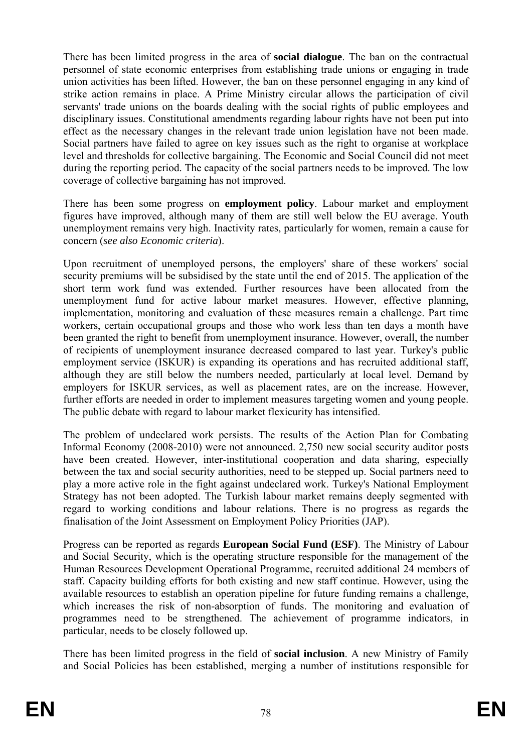strike action remains in place. A Prime Ministry circular allows the participation of civil servants' trade unions on the boards dealing with the social rights of public employees and disciplinary issues. Constitutional amendments regarding labour rights have not been put into There has been limited progress in the area of **social dialogue**. The ban on the contractual personnel of state economic enterprises from establishing trade unions or engaging in trade union activities has been lifted. However, the ban on these personnel engaging in any kind of effect as the necessary changes in the relevant trade union legislation have not been made. Social partners have failed to agree on key issues such as the right to organise at workplace level and thresholds for collective bargaining. The Economic and Social Council did not meet during the reporting period. The capacity of the social partners needs to be improved. The low coverage of collective bargaining has not improved.

unemployment remains very high. Inactivity rates, particularly for women, remain a cause for concern (*see also Economic criteria*). There has been some progress on **employment policy**. Labour market and employment figures have improved, although many of them are still well below the EU average. Youth

Upon recruitment of unemployed persons, the employers' share of these workers' social security premiums will be subsidised by the state until the end of 2015. The application of the short term work fund was extended. Further resources have been allocated from the unemployment fund for active labour market measures. However, effective planning, implementation, monitoring and evaluation of these measures remain a challenge. Part time workers, certain occupational groups and those who work less than ten days a month have been granted the right to benefit from unemployment insurance. However, overall, the number of recipients of unemployment insurance decreased compared to last year. Turkey's public employment service (ISKUR) is expanding its operations and has recruited additional staff, although they are still below the numbers needed, particularly at local level. Demand by employers for ISKUR services, as well as placement rates, are on the increase. However, further efforts are needed in order to implement measures targeting women and young people. The public debate with regard to labour market flexicurity has intensified.

play a more active role in the fight against undeclared work. Turkey's National Employment The problem of undeclared work persists. The results of the Action Plan for Combating Informal Economy (2008-2010) were not announced. 2,750 new social security auditor posts have been created. However, inter-institutional cooperation and data sharing, especially between the tax and social security authorities, need to be stepped up. Social partners need to Strategy has not been adopted. The Turkish labour market remains deeply segmented with regard to working conditions and labour relations. There is no progress as regards the finalisation of the Joint Assessment on Employment Policy Priorities (JAP).

Progress can be reported as regards **European Social Fund (ESF)**. The Ministry of Labour and Social Security, which is the operating structure responsible for the management of the Human Resources Development Operational Programme, recruited additional 24 members of staff. Capacity building efforts for both existing and new staff continue. However, using the available resources to establish an operation pipeline for future funding remains a challenge, which increases the risk of non-absorption of funds. The monitoring and evaluation of programmes need to be strengthened. The achievement of programme indicators, in particular, needs to be closely followed up.

There has been limited progress in the field of **social inclusion**. A new Ministry of Family and Social Policies has been established, merging a number of institutions responsible for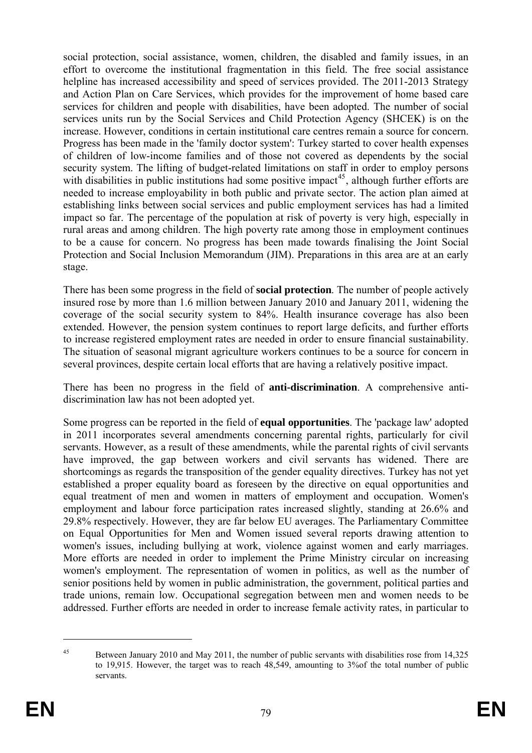helpline has increased accessibility and speed of services provided. The 2011-2013 Strategy to be a cause for concern. No progress has been made towards finalising the Joint Social Protection and Social Inclusion Memorandum (JIM). Preparations in this area are at an early social protection, social assistance, women, children, the disabled and family issues, in an effort to overcome the institutional fragmentation in this field. The free social assistance and Action Plan on Care Services, which provides for the improvement of home based care services for children and people with disabilities, have been adopted. The number of social services units run by the Social Services and Child Protection Agency (SHCEK) is on the increase. However, conditions in certain institutional care centres remain a source for concern. Progress has been made in the 'family doctor system': Turkey started to cover health expenses of children of low-income families and of those not covered as dependents by the social security system. The lifting of budget-related limitations on staff in order to employ persons with disabilities in public institutions had some positive impact<sup>45</sup>, although further efforts are needed to increase employability in both public and private sector. The action plan aimed at establishing links between social services and public employment services has had a limited impact so far. The percentage of the population at risk of poverty is very high, especially in rural areas and among children. The high poverty rate among those in employment continues stage.

The situation of seasonal migrant agriculture workers continues to be a source for concern in several provinces, despite certain local efforts that are having a relatively positive impact. There has been some progress in the field of **social protection**. The number of people actively insured rose by more than 1.6 million between January 2010 and January 2011, widening the coverage of the social security system to 84%. Health insurance coverage has also been extended. However, the pension system continues to report large deficits, and further efforts to increase registered employment rates are needed in order to ensure financial sustainability.

There has been no progress in the field of **anti-discrimination**. A comprehensive antidiscrimination law has not been adopted yet.

shortcomings as regards the transposition of the gender equality directives. Turkey has not yet Some progress can be reported in the field of **equal opportunities**. The 'package law' adopted in 2011 incorporates several amendments concerning parental rights, particularly for civil servants. However, as a result of these amendments, while the parental rights of civil servants have improved, the gap between workers and civil servants has widened. There are established a proper equality board as foreseen by the directive on equal opportunities and equal treatment of men and women in matters of employment and occupation. Women's employment and labour force participation rates increased slightly, standing at 26.6% and 29.8% respectively. However, they are far below EU averages. The Parliamentary Committee on Equal Opportunities for Men and Women issued several reports drawing attention to women's issues, including bullying at work, violence against women and early marriages. More efforts are needed in order to implement the Prime Ministry circular on increasing women's employment. The representation of women in politics, as well as the number of senior positions held by women in public administration, the government, political parties and trade unions, remain low. Occupational segregation between men and women needs to be addressed. Further efforts are needed in order to increase female activity rates, in particular to

1

<sup>&</sup>lt;sup>45</sup> Between January 2010 and May 2011, the number of public servants with disabilities rose from 14,325 to 19,915. However, the target was to reach 48,549, amounting to 3%of the total number of public servants.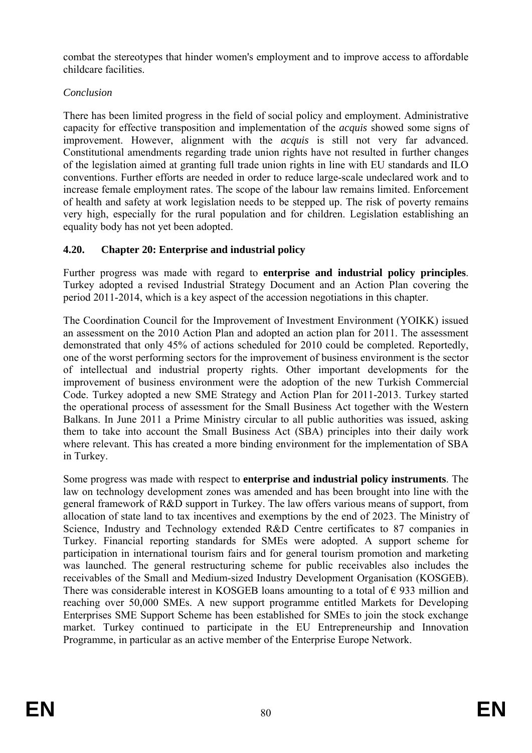combat the stereotypes that hinder women's employment and to improve access to affordable childcare facilities.

# *Conclusion*

Constitutional amendments regarding trade union rights have not resulted in further changes There has been limited progress in the field of social policy and employment. Administrative capacity for effective transposition and implementation of the *acquis* showed some signs of improvement. However, alignment with the *acquis* is still not very far advanced. of the legislation aimed at granting full trade union rights in line with EU standards and ILO conventions. Further efforts are needed in order to reduce large-scale undeclared work and to increase female employment rates. The scope of the labour law remains limited. Enforcement of health and safety at work legislation needs to be stepped up. The risk of poverty remains very high, especially for the rural population and for children. Legislation establishing an equality body has not yet been adopted.

# **4.20. Chapter 20: Enterprise and industrial policy**

Turkey adopted a revised Industrial Strategy Document and an Action Plan covering the Further progress was made with regard to **enterprise and industrial policy principles**. period 2011-2014, which is a key aspect of the accession negotiations in this chapter.

The Coordination Council for the Improvement of Investment Environment (YOIKK) issued an assessment on the 2010 Action Plan and adopted an action plan for 2011. The assessment demonstrated that only 45% of actions scheduled for 2010 could be completed. Reportedly, one of the worst performing sectors for the improvement of business environment is the sector of intellectual and industrial property rights. Other important developments for the improvement of business environment were the adoption of the new Turkish Commercial Code. Turkey adopted a new SME Strategy and Action Plan for 2011-2013. Turkey started the operational process of assessment for the Small Business Act together with the Western Balkans. In June 2011 a Prime Ministry circular to all public authorities was issued, asking them to take into account the Small Business Act (SBA) principles into their daily work where relevant. This has created a more binding environment for the implementation of SBA in Turkey.

allocation of state land to tax incentives and exemptions by the end of 2023. The Ministry of Science, Industry and Technology extended R&D Centre certificates to 87 companies in Turkey. Financial reporting standards for SMEs were adopted. A support scheme for market. Turkey continued to participate in the EU Entrepreneurship and Innovation Programme, in particular as an active member of the Enterprise Europe Network. Some progress was made with respect to **enterprise and industrial policy instruments**. The law on technology development zones was amended and has been brought into line with the general framework of R&D support in Turkey. The law offers various means of support, from participation in international tourism fairs and for general tourism promotion and marketing was launched. The general restructuring scheme for public receivables also includes the receivables of the Small and Medium-sized Industry Development Organisation (KOSGEB). There was considerable interest in KOSGEB loans amounting to a total of  $\epsilon$  933 million and reaching over 50,000 SMEs. A new support programme entitled Markets for Developing Enterprises SME Support Scheme has been established for SMEs to join the stock exchange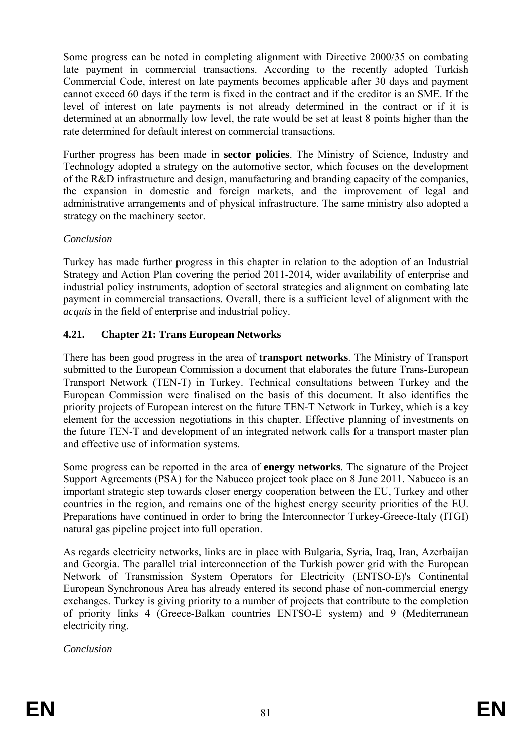determined at an abnormally low level, the rate would be set at least 8 points higher than the rate determined for default interest on commercial transactions. Some progress can be noted in completing alignment with Directive 2000/35 on combating late payment in commercial transactions. According to the recently adopted Turkish Commercial Code, interest on late payments becomes applicable after 30 days and payment cannot exceed 60 days if the term is fixed in the contract and if the creditor is an SME. If the level of interest on late payments is not already determined in the contract or if it is

of the R&D infrastructure and design, manufacturing and branding capacity of the companies, the expansion in domestic and foreign markets, and the improvement of legal and Further progress has been made in **sector policies**. The Ministry of Science, Industry and Technology adopted a strategy on the automotive sector, which focuses on the development administrative arrangements and of physical infrastructure. The same ministry also adopted a strategy on the machinery sector.

#### *Conclusion*

Turkey has made further progress in this chapter in relation to the adoption of an Industrial Strategy and Action Plan covering the period 2011-2014, wider availability of enterprise and industrial policy instruments, adoption of sectoral strategies and alignment on combating late payment in commercial transactions. Overall, there is a sufficient level of alignment with the *acquis* in the field of enterprise and industrial policy.

# **4.21. Chapter 21: Trans European Networks**

There has been good progress in the area of **transport networks**. The Ministry of Transport submitted to the European Commission a document that elaborates the future Trans-European Transport Network (TEN-T) in Turkey. Technical consultations between Turkey and the European Commission were finalised on the basis of this document. It also identifies the priority projects of European interest on the future TEN-T Network in Turkey, which is a key element for the accession negotiations in this chapter. Effective planning of investments on the future TEN-T and development of an integrated network calls for a transport master plan and effective use of information systems.

Some progress can be reported in the area of **energy networks**. The signature of the Project Support Agreements (PSA) for the Nabucco project took place on 8 June 2011. Nabucco is an important strategic step towards closer energy cooperation between the EU, Turkey and other countries in the region, and remains one of the highest energy security priorities of the EU. Preparations have continued in order to bring the Interconnector Turkey-Greece-Italy (ITGI) natural gas pipeline project into full operation.

As regards electricity networks, links are in place with Bulgaria, Syria, Iraq, Iran, Azerbaijan and Georgia. The parallel trial interconnection of the Turkish power grid with the European Network of Transmission System Operators for Electricity (ENTSO-E)'s Continental European Synchronous Area has already entered its second phase of non-commercial energy exchanges. Turkey is giving priority to a number of projects that contribute to the completion of priority links 4 (Greece-Balkan countries ENTSO-E system) and 9 (Mediterranean electricity ring.

*Conclusion*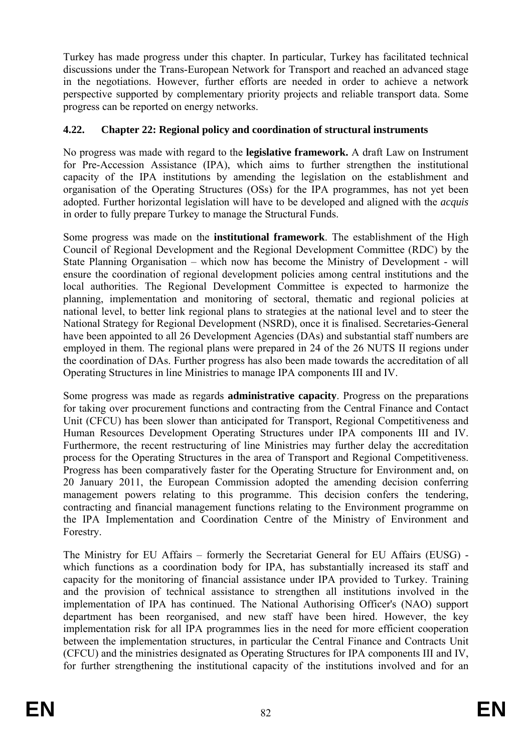perspective supported by complementary priority projects and reliable transport data. Some progress can be reported on energy networks. Turkey has made progress under this chapter. In particular, Turkey has facilitated technical discussions under the Trans-European Network for Transport and reached an advanced stage in the negotiations. However, further efforts are needed in order to achieve a network

#### **4.22. Chapter 22: Regional policy and coordination of structural instruments**

organisation of the Operating Structures (OSs) for the IPA programmes, has not yet been adopted. Further horizontal legislation will have to be developed and aligned with the *acquis* in order to fully prepare Turkey to manage the Structural Funds. No progress was made with regard to the **legislative framework.** A draft Law on Instrument for Pre-Accession Assistance (IPA), which aims to further strengthen the institutional capacity of the IPA institutions by amending the legislation on the establishment and

national level, to better link regional plans to strategies at the national level and to steer the National Strategy for Regional Development (NSRD), once it is finalised. Secretaries-General Some progress was made on the **institutional framework**. The establishment of the High Council of Regional Development and the Regional Development Committee (RDC) by the State Planning Organisation – which now has become the Ministry of Development - will ensure the coordination of regional development policies among central institutions and the local authorities. The Regional Development Committee is expected to harmonize the planning, implementation and monitoring of sectoral, thematic and regional policies at have been appointed to all 26 Development Agencies (DAs) and substantial staff numbers are employed in them. The regional plans were prepared in 24 of the 26 NUTS II regions under the coordination of DAs. Further progress has also been made towards the accreditation of all Operating Structures in line Ministries to manage IPA components III and IV.

Some progress was made as regards **administrative capacity**. Progress on the preparations for taking over procurement functions and contracting from the Central Finance and Contact management powers relating to this programme. This decision confers the tendering, contracting and financial management functions relating to the Environment programme on the IPA Implementation and Coordination Centre of the Ministry of Environment and Forestry. Unit (CFCU) has been slower than anticipated for Transport, Regional Competitiveness and Human Resources Development Operating Structures under IPA components III and IV. Furthermore, the recent restructuring of line Ministries may further delay the accreditation process for the Operating Structures in the area of Transport and Regional Competitiveness. Progress has been comparatively faster for the Operating Structure for Environment and, on 20 January 2011, the European Commission adopted the amending decision conferring

and the provision of technical assistance to strengthen all institutions involved in the implementation of IPA has continued. The National Authorising Officer's (NAO) support department has been reorganised, and new staff have been hired. However, the key The Ministry for EU Affairs – formerly the Secretariat General for EU Affairs (EUSG) which functions as a coordination body for IPA, has substantially increased its staff and capacity for the monitoring of financial assistance under IPA provided to Turkey. Training implementation risk for all IPA programmes lies in the need for more efficient cooperation between the implementation structures, in particular the Central Finance and Contracts Unit (CFCU) and the ministries designated as Operating Structures for IPA components III and IV, for further strengthening the institutional capacity of the institutions involved and for an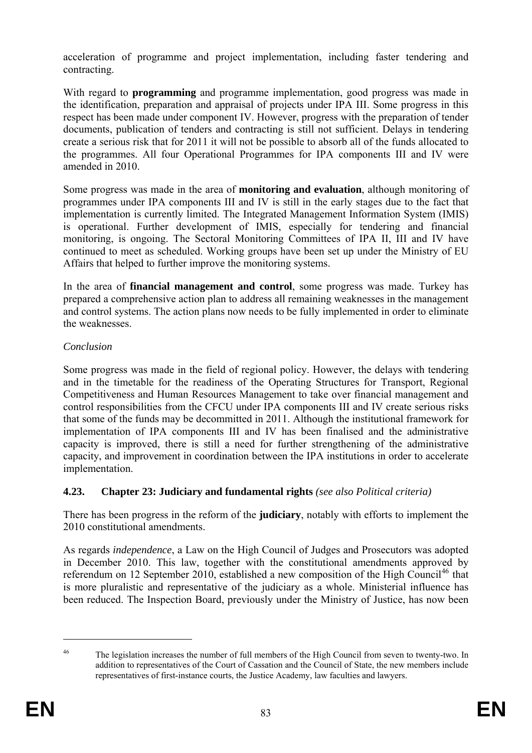acceleration of programme and project implementation, including faster tendering and contracting.

With regard to **programming** and programme implementation, good progress was made in the identification, preparation and appraisal of projects under IPA III. Some progress in this respect has been made under component IV. However, progress with the preparation of tender documents, publication of tenders and contracting is still not sufficient. Delays in tendering create a serious risk that for 2011 it will not be possible to absorb all of the funds allocated to the programmes. All four Operational Programmes for IPA components III and IV were amended in 2010.

monitoring, is ongoing. The Sectoral Monitoring Committees of IPA II, III and IV have Some progress was made in the area of **monitoring and evaluation**, although monitoring of programmes under IPA components III and IV is still in the early stages due to the fact that implementation is currently limited. The Integrated Management Information System (IMIS) is operational. Further development of IMIS, especially for tendering and financial continued to meet as scheduled. Working groups have been set up under the Ministry of EU Affairs that helped to further improve the monitoring systems.

In the area of **financial management and control**, some progress was made. Turkey has prepared a comprehensive action plan to address all remaining weaknesses in the management and control systems. The action plans now needs to be fully implemented in order to eliminate the weaknesses.

# *Conclusion*

Competitiveness and Human Resources Management to take over financial management and Some progress was made in the field of regional policy. However, the delays with tendering and in the timetable for the readiness of the Operating Structures for Transport, Regional control responsibilities from the CFCU under IPA components III and IV create serious risks that some of the funds may be decommitted in 2011. Although the institutional framework for implementation of IPA components III and IV has been finalised and the administrative capacity is improved, there is still a need for further strengthening of the administrative capacity, and improvement in coordination between the IPA institutions in order to accelerate implementation.

# **4.23. Chapter 23: Judiciary and fundamental rights** *(see also Political criteria)*

There has been progress in the reform of the **judiciary**, notably with efforts to implement the 2010 constitutional amendments.

*dependence*, a Law on the High Council of Judges and Prosecutors was adopted As regards *in* in December 2010. This law, together with the constitutional amendments approved by referendum on 12 September 2010, established a new composition of the High Council<sup>46</sup> that is more pluralistic and representative of the judiciary as a whole. Ministerial influence has been reduced. The Inspection Board, previously under the Ministry of Justice, has now been

1

<sup>&</sup>lt;sup>46</sup> The legislation increases the number of full members of the High Council from seven to twenty-two. In addition to representatives of the Court of Cassation and the Council of State, the new members include representatives of first-instance courts, the Justice Academy, law faculties and lawyers.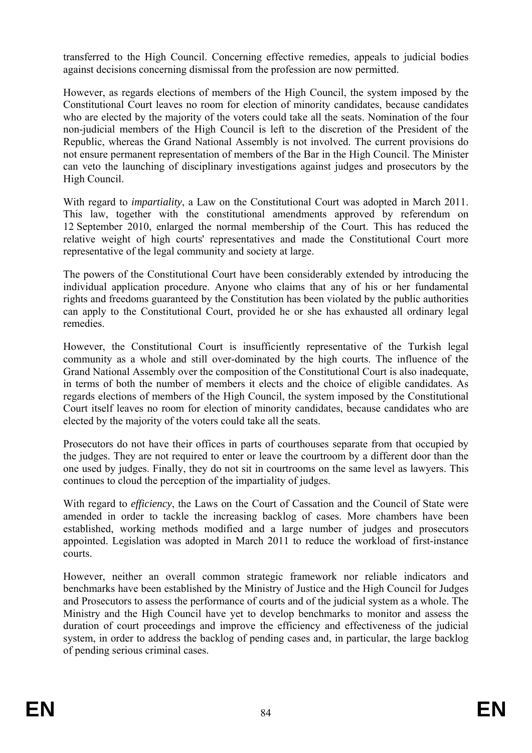transferred to the High Council. Concerning effective remedies, appeals to judicial bodies against decisions concerning dismissal from the profession are now permitted.

Republic, whereas the Grand National Assembly is not involved. The current provisions do However, as regards elections of members of the High Council, the system imposed by the Constitutional Court leaves no room for election of minority candidates, because candidates who are elected by the majority of the voters could take all the seats. Nomination of the four non-judicial members of the High Council is left to the discretion of the President of the not ensure permanent representation of members of the Bar in the High Council. The Minister can veto the launching of disciplinary investigations against judges and prosecutors by the High Council.

With regard to *impartiality*, a Law on the Constitutional Court was adopted in March 2011. This law, together with the constitutional amendments approved by referendum on 12 September 2010, enlarged the normal membership of the Court. This has reduced the relative weight of high courts' representatives and made the Constitutional Court more representative of the legal community and society at large.

The powers of the Constitutional Court have been considerably extended by introducing the individual application procedure. Anyone who claims that any of his or her fundamental rights and freedoms guaranteed by the Constitution has been violated by the public authorities can apply to the Constitutional Court, provided he or she has exhausted all ordinary legal remedies.

However, the Constitutional Court is insufficiently representative of the Turkish legal community as a whole and still over-dominated by the high courts. The influence of the regards elections of members of the High Council, the system imposed by the Constitutional Court itself leaves no room for election of minority candidates, because candidates who are Grand National Assembly over the composition of the Constitutional Court is also inadequate, in terms of both the number of members it elects and the choice of eligible candidates. As elected by the majority of the voters could take all the seats.

Prosecutors do not have their offices in parts of courthouses separate from that occupied by the judges. They are not required to enter or leave the courtroom by a different door than the one used by judges. Finally, they do not sit in courtrooms on the same level as lawyers. This continues to cloud the perception of the impartiality of judges.

With regard to *efficiency*, the Laws on the Court of Cassation and the Council of State were amended in order to tackle the increasing backlog of cases. More chambers have been established, working methods modified and a large number of judges and prosecutors appointed. Legislation was adopted in March 2011 to reduce the workload of first-instance courts.

Ministry and the High Council have yet to develop benchmarks to monitor and assess the duration of court proceedings and improve the efficiency and effectiveness of the judicial system, in order to address the backlog of pending cases and, in particular, the large backlog However, neither an overall common strategic framework nor reliable indicators and benchmarks have been established by the Ministry of Justice and the High Council for Judges and Prosecutors to assess the performance of courts and of the judicial system as a whole. The of pending serious criminal cases.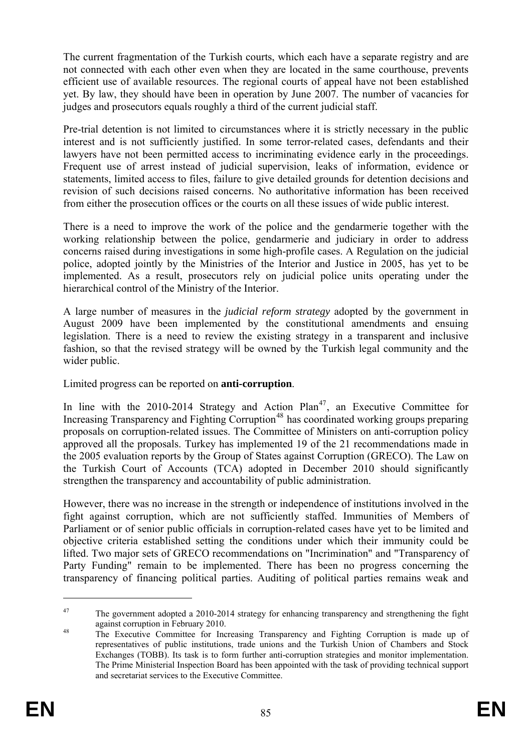The current fragmentation of the Turkish courts, which each have a separate registry and are not connected with each other even when they are located in the same courthouse, prevents efficient use of available resources. The regional courts of appeal have not been established yet. By law, they should have been in operation by June 2007. The number of vacancies for judges and prosecutors equals roughly a third of the current judicial staff.

revision of such decisions raised concerns. No authoritative information has been received Pre-trial detention is not limited to circumstances where it is strictly necessary in the public interest and is not sufficiently justified. In some terror-related cases, defendants and their lawyers have not been permitted access to incriminating evidence early in the proceedings. Frequent use of arrest instead of judicial supervision, leaks of information, evidence or statements, limited access to files, failure to give detailed grounds for detention decisions and from either the prosecution offices or the courts on all these issues of wide public interest.

There is a need to improve the work of the police and the gendarmerie together with the working relationship between the police, gendarmerie and judiciary in order to address concerns raised during investigations in some high-profile cases. A Regulation on the judicial police, adopted jointly by the Ministries of the Interior and Justice in 2005, has yet to be implemented. As a result, prosecutors rely on judicial police units operating under the hierarchical control of the Ministry of the Interior.

fashion, so that the revised strategy will be owned by the Turkish legal community and the A large number of measures in the *judicial reform strategy* adopted by the government in August 2009 have been implemented by the constitutional amendments and ensuing legislation. There is a need to review the existing strategy in a transparent and inclusive wider public.

Limited progress can be reported on **anti-corruption**.

Increasing Transparency and Fighting Corruption<sup>48</sup> has coordinated working groups preparing In line with the  $2010-2014$  Strategy and Action  $Plan<sup>47</sup>$ , an Executive Committee for proposals on corruption-related issues. The Committee of Ministers on anti-corruption policy approved all the proposals. Turkey has implemented 19 of the 21 recommendations made in the 2005 evaluation reports by the Group of States against Corruption (GRECO). The Law on the Turkish Court of Accounts (TCA) adopted in December 2010 should significantly strengthen the transparency and accountability of public administration.

fight against corruption, which are not sufficiently staffed. Immunities of Members of However, there was no increase in the strength or independence of institutions involved in the Parliament or of senior public officials in corruption-related cases have yet to be limited and objective criteria established setting the conditions under which their immunity could be lifted. Two major sets of GRECO recommendations on "Incrimination" and "Transparency of Party Funding" remain to be implemented. There has been no progress concerning the transparency of financing political parties. Auditing of political parties remains weak and

1

<sup>&</sup>lt;sup>47</sup> The government adopted a 2010-2014 strategy for enhancing transparency and strengthening the fight against corruption in February 2010.<br>
<sup>48</sup> The Executive Committee for Increasing Transparency and Fighting Corruption is made up of

representatives of public institutions, trade unions and the Turkish Union of Chambers and Stock Exchanges (TOBB). Its task is to form further anti-corruption strategies and monitor implementation. The Prime Ministerial Inspection Board has been appointed with the task of providing technical support and secretariat services to the Executive Committee.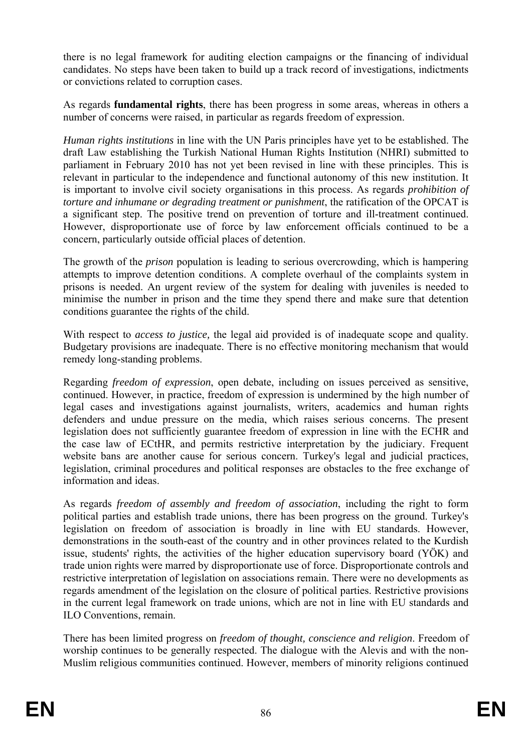there is no legal framework for auditing election campaigns or the financing of individual candidates. No steps have been taken to build up a track record of investigations, indictments or convictions related to corruption cases.

As regards **fundamental rights**, there has been progress in some areas, whereas in others a number of concerns were raised, in particular as regards freedom of expression.

parliament in February 2010 has not yet been revised in line with these principles. This is concern, particularly outside official places of detention. *Human rights institutions* in line with the UN Paris principles have yet to be established. The draft Law establishing the Turkish National Human Rights Institution (NHRI) submitted to relevant in particular to the independence and functional autonomy of this new institution. It is important to involve civil society organisations in this process. As regards *prohibition of torture and inhumane or degrading treatment or punishment*, the ratification of the OPCAT is a significant step. The positive trend on prevention of torture and ill-treatment continued. However, disproportionate use of force by law enforcement officials continued to be a

The growth of the *prison* population is leading to serious overcrowding, which is hampering attempts to improve detention conditions. A complete overhaul of the complaints system in prisons is needed. An urgent review of the system for dealing with juveniles is needed to minimise the number in prison and the time they spend there and make sure that detention conditions guarantee the rights of the child.

With respect to *access to justice,* the legal aid provided is of inadequate scope and quality. Budgetary provisions are inadequate. There is no effective monitoring mechanism that would remedy long-standing problems.

Regarding *freedom of expression*, open debate, including on issues perceived as sensitive, continued. However, in practice, freedom of expression is undermined by the high number of legal cases and investigations against journalists, writers, academics and human rights defenders and undue pressure on the media, which raises serious concerns. The present legislation does not sufficiently guarantee freedom of expression in line with the ECHR and the case law of ECtHR, and permits restrictive interpretation by the judiciary. Frequent website bans are another cause for serious concern. Turkey's legal and judicial practices, legislation, criminal procedures and political responses are obstacles to the free exchange of information and ideas.

restrictive interpretation of legislation on associations remain. There were no developments as regards amendment of the legislation on the closure of political parties. Restrictive provisions in the current legal framework on trade unions, which are not in line with EU standards and As regards *freedom of assembly and freedom of association*, including the right to form political parties and establish trade unions, there has been progress on the ground. Turkey's legislation on freedom of association is broadly in line with EU standards. However, demonstrations in the south-east of the country and in other provinces related to the Kurdish issue, students' rights, the activities of the higher education supervisory board (YÖK) and trade union rights were marred by disproportionate use of force. Disproportionate controls and ILO Conventions, remain.

There has been limited progress on *freedom of thought, conscience and religion*. Freedom of worshi p continues to be generally respected. The dialogue with the Alevis and with the non- Muslim religious communities continued. However, members of minority religions continued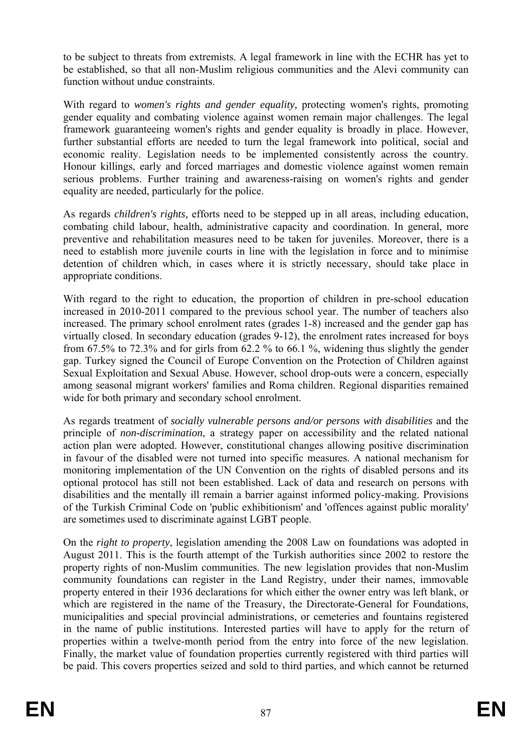to be subject to threats from extremists. A legal framework in line with the ECHR has yet to be established, so that all non-Muslim religious communities and the Alevi community can function without undue constraints.

framework guaranteeing women's rights and gender equality is broadly in place. However, With regard to *women's rights and gender equality,* protecting women's rights, promoting gender equality and combating violence against women remain major challenges. The legal further substantial efforts are needed to turn the legal framework into political, social and economic reality. Legislation needs to be implemented consistently across the country. Honour killings, early and forced marriages and domestic violence against women remain serious problems. Further training and awareness-raising on women's rights and gender equality are needed, particularly for the police.

need to establish more juvenile courts in line with the legislation in force and to minimise As regards *children's rights,* efforts need to be stepped up in all areas, including education, combating child labour, health, administrative capacity and coordination. In general, more preventive and rehabilitation measures need to be taken for juveniles. Moreover, there is a detention of children which, in cases where it is strictly necessary, should take place in appropriate conditions.

Sexual Exploitation and Sexual Abuse. However, school drop-outs were a concern, especially With regard to the right to education, the proportion of children in pre-school education increased in 2010-2011 compared to the previous school year. The number of teachers also increased. The primary school enrolment rates (grades 1-8) increased and the gender gap has virtually closed. In secondary education (grades 9-12), the enrolment rates increased for boys from  $67.5\%$  to  $72.3\%$  and for girls from  $62.2\%$  to  $66.1\%$ , widening thus slightly the gender gap. Turkey signed the Council of Europe Convention on the Protection of Children against among seasonal migrant workers' families and Roma children. Regional disparities remained wide for both primary and secondary school enrolment.

of the Turkish Criminal Code on 'public exhibitionism' and 'offences against public morality' As regards treatment of *socially vulnerable persons and/or persons with disabilities* and the principle of *non-discrimination*, a strategy paper on accessibility and the related national action plan were adopted. However, constitutional changes allowing positive discrimination in favour of the disabled were not turned into specific measures. A national mechanism for monitoring implementation of the UN Convention on the rights of disabled persons and its optional protocol has still not been established. Lack of data and research on persons with disabilities and the mentally ill remain a barrier against informed policy-making. Provisions are sometimes used to discriminate against LGBT people.

property entered in their 1936 declarations for which either the owner entry was left blank, or On the *right to property*, legislation amending the 2008 Law on foundations was adopted in August 2011. This is the fourth attempt of the Turkish authorities since 2002 to restore the property rights of non-Muslim communities. The new legislation provides that non-Muslim community foundations can register in the Land Registry, under their names, immovable which are registered in the name of the Treasury, the Directorate-General for Foundations, municipalities and special provincial administrations, or cemeteries and fountains registered in the name of public institutions. Interested parties will have to apply for the return of properties within a twelve-month period from the entry into force of the new legislation. Finally, the market value of foundation properties currently registered with third parties will be paid. This covers properties seized and sold to third parties, and which cannot be returned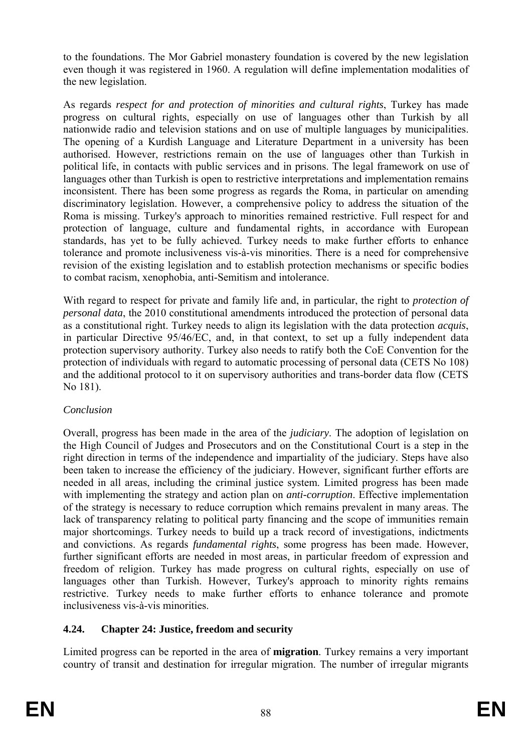to the foundations. The Mor Gabriel monastery foundation is covered by the new legislation even though it was registered in 1960. A regulation will define implementation modalities of the new legislation.

political life, in contacts with public services and in prisons. The legal framework on use of to combat racism, xenophobia, anti-Semitism and intolerance. As regards *respect for and protection of minorities and cultural rights*, Turkey has made progress on cultural rights, especially on use of languages other than Turkish by all nationwide radio and television stations and on use of multiple languages by municipalities. The opening of a Kurdish Language and Literature Department in a university has been authorised. However, restrictions remain on the use of languages other than Turkish in languages other than Turkish is open to restrictive interpretations and implementation remains inconsistent. There has been some progress as regards the Roma, in particular on amending discriminatory legislation. However, a comprehensive policy to address the situation of the Roma is missing. Turkey's approach to minorities remained restrictive. Full respect for and protection of language, culture and fundamental rights, in accordance with European standards, has yet to be fully achieved. Turkey needs to make further efforts to enhance tolerance and promote inclusiveness vis-à-vis minorities. There is a need for comprehensive revision of the existing legislation and to establish protection mechanisms or specific bodies

With regard to respect for private and family life and, in particular, the right to *protection of personal data*, the 2010 constitutional amendments introduced the protection of personal data as a constitutional right. Turkey needs to align its legislation with the data protection *acquis*, in particular Directive 95/46/EC, and, in that context, to set up a fully independent data protection supervisory authority. Turkey also needs to ratify both the CoE Convention for the protection of individuals with regard to automatic processing of personal data (CETS No 108) and the additional protocol to it on supervisory authorities and trans-border data flow (CETS No 181).

# *Conclusion*

restrictive. Turkey needs to make further efforts to enhance tolerance and promote Overall, progress has been made in the area of the *judiciary*. The adoption of legislation on the High Council of Judges and Prosecutors and on the Constitutional Court is a step in the right direction in terms of the independence and impartiality of the judiciary. Steps have also been taken to increase the efficiency of the judiciary. However, significant further efforts are needed in all areas, including the criminal justice system. Limited progress has been made with implementing the strategy and action plan on *anti-corruption*. Effective implementation of the strategy is necessary to reduce corruption which remains prevalent in many areas. The lack of transparency relating to political party financing and the scope of immunities remain major shortcomings. Turkey needs to build up a track record of investigations, indictments and convictions. As regards *fundamental rights*, some progress has been made. However, further significant efforts are needed in most areas, in particular freedom of expression and freedom of religion. Turkey has made progress on cultural rights, especially on use of languages other than Turkish. However, Turkey's approach to minority rights remains inclusiveness vis-à-vis minorities.

# **4.24. Chapter 24: Justice, freedom and security**

Limited progress can be reported in the area of **migration**. Turkey remains a very important country of transit and destination for irregular migration. The number of irregular migrants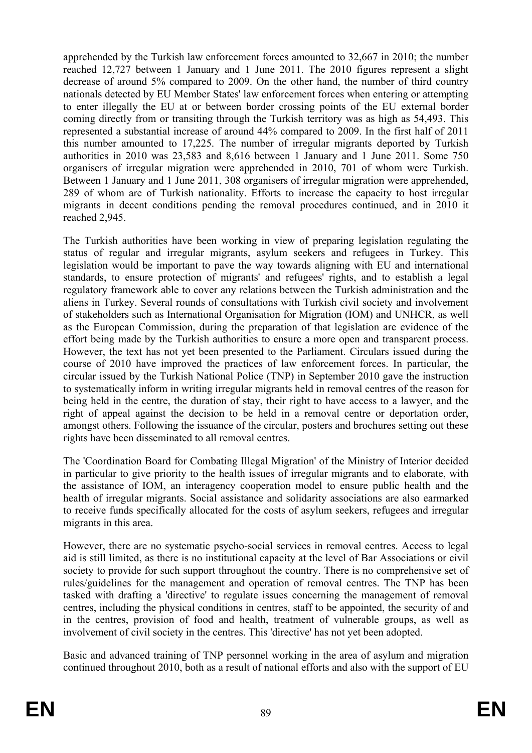organisers of irregular migration were apprehended in 2010, 701 of whom were Turkish. apprehended by the Turkish law enforcement forces amounted to 32,667 in 2010; the number reached 12,727 between 1 January and 1 June 2011. The 2010 figures represent a slight decrease of around 5% compared to 2009. On the other hand, the number of third country nationals detected by EU Member States' law enforcement forces when entering or attempting to enter illegally the EU at or between border crossing points of the EU external border coming directly from or transiting through the Turkish territory was as high as 54,493. This represented a substantial increase of around 44% compared to 2009. In the first half of 2011 this number amounted to 17,225. The number of irregular migrants deported by Turkish authorities in 2010 was 23,583 and 8,616 between 1 January and 1 June 2011. Some 750 Between 1 January and 1 June 2011, 308 organisers of irregular migration were apprehended, 289 of whom are of Turkish nationality. Efforts to increase the capacity to host irregular migrants in decent conditions pending the removal procedures continued, and in 2010 it reached 2,945.

standards, to ensure protection of migrants' and refugees' rights, and to establish a legal regulatory framework able to cover any relations between the Turkish administration and the aliens in Turkey. Several rounds of consultations with Turkish civil society and involvement The Turkish authorities have been working in view of preparing legislation regulating the status of regular and irregular migrants, asylum seekers and refugees in Turkey. This legislation would be important to pave the way towards aligning with EU and international of stakeholders such as International Organisation for Migration (IOM) and UNHCR, as well as the European Commission, during the preparation of that legislation are evidence of the effort being made by the Turkish authorities to ensure a more open and transparent process. However, the text has not yet been presented to the Parliament. Circulars issued during the course of 2010 have improved the practices of law enforcement forces. In particular, the circular issued by the Turkish National Police (TNP) in September 2010 gave the instruction to systematically inform in writing irregular migrants held in removal centres of the reason for being held in the centre, the duration of stay, their right to have access to a lawyer, and the right of appeal against the decision to be held in a removal centre or deportation order, amongst others. Following the issuance of the circular, posters and brochures setting out these rights have been disseminated to all removal centres.

the assistance of IOM, an interagency cooperation model to ensure public health and the health of irregular migrants. Social assistance and solidarity associations are also earmarked to receive funds specifically allocated for the costs of asylum seekers, refugees and irregular migrants in this area. The 'Coordination Board for Combating Illegal Migration' of the Ministry of Interior decided in particular to give priority to the health issues of irregular migrants and to elaborate, with

However, there are no systematic psycho-social services in removal centres. Access to legal aid is still limited, as there is no institutional capacity at the level of Bar Associations or civil society to provide for such support throughout the country. There is no comprehensive set of rules/guidelines for the management and operation of removal centres. The TNP has been tasked with drafting a 'directive' to regulate issues concerning the management of removal centres, including the physical conditions in centres, staff to be appointed, the security of and in the centres, provision of food and health, treatment of vulnerable groups, as well as involvement of civil society in the centres. This 'directive' has not yet been adopted.

Basic and advanced training of TNP personnel working in the area of asylum and migration continued throughout 2010, both as a result of national efforts and also with the support of EU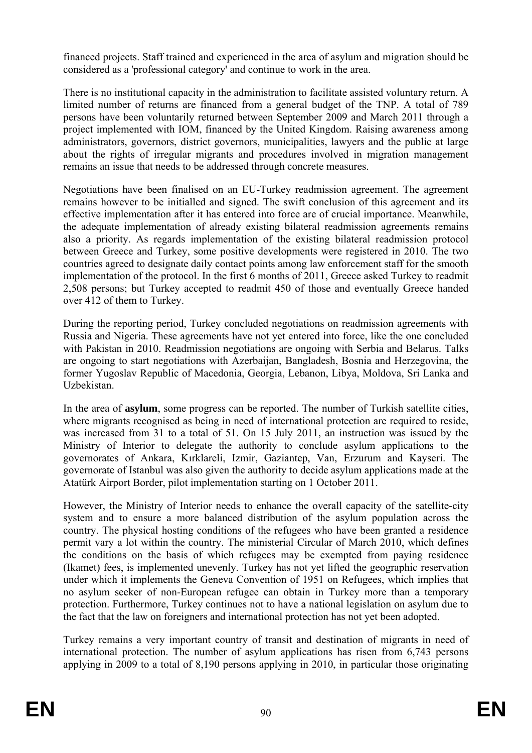financed projects. Staff trained and experienced in the area of asylum and migration should be considered as a 'professional category' and continue to work in the area.

limited number of returns are financed from a general budget of the TNP. A total of 789 There is no institutional capacity in the administration to facilitate assisted voluntary return. A persons have been voluntarily returned between September 2009 and March 2011 through a project implemented with IOM, financed by the United Kingdom. Raising awareness among administrators, governors, district governors, municipalities, lawyers and the public at large about the rights of irregular migrants and procedures involved in migration management remains an issue that needs to be addressed through concrete measures.

Negotiations have been finalised on an EU-Turkey readmission agreement. The agreement remains however to be initialled and signed. The swift conclusion of this agreement and its effective implementation after it has entered into force are of crucial importance. Meanwhile, the adequate implementation of already existing bilateral readmission agreements remains also a priority. As regards implementation of the existing bilateral readmission protocol between Greece and Turkey, some positive developments were registered in 2010. The two countries agreed to designate daily contact points among law enforcement staff for the smooth implementation of the protocol. In the first 6 months of 2011, Greece asked Turkey to readmit 2,508 persons; but Turkey accepted to readmit 450 of those and eventually Greece handed over 412 of them to Turkey.

During the reporting period, Turkey concluded negotiations on readmission agreements with Russia and Nigeria. These agreements have not yet entered into force, like the one concluded with Pakistan in 2010. Readmission negotiations are ongoing with Serbia and Belarus. Talks are ongoing to start negotiations with Azerbaijan, Bangladesh, Bosnia and Herzegovina, the former Yugoslav Republic of Macedonia, Georgia, Lebanon, Libya, Moldova, Sri Lanka and Uzbekistan.

In the area of **asylum**, some progress can be reported. The number of Turkish satellite cities, where migrants recognised as being in need of international protection are required to reside, was increased from 31 to a total of 51. On 15 July 2011, an instruction was issued by the Ministry of Interior to delegate the authority to conclude asylum applications to the governorates of Ankara, Kırklareli, Izmir, Gaziantep, Van, Erzurum and Kayseri. The governorate of Istanbul was also given the authority to decide asylum applications made at the Atatürk Airport Border, pilot implementation starting on 1 October 2011.

system and to ensure a more balanced distribution of the asylum population across the under which it implements the Geneva Convention of 1951 on Refugees, which implies that However, the Ministry of Interior needs to enhance the overall capacity of the satellite-city country. The physical hosting conditions of the refugees who have been granted a residence permit vary a lot within the country. The ministerial Circular of March 2010, which defines the conditions on the basis of which refugees may be exempted from paying residence (Ikamet) fees, is implemented unevenly. Turkey has not yet lifted the geographic reservation no asylum seeker of non-European refugee can obtain in Turkey more than a temporary protection. Furthermore, Turkey continues not to have a national legislation on asylum due to the fact that the law on foreigners and international protection has not yet been adopted.

Turkey remains a very important country of transit and destination of migrants in need of international protection. The number of asylum applications has risen from 6,743 persons applying in 2009 to a total of 8,190 persons applying in 2010, in particular those originating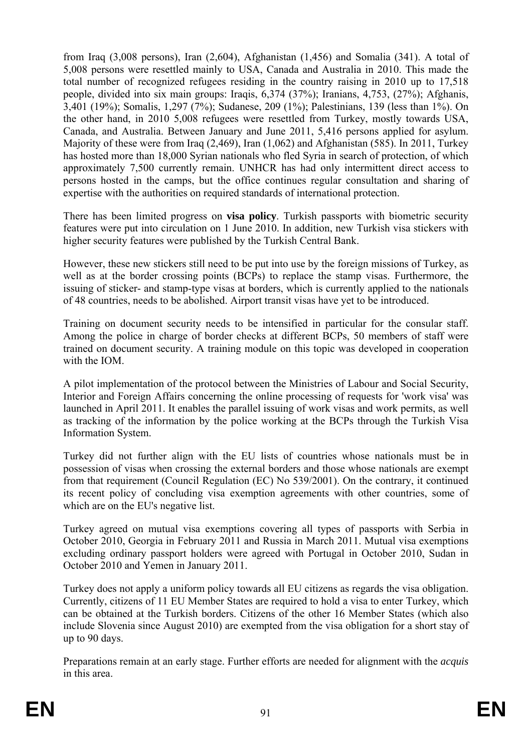persons hosted in the camps, but the office continues regular consultation and sharing of from Iraq (3,008 persons), Iran (2,604), Afghanistan (1,456) and Somalia (341). A total of 5,008 persons were resettled mainly to USA, Canada and Australia in 2010. This made the total number of recognized refugees residing in the country raising in 2010 up to 17,518 people, divided into six main groups: Iraqis, 6,374 (37%); Iranians, 4,753, (27%); Afghanis, 3,401 (19%); Somalis, 1,297 (7%); Sudanese, 209 (1%); Palestinians, 139 (less than 1%). On the other hand, in 2010 5,008 refugees were resettled from Turkey, mostly towards USA, Canada, and Australia. Between January and June 2011, 5,416 persons applied for asylum. Majority of these were from Iraq (2,469), Iran (1,062) and Afghanistan (585). In 2011, Turkey has hosted more than 18,000 Syrian nationals who fled Syria in search of protection, of which approximately 7,500 currently remain. UNHCR has had only intermittent direct access to expertise with the authorities on required standards of international protection.

There has been limited progress on **visa policy**. Turkish passports with biometric security features were put into circulation on 1 June 2010. In addition, new Turkish visa stickers with higher security features were published by the Turkish Central Bank.

However, these new stickers still need to be put into use by the foreign missions of Turkey, as well as at the border crossing points (BCPs) to replace the stamp visas. Furthermore, the issuing of sticker- and stamp-type visas at borders, which is currently applied to the nationals of 48 countries, needs to be abolished. Airport transit visas have yet to be introduced.

Training on document security needs to be intensified in particular for the consular staff. Among the police in charge of border checks at different BCPs, 50 members of staff were trained on document security. A training module on this topic was developed in cooperation with the IOM.

A pilot implementation of the protocol between the Ministries of Labour and Social Security, Interior and Foreign Affairs concerning the online processing of requests for 'work visa' was launched in April 2011. It enables the parallel issuing of work visas and work permits, as well as tracking of the information by the police working at the BCPs through the Turkish Visa Information System.

its recent policy of concluding visa exemption agreements with other countries, some of Turkey did not further align with the EU lists of countries whose nationals must be in possession of visas when crossing the external borders and those whose nationals are exempt from that requirement (Council Regulation (EC) No 539/2001). On the contrary, it continued which are on the EU's negative list.

Turkey agreed on mutual visa exemptions covering all types of passports with Serbia in October 2010, Georgia in February 2011 and Russia in March 2011. Mutual visa exemptions excluding ordinary passport holders were agreed with Portugal in October 2010, Sudan in October 2010 and Yemen in January 2011.

Turkey does not apply a uniform policy towards all EU citizens as regards the visa obligation. Currently, citizens of 11 EU Member States are required to hold a visa to enter Turkey, which can be obtained at the Turkish borders. Citizens of the other 16 Member States (which also include Slovenia since August 2010) are exempted from the visa obligation for a short stay of up to 90 days.

in this area. Preparations remain at an early stage. Further efforts are needed for alignment with the *acquis*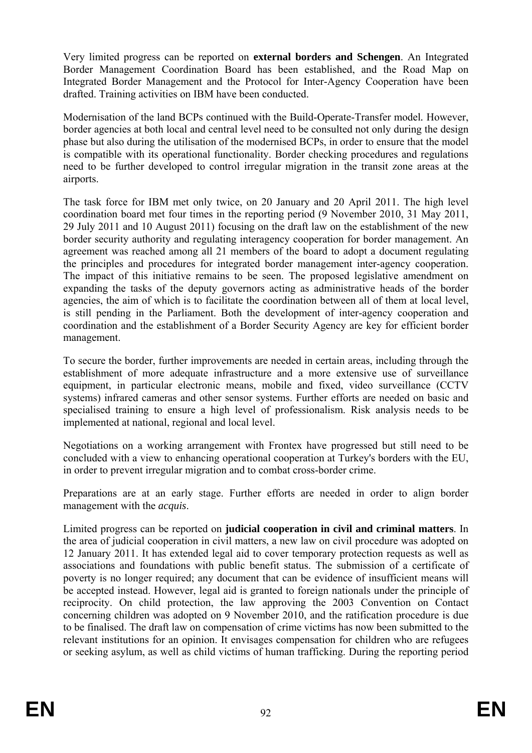Very limited progress can be reported on **external borders and Schengen**. An Integrated Border Management Coordination Board has been established, and the Road Map on Integrated Border Management and the Protocol for Inter-Agency Cooperation have been drafted. Training activities on IBM have been conducted.

border agencies at both local and central level need to be consulted not only during the design Modernisation of the land BCPs continued with the Build-Operate-Transfer model*.* However, phase but also during the utilisation of the modernised BCPs, in order to ensure that the model is compatible with its operational functionality. Border checking procedures and regulations need to be further developed to control irregular migration in the transit zone areas at the airports.

border security authority and regulating interagency cooperation for border management. An agreement was reached among all 21 members of the board to adopt a document regulating is still pending in the Parliament. Both the development of inter-agency cooperation and coordination and the establishment of a Border Security Agency are key for efficient border The task force for IBM met only twice, on 20 January and 20 April 2011. The high level coordination board met four times in the reporting period (9 November 2010, 31 May 2011, 29 July 2011 and 10 August 2011) focusing on the draft law on the establishment of the new the principles and procedures for integrated border management inter-agency cooperation. The impact of this initiative remains to be seen. The proposed legislative amendment on expanding the tasks of the deputy governors acting as administrative heads of the border agencies, the aim of which is to facilitate the coordination between all of them at local level, management.

equipment, in particular electronic means, mobile and fixed, video surveillance (CCTV systems) infrared cameras and other sensor systems. Further efforts are needed on basic and To secure the border, further improvements are needed in certain areas, including through the establishment of more adequate infrastructure and a more extensive use of surveillance specialised training to ensure a high level of professionalism. Risk analysis needs to be implemented at national, regional and local level.

Negotiations on a working arrangement with Frontex have progressed but still need to be concluded with a view to enhancing operational cooperation at Turkey's borders with the EU, in order to prevent irregular migration and to combat cross-border crime.

Preparations are at an early stage. Further efforts are needed in order to align border management with the *acquis*.

Limited progress can be reported on **judicial cooperation in civil and criminal matters**. In 12 January 2011. It has extended legal aid to cover temporary protection requests as well as associations and foundations with public benefit status. The submission of a certificate of concerning children was adopted on 9 November 2010, and the ratification procedure is due to be finalised. The draft law on compensation of crime victims has now been submitted to the the area of judicial cooperation in civil matters, a new law on civil procedure was adopted on poverty is no longer required; any document that can be evidence of insufficient means will be accepted instead. However, legal aid is granted to foreign nationals under the principle of reciprocity. On child protection, the law approving the 2003 Convention on Contact relevant institutions for an opinion. It envisages compensation for children who are refugees or seeking asylum, as well as child victims of human trafficking. During the reporting period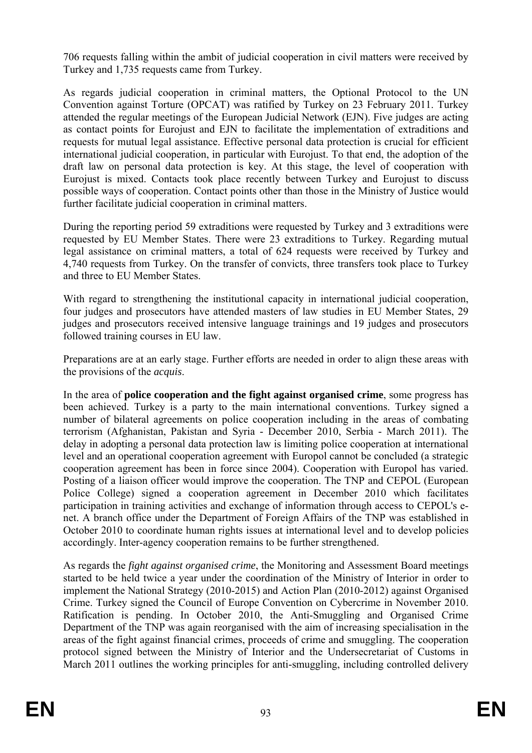706 requests falling within the ambit of judicial cooperation in civil matters were received by Turkey and 1,735 requests came from Turkey.

As regards judicial cooperation in criminal matters, the Optional Protocol to the UN Convention against Torture (OPCAT) was ratified by Turkey on 23 February 2011. Turkey attended the regular meetings of the European Judicial Network (EJN). Five judges are acting as contact points for Eurojust and EJN to facilitate the implementation of extraditions and requests for mutual legal assistance. Effective personal data protection is crucial for efficient international judicial cooperation, in particular with Eurojust. To that end, the adoption of the draft law on personal data protection is key. At this stage, the level of cooperation with Eurojust is mixed. Contacts took place recently between Turkey and Eurojust to discuss possible ways of cooperation. Contact points other than those in the Ministry of Justice would further facilitate judicial cooperation in criminal matters.

requested by EU Member States. There were 23 extraditions to Turkey. Regarding mutual During the reporting period 59 extraditions were requested by Turkey and 3 extraditions were legal assistance on criminal matters, a total of 624 requests were received by Turkey and 4,740 requests from Turkey. On the transfer of convicts, three transfers took place to Turkey and three to EU Member States.

judges and prosecutors received intensive language trainings and 19 judges and prosecutors With regard to strengthening the institutional capacity in international judicial cooperation, four judges and prosecutors have attended masters of law studies in EU Member States, 29 followed training courses in EU law.

Preparations are at an early stage. Further efforts are needed in order to align these areas with the provisions of the *acquis*.

been achieved. Turkey is a party to the main international conventions. Turkey signed a In the area of **police cooperation and the fight against organised crime**, some progress has number of bilateral agreements on police cooperation including in the areas of combating terrorism (Afghanistan, Pakistan and Syria - December 2010, Serbia - March 2011). The delay in adopting a personal data protection law is limiting police cooperation at international level and an operational cooperation agreement with Europol cannot be concluded (a strategic cooperation agreement has been in force since 2004). Cooperation with Europol has varied. Posting of a liaison officer would improve the cooperation. The TNP and CEPOL (European Police College) signed a cooperation agreement in December 2010 which facilitates participation in training activities and exchange of information through access to CEPOL's enet. A branch office under the Department of Foreign Affairs of the TNP was established in October 2010 to coordinate human rights issues at international level and to develop policies accordingly. Inter-agency cooperation remains to be further strengthened.

started to be held twice a year under the coordination of the Ministry of Interior in order to As regards the *fight against organised crime*, the Monitoring and Assessment Board meetings implement the National Strategy (2010-2015) and Action Plan (2010-2012) against Organised Crime. Turkey signed the Council of Europe Convention on Cybercrime in November 2010. Ratification is pending. In October 2010, the Anti-Smuggling and Organised Crime Department of the TNP was again reorganised with the aim of increasing specialisation in the areas of the fight against financial crimes, proceeds of crime and smuggling. The cooperation protocol signed between the Ministry of Interior and the Undersecretariat of Customs in March 2011 outlines the working principles for anti-smuggling, including controlled delivery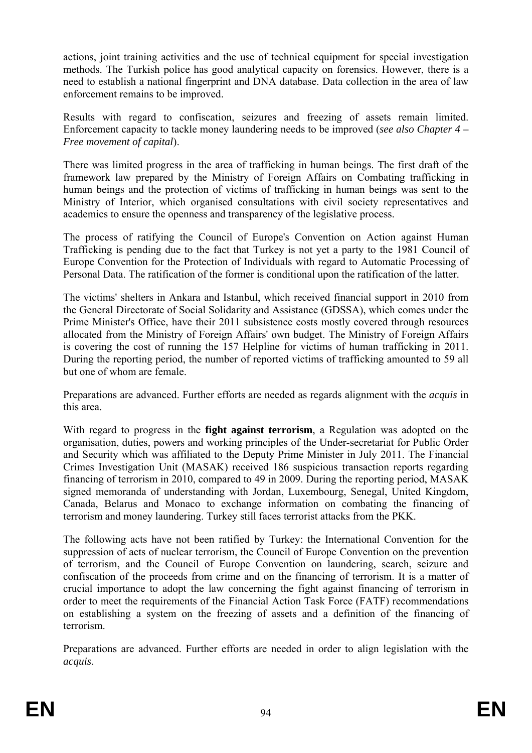actions, joint training activities and the use of technical equipment for special investigation methods. The Turkish police has good analytical capacity on forensics. However, there is a need to establish a national fingerprint and DNA database. Data collection in the area of law enforcement remains to be improved.

Results with regard to confiscation, seizures and freezing of assets remain limited. Enforcement capacity to tackle money laundering needs to be improved (*see also Chapter 4 – Free movement of capital*).

There was limited progress in the area of trafficking in human beings. The first draft of the framework law prepared by the Ministry of Foreign Affairs on Combating trafficking in human beings and the protection of victims of trafficking in human beings was sent to the Ministry of Interior, which organised consultations with civil society representatives and academics to ensure the openness and transparency of the legislative process.

Europe Convention for the Protection of Individuals with regard to Automatic Processing of The process of ratifying the Council of Europe's Convention on Action against Human Trafficking is pending due to the fact that Turkey is not yet a party to the 1981 Council of Personal Data. The ratification of the former is conditional upon the ratification of the latter.

The victims' shelters in Ankara and Istanbul, which received financial support in 2010 from the General Directorate of Social Solidarity and Assistance (GDSSA), which comes under the Prime Minister's Office, have their 2011 subsistence costs mostly covered through resources allocated from the Ministry of Foreign Affairs' own budget. The Ministry of Foreign Affairs is covering the cost of running the 157 Helpline for victims of human trafficking in 2011. During the reporting period, the number of reported victims of trafficking amounted to 59 all but one of whom are female.

Preparations are advanced. Further efforts are needed as regards alignment with the *acquis* in this area.

With regard to progress in the fight against terrorism, a Regulation was adopted on the organisation, duties, powers and working principles of the Under-secretariat for Public Order and Security which was affiliated to the Deputy Prime Minister in July 2011. The Financial Crimes Investigation Unit (MASAK) received 186 suspicious transaction reports regarding financing of terrorism in 2010, compared to 49 in 2009. During the reporting period, MASAK signed memoranda of understanding with Jordan, Luxembourg, Senegal, United Kingdom, Canada, Belarus and Monaco to exchange information on combating the financing of terrorism and money laundering. Turkey still faces terrorist attacks from the PKK.

order to meet the requirements of the Financial Action Task Force (FATF) recommendations The following acts have not been ratified by Turkey: the International Convention for the suppression of acts of nuclear terrorism, the Council of Europe Convention on the prevention of terrorism, and the Council of Europe Convention on laundering, search, seizure and confiscation of the proceeds from crime and on the financing of terrorism. It is a matter of crucial importance to adopt the law concerning the fight against financing of terrorism in on establishing a system on the freezing of assets and a definition of the financing of terrorism.

Preparations are advanced. Further efforts are needed in order to align legislation with the *acquis*.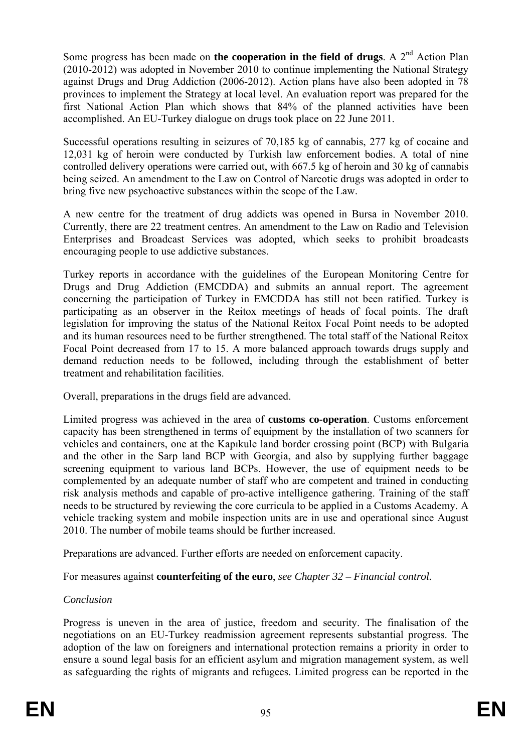Some progress has been made on **the cooperation in the field of drugs**. A 2<sup>nd</sup> Action Plan (2010-2012) was adopted in November 2010 to continue implementing the National Strategy against Drugs and Drug Addiction (2006-2012). Action plans have also been adopted in 78 provinces to implement the Strategy at local level. An evaluation report was prepared for the first National Action Plan which shows that 84% of the planned activities have been accomplished. An EU-Turkey dialogue on drugs took place on 22 June 2011.

Successful operations resulting in seizures of 70,185 kg of cannabis, 277 kg of cocaine and 12,031 kg of heroin were conducted by Turkish law enforcement bodies. A total of nine controlled delivery operations were carried out, with 667.5 kg of heroin and 30 kg of cannabis being seized. An amendment to the Law on Control of Narcotic drugs was adopted in order to bring five new psychoactive substances within the scope of the Law.

A new centre for the treatment of drug addicts was opened in Bursa in November 2010. Currently, there are 22 treatment centres. An amendment to the Law on Radio and Television Enterprises and Broadcast Services was adopted, which seeks to prohibit broadcasts encouraging people to use addictive substances.

Turkey reports in accordance with the guidelines of the European Monitoring Centre for participating as an observer in the Reitox meetings of heads of focal points. The draft Drugs and Drug Addiction (EMCDDA) and submits an annual report. The agreement concerning the participation of Turkey in EMCDDA has still not been ratified. Turkey is legislation for improving the status of the National Reitox Focal Point needs to be adopted and its human resources need to be further strengthened. The total staff of the National Reitox Focal Point decreased from 17 to 15. A more balanced approach towards drugs supply and demand reduction needs to be followed, including through the establishment of better treatment and rehabilitation facilities.

Overall, preparations in the drugs field are advanced.

Limited progress was achieved in the area of **customs co-operation**. Customs enforcement 2010. The number of mobile teams should be further increased. capacity has been strengthened in terms of equipment by the installation of two scanners for vehicles and containers, one at the Kapıkule land border crossing point (BCP) with Bulgaria and the other in the Sarp land BCP with Georgia, and also by supplying further baggage screening equipment to various land BCPs. However, the use of equipment needs to be complemented by an adequate number of staff who are competent and trained in conducting risk analysis methods and capable of pro-active intelligence gathering. Training of the staff needs to be structured by reviewing the core curricula to be applied in a Customs Academy. A vehicle tracking system and mobile inspection units are in use and operational since August

Preparations are advanced. Further efforts are needed on enforcement capacity.

For measures against **counterfeiting of the euro**, *see Chapter 32 – Financial control.* 

# *Conclusion*

adoption of the law on foreigners and international protection remains a priority in order to ensure a sound legal basis for an efficient asylum and migration management system, as well as safeguarding the rights of migrants and refugees. Limited progress can be reported in the Progress is uneven in the area of justice, freedom and security. The finalisation of the negotiations on an EU-Turkey readmission agreement represents substantial progress. The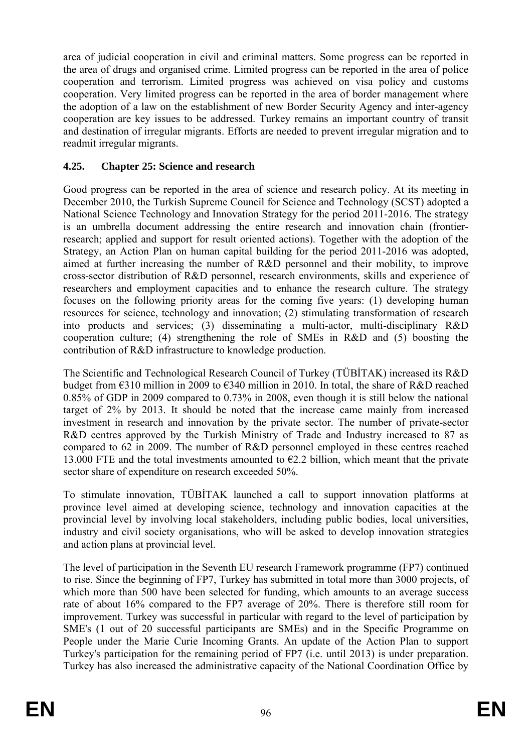area of judicial cooperation in civil and criminal matters. Some progress can be reported in the area of drugs and organised crime. Limited progress can be reported in the area of police cooperation and terrorism. Limited progress was achieved on visa policy and customs cooperation. Very limited progress can be reported in the area of border management where the adoption of a law on the establishment of new Border Security Agency and inter-agency cooperation are key issues to be addressed. Turkey remains an important country of transit and destination of irregular migrants. Efforts are needed to prevent irregular migration and to readmit irregular migrants.

#### **4.25. Chapter 25: Science and research**

focuses on the following priority areas for the coming five years: (1) developing human resources for science, technology and innovation; (2) stimulating transformation of research into products and services; (3) disseminating a multi-actor, multi-disciplinary R&D Good progress can be reported in the area of science and research policy. At its meeting in December 2010, the Turkish Supreme Council for Science and Technology (SCST) adopted a National Science Technology and Innovation Strategy for the period 2011-2016. The strategy is an umbrella document addressing the entire research and innovation chain (frontierresearch; applied and support for result oriented actions). Together with the adoption of the Strategy, an Action Plan on human capital building for the period 2011-2016 was adopted, aimed at further increasing the number of R&D personnel and their mobility, to improve cross-sector distribution of R&D personnel, research environments, skills and experience of researchers and employment capacities and to enhance the research culture. The strategy cooperation culture; (4) strengthening the role of SMEs in R&D and (5) boosting the contribution of R&D infrastructure to knowledge production.

compared to 62 in 2009. The number of R&D personnel employed in these centres reached 13.000 FTE and the total investments amounted to  $\epsilon$ 2.2 billion, which meant that the private The Scientific and Technological Research Council of Turkey (TÜBİTAK) increased its R&D budget from €310 million in 2009 to €340 million in 2010. In total, the share of R&D reached 0.85% of GDP in 2009 compared to 0.73% in 2008, even though it is still below the national target of 2% by 2013. It should be noted that the increase came mainly from increased investment in research and innovation by the private sector. The number of private-sector R&D centres approved by the Turkish Ministry of Trade and Industry increased to 87 as sector share of expenditure on research exceeded 50%.

To stimulate innovation, TÜBİTAK launched a call to support innovation platforms at province level aimed at developing science, technology and innovation capacities at the provincial level by involving local stakeholders, including public bodies, local universities, industry and civil society organisations, who will be asked to develop innovation strategies and action plans at provincial level.

The level of participation in the Seventh EU research Framework programme (FP7) continued to rise. Since the beginning of FP7, Turkey has submitted in total more than 3000 projects, of which more than 500 have been selected for funding, which amounts to an average success rate of about 16% compared to the FP7 average of 20%. There is therefore still room for improvement. Turkey was successful in particular with regard to the level of participation by SME's (1 out of 20 successful participants are SMEs) and in the Specific Programme on People under the Marie Curie Incoming Grants. An update of the Action Plan to support Turkey's participation for the remaining period of FP7 (i.e. until 2013) is under preparation. Turkey has also increased the administrative capacity of the National Coordination Office by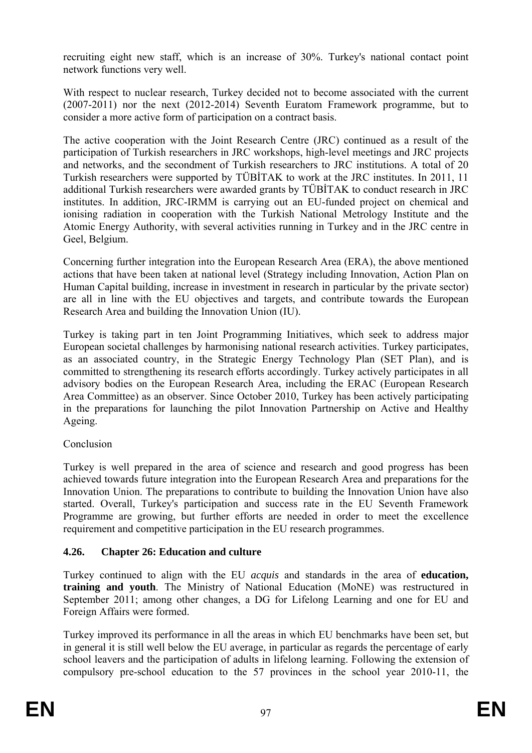recruiting eight new staff, which is an increase of 30%. Turkey's national contact point network functions very well.

With respect to nuclear research, Turkey decided not to become associated with the current  $(2007-2011)$  nor the next  $(2012-2014)$  Seventh Euratom Framework programme, but to consider a more active form of participation on a contract basis.

The active cooperation with the Joint Research Centre (JRC) continued as a result of the participation of Turkish researchers in JRC workshops, high-level meetings and JRC projects and networks, and the secondment of Turkish researchers to JRC institutions. A total of 20 Turkish researchers were supported by TÜBİTAK to work at the JRC institutes. In 2011, 11 additional Turkish researchers were awarded grants by TÜBİTAK to conduct research in JRC institutes. In addition, JRC-IRMM is carrying out an EU-funded project on chemical and ionising radiation in cooperation with the Turkish National Metrology Institute and the Atomic Energy Authority, with several activities running in Turkey and in the JRC centre in Geel, Belgium.

Human Capital building, increase in investment in research in particular by the private sector) Concerning further integration into the European Research Area (ERA), the above mentioned actions that have been taken at national level (Strategy including Innovation, Action Plan on are all in line with the EU objectives and targets, and contribute towards the European Research Area and building the Innovation Union (IU).

in the preparations for launching the pilot Innovation Partnership on Active and Healthy Turkey is taking part in ten Joint Programming Initiatives, which seek to address major European societal challenges by harmonising national research activities. Turkey participates, as an associated country, in the Strategic Energy Technology Plan (SET Plan), and is committed to strengthening its research efforts accordingly. Turkey actively participates in all advisory bodies on the European Research Area, including the ERAC (European Research Area Committee) as an observer. Since October 2010, Turkey has been actively participating Ageing.

#### Conclusion

achieved towards future integration into the European Research Area and preparations for the Turkey is well prepared in the area of science and research and good progress has been Innovation Union. The preparations to contribute to building the Innovation Union have also started. Overall, Turkey's participation and success rate in the EU Seventh Framework Programme are growing, but further efforts are needed in order to meet the excellence requirement and competitive participation in the EU research programmes.

#### **4.26. Chapter 26: Education and culture**

Turkey continued to align with the EU *acquis* and standards in the area of **education, training and youth**. The Ministry of National Education (MoNE) was restructured in September 2011; among other changes, a DG for Lifelong Learning and one for EU and Foreign Affairs were formed.

compulsory pre-school education to the 57 provinces in the school year 2010-11, the Turkey improved its performance in all the areas in which EU benchmarks have been set, but in general it is still well below the EU average, in particular as regards the percentage of early school leavers and the participation of adults in lifelong learning. Following the extension of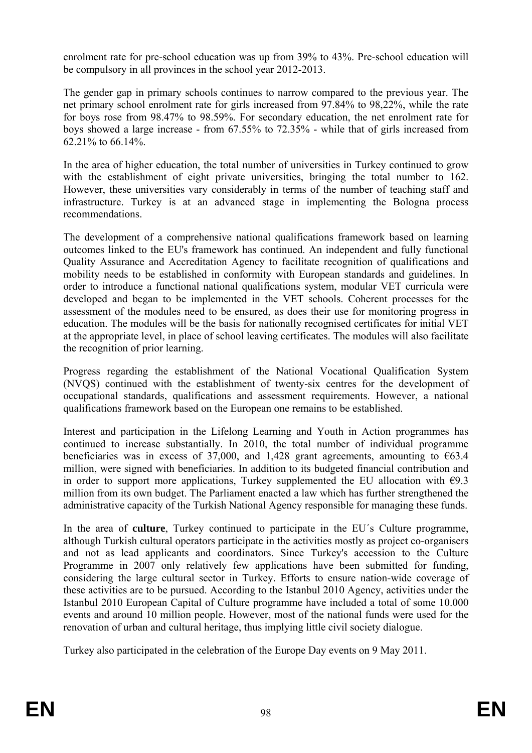enrolment rate for pre-school education was up from 39% to 43%. Pre-school education will be compulsory in all provinces in the school year 2012-2013.

The gender gap in primary schools continues to narrow compared to the previous year. The net primary school enrolment rate for girls increased from 97.84% to 98,22%, while the rate for boys rose from 98.47% to 98.59%. For secondary education, the net enrolment rate for boys showed a large increase - from 67.55% to 72.35% - while that of girls increased from 62.21% to 66.14%.

In the area of higher education, the total number of universities in Turkey continued to grow with the establishment of eight private universities, bringing the total number to 162. However, these universities vary considerably in terms of the number of teaching staff and infrastructure. Turkey is at an advanced stage in implementing the Bologna process recommendations.

The development of a comprehensive national qualifications framework based on learning the recognition of prior learning. outcomes linked to the EU's framework has continued. An independent and fully functional Quality Assurance and Accreditation Agency to facilitate recognition of qualifications and mobility needs to be established in conformity with European standards and guidelines. In order to introduce a functional national qualifications system, modular VET curricula were developed and began to be implemented in the VET schools. Coherent processes for the assessment of the modules need to be ensured, as does their use for monitoring progress in education. The modules will be the basis for nationally recognised certificates for initial VET at the appropriate level, in place of school leaving certificates. The modules will also facilitate

Progress regarding the establishment of the National Vocational Qualification System (NVQS) continued with the establishment of twenty-six centres for the development of occupational standards, qualifications and assessment requirements. However, a national qualifications framework based on the European one remains to be established.

beneficiaries was in excess of 37,000, and 1,428 grant agreements, amounting to  $\epsilon$ 63.4 million, were signed with beneficiaries. In addition to its budgeted financial contribution and in order to support more applications, Turkey supplemented the EU allocation with  $\epsilon$ 9.3 Interest and participation in the Lifelong Learning and Youth in Action programmes has continued to increase substantially. In 2010, the total number of individual programme million from its own budget. The Parliament enacted a law which has further strengthened the administrative capacity of the Turkish National Agency responsible for managing these funds.

although Turkish cultural operators participate in the activities mostly as project co-organisers events and around 10 million people. However, most of the national funds were used for the In the area of **culture**, Turkey continued to participate in the EU´s Culture programme, and not as lead applicants and coordinators. Since Turkey's accession to the Culture Programme in 2007 only relatively few applications have been submitted for funding, considering the large cultural sector in Turkey. Efforts to ensure nation-wide coverage of these activities are to be pursued. According to the Istanbul 2010 Agency, activities under the Istanbul 2010 European Capital of Culture programme have included a total of some 10.000 renovation of urban and cultural heritage, thus implying little civil society dialogue.

Turkey also participated in the celebration of the Europe Day events on 9 May 2011.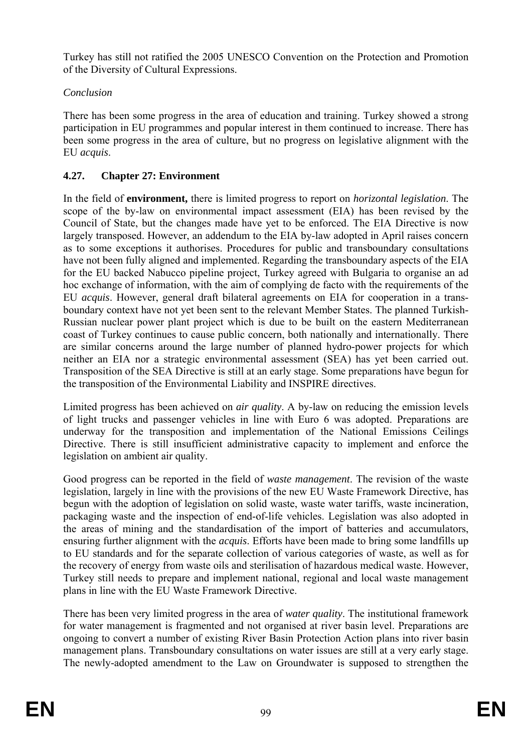Turkey has still not ratified the 2005 UNESCO Convention on the Protection and Promotion of the Diversity of Cultural Expressions.

# *Conclusion*

There has been some progress in the area of education and training. Turkey showed a strong participation in EU programmes and popular interest in them continued to increase. There has been some progress in the area of culture, but no progress on legislative alignment with the EU *acquis*.

# **4.27. Chapter 27: Environment**

In the field of **environment,** there is limited progress to report on *horizontal legislation*. The scope of the by-law on environmental impact assessment (EIA) has been revised by the Council of State, but the changes made have yet to be enforced. The EIA Directive is now largely transposed. However, an addendum to the EIA by-law adopted in April raises concern as to some exceptions it authorises. Procedures for public and transboundary consultations have not been fully aligned and implemented. Regarding the transboundary aspects of the EIA for the EU backed Nabucco pipeline project, Turkey agreed with Bulgaria to organise an ad hoc exchange of information, with the aim of complying de facto with the requirements of the are similar concerns around the large number of planned hydro-power projects for which EU *acquis*. However, general draft bilateral agreements on EIA for cooperation in a transboundary context have not yet been sent to the relevant Member States. The planned Turkish-Russian nuclear power plant project which is due to be built on the eastern Mediterranean coast of Turkey continues to cause public concern, both nationally and internationally. There neither an EIA nor a strategic environmental assessment (SEA) has yet been carried out. Transposition of the SEA Directive is still at an early stage. Some preparations have begun for the transposition of the Environmental Liability and INSPIRE directives.

Limited progress has been achieved on *air quality*. A by-law on reducing the emission levels of light trucks and passenger vehicles in line with Euro 6 was adopted. Preparations are underway for the transposition and implementation of the National Emissions Ceilings Directive. There is still insufficient administrative capacity to implement and enforce the legislation on ambient air quality.

the recovery of energy from waste oils and sterilisation of hazardous medical waste. However, Turkey still needs to prepare and implement national, regional and local waste management Good progress can be reported in the field of *waste management*. The revision of the waste legislation, largely in line with the provisions of the new EU Waste Framework Directive, has begun with the adoption of legislation on solid waste, waste water tariffs, waste incineration, packaging waste and the inspection of end-of-life vehicles. Legislation was also adopted in the areas of mining and the standardisation of the import of batteries and accumulators, ensuring further alignment with the *acquis*. Efforts have been made to bring some landfills up to EU standards and for the separate collection of various categories of waste, as well as for plans in line with the EU Waste Framework Directive.

for water management is fragmented and not organised at river basin level. Preparations are ongoing to convert a number of existing River Basin Protection Action plans into river basin management plans. Transboundary consultations on water issues are still at a very early stage. The newly-adopted amendment to the Law on Groundwater is supposed to strengthen the There has been very limited progress in the area of *water quality*. The institutional framework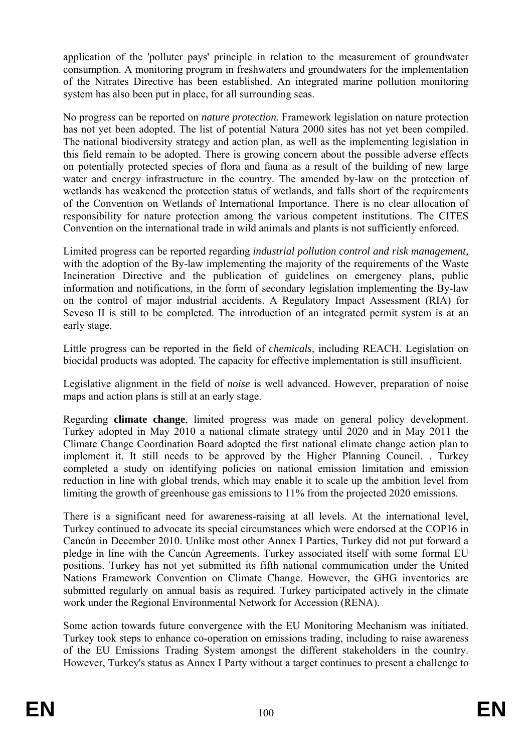application of the 'polluter pays' principle in relation to the measurement of groundwater consumption. A monitoring program in freshwaters and groundwaters for the implementation of the Nitrates Directive has been established. An integrated marine pollution monitoring system has also been put in place, for all surrounding seas.

No progress can be reported on *nature protection*. Framework legislation on nature protection has not yet been adopted. The list of potential Natura 2000 sites has not yet been compiled. The national biodiversity strategy and action plan, as well as the implementing legislation in this field remain to be adopted. There is growing concern about the possible adverse effects on potentially protected species of flora and fauna as a result of the building of new large water and energy infrastructure in the country. The amended by-law on the protection of wetlands has weakened the protection status of wetlands, and falls short of the requirements of the Convention on Wetlands of International Importance. There is no clear allocation of responsibility for nature protection among the various competent institutions. The CITES Convention on the international trade in wild animals and plants is not sufficiently enforced.

Limited progress can be reported regarding *industrial pollution control and risk management,* with the adoption of the By-law implementing the majority of the requirements of the Waste Incineration Directive and the publication of guidelines on emergency plans, public information and notifications, in the form of secondary legislation implementing the By-law on the control of major industrial accidents. A Regulatory Impact Assessment (RIA) for Seveso II is still to be completed. The introduction of an integrated permit system is at an early stage.

Little progress can be reported in the field of *chemicals,* including REACH. Legislation on biocidal products was adopted. The capacity for effective implementation is still insufficient.

Legislative alignment in the field of *noise* is well advanced. However, preparation of noise maps and action plans is still at an early stage.

Regarding **climate change**, limited progress was made on general policy development. Turkey adopted in May 2010 a national climate strategy until 2020 and in May 2011 the Climate Change Coordination Board adopted the first national climate change action plan to implement it. It still needs to be approved by the Higher Planning Council. . Turkey completed a study on identifying policies on national emission limitation and emission reduction in line with global trends, which may enable it to scale up the ambition level from limiting the growth of greenhouse gas emissions to 11% from the projected 2020 emissions.

Cancún in December 2010. Unlike most other Annex I Parties, Turkey did not put forward a There is a significant need for awareness-raising at all levels. At the international level, Turkey continued to advocate its special circumstances which were endorsed at the COP16 in pledge in line with the Cancún Agreements. Turkey associated itself with some formal EU positions. Turkey has not yet submitted its fifth national communication under the United Nations Framework Convention on Climate Change. However, the GHG inventories are submitted regularly on annual basis as required. Turkey participated actively in the climate work under the Regional Environmental Network for Accession (RENA).

However, Turkey's status as Annex I Party without a target continues to present a challenge to Some action towards future convergence with the EU Monitoring Mechanism was initiated. Turkey took steps to enhance co-operation on emissions trading, including to raise awareness of the EU Emissions Trading System amongst the different stakeholders in the country.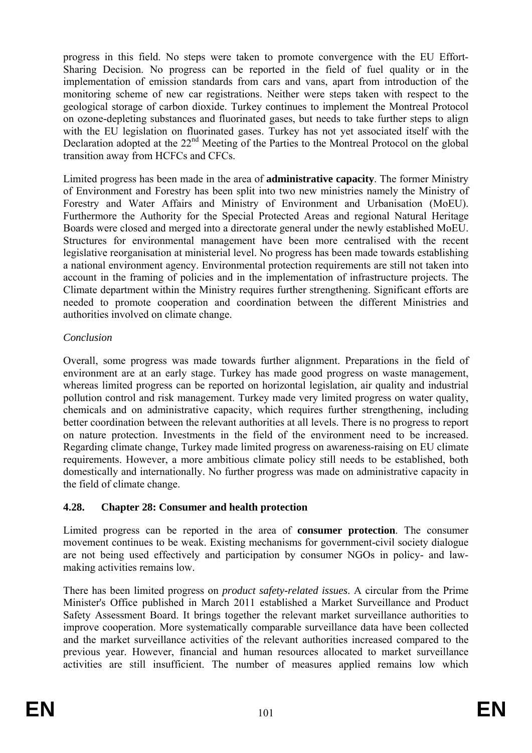progress in this field. No steps were taken to promote convergence with the EU Effort-Sharing Decision. No progress can be reported in the field of fuel quality or in the implementation of emission standards from cars and vans, apart from introduction of the monitoring scheme of new car registrations. Neither were steps taken with respect to the geological storage of carbon dioxide. Turkey continues to implement the Montreal Protocol on ozone-depleting substances and fluorinated gases, but needs to take further steps to align with the EU legislation on fluorinated gases. Turkey has not yet associated itself with the Declaration adopted at the 22<sup>nd</sup> Meeting of the Parties to the Montreal Protocol on the global transition away from HCFCs and CFCs.

account in the framing of policies and in the implementation of infrastructure projects. The authorities involved on climate change. Limited progress has been made in the area of **administrative capacity**. The former Ministry of Environment and Forestry has been split into two new ministries namely the Ministry of Forestry and Water Affairs and Ministry of Environment and Urbanisation (MoEU). Furthermore the Authority for the Special Protected Areas and regional Natural Heritage Boards were closed and merged into a directorate general under the newly established MoEU. Structures for environmental management have been more centralised with the recent legislative reorganisation at ministerial level. No progress has been made towards establishing a national environment agency. Environmental protection requirements are still not taken into Climate department within the Ministry requires further strengthening. Significant efforts are needed to promote cooperation and coordination between the different Ministries and

#### *Conclusion*

. on nature protection. Investments in the field of the environment need to be increased Regarding climate change, Turkey made limited progress on awareness-raising on EU climate Overall, some progress was made towards further alignment. Preparations in the field of environment are at an early stage. Turkey has made good progress on waste management, whereas limited progress can be reported on horizontal legislation, air quality and industrial pollution control and risk management. Turkey made very limited progress on water quality, chemicals and on administrative capacity, which requires further strengthening, including better coordination between the relevant authorities at all levels. There is no progress to report requirements. However, a more ambitious climate policy still needs to be established, both domestically and internationally. No further progress was made on administrative capacity in the field of climate change.

# **4.28. Chapter 28: Consumer and health protection**

Limited progress can be reported in the area of **consumer protection**. The consumer movement continues to be weak. Existing mechanisms for government-civil society dialogue are not being used effectively and participation by consumer NGOs in policy- and lawmaking activities remains low.

There has been limited progress on *product safety-related issues*. A circular from the Prime Minister's Office published in March 2011 established a Market Surveillance and Product Safety Assessment Board. It brings together the relevant market surveillance authorities to improve cooperation. More systematically comparable surveillance data have been collected and the market surveillance activities of the relevant authorities increased compared to the previous year. However, financial and human resources allocated to market surveillance activities are still insufficient. The number of measures applied remains low which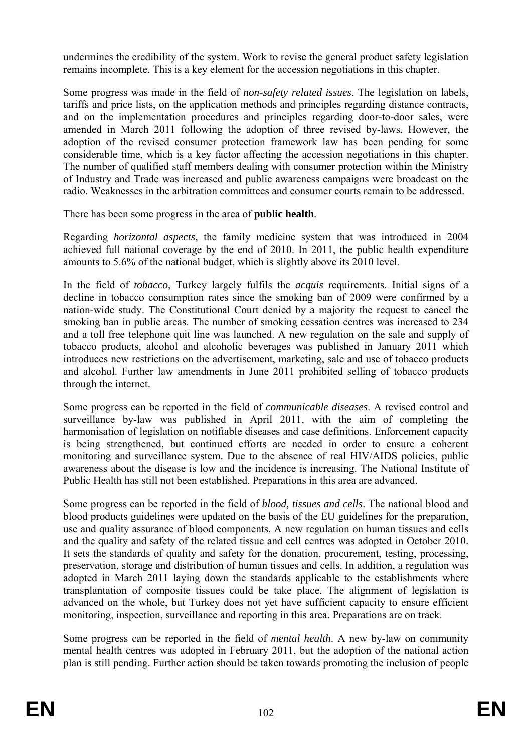undermines the credibility of the system. Work to revise the general product safety legislation remains incomplete. This is a key element for the accession negotiations in this chapter.

tariffs and price lists, on the application methods and principles regarding distance contracts, Some progress was made in the field of *non-safety related issues*. The legislation on labels, and on the implementation procedures and principles regarding door-to-door sales, were amended in March 2011 following the adoption of three revised by-laws. However, the adoption of the revised consumer protection framework law has been pending for some considerable time, which is a key factor affecting the accession negotiations in this chapter. The number of qualified staff members dealing with consumer protection within the Ministry of Industry and Trade was increased and public awareness campaigns were broadcast on the radio. Weaknesses in the arbitration committees and consumer courts remain to be addressed.

There has been some progress in the area of **public health**.

amounts to 5.6% of the national budget, which is slightly above its 2010 level. Regarding *horizontal aspects*, the family medicine system that was introduced in 2004 achieved full national coverage by the end of 2010. In 2011, the public health expenditure

In the field of *tobacco*, Turkey largely fulfils the *acquis* requirements. Initial signs of a decline in tobacco consumption rates since the smoking ban of 2009 were confirmed by a nation-wide study. The Constitutional Court denied by a majority the request to cancel the smoking ban in public areas. The number of smoking cessation centres was increased to 234 and a toll free telephone quit line was launched. A new regulation on the sale and supply of tobacco products, alcohol and alcoholic beverages was published in January 2011 which introduces new restrictions on the advertisement, marketing, sale and use of tobacco products and alcohol. Further law amendments in June 2011 prohibited selling of tobacco products through the internet.

harmonisation of legislation on notifiable diseases and case definitions. Enforcement capacity is being strengthened, but continued efforts are needed in order to ensure a coherent monitoring and surveillance system. Due to the absence of real HIV/AIDS policies, public Some progress can be reported in the field of *communicable diseases*. A revised control and surveillance by-law was published in April 2011, with the aim of completing the awareness about the disease is low and the incidence is increasing. The National Institute of Public Health has still not been established. Preparations in this area are advanced.

blood products guidelines were updated on the basis of the EU guidelines for the preparation, Some progress can be reported in the field of *blood, tissues and cells*. The national blood and use and quality assurance of blood components. A new regulation on human tissues and cells and the quality and safety of the related tissue and cell centres was adopted in October 2010. It sets the standards of quality and safety for the donation, procurement, testing, processing, preservation, storage and distribution of human tissues and cells. In addition, a regulation was adopted in March 2011 laying down the standards applicable to the establishments where transplantation of composite tissues could be take place. The alignment of legislation is advanced on the whole, but Turkey does not yet have sufficient capacity to ensure efficient monitoring, inspection, surveillance and reporting in this area. Preparations are on track.

Some progress can be reported in the field of *mental health*. A new by-law on community mental health centres was adopted in February 2011, but the adoption of the national action plan is still pending. Further action should be taken towards promoting the inclusion of people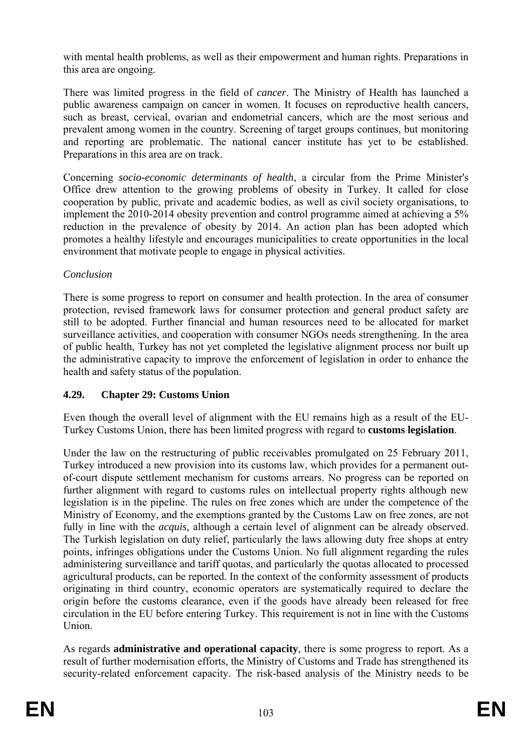with mental health problems, as well as their empowerment and human rights. Preparations in this area are ongoing.

There was limited progress in the field of *cancer*. The Ministry of Health has launched a public awareness campaign on cancer in women. It focuses on reproductive health cancers, such as breast, cervical, ovarian and endometrial cancers, which are the most serious and prevalent among women in the country. Screening of target groups continues, but monitoring and reporting are problematic. The national cancer institute has yet to be established. Preparations in this area are on track.

Concerning *socio-economic determinants of health*, a circular from the Prime Minister's Office drew attention to the growing problems of obesity in Turkey. It called for close cooperation by public, private and academic bodies, as well as civil society organisations, to implement the 2010-2014 obesity prevention and control programme aimed at achieving a 5% reduction in the prevalence of obesity by 2014. An action plan has been adopted which promotes a healthy lifestyle and encourages municipalities to create opportunities in the local environment that motivate people to engage in physical activities.

#### *Conclusion*

surveillance activities, and cooperation with consumer NGOs needs strengthening. In the area There is some progress to report on consumer and health protection. In the area of consumer protection, revised framework laws for consumer protection and general product safety are still to be adopted. Further financial and human resources need to be allocated for market of public health, Turkey has not yet completed the legislative alignment process nor built up the administrative capacity to improve the enforcement of legislation in order to enhance the health and safety status of the population.

# **4.29. Chapter 29: Customs Union**

Turkey Customs Union, there has been limited progress with regard to **customs legislation**. Even though the overall level of alignment with the EU remains high as a result of the EU-

administering surveillance and tariff quotas, and particularly the quotas allocated to processed Under the law on the restructuring of public receivables promulgated on 25 February 2011, Turkey introduced a new provision into its customs law, which provides for a permanent outof-court dispute settlement mechanism for customs arrears. No progress can be reported on further alignment with regard to customs rules on intellectual property rights although new legislation is in the pipeline. The rules on free zones which are under the competence of the Ministry of Economy, and the exemptions granted by the Customs Law on free zones, are not fully in line with the *acquis,* although a certain level of alignment can be already observed. The Turkish legislation on duty relief, particularly the laws allowing duty free shops at entry points, infringes obligations under the Customs Union. No full alignment regarding the rules agricultural products, can be reported. In the context of the conformity assessment of products originating in third country, economic operators are systematically required to declare the origin before the customs clearance, even if the goods have already been released for free circulation in the EU before entering Turkey. This requirement is not in line with the Customs Union.

As regards **administrative and operational capacity**, there is some progress to report. As a result of further modernisation efforts, the Ministry of Customs and Trade has strengthened its security-related enforcement capacity. The risk-based analysis of the Ministry needs to be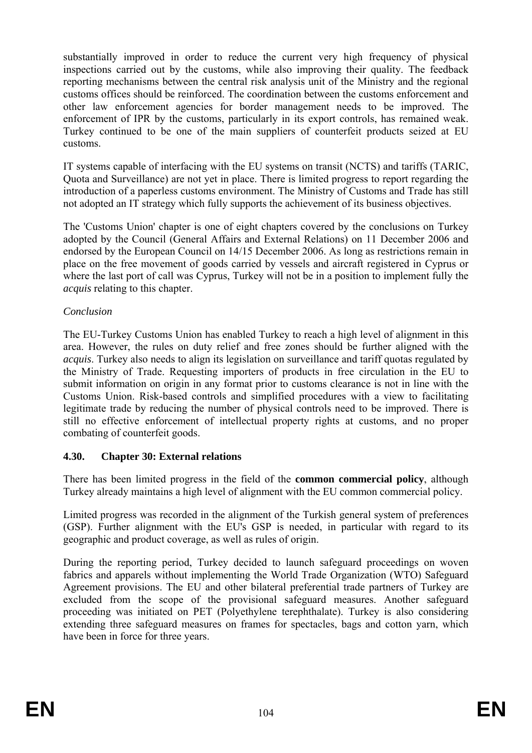other law enforcement agencies for border management needs to be improved. The substantially improved in order to reduce the current very high frequency of physical inspections carried out by the customs, while also improving their quality. The feedback reporting mechanisms between the central risk analysis unit of the Ministry and the regional customs offices should be reinforced. The coordination between the customs enforcement and enforcement of IPR by the customs, particularly in its export controls, has remained weak. Turkey continued to be one of the main suppliers of counterfeit products seized at EU customs.

IT systems capable of interfacing with the EU systems on transit (NCTS) and tariffs (TARIC, Quota and Surveillance) are not yet in place. There is limited progress to report regarding the introduction of a paperless customs environment. The Ministry of Customs and Trade has still not adopted an IT strategy which fully supports the achievement of its business objectives.

The 'Customs Union' chapter is one of eight chapters covered by the conclusions on Turkey adopted by the Council (General Affairs and External Relations) on 11 December 2006 and endorsed by the European Council on 14/15 December 2006. As long as restrictions remain in place on the free movement of goods carried by vessels and aircraft registered in Cyprus or where the last port of call was Cyprus, Turkey will not be in a position to implement fully the *acquis* relating to this chapter.

#### *Conclusion*

The EU-Turkey Customs Union has enabled Turkey to reach a high level of alignment in this area. However, the rules on duty relief and free zones should be further aligned with the the Ministry of Trade. Requesting importers of products in free circulation in the EU to submit information on origin in any format prior to customs clearance is not in line with the *acquis*. Turkey also needs to align its legislation on surveillance and tariff quotas regulated by Customs Union. Risk-based controls and simplified procedures with a view to facilitating legitimate trade by reducing the number of physical controls need to be improved. There is still no effective enforcement of intellectual property rights at customs, and no proper combating of counterfeit goods.

#### **4.30. Chapter 30: External relations**

There has been limited progress in the field of the **common commercial policy**, although Turkey already maintains a high level of alignment with the EU common commercial policy.

Limited progress was recorded in the alignment of the Turkish general system of preferences (GSP). Further alignment with the EU's GSP is needed, in particular with regard to its geographic and product coverage, as well as rules of origin.

fabrics and apparels without implementing the World Trade Organization (WTO) Safeguard During the reporting period, Turkey decided to launch safeguard proceedings on woven Agreement provisions. The EU and other bilateral preferential trade partners of Turkey are excluded from the scope of the provisional safeguard measures. Another safeguard proceeding was initiated on PET (Polyethylene terephthalate). Turkey is also considering extending three safeguard measures on frames for spectacles, bags and cotton yarn, which have been in force for three years.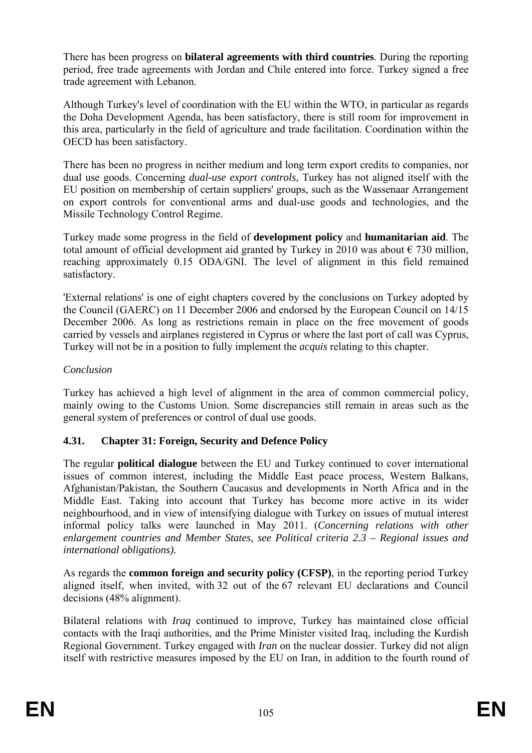There has been progress on **bilateral agreements with third countries**. During the reporting period, free trade agreements with Jordan and Chile entered into force. Turkey signed a free trade agreement with Lebanon.

Although Turkey's level of coordination with the EU within the WTO, in particular as regards the Doha Development Agenda, has been satisfactory, there is still room for improvement in this area, particularly in the field of agriculture and trade facilitation. Coordination within the OECD has been satisfactory.

There has been no progress in neither medium and long term export credits to companies, nor dual use goods. Concerning *dual-use export controls*, Turkey has not aligned itself with the EU position on membership of certain suppliers' groups, such as the Wassenaar Arrangement on export controls for conventional arms and dual-use goods and technologies, and the Missile Technology Control Regime.

total amount of official development aid granted by Turkey in 2010 was about  $\epsilon$  730 million, reaching approximately 0.15 ODA/GNI. The level of alignment in this field remained Turkey made some progress in the field of **development policy** and **humanitarian aid**. The satisfactory.

'External relations' is one of eight chapters covered by the conclusions on Turkey adopted by the Council (GAERC) on 11 December 2006 and endorsed by the European Council on 14/15 December 2006. As long as restrictions remain in place on the free movement of goods carried by vessels and airplanes registered in Cyprus or where the last port of call was Cyprus, Turkey will not be in a position to fully implement the *acquis* relating to this chapter.

#### *Conclusion*

Turkey has achieved a high level of alignment in the area of common commercial policy, mainly owing to the Customs Union. Some discrepancies still remain in areas such as the general system of preferences or control of dual use goods.

# **4.31. Chapter 31: Foreign, Security and Defence Policy**

Middle East. Taking into account that Turkey has become more active in its wider The regular **political dialogue** between the EU and Turkey continued to cover international issues of common interest, including the Middle East peace process, Western Balkans, Afghanistan/Pakistan, the Southern Caucasus and developments in North Africa and in the neighbourhood, and in view of intensifying dialogue with Turkey on issues of mutual interest informal policy talks were launched in May 2011. (*Concerning relations with other enlargement countries and Member States, see Political criteria 2.3 – Regional issues and international obligations).* 

As regards the **common foreign and security policy (CFSP)**, in the reporting period Turkey aligned itself, when invited, with 32 out of the 67 relevant EU declarations and Council decisions (48% alignment).

Regional Government. Turkey engaged with *Iran* on the nuclear dossier. Turkey did not align Bilateral relations with *Iraq* continued to improve, Turkey has maintained close official contacts with the Iraqi authorities, and the Prime Minister visited Iraq, including the Kurdish itself with restrictive measures imposed by the EU on Iran, in addition to the fourth round of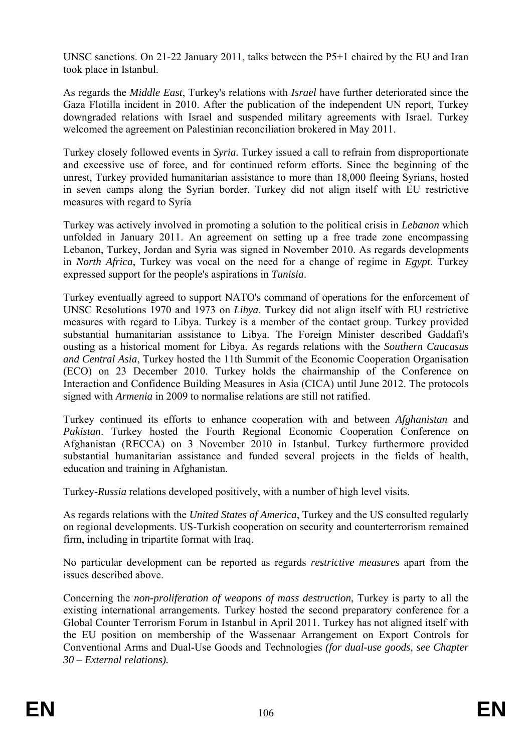UNSC sanctions. On 21-22 January 2011, talks between the P5+1 chaired by the EU and Iran took place in Istanbul.

As regards the *Middle East*, Turkey's relations with *Israel* have further deteriorated since the Gaza Flotilla incident in 2010. After the publication of the independent UN report, Turkey downgraded relations with Israel and suspended military agreements with Israel. Turkey welcomed the agreement on Palestinian reconciliation brokered in May 2011.

Turkey closely followed events in *Syria*. Turkey issued a call to refrain from disproportionate and excessive use of force, and for continued reform efforts. Since the beginning of the unrest, Turkey provided humanitarian assistance to more than 18,000 fleeing Syrians, hosted in seven camps along the Syrian border. Turkey did not align itself with EU restrictive measures with regard to Syria

Turkey was actively involved in promoting a solution to the political crisis in *Lebanon* which unfolded in January 2011. An agreement on setting up a free trade zone encompassing Lebanon, Turkey, Jordan and Syria was signed in November 2010. As regards developments in *North Africa*, Turkey was vocal on the need for a change of regime in *Egypt*. Turkey expressed support for the people's aspirations in *Tunisia*.

Turkey eventually agreed to support NATO's command of operations for the enforcement of UNSC Resolutions 1970 and 1973 on *Libya*. Turkey did not align itself with EU restrictive ousting as a historical moment for Libya. As regards relations with the *Southern Caucasus and Central Asia*, Turkey hosted the 11th Summit of the Economic Cooperation Organisation (ECO) on 23 December 2010. Turkey holds the chairmanship of the Conference on Interaction and Confidence Building Measures in Asia (CICA) until June 2012. The protocols measures with regard to Libya. Turkey is a member of the contact group. Turkey provided substantial humanitarian assistance to Libya. The Foreign Minister described Gaddafi's signed with *Armenia* in 2009 to normalise relations are still not ratified.

Turkey continued its efforts to enhance cooperation with and between *Afghanistan* and *Pakistan*. Turkey hosted the Fourth Regional Economic Cooperation Conference on Afghanistan (RECCA) on 3 November 2010 in Istanbul. Turkey furthermore provided substantial humanitarian assistance and funded several projects in the fields of health, education and training in Afghanistan.

Turkey-*Russia* relations developed positively, with a number of high level visits.

on regional developments. US-Turkish cooperation on security and counterterrorism remained firm, including in tripartite format with Iraq. As regards relations with the *United States of America*, Turkey and the US consulted regularly

No particular development can be reported as regards *restrictive measures* apart from the issues described above.

Global Counter Terrorism Forum in Istanbul in April 2011. Turkey has not aligned itself with Concerning the *non-proliferation of weapons of mass destruction*, Turkey is party to all the existing international arrangements. Turkey hosted the second preparatory conference for a the EU position on membership of the Wassenaar Arrangement on Export Controls for Conventional Arms and Dual-Use Goods and Technologies *(for dual-use goods, see Chapter 30 – External relations).*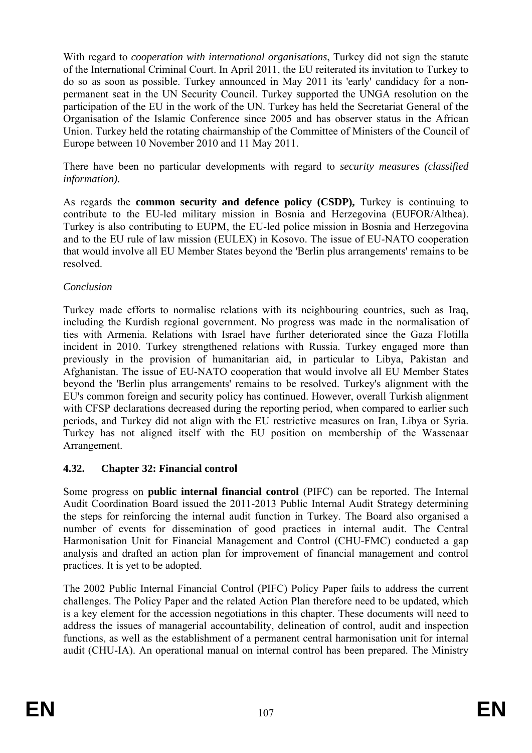Organisation of the Islamic Conference since 2005 and has observer status in the African With regard to *cooperation with international organisations*, Turkey did not sign the statute of the International Criminal Court. In April 2011, the EU reiterated its invitation to Turkey to do so as soon as possible. Turkey announced in May 2011 its 'early' candidacy for a nonpermanent seat in the UN Security Council. Turkey supported the UNGA resolution on the participation of the EU in the work of the UN. Turkey has held the Secretariat General of the Union. Turkey held the rotating chairmanship of the Committee of Ministers of the Council of Europe between 10 November 2010 and 11 May 2011.

There have been no particular developments with regard to *security measures (classified information).* 

As regards the **common security and defence policy (CSDP),** Turkey is continuing to contribute to the EU-led military mission in Bosnia and Herzegovina (EUFOR/Althea). Turkey is also contributing to EUPM, the EU-led police mission in Bosnia and Herzegovina and to the EU rule of law mission (EULEX) in Kosovo. The issue of EU-NATO cooperation that would involve all EU Member States beyond the 'Berlin plus arrangements' remains to be resolved.

#### *Conclusion*

Turkey made efforts to normalise relations with its neighbouring countries, such as Iraq, beyond the 'Berlin plus arrangements' remains to be resolved. Turkey's alignment with the EU's common foreign and security policy has continued. However, overall Turkish alignment including the Kurdish regional government. No progress was made in the normalisation of ties with Armenia. Relations with Israel have further deteriorated since the Gaza Flotilla incident in 2010. Turkey strengthened relations with Russia. Turkey engaged more than previously in the provision of humanitarian aid, in particular to Libya, Pakistan and Afghanistan. The issue of EU-NATO cooperation that would involve all EU Member States with CFSP declarations decreased during the reporting period, when compared to earlier such periods, and Turkey did not align with the EU restrictive measures on Iran, Libya or Syria. Turkey has not aligned itself with the EU position on membership of the Wassenaar Arrangement.

# **4.32. Chapter 32: Financial control**

Some progress on **public internal financial control** (PIFC) can be reported. The Internal practices. It is yet to be adopted. Audit Coordination Board issued the 2011-2013 Public Internal Audit Strategy determining the steps for reinforcing the internal audit function in Turkey. The Board also organised a number of events for dissemination of good practices in internal audit. The Central Harmonisation Unit for Financial Management and Control (CHU-FMC) conducted a gap analysis and drafted an action plan for improvement of financial management and control

The 2002 Public Internal Financial Control (PIFC) Policy Paper fails to address the current challenges. The Policy Paper and the related Action Plan therefore need to be updated, which is a key element for the accession negotiations in this chapter. These documents will need to address the issues of managerial accountability, delineation of control, audit and inspection functions, as well as the establishment of a permanent central harmonisation unit for internal audit (CHU-IA). An operational manual on internal control has been prepared. The Ministry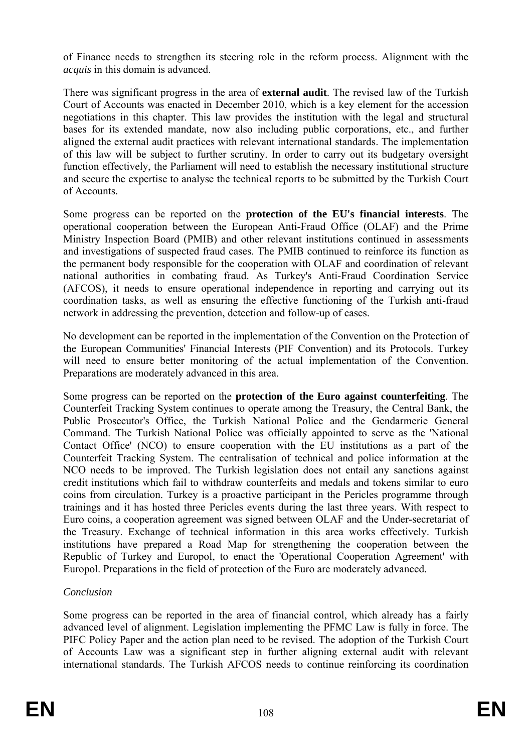of Finance needs to strengthen its steering role in the reform process. Alignment with the *acquis* in this domain is advanced.

negotiations in this chapter. This law provides the institution with the legal and structural of Accounts. There was significant progress in the area of **external audit**. The revised law of the Turkish Court of Accounts was enacted in December 2010, which is a key element for the accession bases for its extended mandate, now also including public corporations, etc., and further aligned the external audit practices with relevant international standards. The implementation of this law will be subject to further scrutiny. In order to carry out its budgetary oversight function effectively, the Parliament will need to establish the necessary institutional structure and secure the expertise to analyse the technical reports to be submitted by the Turkish Court

Some progress can be reported on the **protection of the EU's financial interests**. The operational cooperation between the European Anti-Fraud Office (OLAF) and the Prime Ministry Inspection Board (PMIB) and other relevant institutions continued in assessments and investigations of suspected fraud cases. The PMIB continued to reinforce its function as the permanent body responsible for the cooperation with OLAF and coordination of relevant national authorities in combating fraud. As Turkey's Anti-Fraud Coordination Service (AFCOS), it needs to ensure operational independence in reporting and carrying out its coordination tasks, as well as ensuring the effective functioning of the Turkish anti-fraud network in addressing the prevention, detection and follow-up of cases.

Preparations are moderately advanced in this area. No development can be reported in the implementation of the Convention on the Protection of the European Communities' Financial Interests (PIF Convention) and its Protocols. Turkey will need to ensure better monitoring of the actual implementation of the Convention.

Some progress can be reported on the **protection of the Euro against counterfeiting**. The Counterfeit Tracking System continues to operate among the Treasury, the Central Bank, the coins from circulation. Turkey is a proactive participant in the Pericles programme through trainings and it has hosted three Pericles events during the last three years. With respect to Public Prosecutor's Office, the Turkish National Police and the Gendarmerie General Command. The Turkish National Police was officially appointed to serve as the 'National Contact Office' (NCO) to ensure cooperation with the EU institutions as a part of the Counterfeit Tracking System. The centralisation of technical and police information at the NCO needs to be improved. The Turkish legislation does not entail any sanctions against credit institutions which fail to withdraw counterfeits and medals and tokens similar to euro Euro coins, a cooperation agreement was signed between OLAF and the Under-secretariat of the Treasury. Exchange of technical information in this area works effectively. Turkish institutions have prepared a Road Map for strengthening the cooperation between the Republic of Turkey and Europol, to enact the 'Operational Cooperation Agreement' with Europol. Preparations in the field of protection of the Euro are moderately advanced.

#### *Conclusion*

Some progress can be reported in the area of financial control, which already has a fairly advanced level of alignment. Legislation implementing the PFMC Law is fully in force. The PIFC Policy Paper and the action plan need to be revised. The adoption of the Turkish Court of Accounts Law was a significant step in further aligning external audit with relevant international standards. The Turkish AFCOS needs to continue reinforcing its coordination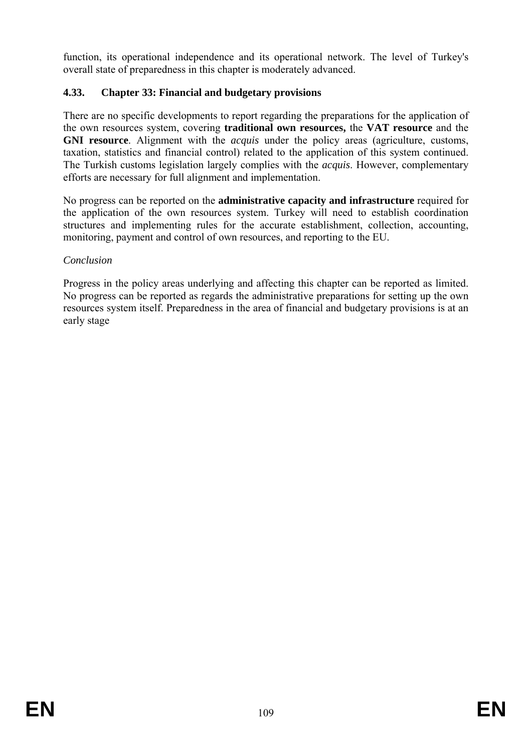function, its operational independence and its operational network. The level of Turkey's overall state of preparedness in this chapter is moderately advanced.

## **4.33. Chapter 33: Financial and budgetary provisions**

There are no specific developments to report regarding the preparations for the application of the own resources system, covering **traditional own resources,** the **VAT resource** and the **GNI resource**. Alignment with the *acquis* under the policy areas (agriculture, customs, taxation, statistics and financial control) related to the application of this system continued. The Turkish customs legislation largely complies with the *acquis*. However, complementary efforts are necessary for full alignment and implementation.

monitoring, payment and control of own resources, and reporting to the EU. No progress can be reported on the **administrative capacity and infrastructure** required for the application of the own resources system. Turkey will need to establish coordination structures and implementing rules for the accurate establishment, collection, accounting,

### *Conclusion*

No progress can be reported as regards the administrative preparations for setting up the own Progress in the policy areas underlying and affecting this chapter can be reported as limited. resources system itself. Preparedness in the area of financial and budgetary provisions is at an early stage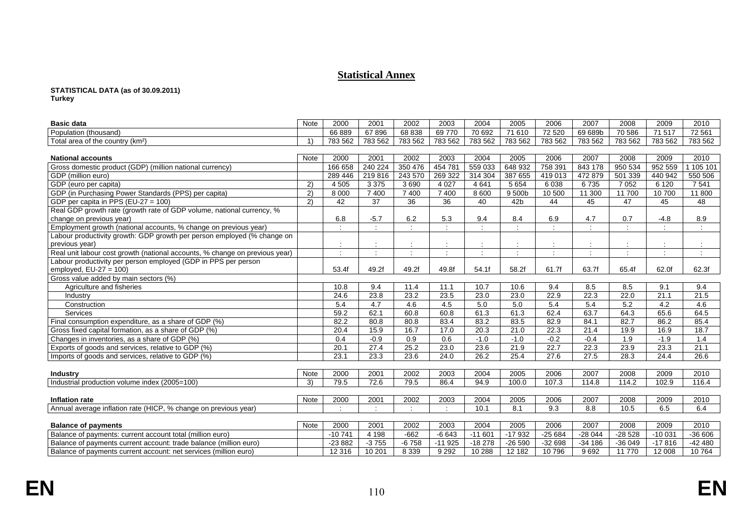#### **Statistical Annex**

# **STATISTICAL DATA (as of 30.09.2011)**

**Turkey** 

| <b>Basic data</b>                                                           | Note        | 2000                 | 2001            | 2002            | 2003                 | 2004                 | 2005            | 2006     | 2007          | 2008           | 2009                 | 2010      |
|-----------------------------------------------------------------------------|-------------|----------------------|-----------------|-----------------|----------------------|----------------------|-----------------|----------|---------------|----------------|----------------------|-----------|
| Population (thousand)                                                       |             | 66889                | 67896           | 68 838          | 69770                | 70 692               | 71 610          | 72 5 20  | 69 689b       | 70 586         | 71 517               | 72 561    |
| Total area of the country (km <sup>2</sup> )                                | 1)          | 783 562              | 783 562         | 783 562         | 783 562              | 783 562              | 783 562         | 783 562  | 783 562       | 783 562        | 783 562              | 783 562   |
|                                                                             |             |                      |                 |                 |                      |                      |                 |          |               |                |                      |           |
| <b>National accounts</b>                                                    | Note        | 2000                 | 2001            | 2002            | 2003                 | 2004                 | 2005            | 2006     | 2007          | 2008           | 2009                 | 2010      |
| Gross domestic product (GDP) (million national currency)                    |             | 166 658              | 240 224         | 350 476         | 454 781              | 559 033              | 648 932         | 758 391  | 843 178       | 950 534        | 952 559              | 1 105 101 |
| GDP (million euro)                                                          |             | 289 446              | 219 816         | 243 570         | 269 322              | 314 304              | 387 655         | 419 013  | 472 879       | 501 339        | 440 942              | 550 506   |
| GDP (euro per capita)                                                       | 2)          | 4 5 0 5              | 3 3 7 5         | 3690            | 4 0 27               | 4 6 4 1              | 5 6 5 4         | 6038     | 6735          | 7 0 5 2        | 6 1 2 0              | 7 5 4 1   |
| GDP (in Purchasing Power Standards (PPS) per capita)                        | 2)          | 8 0 0 0              | 7 400           | 7400            | 7 400                | 8 600                | 9500b           | 10 500   | 11 300        | 11 700         | 10700                | 11 800    |
| GDP per capita in PPS (EU-27 = 100)                                         | 2)          | 42                   | $\overline{37}$ | $\overline{36}$ | $\overline{36}$      | $\overline{40}$      | 42 <sub>b</sub> | 44       | 45            | 47             | 45                   | 48        |
| Real GDP growth rate (growth rate of GDP volume, national currency, %       |             |                      |                 |                 |                      |                      |                 |          |               |                |                      |           |
| change on previous year)                                                    |             | 6.8                  | $-5.7$          | 6.2             | 5.3                  | 9.4                  | 8.4             | 6.9      | 4.7           | 0.7            | $-4.8$               | 8.9       |
| Employment growth (national accounts, % change on previous year)            |             | $\ddot{\phantom{a}}$ |                 | ÷               | $\ddot{\phantom{a}}$ | $\ddot{\phantom{a}}$ | $\mathcal{L}$   | ÷        | $\mathcal{I}$ | $\ddot{\cdot}$ | $\ddot{\phantom{a}}$ | ÷         |
| Labour productivity growth: GDP growth per person employed (% change on     |             |                      |                 |                 |                      |                      |                 |          |               |                |                      |           |
| previous year)                                                              |             |                      |                 |                 |                      |                      |                 |          |               |                |                      |           |
| Real unit labour cost growth (national accounts, % change on previous year) |             |                      |                 | $\cdot$         | $\ddot{\cdot}$       | $\cdot$              | ÷               | ÷        | $\bullet$     | $\cdot$        | $\cdot$              | ÷         |
| Labour productivity per person employed (GDP in PPS per person              |             |                      |                 |                 |                      |                      |                 |          |               |                |                      |           |
| employed, $EU-27 = 100$ )                                                   |             | 53.4f                | 49.2f           | 49.2f           | 49.8f                | 54.1f                | 58.2f           | 61.7f    | 63.7f         | 65.4f          | 62.0f                | 62.3f     |
| Gross value added by main sectors (%)                                       |             |                      |                 |                 |                      |                      |                 |          |               |                |                      |           |
| Agriculture and fisheries                                                   |             | 10.8                 | 9.4             | 11.4            | 11.1                 | 10.7                 | 10.6            | 9.4      | 8.5           | 8.5            | 9.1                  | 9.4       |
| Industry                                                                    |             | 24.6                 | 23.8            | 23.2            | 23.5                 | 23.0                 | 23.0            | 22.9     | 22.3          | 22.0           | 21.1                 | 21.5      |
| Construction                                                                |             | 5.4                  | 4.7             | 4.6             | 4.5                  | 5.0                  | 5.0             | 5.4      | 5.4           | 5.2            | 4.2                  | 4.6       |
| Services                                                                    |             | 59.2                 | 62.1            | 60.8            | 60.8                 | 61.3                 | 61.3            | 62.4     | 63.7          | 64.3           | 65.6                 | 64.5      |
| Final consumption expenditure, as a share of GDP (%)                        |             | 82.2                 | 80.8            | 80.8            | 83.4                 | 83.2                 | 83.5            | 82.9     | 84.1          | 82.7           | 86.2                 | 85.4      |
| Gross fixed capital formation, as a share of GDP (%)                        |             | 20.4                 | 15.9            | 16.7            | 17.0                 | 20.3                 | 21.0            | 22.3     | 21.4          | 19.9           | 16.9                 | 18.7      |
| Changes in inventories, as a share of GDP (%)                               |             | 0.4                  | $-0.9$          | 0.9             | 0.6                  | $-1.0$               | $-1.0$          | $-0.2$   | $-0.4$        | 1.9            | $-1.9$               | 1.4       |
| Exports of goods and services, relative to GDP (%)                          |             | 20.1                 | 27.4            | 25.2            | 23.0                 | 23.6                 | 21.9            | 22.7     | 22.3          | 23.9           | 23.3                 | 21.1      |
| Imports of goods and services, relative to GDP (%)                          |             | 23.1                 | 23.3            | 23.6            | 24.0                 | 26.2                 | 25.4            | 27.6     | 27.5          | 28.3           | 24.4                 | 26.6      |
|                                                                             |             |                      |                 |                 |                      |                      |                 |          |               |                |                      |           |
| <b>Industry</b>                                                             | <b>Note</b> | 2000                 | 2001            | 2002            | 2003                 | 2004                 | 2005            | 2006     | 2007          | 2008           | 2009                 | 2010      |
| Industrial production volume index (2005=100)                               | 3)          | 79.5                 | 72.6            | 79.5            | 86.4                 | 94.9                 | 100.0           | 107.3    | 114.8         | 114.2          | 102.9                | 116.4     |
|                                                                             |             |                      |                 |                 |                      |                      |                 |          |               |                |                      |           |
| Inflation rate                                                              | Note        | 2000                 | 2001            | 2002            | 2003                 | 2004                 | 2005            | 2006     | 2007          | 2008           | 2009                 | 2010      |
| Annual average inflation rate (HICP, % change on previous year)             |             | $\ddot{\phantom{a}}$ |                 | ÷               | $\ddot{\phantom{a}}$ | 10.1                 | 8.1             | 9.3      | 8.8           | 10.5           | 6.5                  | 6.4       |
|                                                                             |             |                      |                 |                 |                      |                      |                 |          |               |                |                      |           |
| <b>Balance of payments</b>                                                  | Note        | 2000                 | 2001            | 2002            | 2003                 | 2004                 | 2005            | 2006     | 2007          | 2008           | 2009                 | 2010      |
| Balance of payments: current account total (million euro)                   |             | $-10741$             | 4 1 9 8         | $-662$          | $-6643$              | $-11601$             | $-17932$        | $-25684$ | $-28044$      | $-28528$       | $-10031$             | $-36606$  |
| Balance of payments current account: trade balance (million euro)           |             | $-23882$             | $-3755$         | $-6758$         | $-11925$             | $-18278$             | $-26590$        | $-32698$ | $-34186$      | $-36049$       | $-17816$             | $-42480$  |
| Balance of payments current account: net services (million euro)            |             | 12 3 16              | 10 201          | 8 3 3 9         | 9 2 9 2              | 10 288               | 12 182          | 10796    | 9692          | 11 770         | 12 008               | 10764     |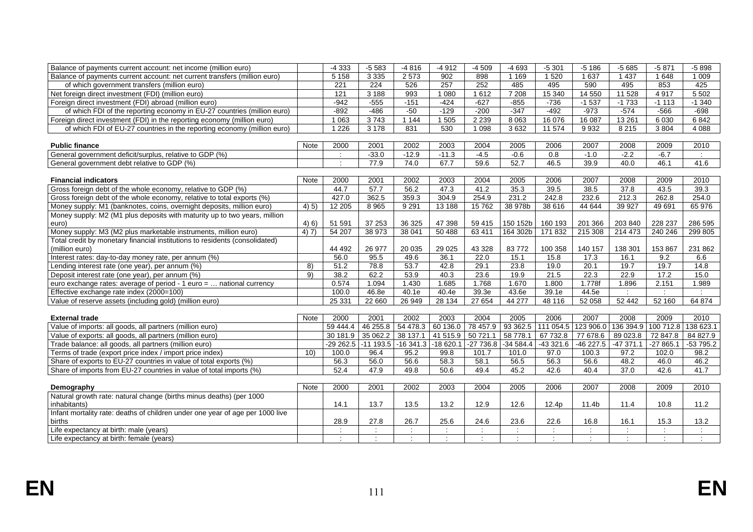| Balance of payments current account: net income (million euro)                |             | $-4333$       | $-5583$              | $-4816$              | $-4912$       | $-4509$       | $-4693$                     | $-5301$       | $-5186$               | $-5685$       | $-5871$    | $-5898$       |
|-------------------------------------------------------------------------------|-------------|---------------|----------------------|----------------------|---------------|---------------|-----------------------------|---------------|-----------------------|---------------|------------|---------------|
| Balance of payments current account: net current transfers (million euro)     |             | 5 1 5 8       | 3 3 3 5              | 2 5 7 3              | 902           | 898           | 1 1 6 9                     | 1 5 20        | 1 6 3 7               | 1437          | 1 648      | 1 0 0 9       |
| of which government transfers (million euro)                                  |             | 221           | 224                  | 526                  | 257           | 252           | 485                         | 495           | 590                   | 495           | 853        | 425           |
| Net foreign direct investment (FDI) (million euro)                            |             | 121           | 3 1 8 8              | 993                  | 1 0 8 0       | 1612          | 7 2 0 8                     | 15 340        | 14 5 5 0              | 11 5 28       | 4917       | 5502          |
| Foreign direct investment (FDI) abroad (million euro)                         |             | $-942$        | $-555$               | $-151$               | $-424$        | $-627$        | $-855$                      | $-736$        | $-1537$               | $-1733$       | $-1113$    | $-1340$       |
| of which FDI of the reporting economy in EU-27 countries (million euro)       |             | $-892$        | $-486$               | $-50$                | $-129$        | $-200$        | $-347$                      | $-492$        | $-973$                | $-574$        | $-566$     | $-698$        |
| Foreign direct investment (FDI) in the reporting economy (million euro)       |             | 1 0 6 3       | 3743                 | 1144                 | 1 505         | 2 2 3 9       | 8 0 6 3                     | 16 0 76       | 16 087                | 13 2 61       | 6 0 30     | 6842          |
| of which FDI of EU-27 countries in the reporting economy (million euro)       |             | 1 2 2 6       | 3 1 7 8              | 831                  | 530           | 1 0 9 8       | 3632                        | 11 574        | 9932                  | 8 2 1 5       | 3804       | 4 0 8 8       |
|                                                                               |             |               |                      |                      |               |               |                             |               |                       |               |            |               |
| <b>Public finance</b>                                                         | <b>Note</b> | 2000          | 2001                 | 2002                 | 2003          | 2004          | 2005                        | 2006          | 2007                  | 2008          | 2009       | 2010          |
| General government deficit/surplus, relative to GDP (%)                       |             | $\mathcal{L}$ | $-33.0$              | $-12.9$              | $-11.3$       | $-4.5$        | $-0.6$                      | 0.8           | $-1.0$                | $-2.2$        | $-6.7$     | $\mathcal{L}$ |
| General government debt relative to GDP (%)                                   |             | $\cdot$       | 77.9                 | 74.0                 | 67.7          | 59.6          | 52.7                        | 46.5          | 39.9                  | 40.0          | 46.1       | 41.6          |
|                                                                               |             |               |                      |                      |               |               |                             |               |                       |               |            |               |
| <b>Financial indicators</b>                                                   | Note        | 2000          | 2001                 | 2002                 | 2003          | 2004          | 2005                        | 2006          | 2007                  | 2008          | 2009       | 2010          |
| Gross foreign debt of the whole economy, relative to GDP (%)                  |             | 44.7          | 57.7                 | 56.2                 | 47.3          | 41.2          | 35.3                        | 39.5          | 38.5                  | 37.8          | 43.5       | 39.3          |
| Gross foreign debt of the whole economy, relative to total exports (%)        |             | 427.0         | 362.5                | 359.3                | 304.9         | 254.9         | 231.2                       | 242.8         | 232.6                 | 212.3         | 262.8      | 254.0         |
| Money supply: M1 (banknotes, coins, overnight deposits, million euro)         | 4(5)        | 12 205        | 8965                 | 9 2 9 1              | 13 188        | 15762         | 38 978b                     | 38 616        | 44 644                | 39 9 27       | 49 691     | 65 976        |
| Money supply: M2 (M1 plus deposits with maturity up to two years, million     |             |               |                      |                      |               |               |                             |               |                       |               |            |               |
| euro)                                                                         | 4(6)        | 51 591        | 37 253               | 36 325               | 47 398        | 59 415        | 150 152b                    | 160 193       | 201 366               | 203 840       | 228 237    | 286 595       |
| Money supply: M3 (M2 plus marketable instruments, million euro)               | 4) 7)       | 54 207        | 38 973               | 38 041               | 50 488        | 63 411        | 164 302b                    | 171 832       | 215 308               | 214 473       | 240 246    | 299 805       |
| Total credit by monetary financial institutions to residents (consolidated)   |             |               |                      |                      |               |               |                             |               |                       |               |            |               |
| (million euro)                                                                |             | 44 492        | 26 977               | 20 035               | 29 0 25       | 43 328        | 83772                       | 100 358       | 140 157               | 138 301       | 153 867    | 231 862       |
| Interest rates: day-to-day money rate, per annum (%)                          |             | 56.0          | 95.5                 | 49.6                 | 36.1          | 22.0          | 15.1                        | 15.8          | 17.3                  | 16.1          | 9.2        | 6.6           |
| Lending interest rate (one year), per annum (%)                               | 8)          | 51.2          | 78.8                 | 53.7                 | 42.8          | 29.1          | 23.8                        | 19.0          | 20.1                  | 19.7          | 19.7       | 14.8          |
| Deposit interest rate (one year), per annum (%)                               | 9)          | 38.2          | 62.2                 | 53.9                 | 40.3          | 23.6          | 19.9                        | 21.5          | 22.3                  | 22.9          | 17.2       | 15.0          |
| euro exchange rates: average of period - 1 euro =  national currency          |             | 0.574         | 1.094                | 1.430                | 1.685         | 1.768         | 1.670                       | 1.800         | 1.778f                | 1.896         | 2.151      | 1.989         |
| Effective exchange rate index (2000=100)                                      |             | 100.0         | 46.8e                | 40.1e                | 40.4e         | 39.3e         | 43.6e                       | 39.1e         | 44.5e                 | $\sim$        |            | ÷             |
| Value of reserve assets (including gold) (million euro)                       |             | 25 331        | 22 660               | 26 949               | 28 134        | 27 654        | 44 277                      | 48 116        | 52 058                | 52 442        | 52 160     | 64 874        |
|                                                                               |             |               |                      |                      |               |               |                             |               |                       |               |            |               |
| <b>External trade</b>                                                         | <b>Note</b> | 2000          | 2001                 | 2002                 | 2003          | 2004          | 2005                        | 2006          | 2007                  | 2008          | 2009       | 2010          |
| Value of imports: all goods, all partners (million euro)                      |             | 59 444.4      | 46 255.8             | 54 478.3             | 60 136.0      | 78 457.9      | 93 362.5                    | 111 054.5     | 123 906.0             | 136 394.9     | 100 712.8  | 138 623.1     |
| Value of exports: all goods, all partners (million euro)                      |             | 30 181.9      | 35 062.2             | 38 137.1             | 41 515.9      | 50 721.1      | 58 778.1                    | 67 732.8      | 77 678.6              | 89 023.8      | 72 847.8   | 84 827.9      |
| Trade balance: all goods, all partners (million euro)                         |             | -29 262.5     | $-11$ 193.5          | $-16341.3$           | $-18620.1$    | $-27736.8$    | $-34584.4$                  | -43 321.6     | -46 227.5             | $-47371.1$    | $-27865.1$ | $-53795.2$    |
| Terms of trade (export price index / import price index)                      | 10)         | 100.0         | 96.4                 | 95.2                 | 99.8          | 101.7         | 101.0                       | 97.0          | 100.3                 | 97.2          | 102.0      | 98.2          |
| Share of exports to EU-27 countries in value of total exports (%)             |             | 56.3          | 56.0                 | 56.6                 | 58.3          | 58.1          | 56.5                        | 56.3          | 56.6                  | 48.2          | 46.0       | 46.2          |
| Share of imports from EU-27 countries in value of total imports (%)           |             | 52.4          | 47.9                 | 49.8                 | 50.6          | 49.4          | 45.2                        | 42.6          | 40.4                  | 37.0          | 42.6       | 41.7          |
|                                                                               |             |               |                      |                      |               |               |                             |               |                       |               |            |               |
| Demography                                                                    | <b>Note</b> | 2000          | 2001                 | 2002                 | 2003          | 2004          | 2005                        | 2006          | 2007                  | 2008          | 2009       | 2010          |
| Natural growth rate: natural change (births minus deaths) (per 1000           |             |               |                      |                      |               |               |                             |               |                       |               |            |               |
| inhabitants)                                                                  |             | 14.1          | 13.7                 | 13.5                 | 13.2          | 12.9          | 12.6                        | 12.4p         | 11.4b                 | 11.4          | 10.8       | 11.2          |
| Infant mortality rate: deaths of children under one year of age per 1000 live |             |               |                      |                      |               |               |                             |               |                       |               |            |               |
| births                                                                        |             | 28.9          | 27.8                 | 26.7                 | 25.6          | 24.6          | 23.6                        | 22.6          | 16.8                  | 16.1          | 15.3       | 13.2          |
| Life expectancy at birth: male (years)                                        |             | ÷             | $\ddot{\phantom{a}}$ | $\mathcal{L}$        | $\mathcal{L}$ | $\mathcal{L}$ | $\mathcal{L}_{\mathcal{A}}$ | $\mathcal{L}$ | $\mathbb{Z}^{\times}$ | $\mathcal{L}$ | $\cdot$ :  | ÷             |
| Life expectancy at birth: female (years)                                      |             |               |                      | $\ddot{\phantom{a}}$ |               | $\mathcal{L}$ | ÷                           | ÷             | $\ddot{\phantom{a}}$  |               |            |               |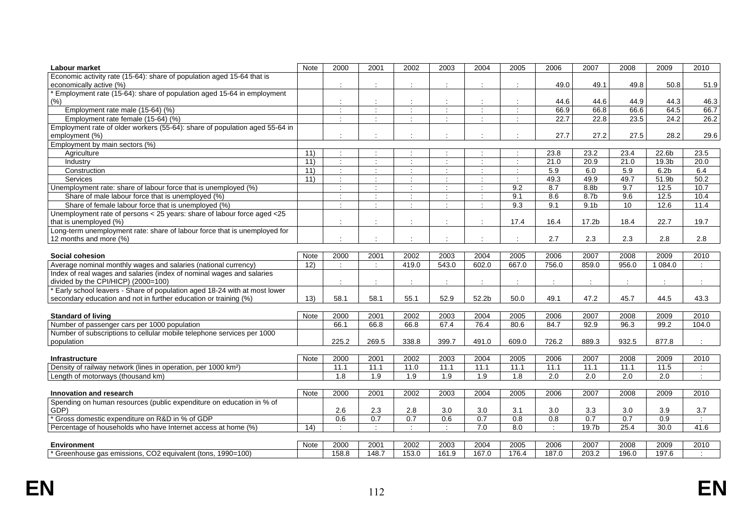| Economic activity rate (15-64): share of population aged 15-64 that is                                                                                                                                         |               |
|----------------------------------------------------------------------------------------------------------------------------------------------------------------------------------------------------------------|---------------|
|                                                                                                                                                                                                                |               |
| 49.0<br>49.1<br>49.8<br>50.8<br>economically active (%)<br>$\bullet$<br>$\cdot$                                                                                                                                | 51.9          |
| * Employment rate (15-64): share of population aged 15-64 in employment                                                                                                                                        |               |
| (%)<br>44.6<br>44.6<br>44.9<br>44.3<br>÷<br>÷                                                                                                                                                                  | 46.3          |
| 66.9<br>66.8<br>66.6<br>64.5<br>Employment rate male (15-64) (%)<br>$\ddot{\cdot}$<br>$\ddot{\phantom{a}}$<br>÷<br>÷<br>$\ddot{\cdot}$                                                                         | 66.7          |
| Employment rate female (15-64) (%)<br>22.7<br>22.8<br>23.5<br>24.2<br>$\blacksquare$<br>$\mathcal{L}$<br>$\bullet$<br>$\mathcal{L}$<br>÷<br>$\cdot$                                                            | 26.2          |
| Employment rate of older workers (55-64): share of population aged 55-64 in                                                                                                                                    |               |
| 27.7<br>27.2<br>28.2<br>employment (%)<br>27.5                                                                                                                                                                 | 29.6          |
| Employment by main sectors (%)                                                                                                                                                                                 |               |
| 23.4<br>Agriculture<br>11)<br>23.8<br>23.2<br>22.6b<br>$\mathcal{L}$<br>$\Delta$<br>$\ddot{\phantom{a}}$<br>÷                                                                                                  | 23.5          |
| 11)<br>$\dot{\gamma}$<br>$\mathcal{L}^{\mathcal{L}}$<br>21.0<br>20.9<br>21.0<br>19.3b<br>Industry<br>$\cdot$<br>$\bullet$<br>$\mathbf{r}$<br>$\mathcal{L}$                                                     | 20.0          |
| 5.9<br>6.0<br>5.9<br>11)<br>6.2 <sub>b</sub><br>Construction<br>$\ddot{\phantom{a}}$<br>÷<br>$\ddot{\phantom{a}}$                                                                                              | 6.4           |
| Services<br>11)<br>$\ddot{\cdot}$<br>÷<br>49.3<br>49.9<br>49.7<br>51.9b<br>÷<br>÷<br>÷                                                                                                                         | 50.2          |
| 8.7<br>9.7<br>12.5<br>9.2<br>8.8 <sub>b</sub><br>Unemployment rate: share of labour force that is unemployed (%)<br>÷<br>$\mathcal{L}$<br>$\mathcal{L}$<br>$\mathcal{L}_{\mathcal{L}}$<br>$\ddot{\phantom{a}}$ | 10.7          |
| Share of male labour force that is unemployed (%)<br>9.1<br>8.6<br>9.6<br>12.5<br>8.7b<br>$\ddot{\cdot}$<br>÷<br>$\mathcal{L}$                                                                                 | 10.4          |
| 9.3<br>9.1<br>$\overline{10}$<br>12.6<br>Share of female labour force that is unemployed (%)<br>9.1 <sub>b</sub><br>$\blacksquare$<br>$\cdot$<br>$\cdot$<br>$\mathcal{L}$                                      | 11.4          |
| Unemployment rate of persons < 25 years: share of labour force aged < 25                                                                                                                                       |               |
| 17.4<br>16.4<br>17.2b<br>18.4<br>22.7<br>that is unemployed (%)<br>$\cdot$<br>$\bullet$                                                                                                                        | 19.7          |
| Long-term unemployment rate: share of labour force that is unemployed for                                                                                                                                      |               |
| 2.7<br>2.3<br>2.8<br>2.3<br>12 months and more (%)<br>$\cdot$<br>$\bullet$<br>$\overline{\phantom{a}}$                                                                                                         | 2.8           |
|                                                                                                                                                                                                                |               |
| 2007<br>Note<br>2000<br>2001<br>2002<br>2003<br>2004<br>2005<br>2006<br>2008<br>2009<br>Social cohesion                                                                                                        | 2010          |
| 602.0<br>667.0<br>756.0<br>12)<br>419.0<br>543.0<br>859.0<br>956.0<br>1 084.0<br>Average nominal monthly wages and salaries (national currency)<br>÷<br>$\blacksquare$                                         | $\sim$        |
| Index of real wages and salaries (index of nominal wages and salaries<br>divided by the CPI/HICP) (2000=100)<br>$\ddot{\phantom{a}}$<br>÷<br>$\ddot{\phantom{a}}$<br>÷<br>t<br>$\ddot{\phantom{a}}$            |               |
| Early school leavers - Share of population aged 18-24 with at most lower                                                                                                                                       |               |
| 47.2<br>secondary education and not in further education or training (%)<br>13)<br>58.1<br>55.1<br>52.9<br>52.2b<br>50.0<br>49.1<br>45.7<br>44.5<br>58.1                                                       | 43.3          |
|                                                                                                                                                                                                                |               |
| 2000<br>2002<br>2003<br>2004<br>2007<br>2009<br>Note<br>2001<br>2005<br>2006<br>2008<br><b>Standard of living</b>                                                                                              | 2010          |
| 66.1<br>66.8<br>66.8<br>67.4<br>76.4<br>80.6<br>84.7<br>92.9<br>96.3<br>99.2<br>Number of passenger cars per 1000 population                                                                                   | 104.0         |
| Number of subscriptions to cellular mobile telephone services per 1000                                                                                                                                         |               |
| 225.2<br>269.5<br>338.8<br>399.7<br>609.0<br>726.2<br>889.3<br>932.5<br>877.8<br>population<br>491.0                                                                                                           |               |
|                                                                                                                                                                                                                |               |
| 2000<br>2001<br>2002<br>2003<br>2004<br>2005<br>2006<br>2007<br>2008<br>2009<br><b>Note</b><br><b>Infrastructure</b>                                                                                           | 2010          |
| 11.1<br>11.0<br>11.5<br>Density of railway network (lines in operation, per 1000 km <sup>2</sup> )<br>11.1<br>11.1<br>11.1<br>11.1<br>11.1<br>11.1<br>11.1                                                     | $\mathcal{I}$ |
| 1.9<br>2.0<br>2.0<br>1.8<br>1.9<br>1.9<br>1.9<br>1.8<br>2.0<br>2.0<br>Length of motorways (thousand km)                                                                                                        |               |
|                                                                                                                                                                                                                |               |
| Note<br>2000<br>2001<br>2002<br>2003<br>2004<br>2005<br>2006<br>2007<br>2008<br>2009<br>Innovation and research                                                                                                | 2010          |
| Spending on human resources (public expenditure on education in % of<br>GDP)<br>2.6<br>2.3<br>2.8<br>3.0<br>3.0<br>3.0<br>3.3<br>3.0<br>3.9<br>3.1                                                             | 3.7           |
| 0.7<br>0.7<br>$\overline{0.7}$<br>0.7<br>Gross domestic expenditure on R&D in % of GDP<br>0.6<br>0.7<br>0.6<br>0.8<br>0.8<br>0.9                                                                               | ÷             |
| Ŧ<br>$\cdot$<br>7.0<br>÷<br>25.4<br>30.0<br>Percentage of households who have Internet access at home (%)<br>$\overline{14}$<br>$\bullet$<br>$\overline{8.0}$<br>19.7 <sub>b</sub>                             | 41.6          |
|                                                                                                                                                                                                                |               |
| 2000<br>2002<br>2003<br>2004<br>2005<br>2006<br>2008<br><b>Environment</b><br>Note<br>2001<br>2007<br>2009                                                                                                     | 2010          |
| * Greenhouse gas emissions, CO2 equivalent (tons, 1990=100)<br>158.8<br>148.7<br>153.0<br>161.9<br>167.0<br>176.4<br>187.0<br>203.2<br>196.0<br>197.6                                                          |               |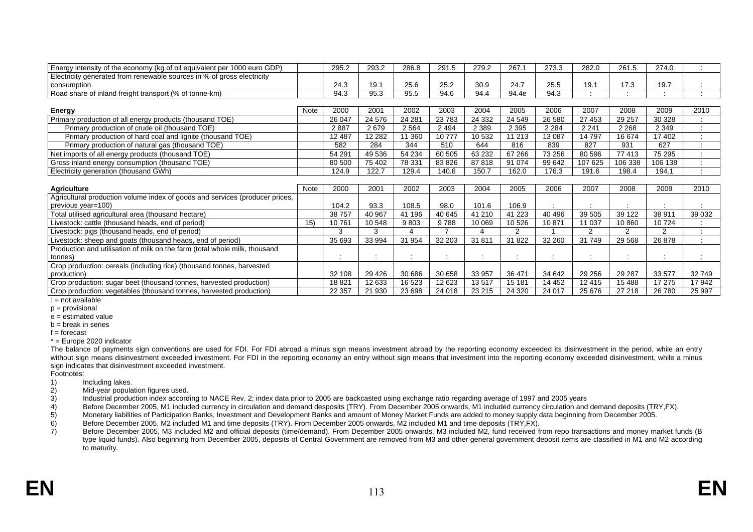| Energy intensity of the economy (kg of oil equivalent per 1000 euro GDP)     |      | 295.2   | 293.2        | 286.8   | 291.5                | 279.2          | 267.1               | 273.3   | 282.0                | 261.5          | 274.0   |                |
|------------------------------------------------------------------------------|------|---------|--------------|---------|----------------------|----------------|---------------------|---------|----------------------|----------------|---------|----------------|
| Electricity generated from renewable sources in % of gross electricity       |      |         |              |         |                      |                |                     |         |                      |                |         |                |
| consumption                                                                  |      | 24.3    | 19.1         | 25.6    | 25.2                 | 30.9           | 24.7                | 25.5    | 19.1                 | 17.3           | 19.7    |                |
| Road share of inland freight transport (% of tonne-km)                       |      | 94.3    | 95.3         | 95.5    | 94.6                 | 94.4           | 94.4e               | 94.3    | $\bullet$            |                |         |                |
|                                                                              |      |         |              |         |                      |                |                     |         |                      |                |         |                |
| Energy                                                                       | Note | 2000    | 2001         | 2002    | 2003                 | 2004           | 2005                | 2006    | 2007                 | 2008           | 2009    | 2010           |
| Primary production of all energy products (thousand TOE)                     |      | 26 047  | 24 576       | 24 281  | 23783                | 24 3 32        | 24 549              | 26 580  | 27 453               | 29 257         | 30 328  |                |
| Primary production of crude oil (thousand TOE)                               |      | 2887    | 2679         | 2 5 6 4 | 2 4 9 4              | 2 3 8 9        | 2 3 9 5             | 2 2 8 4 | 2 2 4 1              | 2 2 6 8        | 2 3 4 9 |                |
| Primary production of hard coal and lignite (thousand TOE)                   |      | 12 487  | 12 2 8 2     | 11 360  | 10777                | 10 532         | 11 213              | 13 087  | 14 797               | 16 674         | 17 402  | $\cdot$        |
| Primary production of natural gas (thousand TOE)                             |      | 582     | 284          | 344     | 510                  | 644            | 816                 | 839     | 827                  | 931            | 627     | $\blacksquare$ |
| Net imports of all energy products (thousand TOE)                            |      | 54 291  | 49 536       | 54 234  | 60 505               | 63 232         | 67 266              | 73 256  | 80 596               | 77 413         | 75 295  |                |
| Gross inland energy consumption (thousand TOE)                               |      | 80 500  | 75 402       | 78 331  | 83 826               | 87818          | 91 074              | 99 642  | 107 625              | 106 338        | 106 138 |                |
| Electricity generation (thousand GWh)                                        |      | 124.9   | 122.7        | 129.4   | 140.6                | 150.7          | 162.0               | 176.3   | 191.6                | 198.4          | 194.1   | $\bullet$      |
|                                                                              |      |         |              |         |                      |                |                     |         |                      |                |         |                |
| <b>Agriculture</b>                                                           | Note | 2000    | 2001         | 2002    | 2003                 | 2004           | 2005                | 2006    | 2007                 | 2008           | 2009    | 2010           |
| Agricultural production volume index of goods and services (producer prices, |      |         |              |         |                      |                |                     |         |                      |                |         |                |
| previous year=100)                                                           |      | 104.2   | 93.3         | 108.5   | 98.0                 | 101.6          | 106.9               |         |                      |                |         |                |
| Total utilised agricultural area (thousand hectare)                          |      | 38757   | 40 967       | 41 196  | 40 645               | 41 210         | 41 2 23             | 40 49 6 | 39 505               | 39 122         | 38 911  | 39 0 32        |
| Livestock: cattle (thousand heads, end of period)                            | 15)  | 10761   | 10 548       | 9803    | 9788                 | 10 069         | 10 5 26             | 10 871  | 11 037               | 10 860         | 10724   |                |
| Livestock: pigs (thousand heads, end of period)                              |      | 3       | 3            |         | $\overline{ }$       | $\overline{4}$ | $\overline{2}$      |         | $\overline{2}$       | $\overline{2}$ | 2       |                |
| Livestock: sheep and goats (thousand heads, end of period)                   |      | 35 693  | 33 994       | 31 954  | 32 203               | 31 811         | 31 822              | 32 260  | 31 749               | 29 5 68        | 26 878  |                |
| Production and utilisation of milk on the farm (total whole milk, thousand   |      |         |              |         |                      |                |                     |         |                      |                |         |                |
| tonnes)                                                                      |      | $\cdot$ | $\cdot$<br>÷ | $\cdot$ | $\bullet$<br>$\cdot$ | $\bullet$<br>÷ | $\bullet$<br>$\sim$ | ÷       | $\bullet$<br>$\cdot$ |                | $\cdot$ | $\bullet$      |
| Crop production: cereals (including rice) (thousand tonnes, harvested        |      |         |              |         |                      |                |                     |         |                      |                |         |                |
| production)                                                                  |      | 32 108  | 29 4 26      | 30 686  | 30 658               | 33 957         | 36 471              | 34 642  | 29 25 6              | 29 287         | 33 577  | 32 749         |
|                                                                              |      |         |              |         |                      |                |                     |         |                      |                |         |                |
| Crop production: sugar beet (thousand tonnes, harvested production)          |      | 18821   | 12 633       | 16 523  | 12 623               | 13517          | 15 181              | 14 452  | 12 4 15              | 15 4 88        | 17 275  | 17942          |

: = not available

p = provisional

e = estimated value

 $b = b$ reak in series

f = forecast

\* = Europe 2020 indicator

The balance of payments sign conventions are used for FDI. For FDI abroad a minus sign means investment abroad by the reporting economy exceeded its disinvestment in the period, while an entry without sign means disinvestment exceeded investment. For FDI in the reporting economy an entry without sign means that investment into the reporting economy exceeded disinvestment, while a minus sign indicates th at disinvestment exceeded investment.

Footnotes:

- 1) Including lakes.
- 2) Mid-year population figures used.<br>3) Industrial production index accord 2)

3) Industrial production index according to NACE Rev. 2; index data prior to 2005 are backcasted using exchange ratio regarding average of 1997 and 2005 years

- 4) Before December 2005, M1 included currency in circulation and demand desposits (TRY). From December 2005 onwards, M1 included currency circulation and demand deposits (TRY,FX).
- Monetary liabilities of Participation Banks, Investment and Development Banks and amount of Money Market Funds are added to money supply data beginning from December 2005. 5)
- 6) Before December 2005, M2 included M1 and time deposits (TRY). From December 2005 onwards, M2 included M1 and time deposits (TRY, FX).
- 7) Before December 2005, M3 included M2 and official deposits (time/demand). From December 2005 onwards, M3 included M2, fund received from repo transactions and money market funds (B type liquid funds). Also beginning from December 2005, deposits of Central Government are removed from M3 and other general government deposit items are classified in M1 and M2 according to maturity.